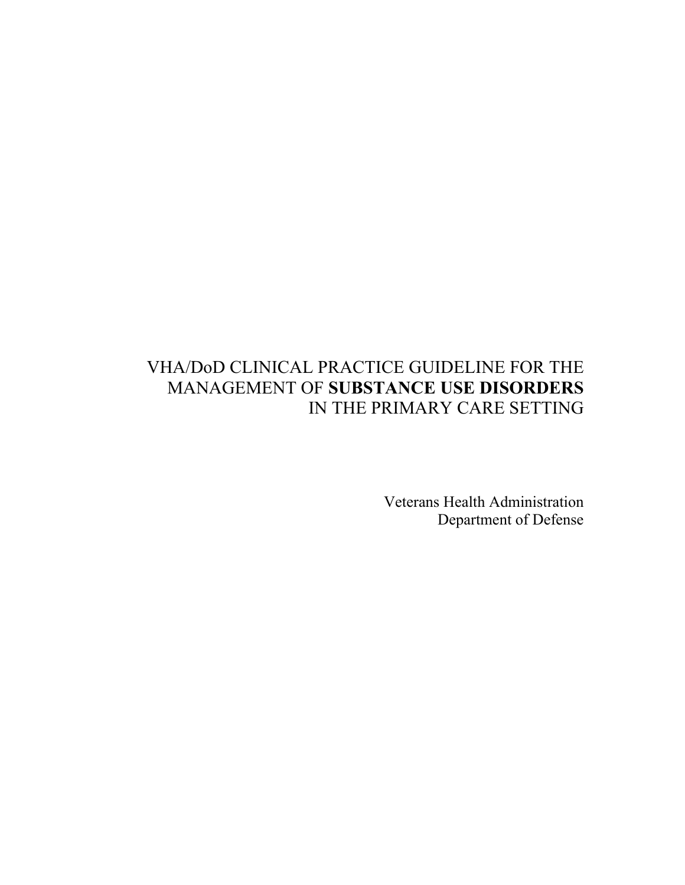# VHA/DoD CLINICAL PRACTICE GUIDELINE FOR THE MANAGEMENT OF **SUBSTANCE USE DISORDERS**  IN THE PRIMARY CARE SETTING

Veterans Health Administration Department of Defense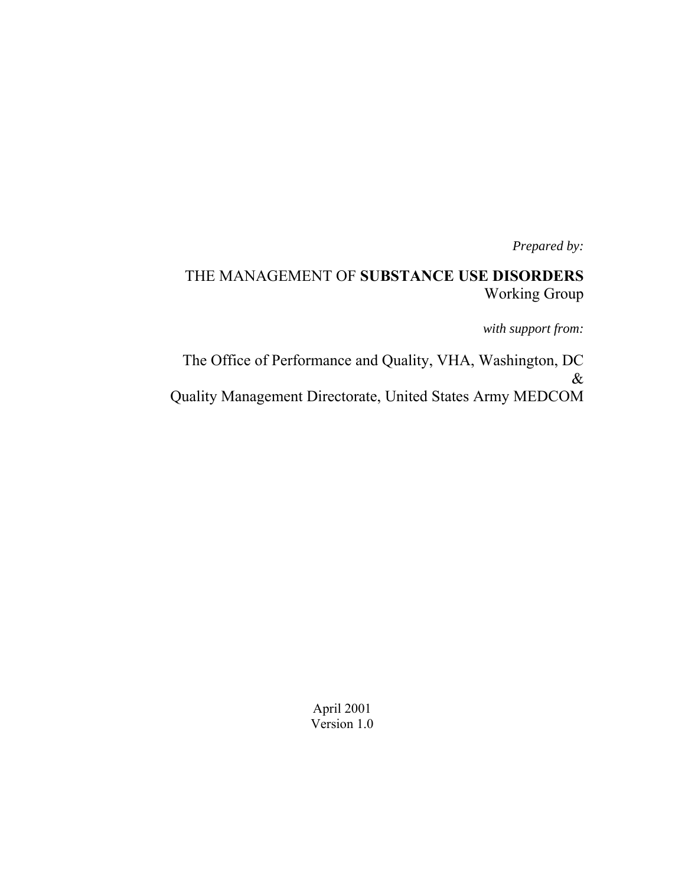*Prepared by:*

# THE MANAGEMENT OF **SUBSTANCE USE DISORDERS**  Working Group

*with support from:* 

The Office of Performance and Quality, VHA, Washington, DC & Quality Management Directorate, United States Army MEDCOM

> April 2001 Version 1.0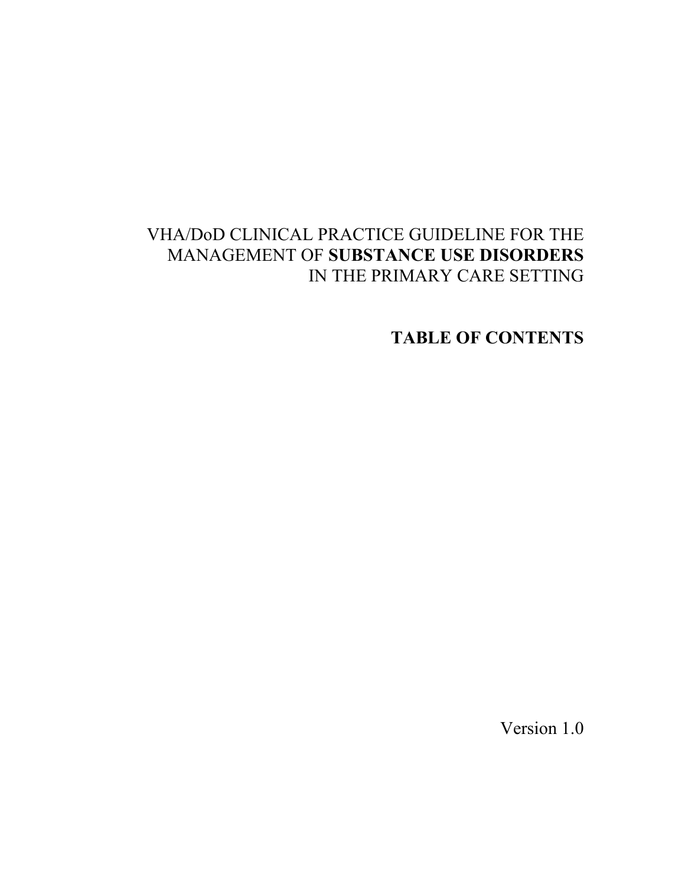# VHA/DoD CLINICAL PRACTICE GUIDELINE FOR THE MANAGEMENT OF **SUBSTANCE USE DISORDERS** IN THE PRIMARY CARE SETTING

**TABLE OF CONTENTS** 

Version 1.0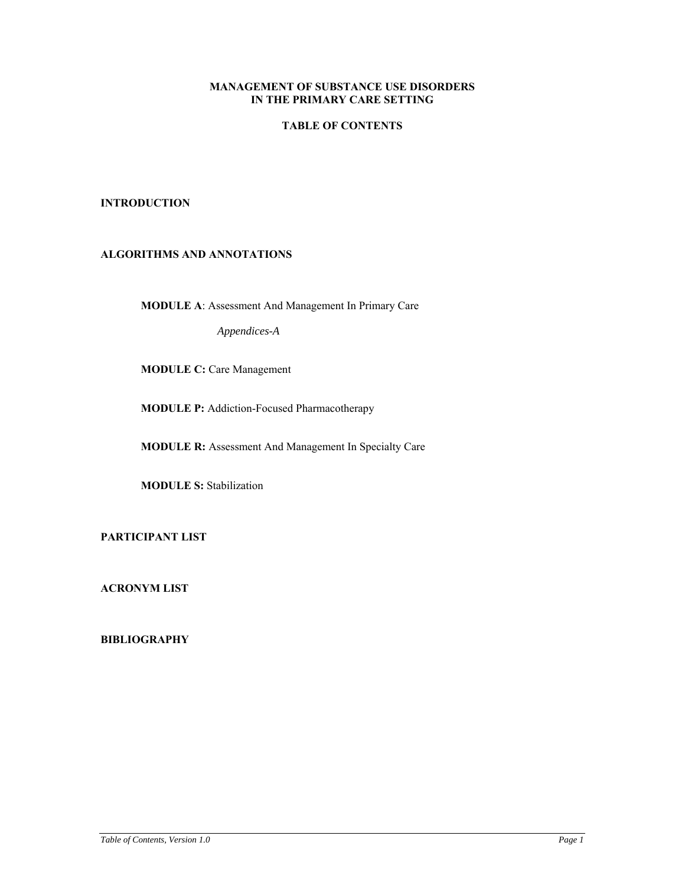# **MANAGEMENT OF SUBSTANCE USE DISORDERS IN THE PRIMARY CARE SETTING**

# **TABLE OF CONTENTS**

### **INTRODUCTION**

# **ALGORITHMS AND ANNOTATIONS**

**MODULE A**: Assessment And Management In Primary Care

*Appendices-A* 

**MODULE C:** Care Management

**MODULE P:** Addiction-Focused Pharmacotherapy

**MODULE R:** Assessment And Management In Specialty Care

**MODULE S:** Stabilization

**PARTICIPANT LIST** 

**ACRONYM LIST** 

**BIBLIOGRAPHY**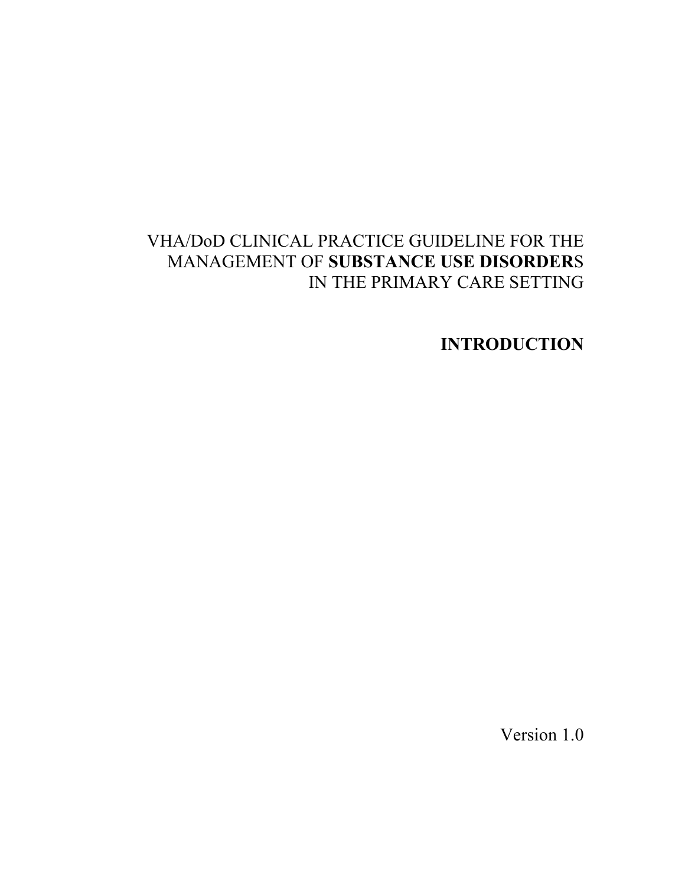# VHA/DoD CLINICAL PRACTICE GUIDELINE FOR THE MANAGEMENT OF **SUBSTANCE USE DISORDER**S IN THE PRIMARY CARE SETTING

**INTRODUCTION** 

Version 1.0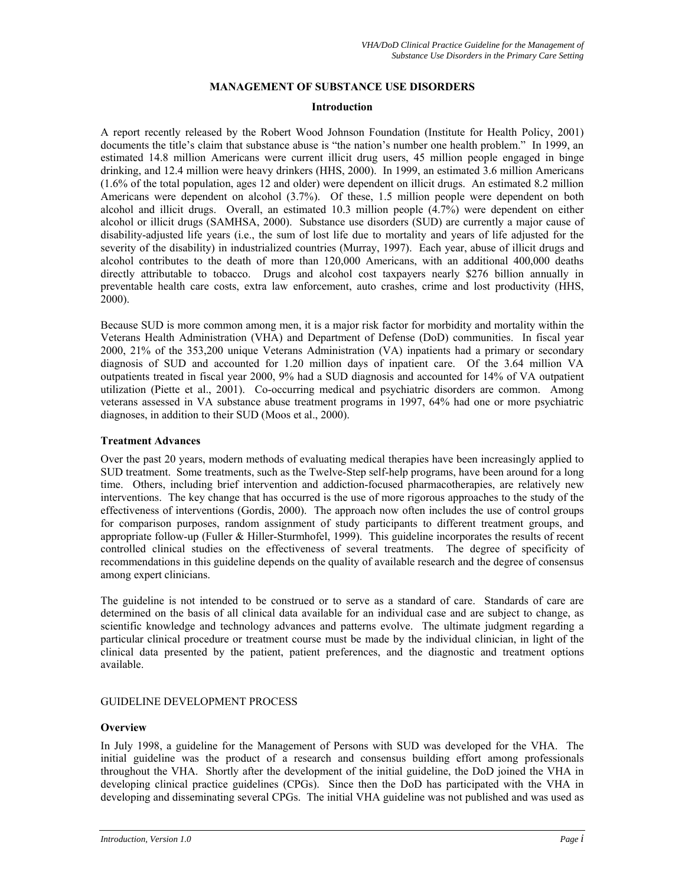# **MANAGEMENT OF SUBSTANCE USE DISORDERS**

#### **Introduction**

A report recently released by the Robert Wood Johnson Foundation (Institute for Health Policy, 2001) documents the title's claim that substance abuse is "the nation's number one health problem." In 1999, an estimated 14.8 million Americans were current illicit drug users, 45 million people engaged in binge drinking, and 12.4 million were heavy drinkers (HHS, 2000). In 1999, an estimated 3.6 million Americans (1.6% of the total population, ages 12 and older) were dependent on illicit drugs. An estimated 8.2 million Americans were dependent on alcohol (3.7%). Of these, 1.5 million people were dependent on both alcohol and illicit drugs. Overall, an estimated 10.3 million people (4.7%) were dependent on either alcohol or illicit drugs (SAMHSA, 2000). Substance use disorders (SUD) are currently a major cause of disability-adjusted life years (i.e., the sum of lost life due to mortality and years of life adjusted for the severity of the disability) in industrialized countries (Murray, 1997). Each year, abuse of illicit drugs and alcohol contributes to the death of more than 120,000 Americans, with an additional 400,000 deaths directly attributable to tobacco. Drugs and alcohol cost taxpayers nearly \$276 billion annually in preventable health care costs, extra law enforcement, auto crashes, crime and lost productivity (HHS, 2000).

Because SUD is more common among men, it is a major risk factor for morbidity and mortality within the Veterans Health Administration (VHA) and Department of Defense (DoD) communities. In fiscal year 2000, 21% of the 353,200 unique Veterans Administration (VA) inpatients had a primary or secondary diagnosis of SUD and accounted for 1.20 million days of inpatient care. Of the 3.64 million VA outpatients treated in fiscal year 2000, 9% had a SUD diagnosis and accounted for 14% of VA outpatient utilization (Piette et al., 2001). Co-occurring medical and psychiatric disorders are common. Among veterans assessed in VA substance abuse treatment programs in 1997, 64% had one or more psychiatric diagnoses, in addition to their SUD (Moos et al., 2000).

#### **Treatment Advances**

Over the past 20 years, modern methods of evaluating medical therapies have been increasingly applied to SUD treatment. Some treatments, such as the Twelve-Step self-help programs, have been around for a long time. Others, including brief intervention and addiction-focused pharmacotherapies, are relatively new interventions. The key change that has occurred is the use of more rigorous approaches to the study of the effectiveness of interventions (Gordis, 2000). The approach now often includes the use of control groups for comparison purposes, random assignment of study participants to different treatment groups, and appropriate follow-up (Fuller & Hiller-Sturmhofel, 1999). This guideline incorporates the results of recent controlled clinical studies on the effectiveness of several treatments. The degree of specificity of recommendations in this guideline depends on the quality of available research and the degree of consensus among expert clinicians.

The guideline is not intended to be construed or to serve as a standard of care. Standards of care are determined on the basis of all clinical data available for an individual case and are subject to change, as scientific knowledge and technology advances and patterns evolve. The ultimate judgment regarding a particular clinical procedure or treatment course must be made by the individual clinician, in light of the clinical data presented by the patient, patient preferences, and the diagnostic and treatment options available.

#### GUIDELINE DEVELOPMENT PROCESS

#### **Overview**

In July 1998, a guideline for the Management of Persons with SUD was developed for the VHA. The initial guideline was the product of a research and consensus building effort among professionals throughout the VHA. Shortly after the development of the initial guideline, the DoD joined the VHA in developing clinical practice guidelines (CPGs). Since then the DoD has participated with the VHA in developing and disseminating several CPGs. The initial VHA guideline was not published and was used as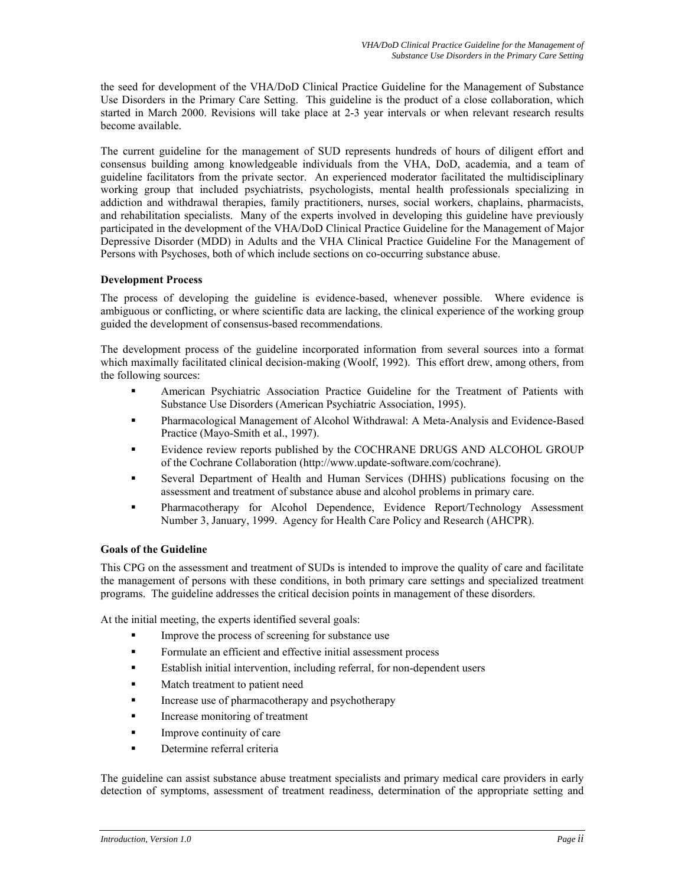the seed for development of the VHA/DoD Clinical Practice Guideline for the Management of Substance Use Disorders in the Primary Care Setting. This guideline is the product of a close collaboration, which started in March 2000. Revisions will take place at 2-3 year intervals or when relevant research results become available.

The current guideline for the management of SUD represents hundreds of hours of diligent effort and consensus building among knowledgeable individuals from the VHA, DoD, academia, and a team of guideline facilitators from the private sector. An experienced moderator facilitated the multidisciplinary working group that included psychiatrists, psychologists, mental health professionals specializing in addiction and withdrawal therapies, family practitioners, nurses, social workers, chaplains, pharmacists, and rehabilitation specialists. Many of the experts involved in developing this guideline have previously participated in the development of the VHA/DoD Clinical Practice Guideline for the Management of Major Depressive Disorder (MDD) in Adults and the VHA Clinical Practice Guideline For the Management of Persons with Psychoses, both of which include sections on co-occurring substance abuse.

# **Development Process**

The process of developing the guideline is evidence-based, whenever possible. Where evidence is ambiguous or conflicting, or where scientific data are lacking, the clinical experience of the working group guided the development of consensus-based recommendations.

The development process of the guideline incorporated information from several sources into a format which maximally facilitated clinical decision-making (Woolf, 1992). This effort drew, among others, from the following sources:

- American Psychiatric Association Practice Guideline for the Treatment of Patients with Substance Use Disorders (American Psychiatric Association, 1995).
- Pharmacological Management of Alcohol Withdrawal: A Meta-Analysis and Evidence-Based Practice (Mayo-Smith et al., 1997).
- Evidence review reports published by the COCHRANE DRUGS AND ALCOHOL GROUP of the Cochrane Collaboration [\(http://www.update-software.com/cochrane](http://www.update-software.com/cochrane)).
- Several Department of Health and Human Services (DHHS) publications focusing on the assessment and treatment of substance abuse and alcohol problems in primary care.
- Pharmacotherapy for Alcohol Dependence, Evidence Report/Technology Assessment Number 3, January, 1999. Agency for Health Care Policy and Research (AHCPR).

#### **Goals of the Guideline**

This CPG on the assessment and treatment of SUDs is intended to improve the quality of care and facilitate the management of persons with these conditions, in both primary care settings and specialized treatment programs. The guideline addresses the critical decision points in management of these disorders.

At the initial meeting, the experts identified several goals:

- Improve the process of screening for substance use
- Formulate an efficient and effective initial assessment process
- Establish initial intervention, including referral, for non-dependent users
- **Match treatment to patient need**
- Increase use of pharmacotherapy and psychotherapy
- Increase monitoring of treatment
- **Improve continuity of care**
- **Determine referral criteria**

The guideline can assist substance abuse treatment specialists and primary medical care providers in early detection of symptoms, assessment of treatment readiness, determination of the appropriate setting and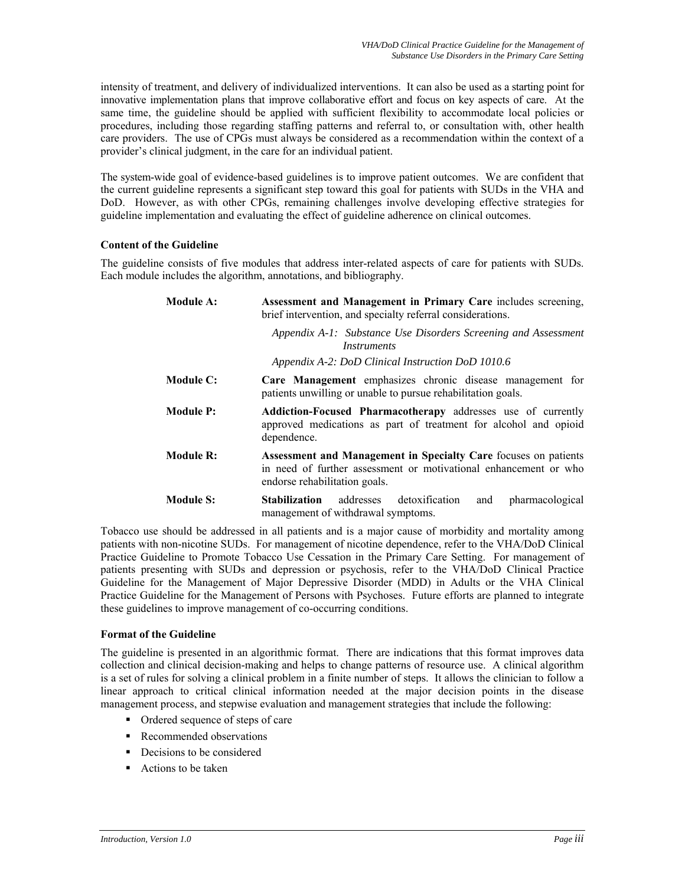intensity of treatment, and delivery of individualized interventions. It can also be used as a starting point for innovative implementation plans that improve collaborative effort and focus on key aspects of care. At the same time, the guideline should be applied with sufficient flexibility to accommodate local policies or procedures, including those regarding staffing patterns and referral to, or consultation with, other health care providers. The use of CPGs must always be considered as a recommendation within the context of a provider's clinical judgment, in the care for an individual patient.

The system-wide goal of evidence-based guidelines is to improve patient outcomes. We are confident that the current guideline represents a significant step toward this goal for patients with SUDs in the VHA and DoD. However, as with other CPGs, remaining challenges involve developing effective strategies for guideline implementation and evaluating the effect of guideline adherence on clinical outcomes.

#### **Content of the Guideline**

The guideline consists of five modules that address inter-related aspects of care for patients with SUDs. Each module includes the algorithm, annotations, and bibliography.

| <b>Module A:</b> | Assessment and Management in Primary Care includes screening,<br>brief intervention, and specialty referral considerations.                                          |  |  |  |  |
|------------------|----------------------------------------------------------------------------------------------------------------------------------------------------------------------|--|--|--|--|
|                  | Appendix A-1: Substance Use Disorders Screening and Assessment<br><i>Instruments</i>                                                                                 |  |  |  |  |
|                  | Appendix A-2: DoD Clinical Instruction DoD 1010.6                                                                                                                    |  |  |  |  |
| <b>Module C:</b> | Care Management emphasizes chronic disease management for<br>patients unwilling or unable to pursue rehabilitation goals.                                            |  |  |  |  |
| <b>Module P:</b> | <b>Addiction-Focused Pharmacotherapy</b> addresses use of currently<br>approved medications as part of treatment for alcohol and opioid<br>dependence.               |  |  |  |  |
| Module R:        | Assessment and Management in Specialty Care focuses on patients<br>in need of further assessment or motivational enhancement or who<br>endorse rehabilitation goals. |  |  |  |  |
| <b>Module S:</b> | addresses detoxification<br>pharmacological<br><b>Stabilization</b><br>and<br>management of withdrawal symptoms.                                                     |  |  |  |  |

Tobacco use should be addressed in all patients and is a major cause of morbidity and mortality among patients with non-nicotine SUDs. For management of nicotine dependence, refer to the VHA/DoD Clinical Practice Guideline to Promote Tobacco Use Cessation in the Primary Care Setting. For management of patients presenting with SUDs and depression or psychosis, refer to the VHA/DoD Clinical Practice Guideline for the Management of Major Depressive Disorder (MDD) in Adults or the VHA Clinical Practice Guideline for the Management of Persons with Psychoses. Future efforts are planned to integrate these guidelines to improve management of co-occurring conditions.

#### **Format of the Guideline**

The guideline is presented in an algorithmic format. There are indications that this format improves data collection and clinical decision-making and helps to change patterns of resource use. A clinical algorithm is a set of rules for solving a clinical problem in a finite number of steps. It allows the clinician to follow a linear approach to critical clinical information needed at the major decision points in the disease management process, and stepwise evaluation and management strategies that include the following:

- Ordered sequence of steps of care
- Recommended observations
- Decisions to be considered
- Actions to be taken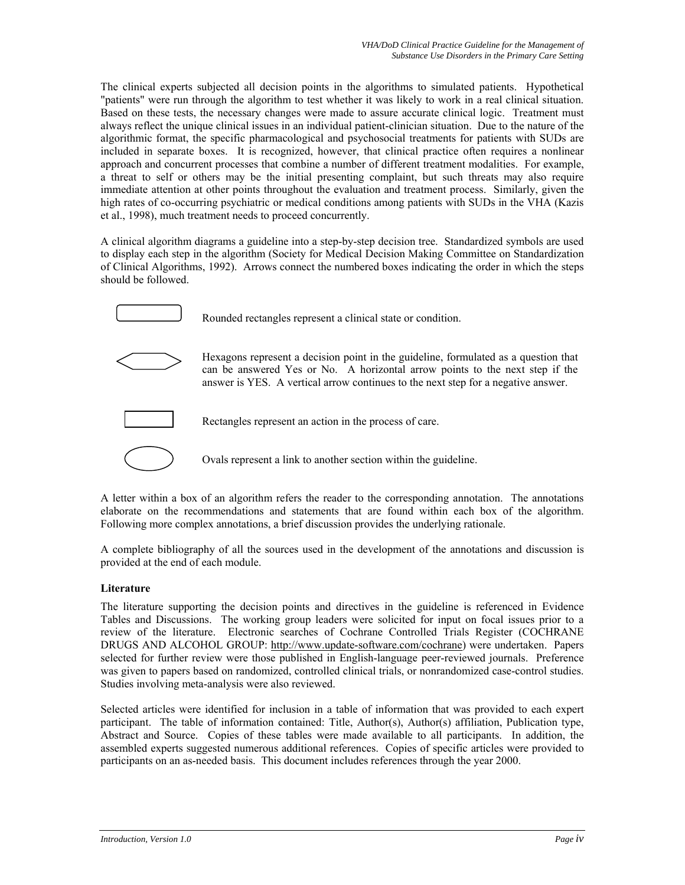The clinical experts subjected all decision points in the algorithms to simulated patients. Hypothetical "patients" were run through the algorithm to test whether it was likely to work in a real clinical situation. Based on these tests, the necessary changes were made to assure accurate clinical logic. Treatment must always reflect the unique clinical issues in an individual patient-clinician situation. Due to the nature of the algorithmic format, the specific pharmacological and psychosocial treatments for patients with SUDs are included in separate boxes. It is recognized, however, that clinical practice often requires a nonlinear approach and concurrent processes that combine a number of different treatment modalities. For example, a threat to self or others may be the initial presenting complaint, but such threats may also require immediate attention at other points throughout the evaluation and treatment process. Similarly, given the high rates of co-occurring psychiatric or medical conditions among patients with SUDs in the VHA (Kazis et al., 1998), much treatment needs to proceed concurrently.

A clinical algorithm diagrams a guideline into a step-by-step decision tree. Standardized symbols are used to display each step in the algorithm (Society for Medical Decision Making Committee on Standardization of Clinical Algorithms, 1992). Arrows connect the numbered boxes indicating the order in which the steps should be followed.



Rounded rectangles represent a clinical state or condition.



Hexagons represent a decision point in the guideline, formulated as a question that can be answered Yes or No. A horizontal arrow points to the next step if the answer is YES. A vertical arrow continues to the next step for a negative answer.



Rectangles represent an action in the process of care.



Ovals represent a link to another section within the guideline.

A letter within a box of an algorithm refers the reader to the corresponding annotation. The annotations elaborate on the recommendations and statements that are found within each box of the algorithm. Following more complex annotations, a brief discussion provides the underlying rationale.

A complete bibliography of all the sources used in the development of the annotations and discussion is provided at the end of each module.

# **Literature**

The literature supporting the decision points and directives in the guideline is referenced in Evidence Tables and Discussions. The working group leaders were solicited for input on focal issues prior to a review of the literature. Electronic searches of Cochrane Controlled Trials Register (COCHRANE DRUGS AND ALCOHOL GROUP: http://www.update-software.com/cochrane) were undertaken. Papers selected for further review were those published in English-language peer-reviewed journals. Preference was given to papers based on randomized, controlled clinical trials, or nonrandomized case-control studies. Studies involving meta-analysis were also reviewed.

Selected articles were identified for inclusion in a table of information that was provided to each expert participant. The table of information contained: Title, Author(s), Author(s) affiliation, Publication type, Abstract and Source. Copies of these tables were made available to all participants. In addition, the assembled experts suggested numerous additional references. Copies of specific articles were provided to participants on an as-needed basis. This document includes references through the year 2000.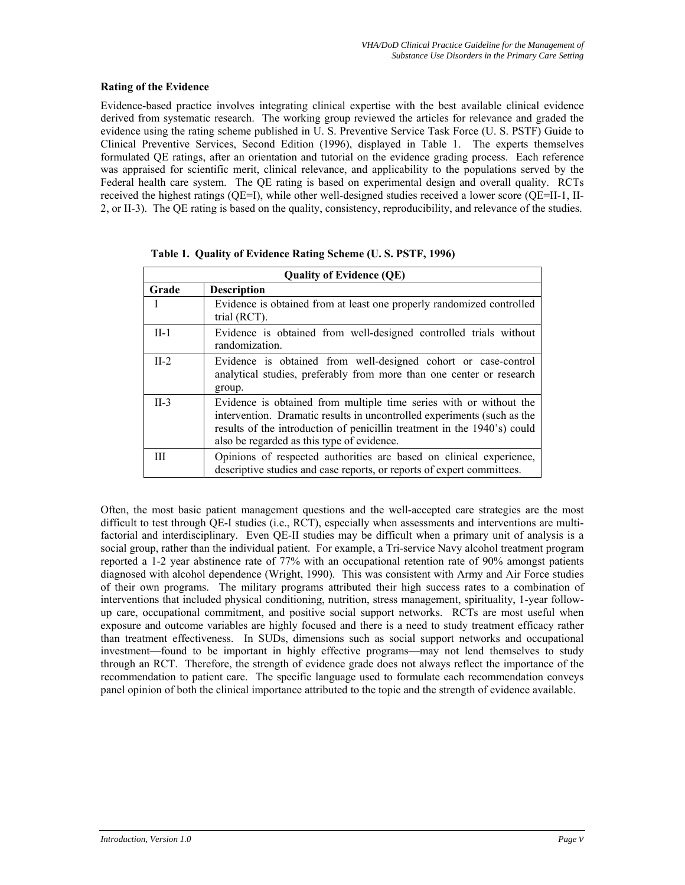#### **Rating of the Evidence**

Evidence-based practice involves integrating clinical expertise with the best available clinical evidence derived from systematic research. The working group reviewed the articles for relevance and graded the evidence using the rating scheme published in U. S. Preventive Service Task Force (U. S. PSTF) Guide to Clinical Preventive Services, Second Edition (1996), displayed in Table 1. The experts themselves formulated QE ratings, after an orientation and tutorial on the evidence grading process. Each reference was appraised for scientific merit, clinical relevance, and applicability to the populations served by the Federal health care system. The QE rating is based on experimental design and overall quality. RCTs received the highest ratings (QE=I), while other well-designed studies received a lower score (QE=II-1, II-2, or II-3). The QE rating is based on the quality, consistency, reproducibility, and relevance of the studies.

|        | <b>Quality of Evidence (QE)</b>                                                                                                                                                                                                                                         |  |  |  |
|--------|-------------------------------------------------------------------------------------------------------------------------------------------------------------------------------------------------------------------------------------------------------------------------|--|--|--|
| Grade  | <b>Description</b>                                                                                                                                                                                                                                                      |  |  |  |
|        | Evidence is obtained from at least one properly randomized controlled<br>trial (RCT).                                                                                                                                                                                   |  |  |  |
| $II-1$ | Evidence is obtained from well-designed controlled trials without<br>randomization.                                                                                                                                                                                     |  |  |  |
| $II-2$ | Evidence is obtained from well-designed cohort or case-control<br>analytical studies, preferably from more than one center or research<br>group.                                                                                                                        |  |  |  |
| $II-3$ | Evidence is obtained from multiple time series with or without the<br>intervention. Dramatic results in uncontrolled experiments (such as the<br>results of the introduction of penicillin treatment in the 1940's) could<br>also be regarded as this type of evidence. |  |  |  |
|        | Opinions of respected authorities are based on clinical experience,<br>descriptive studies and case reports, or reports of expert committees.                                                                                                                           |  |  |  |

**Table 1. Quality of Evidence Rating Scheme (U. S. PSTF, 1996)** 

Often, the most basic patient management questions and the well-accepted care strategies are the most difficult to test through QE-I studies (i.e., RCT), especially when assessments and interventions are multifactorial and interdisciplinary. Even QE-II studies may be difficult when a primary unit of analysis is a social group, rather than the individual patient. For example, a Tri-service Navy alcohol treatment program reported a 1-2 year abstinence rate of 77% with an occupational retention rate of 90% amongst patients diagnosed with alcohol dependence (Wright, 1990). This was consistent with Army and Air Force studies of their own programs. The military programs attributed their high success rates to a combination of interventions that included physical conditioning, nutrition, stress management, spirituality, 1-year followup care, occupational commitment, and positive social support networks. RCTs are most useful when exposure and outcome variables are highly focused and there is a need to study treatment efficacy rather than treatment effectiveness. In SUDs, dimensions such as social support networks and occupational investment—found to be important in highly effective programs—may not lend themselves to study through an RCT. Therefore, the strength of evidence grade does not always reflect the importance of the recommendation to patient care. The specific language used to formulate each recommendation conveys panel opinion of both the clinical importance attributed to the topic and the strength of evidence available.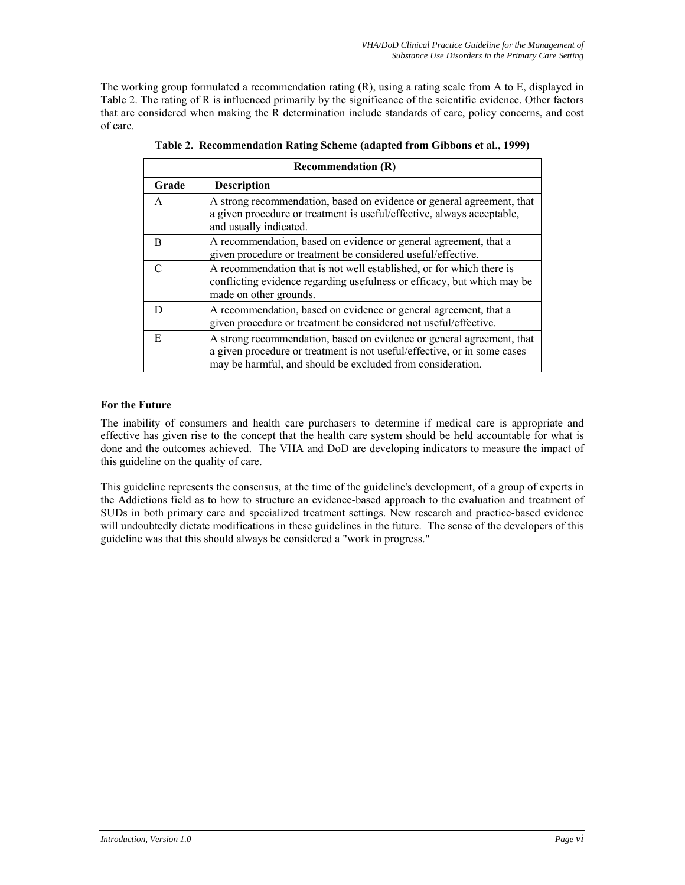The working group formulated a recommendation rating (R), using a rating scale from A to E, displayed in Table 2. The rating of R is influenced primarily by the significance of the scientific evidence. Other factors that are considered when making the R determination include standards of care, policy concerns, and cost of care.

|       | <b>Recommendation (R)</b>                                                                                                                                                                                       |  |  |  |  |
|-------|-----------------------------------------------------------------------------------------------------------------------------------------------------------------------------------------------------------------|--|--|--|--|
| Grade | <b>Description</b>                                                                                                                                                                                              |  |  |  |  |
| A     | A strong recommendation, based on evidence or general agreement, that<br>a given procedure or treatment is useful/effective, always acceptable,<br>and usually indicated.                                       |  |  |  |  |
| R     | A recommendation, based on evidence or general agreement, that a<br>given procedure or treatment be considered useful/effective.                                                                                |  |  |  |  |
|       | A recommendation that is not well established, or for which there is<br>conflicting evidence regarding usefulness or efficacy, but which may be<br>made on other grounds.                                       |  |  |  |  |
| D     | A recommendation, based on evidence or general agreement, that a<br>given procedure or treatment be considered not useful/effective.                                                                            |  |  |  |  |
| E     | A strong recommendation, based on evidence or general agreement, that<br>a given procedure or treatment is not useful/effective, or in some cases<br>may be harmful, and should be excluded from consideration. |  |  |  |  |

**Table 2. Recommendation Rating Scheme (adapted from Gibbons et al., 1999)** 

# **For the Future**

The inability of consumers and health care purchasers to determine if medical care is appropriate and effective has given rise to the concept that the health care system should be held accountable for what is done and the outcomes achieved. The VHA and DoD are developing indicators to measure the impact of this guideline on the quality of care.

This guideline represents the consensus, at the time of the guideline's development, of a group of experts in the Addictions field as to how to structure an evidence-based approach to the evaluation and treatment of SUDs in both primary care and specialized treatment settings. New research and practice-based evidence will undoubtedly dictate modifications in these guidelines in the future. The sense of the developers of this guideline was that this should always be considered a "work in progress."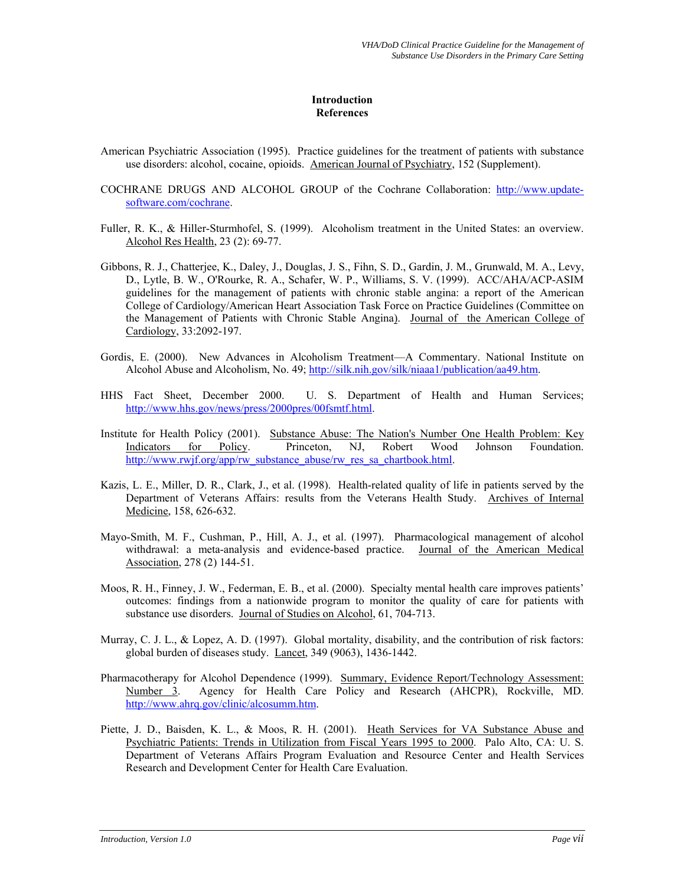#### **Introduction References**

- American Psychiatric Association (1995). Practice guidelines for the treatment of patients with substance use disorders: alcohol, cocaine, opioids. American Journal of Psychiatry, 152 (Supplement).
- COCHRANE DRUGS AND ALCOHOL GROUP of the Cochrane Collaboration: [http://www.update](http://www.update-software.com/cochrane)[software.com/cochrane.](http://www.update-software.com/cochrane)
- Fuller, R. K., & Hiller-Sturmhofel, S. (1999). Alcoholism treatment in the United States: an overview. Alcohol Res Health, 23 (2): 69-77.
- Gibbons, R. J., Chatterjee, K., Daley, J., Douglas, J. S., Fihn, S. D., Gardin, J. M., Grunwald, M. A., Levy, D., Lytle, B. W., O'Rourke, R. A., Schafer, W. P., Williams, S. V. (1999). ACC/AHA/ACP-ASIM guidelines for the management of patients with chronic stable angina: a report of the American College of Cardiology/American Heart Association Task Force on Practice Guidelines (Committee on the Management of Patients with Chronic Stable Angina). Journal of the American College of Cardiology, 33:2092-197.
- Gordis, E. (2000). New Advances in Alcoholism Treatment—A Commentary. National Institute on Alcohol Abuse and Alcoholism, No. 49; [http://silk.nih.gov/silk/niaaa1/publication/aa49.htm.](http://silk.nih.gov/silk/niaaa1/publication/aa49.htm)
- HHS Fact Sheet, December 2000. U. S. Department of Health and Human Services; [http://www.hhs.gov/news/press/2000pres/00fsmtf.html.](http://www.hhs.gov/news/press/2000pres/00fsmtf.html)
- Institute for Health Policy (2001). Substance Abuse: The Nation's Number One Health Problem: Key Indicators for Policy. Princeton, NJ, Robert Wood Johnson Foundation. [http://www.rwjf.org/app/rw\\_substance\\_abuse/rw\\_res\\_sa\\_chartbook.html](http://www.rwjf.org/app/rw_substance_abuse/rw_res_sa_chartbook.html).
- Kazis, L. E., Miller, D. R., Clark, J., et al. (1998). Health-related quality of life in patients served by the Department of Veterans Affairs: results from the Veterans Health Study. Archives of Internal Medicine, 158, 626-632.
- Mayo-Smith, M. F., Cushman, P., Hill, A. J., et al. (1997). Pharmacological management of alcohol withdrawal: a meta-analysis and evidence-based practice. Journal of the American Medical Association, 278 (2) 144-51.
- Moos, R. H., Finney, J. W., Federman, E. B., et al. (2000). Specialty mental health care improves patients' outcomes: findings from a nationwide program to monitor the quality of care for patients with substance use disorders. Journal of Studies on Alcohol, 61, 704-713.
- Murray, C. J. L., & Lopez, A. D. (1997). Global mortality, disability, and the contribution of risk factors: global burden of diseases study. Lancet, 349 (9063), 1436-1442.
- Pharmacotherapy for Alcohol Dependence (1999). Summary, Evidence Report/Technology Assessment: Number 3. Agency for Health Care Policy and Research (AHCPR), Rockville, MD. [http://www.ahrq.gov/clinic/alcosumm.htm.](http://www.ahrq.gov/clinic/alcosumm.htm)
- Piette, J. D., Baisden, K. L., & Moos, R. H. (2001). Heath Services for VA Substance Abuse and Psychiatric Patients: Trends in Utilization from Fiscal Years 1995 to 2000. Palo Alto, CA: U. S. Department of Veterans Affairs Program Evaluation and Resource Center and Health Services Research and Development Center for Health Care Evaluation.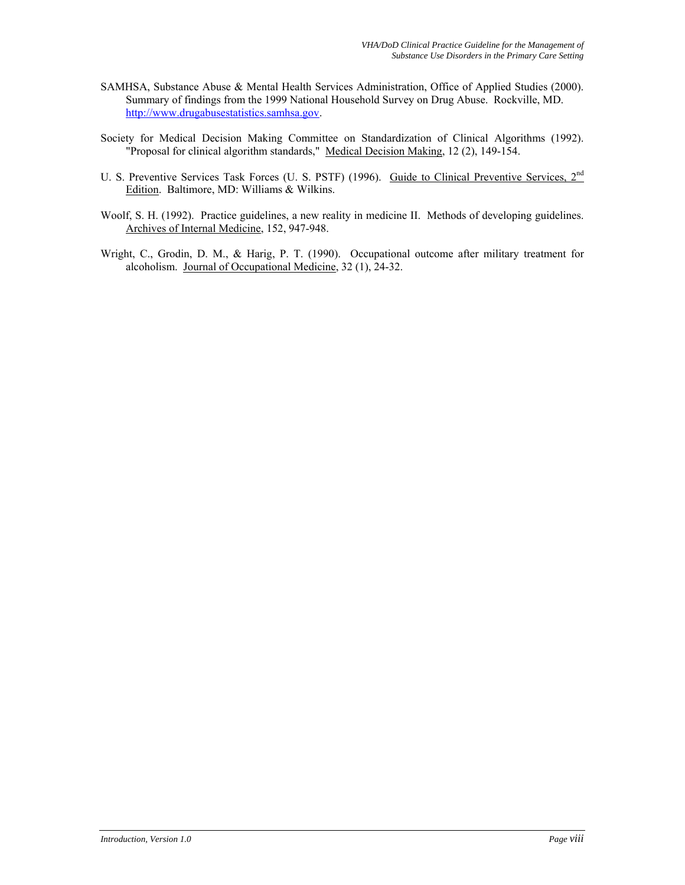- SAMHSA, Substance Abuse & Mental Health Services Administration, Office of Applied Studies (2000). Summary of findings from the 1999 National Household Survey on Drug Abuse. Rockville, MD. [http://www.drugabusestatistics.samhsa.gov.](http://www.drugabusestatistics.samhsa.gov/)
- Society for Medical Decision Making Committee on Standardization of Clinical Algorithms (1992). "Proposal for clinical algorithm standards," Medical Decision Making, 12 (2), 149-154.
- U. S. Preventive Services Task Forces (U. S. PSTF) (1996). Guide to Clinical Preventive Services, 2<sup>nd</sup> Edition. Baltimore, MD: Williams & Wilkins.
- Woolf, S. H. (1992). Practice guidelines, a new reality in medicine II. Methods of developing guidelines. Archives of Internal Medicine, 152, 947-948.
- Wright, C., Grodin, D. M., & Harig, P. T. (1990). Occupational outcome after military treatment for alcoholism. Journal of Occupational Medicine, 32 (1), 24-32.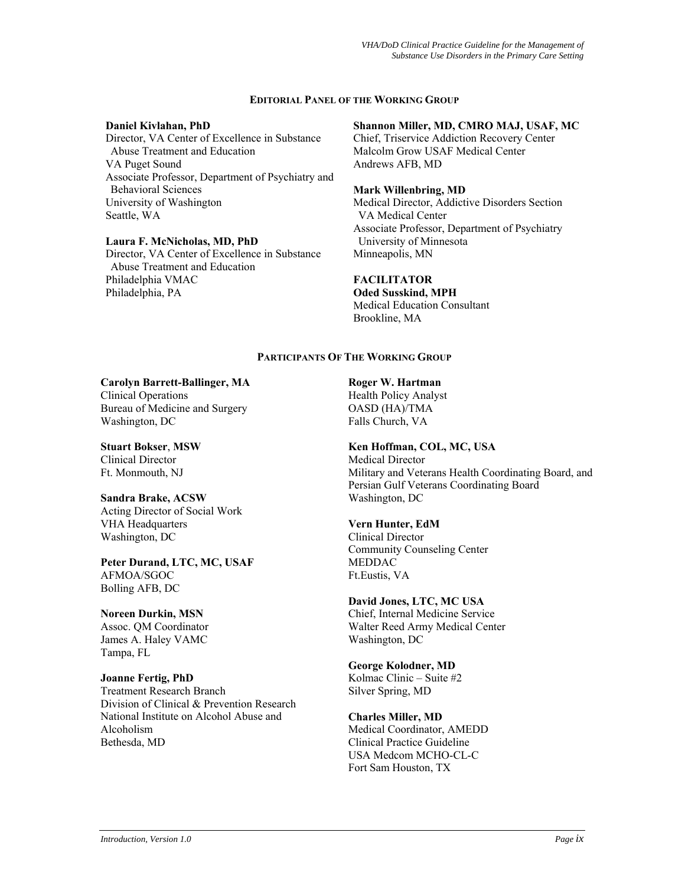#### **EDITORIAL PANEL OF THE WORKING GROUP**

#### **Daniel Kivlahan, PhD**

Director, VA Center of Excellence in Substance Abuse Treatment and Education VA Puget Sound Associate Professor, Department of Psychiatry and Behavioral Sciences University of Washington Seattle, WA

#### **Laura F. McNicholas, MD, PhD**

Director, VA Center of Excellence in Substance Abuse Treatment and Education Philadelphia VMAC Philadelphia, PA

### **Shannon Miller, MD, CMRO MAJ, USAF, MC**

Chief, Triservice Addiction Recovery Center Malcolm Grow USAF Medical Center Andrews AFB, MD

#### **Mark Willenbring, MD**

Medical Director, Addictive Disorders Section VA Medical Center Associate Professor, Department of Psychiatry University of Minnesota Minneapolis, MN

#### **FACILITATOR**

**Oded Susskind, MPH**  Medical Education Consultant Brookline, MA

#### **PARTICIPANTS OF THE WORKING GROUP**

# **Carolyn Barrett-Ballinger, MA**

Clinical Operations Bureau of Medicine and Surgery Washington, DC

**Stuart Bokser**, **MSW** Clinical Director Ft. Monmouth, NJ

# **Sandra Brake, ACSW**

Acting Director of Social Work VHA Headquarters Washington, DC

#### **Peter Durand, LTC, MC, USAF** AFMOA/SGOC Bolling AFB, DC

**Noreen Durkin, MSN**  Assoc. QM Coordinator James A. Haley VAMC Tampa, FL

# **Joanne Fertig, PhD**

Treatment Research Branch Division of Clinical & Prevention Research National Institute on Alcohol Abuse and Alcoholism Bethesda, MD

**Roger W. Hartman** 

Health Policy Analyst OASD (HA)/TMA Falls Church, VA

# **Ken Hoffman, COL, MC, USA**

Medical Director Military and Veterans Health Coordinating Board, and Persian Gulf Veterans Coordinating Board Washington, DC

#### **Vern Hunter, EdM**

Clinical Director Community Counseling Center MEDDAC Ft.Eustis, VA

#### **David Jones, LTC, MC USA**

Chief, Internal Medicine Service Walter Reed Army Medical Center Washington, DC

# **George Kolodner, MD**

Kolmac Clinic – Suite #2 Silver Spring, MD

# **Charles Miller, MD**

Medical Coordinator, AMEDD Clinical Practice Guideline USA Medcom MCHO-CL-C Fort Sam Houston, TX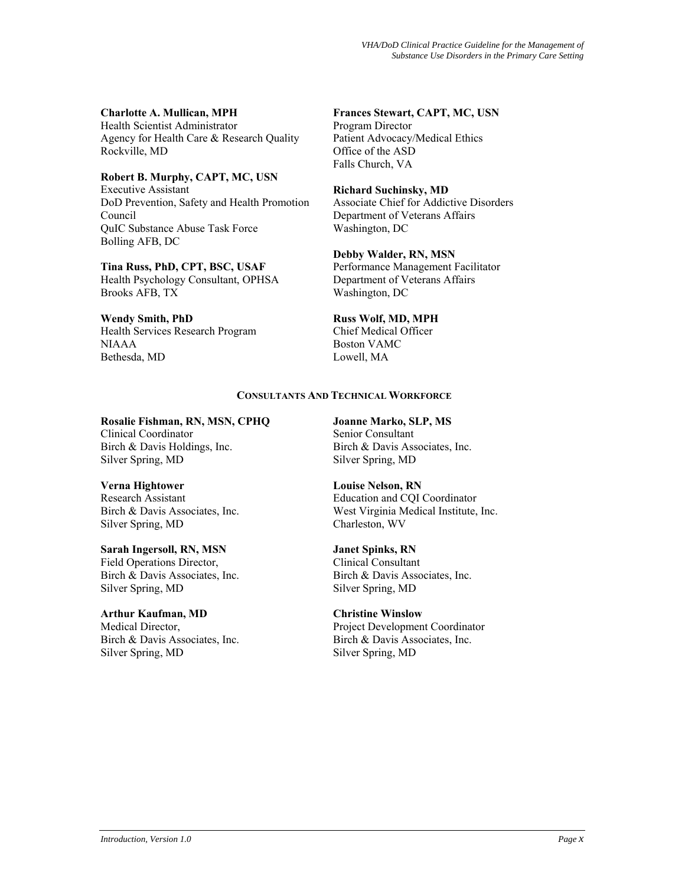**Charlotte A. Mullican, MPH** 

Health Scientist Administrator Agency for Health Care & Research Quality Rockville, MD

**Robert B. Murphy, CAPT, MC, USN** Executive Assistant DoD Prevention, Safety and Health Promotion Council QuIC Substance Abuse Task Force Bolling AFB, DC

**Tina Russ, PhD, CPT, BSC, USAF** Health Psychology Consultant, OPHSA Brooks AFB, TX

**Wendy Smith, PhD** Health Services Research Program NIAAA Bethesda, MD

**Frances Stewart, CAPT, MC, USN** Program Director

Patient Advocacy/Medical Ethics Office of the ASD Falls Church, VA

**Richard Suchinsky, MD**

Associate Chief for Addictive Disorders Department of Veterans Affairs Washington, DC

**Debby Walder, RN, MSN** 

Performance Management Facilitator Department of Veterans Affairs Washington, DC

**Russ Wolf, MD, MPH**

Chief Medical Officer Boston VAMC Lowell, MA

# **CONSULTANTS AND TECHNICAL WORKFORCE**

**Rosalie Fishman, RN, MSN, CPHQ** Clinical Coordinator

Birch & Davis Holdings, Inc. Silver Spring, MD

**Verna Hightower**

Research Assistant Birch & Davis Associates, Inc. Silver Spring, MD

**Sarah Ingersoll, RN, MSN** Field Operations Director, Birch & Davis Associates, Inc. Silver Spring, MD

**Arthur Kaufman, MD** Medical Director, Birch & Davis Associates, Inc. Silver Spring, MD

**Joanne Marko, SLP, MS** Senior Consultant Birch & Davis Associates, Inc. Silver Spring, MD

**Louise Nelson, RN**  Education and CQI Coordinator West Virginia Medical Institute, Inc. Charleston, WV

**Janet Spinks, RN**  Clinical Consultant Birch & Davis Associates, Inc. Silver Spring, MD

**Christine Winslow** Project Development Coordinator Birch & Davis Associates, Inc. Silver Spring, MD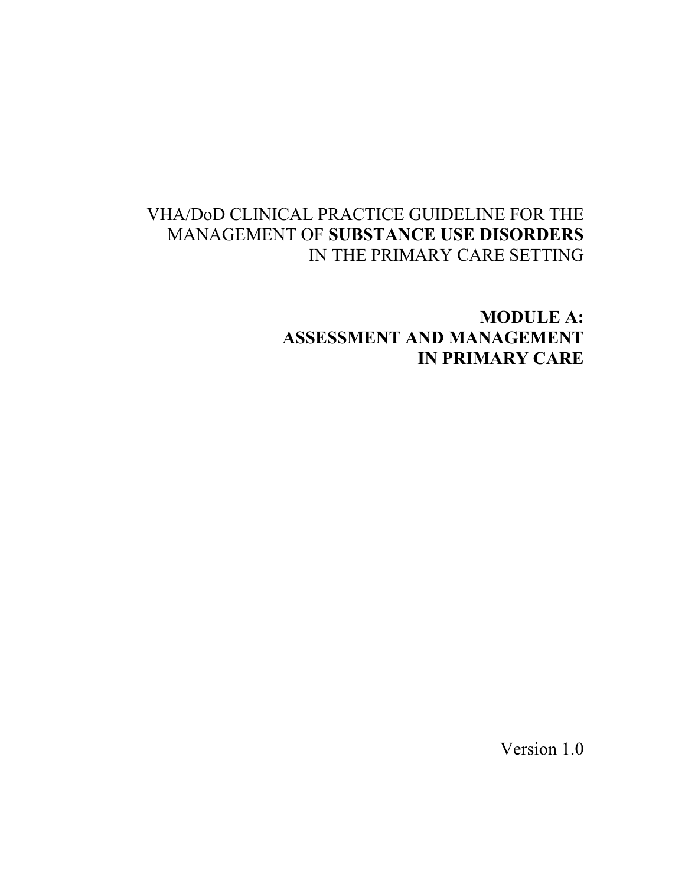# VHA/DoD CLINICAL PRACTICE GUIDELINE FOR THE MANAGEMENT OF **SUBSTANCE USE DISORDERS** IN THE PRIMARY CARE SETTING

**MODULE A: ASSESSMENT AND MANAGEMENT IN PRIMARY CARE** 

Version 1.0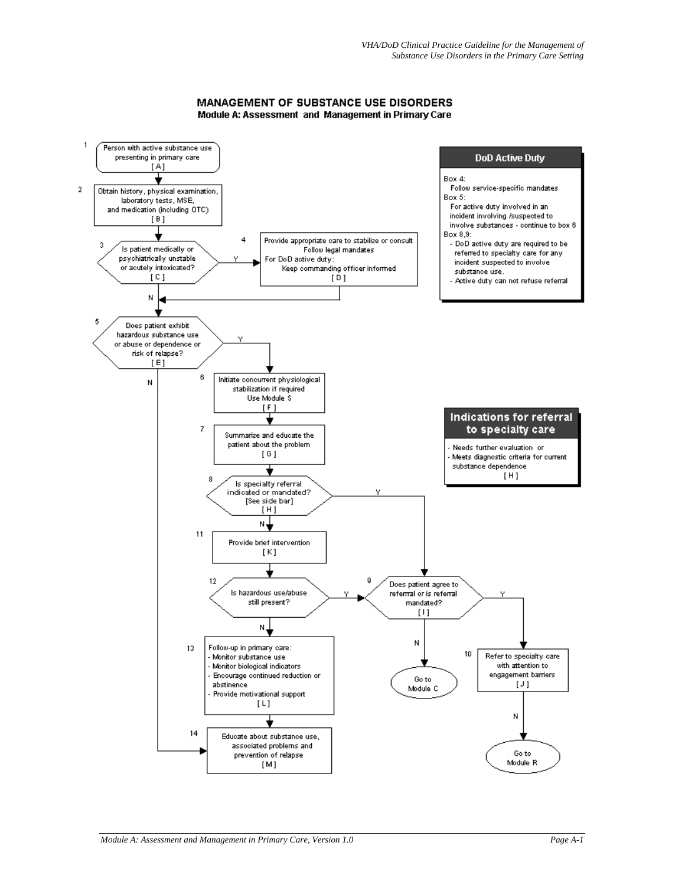#### **MANAGEMENT OF SUBSTANCE USE DISORDERS** Module A: Assessment and Management in Primary Care

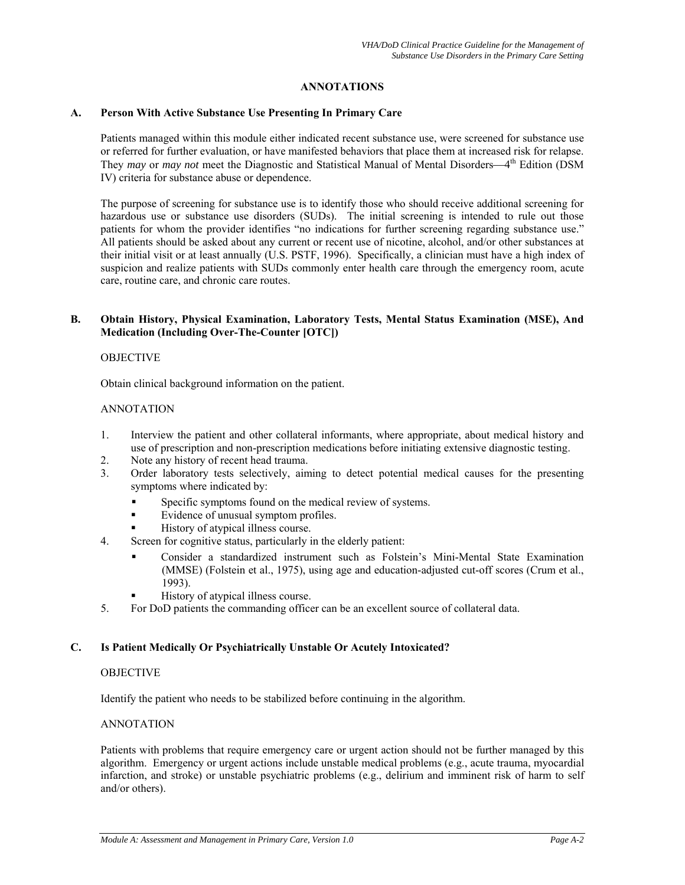### **ANNOTATIONS**

#### **A. Person With Active Substance Use Presenting In Primary Care**

Patients managed within this module either indicated recent substance use, were screened for substance use or referred for further evaluation, or have manifested behaviors that place them at increased risk for relapse. They *may* or *may not* meet the Diagnostic and Statistical Manual of Mental Disorders—4<sup>th</sup> Edition (DSM IV) criteria for substance abuse or dependence.

The purpose of screening for substance use is to identify those who should receive additional screening for hazardous use or substance use disorders (SUDs). The initial screening is intended to rule out those patients for whom the provider identifies "no indications for further screening regarding substance use." All patients should be asked about any current or recent use of nicotine, alcohol, and/or other substances at their initial visit or at least annually (U.S. PSTF, 1996). Specifically, a clinician must have a high index of suspicion and realize patients with SUDs commonly enter health care through the emergency room, acute care, routine care, and chronic care routes.

#### **B. Obtain History, Physical Examination, Laboratory Tests, Mental Status Examination (MSE), And Medication (Including Over-The-Counter [OTC])**

#### OBJECTIVE

Obtain clinical background information on the patient.

#### ANNOTATION

- 1. Interview the patient and other collateral informants, where appropriate, about medical history and use of prescription and non-prescription medications before initiating extensive diagnostic testing.
- 2. Note any history of recent head trauma.
- 3. Order laboratory tests selectively, aiming to detect potential medical causes for the presenting symptoms where indicated by:
	- **Specific symptoms found on the medical review of systems.**
	- Evidence of unusual symptom profiles.
	- History of atypical illness course.
- 4. Screen for cognitive status, particularly in the elderly patient:
	- Consider a standardized instrument such as Folstein's Mini-Mental State Examination (MMSE) (Folstein et al., 1975), using age and education-adjusted cut-off scores (Crum et al., 1993).
	- History of atypical illness course.
- 5. For DoD patients the commanding officer can be an excellent source of collateral data.

#### **C. Is Patient Medically Or Psychiatrically Unstable Or Acutely Intoxicated?**

#### **OBJECTIVE**

Identify the patient who needs to be stabilized before continuing in the algorithm.

#### ANNOTATION

Patients with problems that require emergency care or urgent action should not be further managed by this algorithm. Emergency or urgent actions include unstable medical problems (e.g., acute trauma, myocardial infarction, and stroke) or unstable psychiatric problems (e.g., delirium and imminent risk of harm to self and/or others).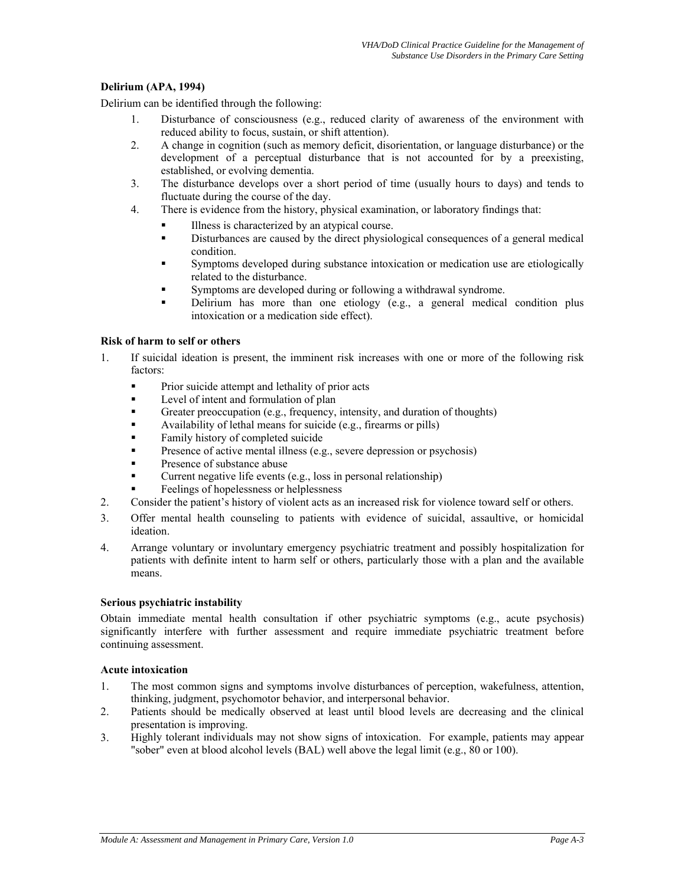# **Delirium (APA, 1994)**

Delirium can be identified through the following:

- 1. Disturbance of consciousness (e.g., reduced clarity of awareness of the environment with reduced ability to focus, sustain, or shift attention).
- 2. A change in cognition (such as memory deficit, disorientation, or language disturbance) or the development of a perceptual disturbance that is not accounted for by a preexisting, established, or evolving dementia.
- 3. The disturbance develops over a short period of time (usually hours to days) and tends to fluctuate during the course of the day.
- 4. There is evidence from the history, physical examination, or laboratory findings that:
	- Illness is characterized by an atypical course.
	- Disturbances are caused by the direct physiological consequences of a general medical condition.
	- Symptoms developed during substance intoxication or medication use are etiologically related to the disturbance.
	- Symptoms are developed during or following a withdrawal syndrome.
	- Delirium has more than one etiology (e.g., a general medical condition plus intoxication or a medication side effect).

#### **Risk of harm to self or others**

- 1. If suicidal ideation is present, the imminent risk increases with one or more of the following risk factors:
	- **Prior suicide attempt and lethality of prior acts**
	- Level of intent and formulation of plan
	- Greater preoccupation (e.g., frequency, intensity, and duration of thoughts)
	- Availability of lethal means for suicide (e.g., firearms or pills)
	- Family history of completed suicide
	- Presence of active mental illness (e.g., severe depression or psychosis)
	- Presence of substance abuse
	- Current negative life events (e.g., loss in personal relationship)
	- Feelings of hopelessness or helplessness
- 2. Consider the patient's history of violent acts as an increased risk for violence toward self or others.
- 3. Offer mental health counseling to patients with evidence of suicidal, assaultive, or homicidal ideation.
- 4. Arrange voluntary or involuntary emergency psychiatric treatment and possibly hospitalization for patients with definite intent to harm self or others, particularly those with a plan and the available means.

#### **Serious psychiatric instability**

Obtain immediate mental health consultation if other psychiatric symptoms (e.g., acute psychosis) significantly interfere with further assessment and require immediate psychiatric treatment before continuing assessment.

# **Acute intoxication**

- 1. The most common signs and symptoms involve disturbances of perception, wakefulness, attention, thinking, judgment, psychomotor behavior, and interpersonal behavior.
- 2. Patients should be medically observed at least until blood levels are decreasing and the clinical presentation is improving.
- 3. Highly tolerant individuals may not show signs of intoxication. For example, patients may appear "sober" even at blood alcohol levels (BAL) well above the legal limit (e.g., 80 or 100).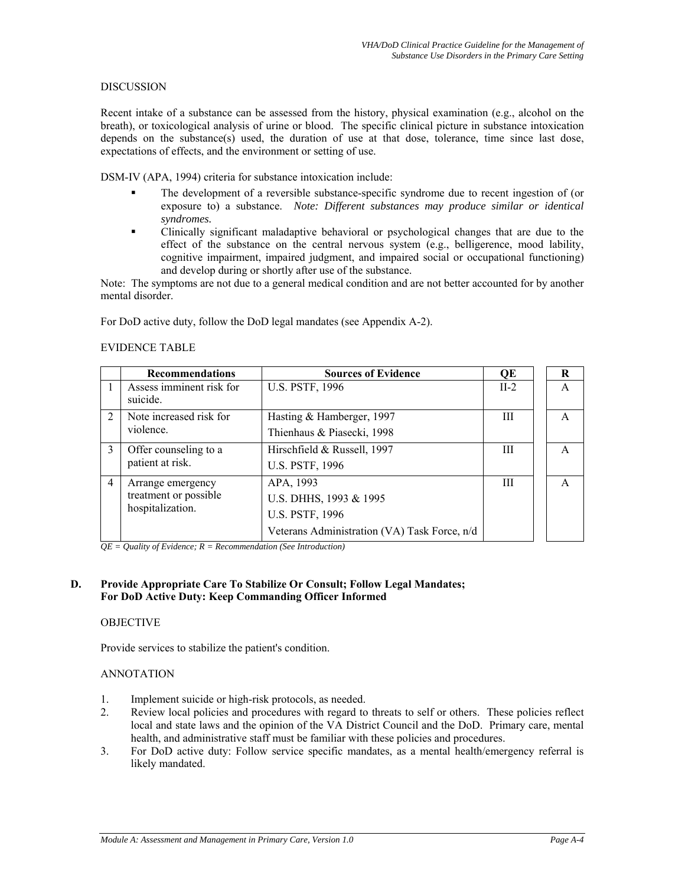#### DISCUSSION

Recent intake of a substance can be assessed from the history, physical examination (e.g., alcohol on the breath), or toxicological analysis of urine or blood. The specific clinical picture in substance intoxication depends on the substance(s) used, the duration of use at that dose, tolerance, time since last dose, expectations of effects, and the environment or setting of use.

DSM-IV (APA, 1994) criteria for substance intoxication include:

- The development of a reversible substance-specific syndrome due to recent ingestion of (or exposure to) a substance. *Note: Different substances may produce similar or identical syndromes.*
- Clinically significant maladaptive behavioral or psychological changes that are due to the effect of the substance on the central nervous system (e.g., belligerence, mood lability, cognitive impairment, impaired judgment, and impaired social or occupational functioning) and develop during or shortly after use of the substance.

Note: The symptoms are not due to a general medical condition and are not better accounted for by another mental disorder.

For DoD active duty, follow the DoD legal mandates (see Appendix A-2).

#### EVIDENCE TABLE

|                | <b>Recommendations</b>                                         | <b>Sources of Evidence</b>                                                                                    | QE     | R |
|----------------|----------------------------------------------------------------|---------------------------------------------------------------------------------------------------------------|--------|---|
|                | Assess imminent risk for<br>suicide.                           | <b>U.S. PSTF, 1996</b>                                                                                        | $II-2$ | A |
| $\overline{2}$ | Note increased risk for<br>violence.                           | Hasting & Hamberger, 1997<br>Thienhaus & Piasecki, 1998                                                       | Ш      | A |
| $\mathcal{E}$  | Offer counseling to a<br>patient at risk.                      | Hirschfield & Russell, 1997<br>U.S. PSTF, 1996                                                                | Ш      | A |
| $\overline{4}$ | Arrange emergency<br>treatment or possible<br>hospitalization. | APA, 1993<br>U.S. DHHS, 1993 & 1995<br><b>U.S. PSTF, 1996</b><br>Veterans Administration (VA) Task Force, n/d | Ш      | A |

*QE = Quality of Evidence; R = Recommendation (See Introduction)* 

#### **D. Provide Appropriate Care To Stabilize Or Consult; Follow Legal Mandates; For DoD Active Duty: Keep Commanding Officer Informed**

#### **OBJECTIVE**

Provide services to stabilize the patient's condition.

#### ANNOTATION

- 1. Implement suicide or high-risk protocols, as needed.
- 2. Review local policies and procedures with regard to threats to self or others. These policies reflect local and state laws and the opinion of the VA District Council and the DoD. Primary care, mental health, and administrative staff must be familiar with these policies and procedures.
- 3. For DoD active duty: Follow service specific mandates, as a mental health/emergency referral is likely mandated.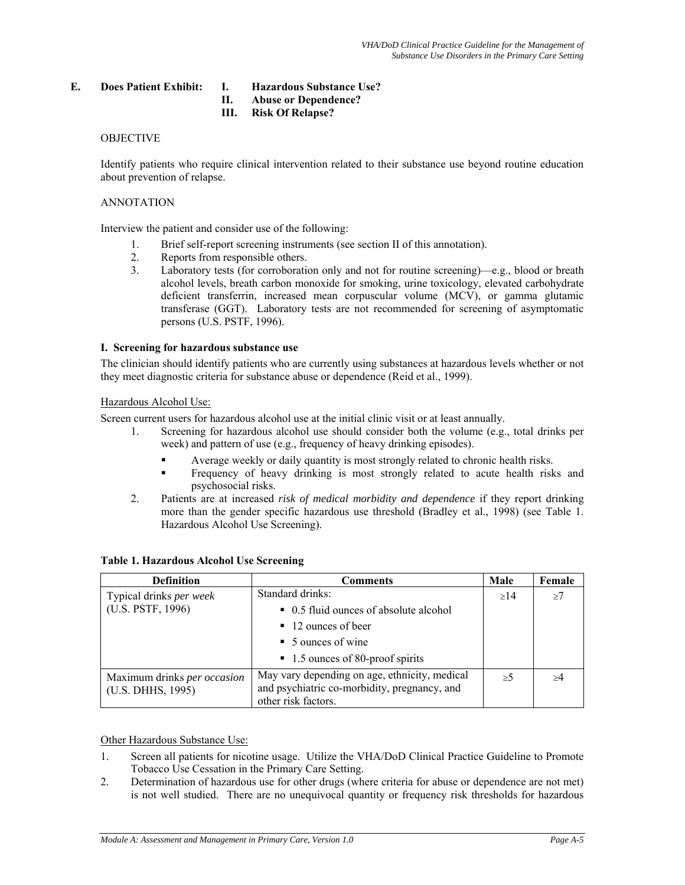#### **E. Does Patient Exhibit: I. Hazardous Substance Use?**

- **II. Abuse or Dependence?**
- **III. Risk Of Relapse?**

#### OBJECTIVE

Identify patients who require clinical intervention related to their substance use beyond routine education about prevention of relapse.

#### ANNOTATION

Interview the patient and consider use of the following:

- 1. Brief self-report screening instruments (see section II of this annotation).
- 2. Reports from responsible others.
- 3. Laboratory tests (for corroboration only and not for routine screening)—e.g., blood or breath alcohol levels, breath carbon monoxide for smoking, urine toxicology, elevated carbohydrate deficient transferrin, increased mean corpuscular volume (MCV), or gamma glutamic transferase (GGT). Laboratory tests are not recommended for screening of asymptomatic persons (U.S. PSTF, 1996).

#### **I. Screening for hazardous substance use**

The clinician should identify patients who are currently using substances at hazardous levels whether or not they meet diagnostic criteria for substance abuse or dependence (Reid et al., 1999).

#### Hazardous Alcohol Use:

Screen current users for hazardous alcohol use at the initial clinic visit or at least annually.

- 1. Screening for hazardous alcohol use should consider both the volume (e.g., total drinks per week) and pattern of use (e.g., frequency of heavy drinking episodes).
	- Average weekly or daily quantity is most strongly related to chronic health risks.
	- Frequency of heavy drinking is most strongly related to acute health risks and psychosocial risks.
- 2. Patients are at increased *risk of medical morbidity and dependence* if they report drinking more than the gender specific hazardous use threshold (Bradley et al., 1998) (see Table 1. Hazardous Alcohol Use Screening).

| <b>Definition</b>              | <b>Comments</b>                                                                               | Male | Female |
|--------------------------------|-----------------------------------------------------------------------------------------------|------|--------|
| Typical drinks <i>per week</i> | Standard drinks:                                                                              | >14  | >7     |
| (U.S. PSTF, 1996)              | • 0.5 fluid ounces of absolute alcohol                                                        |      |        |
|                                | $\blacksquare$ 12 ounces of beer                                                              |      |        |
|                                | $\blacksquare$ 5 ounces of wine                                                               |      |        |
|                                | ■ 1.5 ounces of 80-proof spirits                                                              |      |        |
| Maximum drinks per occasion    | May vary depending on age, ethnicity, medical<br>and psychiatric co-morbidity, pregnancy, and | >5   | >4     |
| (U.S. DHHS, 1995)              | other risk factors.                                                                           |      |        |

#### **Table 1. Hazardous Alcohol Use Screening**

Other Hazardous Substance Use:

- 1. Screen all patients for nicotine usage. Utilize the VHA/DoD Clinical Practice Guideline to Promote Tobacco Use Cessation in the Primary Care Setting.
- 2. Determination of hazardous use for other drugs (where criteria for abuse or dependence are not met) is not well studied. There are no unequivocal quantity or frequency risk thresholds for hazardous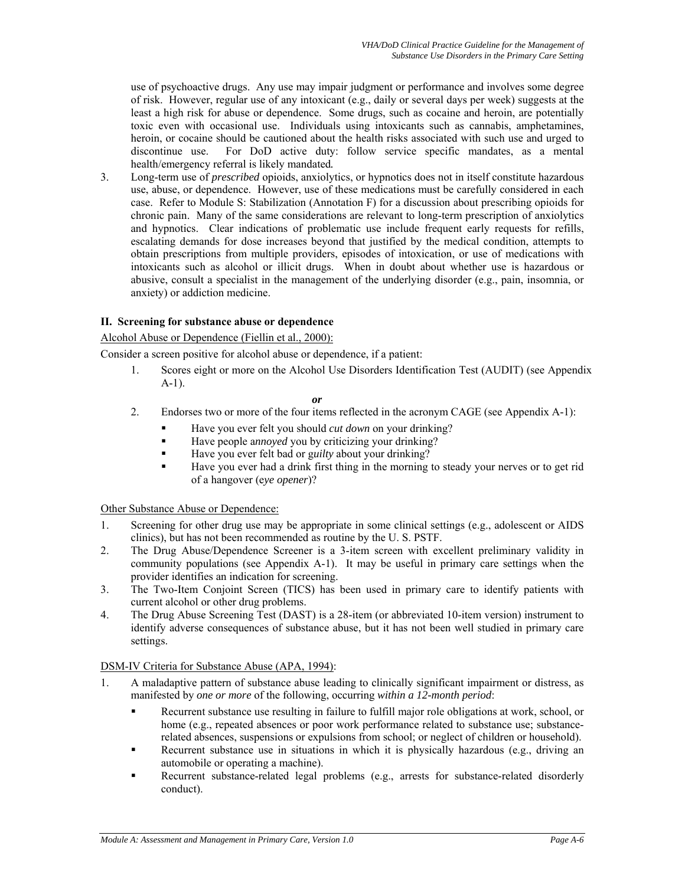use of psychoactive drugs. Any use may impair judgment or performance and involves some degree of risk. However, regular use of any intoxicant (e.g., daily or several days per week) suggests at the least a high risk for abuse or dependence. Some drugs, such as cocaine and heroin, are potentially toxic even with occasional use. Individuals using intoxicants such as cannabis, amphetamines, heroin, or cocaine should be cautioned about the health risks associated with such use and urged to discontinue use. For DoD active duty: follow service specific mandates, as a mental health/emergency referral is likely mandated*.*

3. Long-term use of *prescribed* opioids, anxiolytics, or hypnotics does not in itself constitute hazardous use, abuse, or dependence. However, use of these medications must be carefully considered in each case. Refer to Module S: Stabilization (Annotation F) for a discussion about prescribing opioids for chronic pain. Many of the same considerations are relevant to long-term prescription of anxiolytics and hypnotics. Clear indications of problematic use include frequent early requests for refills, escalating demands for dose increases beyond that justified by the medical condition, attempts to obtain prescriptions from multiple providers, episodes of intoxication, or use of medications with intoxicants such as alcohol or illicit drugs. When in doubt about whether use is hazardous or abusive, consult a specialist in the management of the underlying disorder (e.g., pain, insomnia, or anxiety) or addiction medicine.

# **II. Screening for substance abuse or dependence**

#### Alcohol Abuse or Dependence (Fiellin et al., 2000):

Consider a screen positive for alcohol abuse or dependence, if a patient:

1. Scores eight or more on the Alcohol Use Disorders Identification Test (AUDIT) (see Appendix A-1).

#### *or*

- 2. Endorses two or more of the four items reflected in the acronym CAGE (see Appendix A-1):
	- Have you ever felt you should *cut down* on your drinking?
	- Have people a*nnoyed* you by criticizing your drinking?
	- Have you ever felt bad or g*uilty* about your drinking?
	- Have you ever had a drink first thing in the morning to steady your nerves or to get rid of a hangover (e*ye opener*)?

### Other Substance Abuse or Dependence:

- 1. Screening for other drug use may be appropriate in some clinical settings (e.g., adolescent or AIDS clinics), but has not been recommended as routine by the U. S. PSTF.
- 2. The Drug Abuse/Dependence Screener is a 3-item screen with excellent preliminary validity in community populations (see Appendix A-1). It may be useful in primary care settings when the provider identifies an indication for screening.
- 3. The Two-Item Conjoint Screen (TICS) has been used in primary care to identify patients with current alcohol or other drug problems.
- 4. The Drug Abuse Screening Test (DAST) is a 28-item (or abbreviated 10-item version) instrument to identify adverse consequences of substance abuse, but it has not been well studied in primary care settings.

#### DSM-IV Criteria for Substance Abuse (APA, 1994):

- 1. A maladaptive pattern of substance abuse leading to clinically significant impairment or distress, as manifested by *one or more* of the following, occurring *within a 12-month period*:
	- Recurrent substance use resulting in failure to fulfill major role obligations at work, school, or home (e.g., repeated absences or poor work performance related to substance use; substancerelated absences, suspensions or expulsions from school; or neglect of children or household).
	- Recurrent substance use in situations in which it is physically hazardous (e.g., driving an automobile or operating a machine).
	- Recurrent substance-related legal problems (e.g., arrests for substance-related disorderly conduct).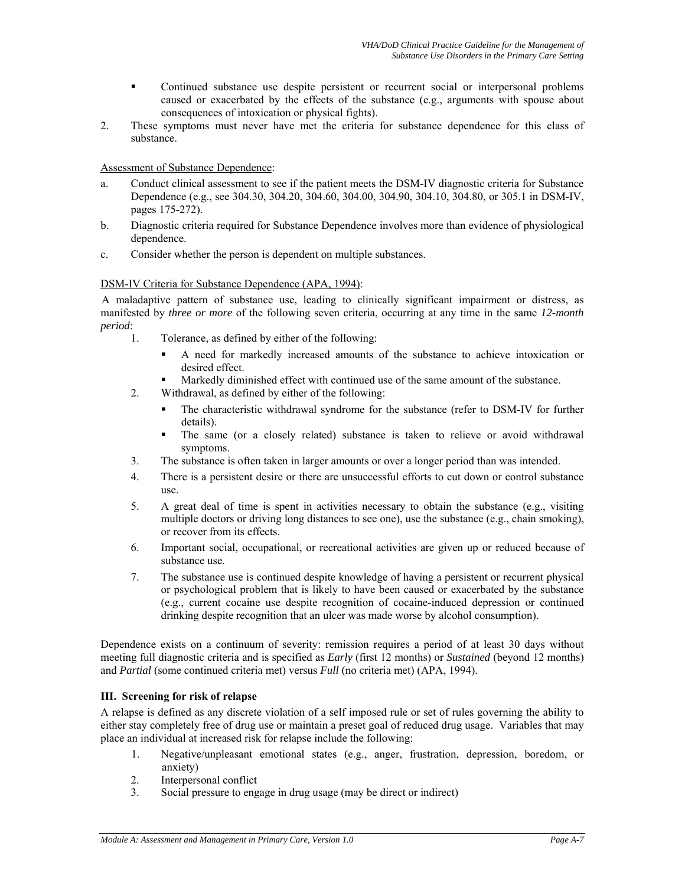- Continued substance use despite persistent or recurrent social or interpersonal problems caused or exacerbated by the effects of the substance (e.g., arguments with spouse about consequences of intoxication or physical fights).
- 2. These symptoms must never have met the criteria for substance dependence for this class of substance.

#### Assessment of Substance Dependence:

- a. Conduct clinical assessment to see if the patient meets the DSM-IV diagnostic criteria for Substance Dependence (e.g., see 304.30, 304.20, 304.60, 304.00, 304.90, 304.10, 304.80, or 305.1 in DSM-IV, pages 175-272).
- b. Diagnostic criteria required for Substance Dependence involves more than evidence of physiological dependence.
- c. Consider whether the person is dependent on multiple substances.

# DSM-IV Criteria for Substance Dependence (APA, 1994):

A maladaptive pattern of substance use, leading to clinically significant impairment or distress, as manifested by *three or more* of the following seven criteria, occurring at any time in the same *12-month period*:

- 1. Tolerance, as defined by either of the following:
	- A need for markedly increased amounts of the substance to achieve intoxication or desired effect.
	- Markedly diminished effect with continued use of the same amount of the substance.
- 2. Withdrawal, as defined by either of the following:
	- The characteristic withdrawal syndrome for the substance (refer to DSM-IV for further details).
	- The same (or a closely related) substance is taken to relieve or avoid withdrawal symptoms.
- 3. The substance is often taken in larger amounts or over a longer period than was intended.
- 4. There is a persistent desire or there are unsuccessful efforts to cut down or control substance use.
- 5. A great deal of time is spent in activities necessary to obtain the substance (e.g., visiting multiple doctors or driving long distances to see one), use the substance (e.g., chain smoking), or recover from its effects.
- 6. Important social, occupational, or recreational activities are given up or reduced because of substance use.
- 7. The substance use is continued despite knowledge of having a persistent or recurrent physical or psychological problem that is likely to have been caused or exacerbated by the substance (e.g., current cocaine use despite recognition of cocaine-induced depression or continued drinking despite recognition that an ulcer was made worse by alcohol consumption).

Dependence exists on a continuum of severity: remission requires a period of at least 30 days without meeting full diagnostic criteria and is specified as *Early* (first 12 months) or *Sustained* (beyond 12 months) and *Partial* (some continued criteria met) versus *Full* (no criteria met) (APA, 1994).

#### **III. Screening for risk of relapse**

A relapse is defined as any discrete violation of a self imposed rule or set of rules governing the ability to either stay completely free of drug use or maintain a preset goal of reduced drug usage. Variables that may place an individual at increased risk for relapse include the following:

- 1. Negative/unpleasant emotional states (e.g., anger, frustration, depression, boredom, or anxiety)
- 2. Interpersonal conflict
- 3. Social pressure to engage in drug usage (may be direct or indirect)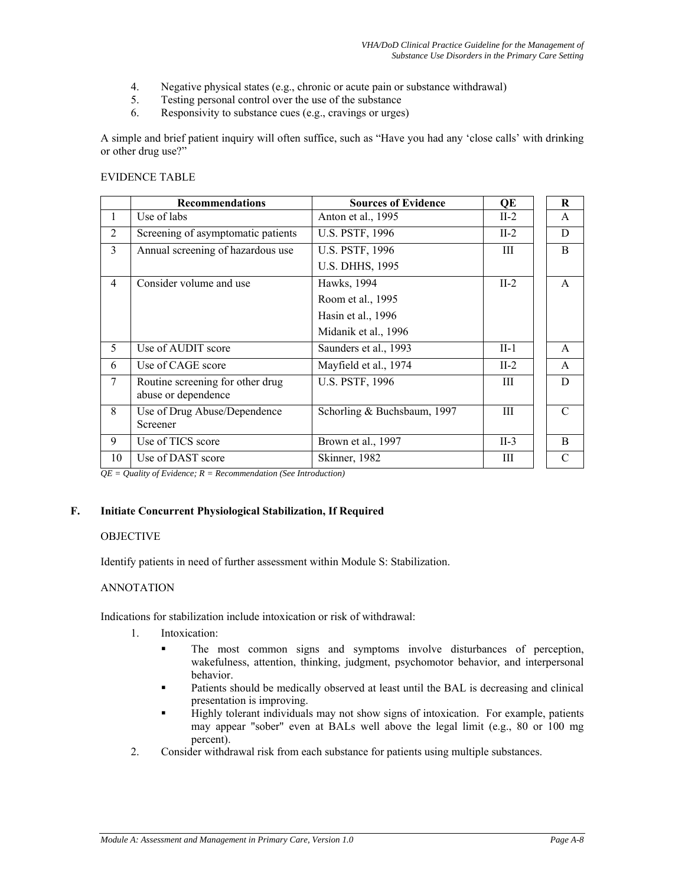- 4. Negative physical states (e.g., chronic or acute pain or substance withdrawal)
- 5. Testing personal control over the use of the substance
- 6. Responsivity to substance cues (e.g., cravings or urges)

A simple and brief patient inquiry will often suffice, such as "Have you had any 'close calls' with drinking or other drug use?"

#### EVIDENCE TABLE

|                | <b>Recommendations</b>                                  | <b>Sources of Evidence</b>  | QE     | $\bf R$       |
|----------------|---------------------------------------------------------|-----------------------------|--------|---------------|
| 1              | Use of labs                                             | Anton et al., 1995          | $II-2$ | A             |
| $\overline{2}$ | Screening of asymptomatic patients                      | <b>U.S. PSTF, 1996</b>      | $II-2$ | D             |
| 3              | Annual screening of hazardous use                       | <b>U.S. PSTF, 1996</b>      | Ш      | B             |
|                |                                                         | <b>U.S. DHHS, 1995</b>      |        |               |
| $\overline{4}$ | Consider volume and use                                 | Hawks, 1994                 | $II-2$ | A             |
|                |                                                         | Room et al., 1995           |        |               |
|                |                                                         | Hasin et al., 1996          |        |               |
|                |                                                         | Midanik et al., 1996        |        |               |
| 5              | Use of AUDIT score                                      | Saunders et al., 1993       | $II-1$ | A             |
| 6              | Use of CAGE score                                       | Mayfield et al., 1974       | $II-2$ | $\mathsf{A}$  |
| $\tau$         | Routine screening for other drug<br>abuse or dependence | <b>U.S. PSTF, 1996</b>      | Ш      | D             |
| 8              | Use of Drug Abuse/Dependence<br>Screener                | Schorling & Buchsbaum, 1997 | Ш      | $\mathcal{C}$ |
| 9              | Use of TICS score                                       | Brown et al., 1997          | $II-3$ | B             |
| 10             | Use of DAST score                                       | Skinner, 1982               | Ш      | $\mathcal{C}$ |

*QE = Quality of Evidence; R = Recommendation (See Introduction)* 

#### **F. Initiate Concurrent Physiological Stabilization, If Required**

#### **OBJECTIVE**

Identify patients in need of further assessment within Module S: Stabilization.

#### ANNOTATION

Indications for stabilization include intoxication or risk of withdrawal:

- 1. Intoxication:
	- The most common signs and symptoms involve disturbances of perception, wakefulness, attention, thinking, judgment, psychomotor behavior, and interpersonal behavior.
	- Patients should be medically observed at least until the BAL is decreasing and clinical presentation is improving.
	- Highly tolerant individuals may not show signs of intoxication. For example, patients may appear "sober" even at BALs well above the legal limit (e.g., 80 or 100 mg percent).
- 2. Consider withdrawal risk from each substance for patients using multiple substances.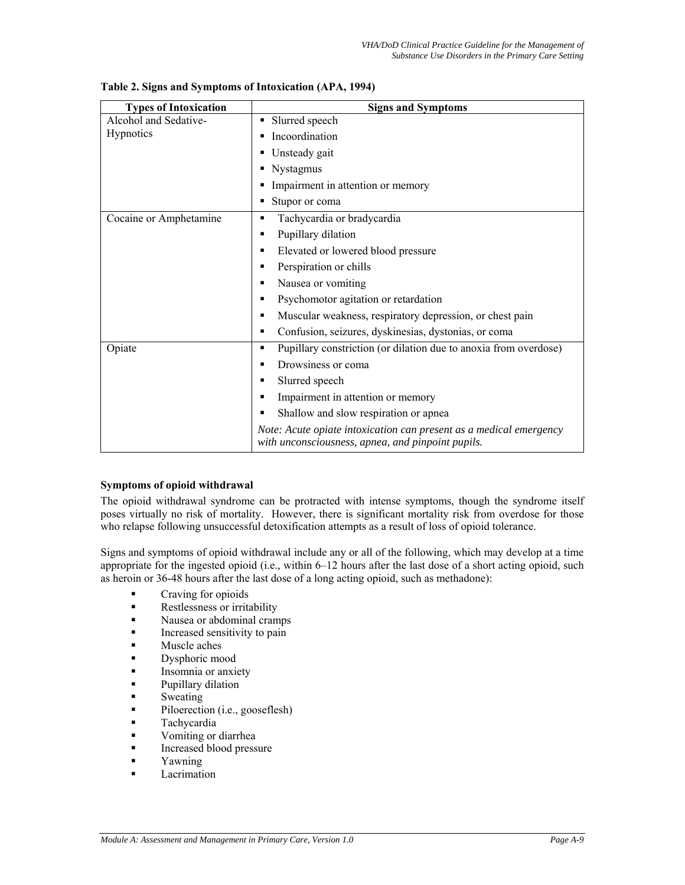| <b>Types of Intoxication</b> | <b>Signs and Symptoms</b>                                                                                               |
|------------------------------|-------------------------------------------------------------------------------------------------------------------------|
| Alcohol and Sedative-        | • Slurred speech                                                                                                        |
| Hypnotics                    | Incoordination                                                                                                          |
|                              | Unsteady gait                                                                                                           |
|                              | Nystagmus                                                                                                               |
|                              | Impairment in attention or memory<br>٠                                                                                  |
|                              | Stupor or coma                                                                                                          |
| Cocaine or Amphetamine       | Tachycardia or bradycardia<br>п                                                                                         |
|                              | Pupillary dilation<br>п                                                                                                 |
|                              | Elevated or lowered blood pressure<br>п                                                                                 |
|                              | Perspiration or chills                                                                                                  |
|                              | Nausea or vomiting<br>▪                                                                                                 |
|                              | Psychomotor agitation or retardation<br>٠                                                                               |
|                              | Muscular weakness, respiratory depression, or chest pain<br>■                                                           |
|                              | Confusion, seizures, dyskinesias, dystonias, or coma<br>٠                                                               |
| Opiate                       | Pupillary constriction (or dilation due to anoxia from overdose)<br>п                                                   |
|                              | Drowsiness or coma<br>▪                                                                                                 |
|                              | Slurred speech<br>■                                                                                                     |
|                              | Impairment in attention or memory                                                                                       |
|                              | Shallow and slow respiration or apnea<br>п                                                                              |
|                              | Note: Acute opiate intoxication can present as a medical emergency<br>with unconsciousness, apnea, and pinpoint pupils. |

#### **Table 2. Signs and Symptoms of Intoxication (APA, 1994)**

#### **Symptoms of opioid withdrawal**

The opioid withdrawal syndrome can be protracted with intense symptoms, though the syndrome itself poses virtually no risk of mortality. However, there is significant mortality risk from overdose for those who relapse following unsuccessful detoxification attempts as a result of loss of opioid tolerance.

Signs and symptoms of opioid withdrawal include any or all of the following, which may develop at a time appropriate for the ingested opioid (i.e., within 6–12 hours after the last dose of a short acting opioid, such as heroin or 36-48 hours after the last dose of a long acting opioid, such as methadone):

- **Craving for opioids**
- **Restlessness or irritability**
- **Nausea or abdominal cramps**
- **Increased sensitivity to pain**
- Muscle aches
- Dysphoric mood
- Insomnia or anxiety
- Pupillary dilation
- Sweating
- Piloerection (i.e., gooseflesh)
- Tachycardia
- Vomiting or diarrhea
- Increased blood pressure
- Yawning
- Lacrimation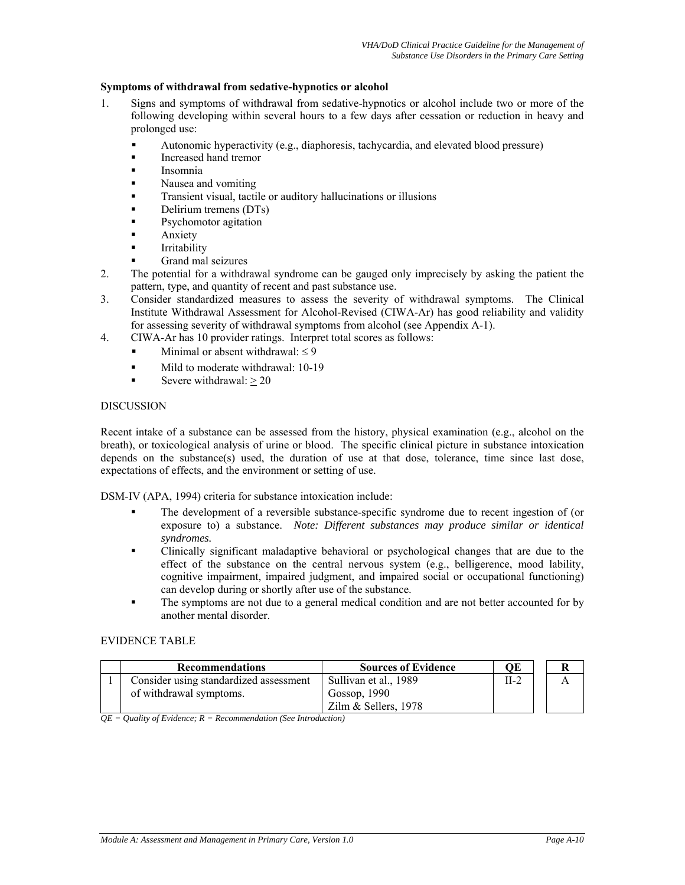#### **Symptoms of withdrawal from sedative-hypnotics or alcohol**

- 1. Signs and symptoms of withdrawal from sedative-hypnotics or alcohol include two or more of the following developing within several hours to a few days after cessation or reduction in heavy and prolonged use:
	- Autonomic hyperactivity (e.g., diaphoresis, tachycardia, and elevated blood pressure)
	- Increased hand tremor
	- Insomnia
	- Nausea and vomiting
	- Transient visual, tactile or auditory hallucinations or illusions
	- Delirium tremens (DTs)
	- Psychomotor agitation
	- Anxiety
	- Irritability
	- Grand mal seizures
- 2. The potential for a withdrawal syndrome can be gauged only imprecisely by asking the patient the pattern, type, and quantity of recent and past substance use.
- 3. Consider standardized measures to assess the severity of withdrawal symptoms. The Clinical Institute Withdrawal Assessment for Alcohol-Revised (CIWA-Ar) has good reliability and validity for assessing severity of withdrawal symptoms from alcohol (see Appendix A-1).
- 4. CIWA-Ar has 10 provider ratings. Interpret total scores as follows:
	- Minimal or absent withdrawal:  $\leq 9$
	- Mild to moderate withdrawal: 10-19
	- Severe withdrawal: > 20

#### DISCUSSION

Recent intake of a substance can be assessed from the history, physical examination (e.g., alcohol on the breath), or toxicological analysis of urine or blood. The specific clinical picture in substance intoxication depends on the substance(s) used, the duration of use at that dose, tolerance, time since last dose, expectations of effects, and the environment or setting of use.

DSM-IV (APA, 1994) criteria for substance intoxication include:

- The development of a reversible substance-specific syndrome due to recent ingestion of (or exposure to) a substance. *Note: Different substances may produce similar or identical syndromes.*
- Clinically significant maladaptive behavioral or psychological changes that are due to the effect of the substance on the central nervous system (e.g., belligerence, mood lability, cognitive impairment, impaired judgment, and impaired social or occupational functioning) can develop during or shortly after use of the substance.
- The symptoms are not due to a general medical condition and are not better accounted for by another mental disorder.

#### EVIDENCE TABLE

| <b>Recommendations</b>                 | <b>Sources of Evidence</b> | ОE     |  |
|----------------------------------------|----------------------------|--------|--|
| Consider using standardized assessment | Sullivan et al., 1989      | $II-2$ |  |
| of withdrawal symptoms.                | Gossop, 1990               |        |  |
|                                        | Zilm & Sellers, $1978$     |        |  |

*QE = Quality of Evidence; R = Recommendation (See Introduction)*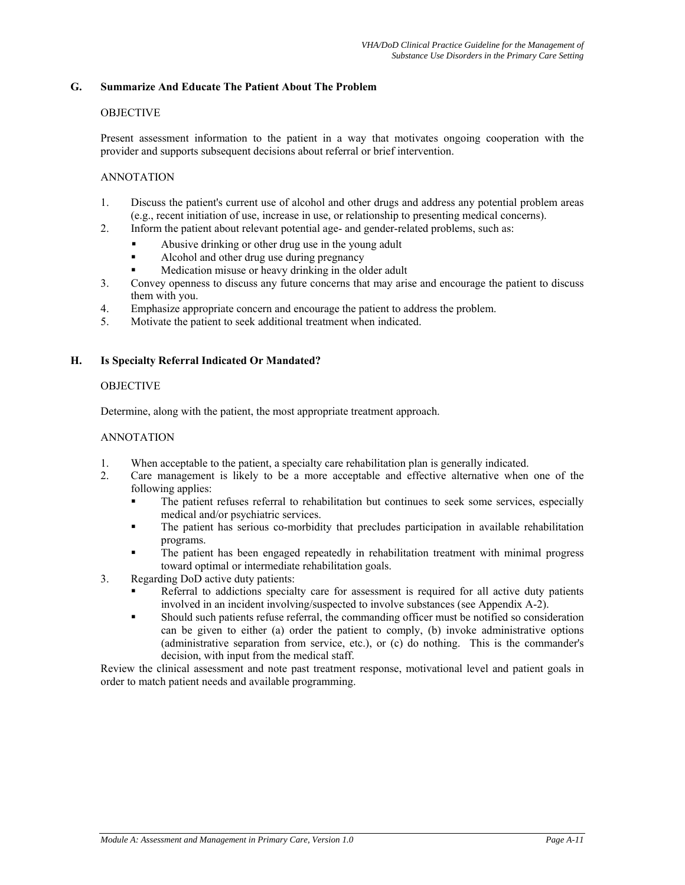#### **G. Summarize And Educate The Patient About The Problem**

#### **OBJECTIVE**

Present assessment information to the patient in a way that motivates ongoing cooperation with the provider and supports subsequent decisions about referral or brief intervention.

#### ANNOTATION

- 1. Discuss the patient's current use of alcohol and other drugs and address any potential problem areas (e.g., recent initiation of use, increase in use, or relationship to presenting medical concerns).
- 2. Inform the patient about relevant potential age- and gender-related problems, such as:
	- Abusive drinking or other drug use in the young adult
	- Alcohol and other drug use during pregnancy
	- Medication misuse or heavy drinking in the older adult
- 3. Convey openness to discuss any future concerns that may arise and encourage the patient to discuss them with you.
- 4. Emphasize appropriate concern and encourage the patient to address the problem.
- 5. Motivate the patient to seek additional treatment when indicated.

#### **H. Is Specialty Referral Indicated Or Mandated?**

#### **OBJECTIVE**

Determine, along with the patient, the most appropriate treatment approach.

#### ANNOTATION

- 1. When acceptable to the patient, a specialty care rehabilitation plan is generally indicated.
- 2. Care management is likely to be a more acceptable and effective alternative when one of the following applies:
	- The patient refuses referral to rehabilitation but continues to seek some services, especially medical and/or psychiatric services.
	- The patient has serious co-morbidity that precludes participation in available rehabilitation programs.
	- The patient has been engaged repeatedly in rehabilitation treatment with minimal progress toward optimal or intermediate rehabilitation goals.
- 3. Regarding DoD active duty patients:
	- Referral to addictions specialty care for assessment is required for all active duty patients involved in an incident involving/suspected to involve substances (see Appendix A-2).
	- Should such patients refuse referral, the commanding officer must be notified so consideration can be given to either (a) order the patient to comply, (b) invoke administrative options (administrative separation from service, etc.), or (c) do nothing. This is the commander's decision, with input from the medical staff.

Review the clinical assessment and note past treatment response, motivational level and patient goals in order to match patient needs and available programming.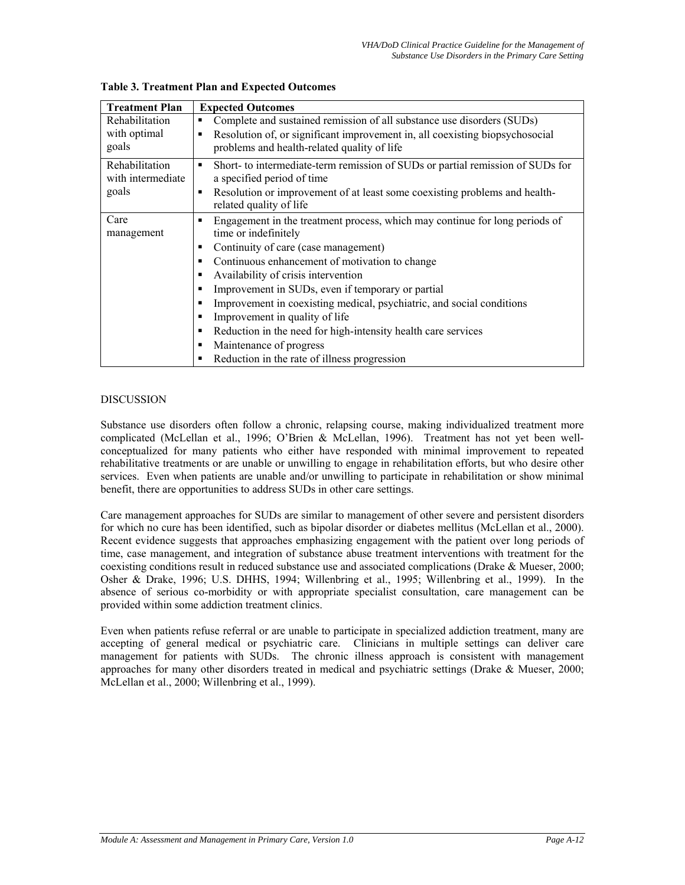| <b>Treatment Plan</b> | <b>Expected Outcomes</b>                                                                                   |
|-----------------------|------------------------------------------------------------------------------------------------------------|
| Rehabilitation        | Complete and sustained remission of all substance use disorders (SUDs)<br>٠                                |
| with optimal          | Resolution of, or significant improvement in, all coexisting biopsychosocial<br>٠                          |
| goals                 | problems and health-related quality of life                                                                |
| Rehabilitation        | Short- to intermediate-term remission of SUDs or partial remission of SUDs for<br>٠                        |
| with intermediate     | a specified period of time                                                                                 |
| goals                 | Resolution or improvement of at least some coexisting problems and health-<br>п<br>related quality of life |
| Care                  | Engagement in the treatment process, which may continue for long periods of<br>٠                           |
| management            | time or indefinitely                                                                                       |
|                       | Continuity of care (case management)<br>٠                                                                  |
|                       | Continuous enhancement of motivation to change<br>٠                                                        |
|                       | Availability of crisis intervention<br>٠                                                                   |
|                       | Improvement in SUDs, even if temporary or partial<br>п                                                     |
|                       | Improvement in coexisting medical, psychiatric, and social conditions<br>п                                 |
|                       | Improvement in quality of life<br>п                                                                        |
|                       | Reduction in the need for high-intensity health care services<br>п                                         |
|                       | Maintenance of progress<br>٠                                                                               |
|                       | Reduction in the rate of illness progression<br>٠                                                          |

**Table 3. Treatment Plan and Expected Outcomes** 

# DISCUSSION

Substance use disorders often follow a chronic, relapsing course, making individualized treatment more complicated (McLellan et al., 1996; O'Brien & McLellan, 1996). Treatment has not yet been wellconceptualized for many patients who either have responded with minimal improvement to repeated rehabilitative treatments or are unable or unwilling to engage in rehabilitation efforts, but who desire other services. Even when patients are unable and/or unwilling to participate in rehabilitation or show minimal benefit, there are opportunities to address SUDs in other care settings.

Care management approaches for SUDs are similar to management of other severe and persistent disorders for which no cure has been identified, such as bipolar disorder or diabetes mellitus (McLellan et al., 2000). Recent evidence suggests that approaches emphasizing engagement with the patient over long periods of time, case management, and integration of substance abuse treatment interventions with treatment for the coexisting conditions result in reduced substance use and associated complications (Drake & Mueser, 2000; Osher & Drake, 1996; U.S. DHHS, 1994; Willenbring et al., 1995; Willenbring et al., 1999). In the absence of serious co-morbidity or with appropriate specialist consultation, care management can be provided within some addiction treatment clinics.

Even when patients refuse referral or are unable to participate in specialized addiction treatment, many are accepting of general medical or psychiatric care. Clinicians in multiple settings can deliver care management for patients with SUDs. The chronic illness approach is consistent with management approaches for many other disorders treated in medical and psychiatric settings (Drake & Mueser, 2000; McLellan et al., 2000; Willenbring et al., 1999).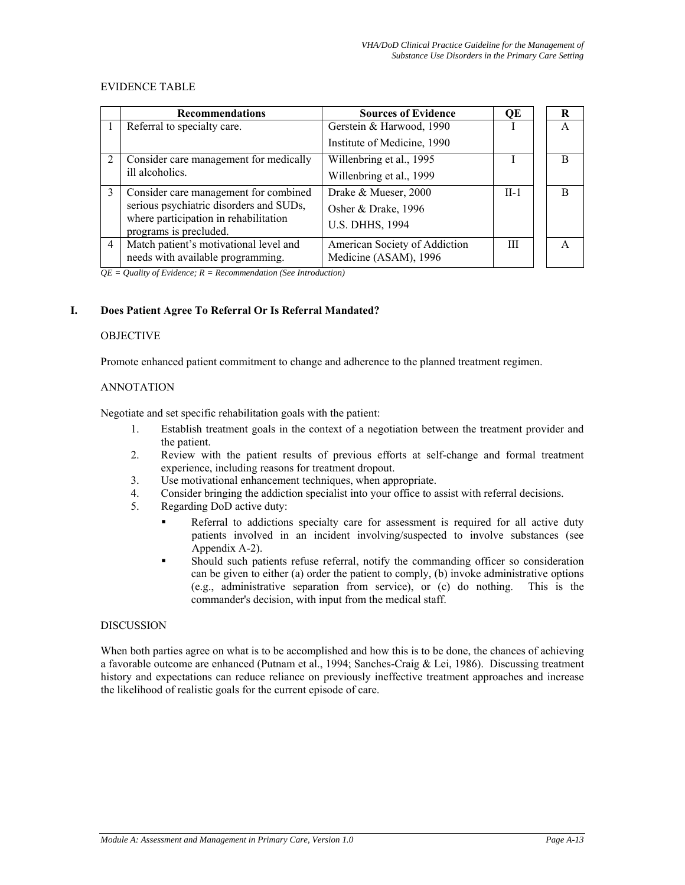#### EVIDENCE TABLE

|                | <b>Recommendations</b>                                          | <b>Sources of Evidence</b>    | QE     | R |
|----------------|-----------------------------------------------------------------|-------------------------------|--------|---|
|                | Referral to specialty care.                                     | Gerstein & Harwood, 1990      |        | A |
|                |                                                                 | Institute of Medicine, 1990   |        |   |
| $\overline{2}$ | Consider care management for medically                          | Willenbring et al., 1995      |        | B |
|                | ill alcoholics.                                                 | Willenbring et al., 1999      |        |   |
| $\mathcal{E}$  | Consider care management for combined                           | Drake & Mueser, 2000          | $II-1$ | B |
|                | serious psychiatric disorders and SUDs,                         | Osher & Drake, 1996           |        |   |
|                | where participation in rehabilitation<br>programs is precluded. | <b>U.S. DHHS, 1994</b>        |        |   |
| $\overline{4}$ | Match patient's motivational level and                          | American Society of Addiction | Ш      |   |
|                | needs with available programming.                               | Medicine (ASAM), 1996         |        |   |

*QE = Quality of Evidence; R = Recommendation (See Introduction)* 

# **I. Does Patient Agree To Referral Or Is Referral Mandated?**

#### **OBJECTIVE**

Promote enhanced patient commitment to change and adherence to the planned treatment regimen.

#### ANNOTATION

Negotiate and set specific rehabilitation goals with the patient:

- 1. Establish treatment goals in the context of a negotiation between the treatment provider and the patient.
- 2. Review with the patient results of previous efforts at self-change and formal treatment experience, including reasons for treatment dropout.
- 3. Use motivational enhancement techniques, when appropriate.
- 4. Consider bringing the addiction specialist into your office to assist with referral decisions.
- 5. Regarding DoD active duty:
	- Referral to addictions specialty care for assessment is required for all active duty patients involved in an incident involving/suspected to involve substances (see Appendix A-2).
	- Should such patients refuse referral, notify the commanding officer so consideration can be given to either (a) order the patient to comply, (b) invoke administrative options (e.g., administrative separation from service), or (c) do nothing. This is the commander's decision, with input from the medical staff.

#### DISCUSSION

When both parties agree on what is to be accomplished and how this is to be done, the chances of achieving a favorable outcome are enhanced (Putnam et al., 1994; Sanches-Craig & Lei, 1986). Discussing treatment history and expectations can reduce reliance on previously ineffective treatment approaches and increase the likelihood of realistic goals for the current episode of care.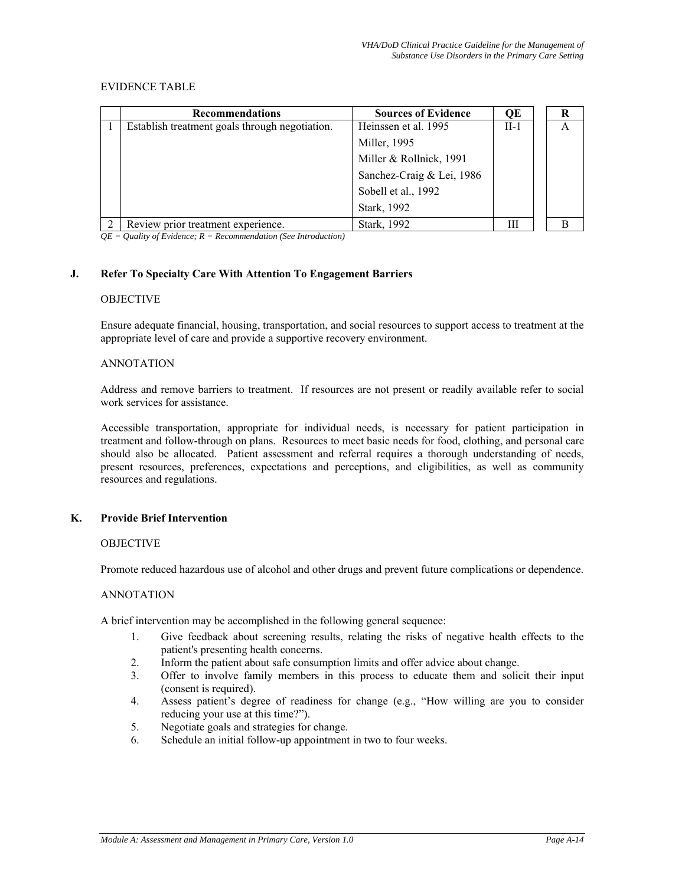#### EVIDENCE TABLE

|          | <b>Recommendations</b>                         | <b>Sources of Evidence</b> | ОE     | R |
|----------|------------------------------------------------|----------------------------|--------|---|
|          | Establish treatment goals through negotiation. | Heinssen et al. 1995       | $II-1$ | A |
|          |                                                | Miller, 1995               |        |   |
|          |                                                | Miller & Rollnick, 1991    |        |   |
|          |                                                | Sanchez-Craig & Lei, 1986  |        |   |
|          |                                                | Sobell et al., 1992        |        |   |
|          |                                                | Stark, 1992                |        |   |
| $\gamma$ | Review prior treatment experience.             | Stark, 1992                | Ш      |   |

*QE = Quality of Evidence; R = Recommendation (See Introduction)* 

#### **J. Refer To Specialty Care With Attention To Engagement Barriers**

#### **OBJECTIVE**

Ensure adequate financial, housing, transportation, and social resources to support access to treatment at the appropriate level of care and provide a supportive recovery environment.

#### ANNOTATION

Address and remove barriers to treatment. If resources are not present or readily available refer to social work services for assistance.

Accessible transportation, appropriate for individual needs, is necessary for patient participation in treatment and follow-through on plans. Resources to meet basic needs for food, clothing, and personal care should also be allocated. Patient assessment and referral requires a thorough understanding of needs, present resources, preferences, expectations and perceptions, and eligibilities, as well as community resources and regulations.

#### **K. Provide Brief Intervention**

#### **OBJECTIVE**

Promote reduced hazardous use of alcohol and other drugs and prevent future complications or dependence.

#### ANNOTATION

A brief intervention may be accomplished in the following general sequence:

- 1. Give feedback about screening results, relating the risks of negative health effects to the patient's presenting health concerns.
- 2. Inform the patient about safe consumption limits and offer advice about change.
- 3. Offer to involve family members in this process to educate them and solicit their input (consent is required).
- 4. Assess patient's degree of readiness for change (e.g., "How willing are you to consider reducing your use at this time?").
- 5. Negotiate goals and strategies for change.
- 6. Schedule an initial follow-up appointment in two to four weeks.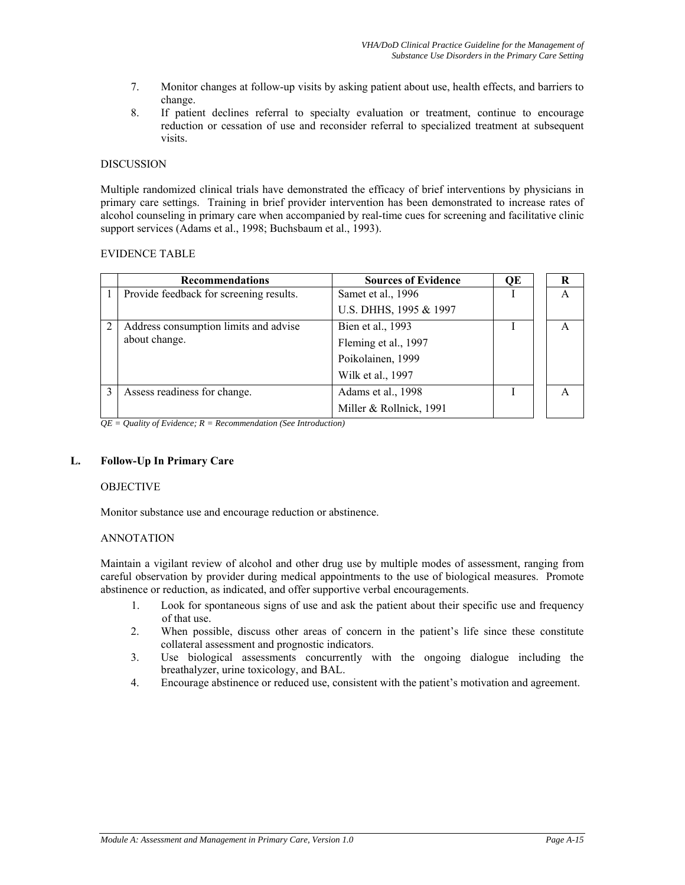- 7. Monitor changes at follow-up visits by asking patient about use, health effects, and barriers to change.
- 8. If patient declines referral to specialty evaluation or treatment, continue to encourage reduction or cessation of use and reconsider referral to specialized treatment at subsequent visits.

#### **DISCUSSION**

Multiple randomized clinical trials have demonstrated the efficacy of brief interventions by physicians in primary care settings. Training in brief provider intervention has been demonstrated to increase rates of alcohol counseling in primary care when accompanied by real-time cues for screening and facilitative clinic support services (Adams et al., 1998; Buchsbaum et al., 1993).

#### EVIDENCE TABLE

| <b>Recommendations</b>                  | <b>Sources of Evidence</b> | OE | R            |
|-----------------------------------------|----------------------------|----|--------------|
| Provide feedback for screening results. | Samet et al., 1996         |    | A            |
|                                         | U.S. DHHS, 1995 & 1997     |    |              |
| Address consumption limits and advise   | Bien et al., 1993          |    | $\mathsf{A}$ |
| about change.                           | Fleming et al., 1997       |    |              |
|                                         | Poikolainen, 1999          |    |              |
|                                         | Wilk et al., 1997          |    |              |
| Assess readiness for change.            | Adams et al., 1998         |    |              |
|                                         | Miller & Rollnick, 1991    |    |              |

*QE = Quality of Evidence; R = Recommendation (See Introduction)* 

# **L. Follow-Up In Primary Care**

#### **OBJECTIVE**

Monitor substance use and encourage reduction or abstinence.

#### ANNOTATION

Maintain a vigilant review of alcohol and other drug use by multiple modes of assessment, ranging from careful observation by provider during medical appointments to the use of biological measures. Promote abstinence or reduction, as indicated, and offer supportive verbal encouragements.

- 1. Look for spontaneous signs of use and ask the patient about their specific use and frequency of that use.
- 2. When possible, discuss other areas of concern in the patient's life since these constitute collateral assessment and prognostic indicators.
- 3. Use biological assessments concurrently with the ongoing dialogue including the breathalyzer, urine toxicology, and BAL.
- 4. Encourage abstinence or reduced use, consistent with the patient's motivation and agreement.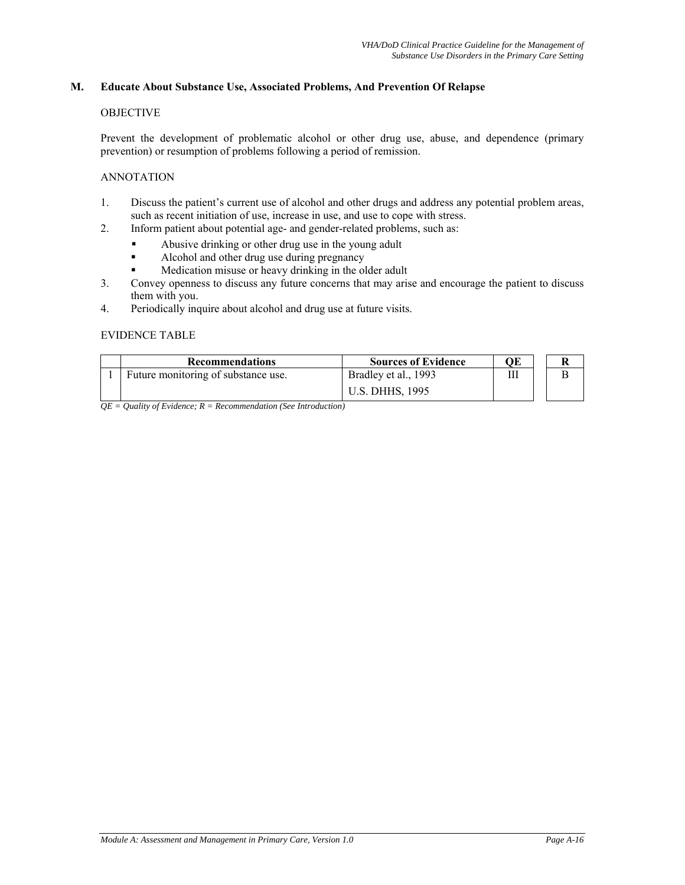#### **M. Educate About Substance Use, Associated Problems, And Prevention Of Relapse**

#### OBJECTIVE

Prevent the development of problematic alcohol or other drug use, abuse, and dependence (primary prevention) or resumption of problems following a period of remission.

#### ANNOTATION

- 1. Discuss the patient's current use of alcohol and other drugs and address any potential problem areas, such as recent initiation of use, increase in use, and use to cope with stress.
- 2. Inform patient about potential age- and gender-related problems, such as:
	- Abusive drinking or other drug use in the young adult
	- Alcohol and other drug use during pregnancy
	- Medication misuse or heavy drinking in the older adult
- 3. Convey openness to discuss any future concerns that may arise and encourage the patient to discuss them with you.
- 4. Periodically inquire about alcohol and drug use at future visits.

#### EVIDENCE TABLE

| <b>Recommendations</b>              | <b>Sources of Evidence</b> | ОE | R |
|-------------------------------------|----------------------------|----|---|
| Future monitoring of substance use. | Bradley et al., 1993       | Ш  |   |
|                                     | <b>U.S. DHHS, 1995</b>     |    |   |

*QE = Quality of Evidence; R = Recommendation (See Introduction)*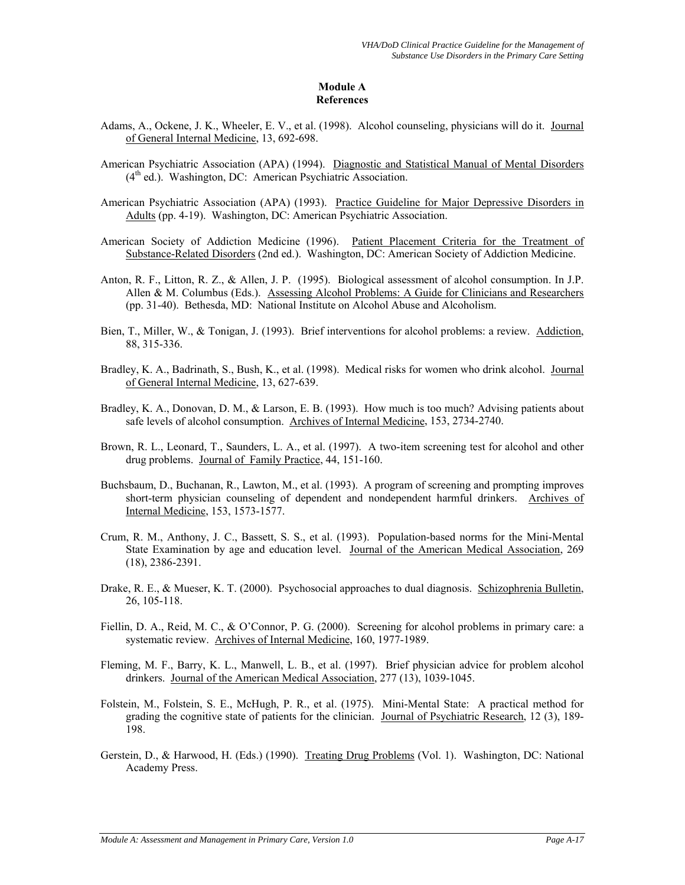# **Module A References**

- Adams, A., Ockene, J. K., Wheeler, E. V., et al. (1998). Alcohol counseling, physicians will do it. Journal of General Internal Medicine, 13, 692-698.
- American Psychiatric Association (APA) (1994). Diagnostic and Statistical Manual of Mental Disorders  $(4<sup>th</sup>$  ed.). Washington, DC: American Psychiatric Association.
- American Psychiatric Association (APA) (1993). Practice Guideline for Major Depressive Disorders in Adults (pp. 4-19). Washington, DC: American Psychiatric Association.
- American Society of Addiction Medicine (1996). Patient Placement Criteria for the Treatment of Substance-Related Disorders (2nd ed.). Washington, DC: American Society of Addiction Medicine.
- Anton, R. F., Litton, R. Z., & Allen, J. P. (1995). Biological assessment of alcohol consumption. In J.P. Allen & M. Columbus (Eds.). Assessing Alcohol Problems: A Guide for Clinicians and Researchers (pp. 31-40). Bethesda, MD: National Institute on Alcohol Abuse and Alcoholism.
- Bien, T., Miller, W., & Tonigan, J. (1993). Brief interventions for alcohol problems: a review. Addiction, 88, 315-336.
- Bradley, K. A., Badrinath, S., Bush, K., et al. (1998). Medical risks for women who drink alcohol. Journal of General Internal Medicine, 13, 627-639.
- Bradley, K. A., Donovan, D. M., & Larson, E. B. (1993). How much is too much? Advising patients about safe levels of alcohol consumption. Archives of Internal Medicine, 153, 2734-2740.
- Brown, R. L., Leonard, T., Saunders, L. A., et al. (1997). A two-item screening test for alcohol and other drug problems. Journal of Family Practice, 44, 151-160.
- Buchsbaum, D., Buchanan, R., Lawton, M., et al. (1993). A program of screening and prompting improves short-term physician counseling of dependent and nondependent harmful drinkers. Archives of Internal Medicine, 153, 1573-1577.
- Crum, R. M., Anthony, J. C., Bassett, S. S., et al. (1993). Population-based norms for the Mini-Mental State Examination by age and education level. Journal of the American Medical Association, 269 (18), 2386-2391.
- Drake, R. E., & Mueser, K. T. (2000). Psychosocial approaches to dual diagnosis. Schizophrenia Bulletin, 26, 105-118.
- Fiellin, D. A., Reid, M. C., & O'Connor, P. G. (2000). Screening for alcohol problems in primary care: a systematic review. Archives of Internal Medicine, 160, 1977-1989.
- Fleming, M. F., Barry, K. L., Manwell, L. B., et al. (1997). Brief physician advice for problem alcohol drinkers. Journal of the American Medical Association, 277 (13), 1039-1045.
- Folstein, M., Folstein, S. E., McHugh, P. R., et al. (1975). Mini-Mental State: A practical method for grading the cognitive state of patients for the clinician. Journal of Psychiatric Research, 12 (3), 189- 198.
- Gerstein, D., & Harwood, H. (Eds.) (1990). Treating Drug Problems (Vol. 1). Washington, DC: National Academy Press.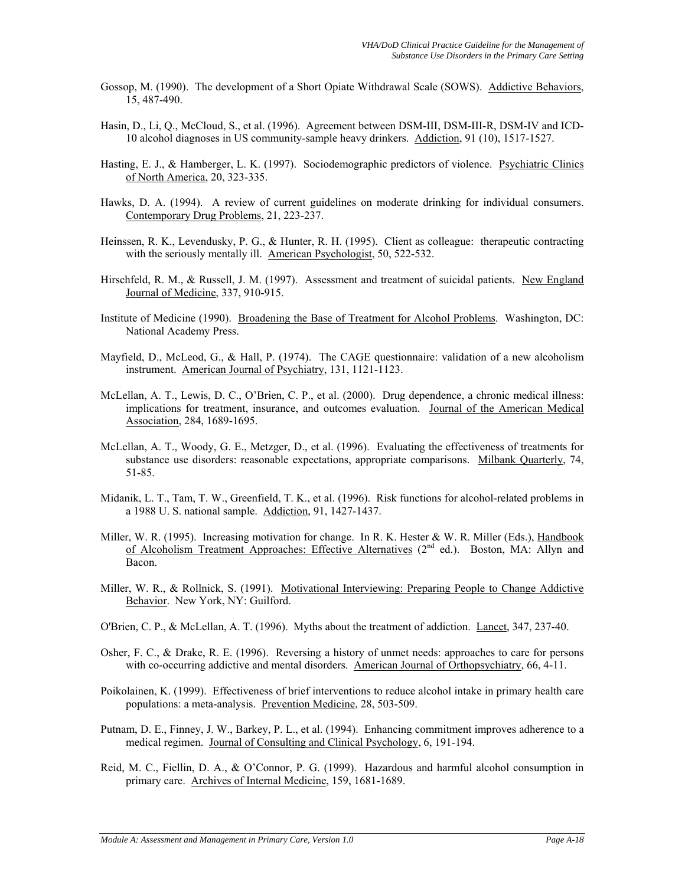- Gossop, M. (1990). The development of a Short Opiate Withdrawal Scale (SOWS). Addictive Behaviors, 15, 487-490.
- Hasin, D., Li, Q., McCloud, S., et al. (1996). Agreement between DSM-III, DSM-III-R, DSM-IV and ICD-10 alcohol diagnoses in US community-sample heavy drinkers. Addiction, 91 (10), 1517-1527.
- Hasting, E. J., & Hamberger, L. K. (1997). Sociodemographic predictors of violence. Psychiatric Clinics of North America, 20, 323-335.
- Hawks, D. A. (1994). A review of current guidelines on moderate drinking for individual consumers. Contemporary Drug Problems, 21, 223-237.
- Heinssen, R. K., Levendusky, P. G., & Hunter, R. H. (1995). Client as colleague: therapeutic contracting with the seriously mentally ill. American Psychologist, 50, 522-532.
- Hirschfeld, R. M., & Russell, J. M. (1997). Assessment and treatment of suicidal patients. New England Journal of Medicine, 337, 910-915.
- Institute of Medicine (1990). Broadening the Base of Treatment for Alcohol Problems. Washington, DC: National Academy Press.
- Mayfield, D., McLeod, G., & Hall, P. (1974). The CAGE questionnaire: validation of a new alcoholism instrument. American Journal of Psychiatry, 131, 1121-1123.
- McLellan, A. T., Lewis, D. C., O'Brien, C. P., et al. (2000). Drug dependence, a chronic medical illness: implications for treatment, insurance, and outcomes evaluation. Journal of the American Medical Association, 284, 1689-1695.
- McLellan, A. T., Woody, G. E., Metzger, D., et al. (1996). Evaluating the effectiveness of treatments for substance use disorders: reasonable expectations, appropriate comparisons. Milbank Quarterly, 74, 51-85.
- Midanik, L. T., Tam, T. W., Greenfield, T. K., et al. (1996). Risk functions for alcohol-related problems in a 1988 U. S. national sample. Addiction, 91, 1427-1437.
- Miller, W. R. (1995). Increasing motivation for change. In R. K. Hester & W. R. Miller (Eds.), Handbook of Alcoholism Treatment Approaches: Effective Alternatives  $(2^{nd}$  ed.). Boston, MA: Allyn and Bacon.
- Miller, W. R., & Rollnick, S. (1991). Motivational Interviewing: Preparing People to Change Addictive Behavior. New York, NY: Guilford.
- O'Brien, C. P., & McLellan, A. T. (1996). Myths about the treatment of addiction. Lancet, 347, 237-40.
- Osher, F. C., & Drake, R. E. (1996). Reversing a history of unmet needs: approaches to care for persons with co-occurring addictive and mental disorders. American Journal of Orthopsychiatry, 66, 4-11.
- Poikolainen, K. (1999). Effectiveness of brief interventions to reduce alcohol intake in primary health care populations: a meta-analysis. Prevention Medicine, 28, 503-509.
- Putnam, D. E., Finney, J. W., Barkey, P. L., et al. (1994). Enhancing commitment improves adherence to a medical regimen. Journal of Consulting and Clinical Psychology, 6, 191-194.
- Reid, M. C., Fiellin, D. A., & O'Connor, P. G. (1999). Hazardous and harmful alcohol consumption in primary care. Archives of Internal Medicine, 159, 1681-1689.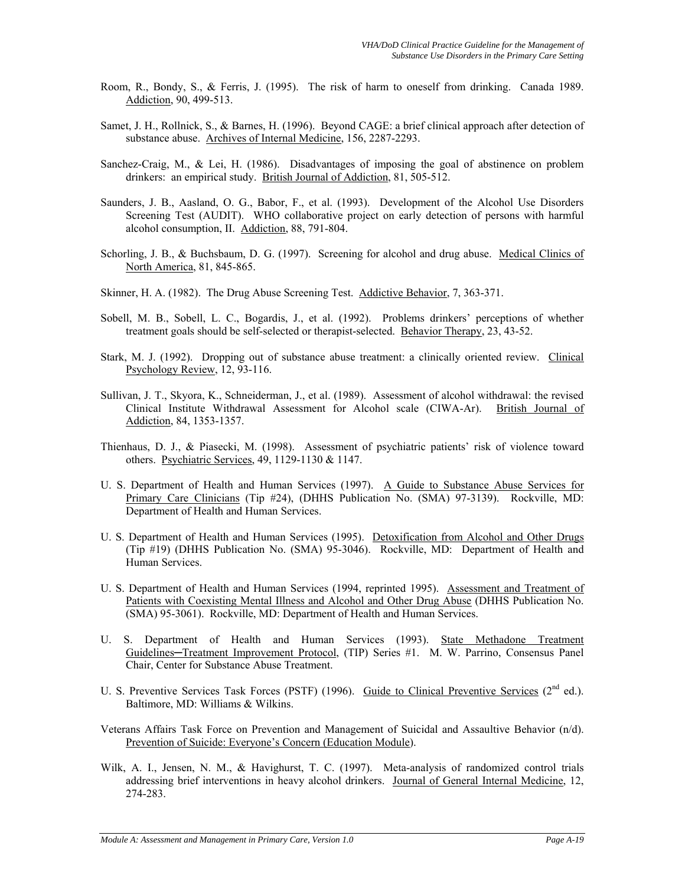- Room, R., Bondy, S., & Ferris, J. (1995). The risk of harm to oneself from drinking. Canada 1989. Addiction, 90, 499-513.
- Samet, J. H., Rollnick, S., & Barnes, H. (1996). Beyond CAGE: a brief clinical approach after detection of substance abuse. Archives of Internal Medicine, 156, 2287-2293.
- Sanchez-Craig, M., & Lei, H. (1986). Disadvantages of imposing the goal of abstinence on problem drinkers: an empirical study. British Journal of Addiction, 81, 505-512.
- Saunders, J. B., Aasland, O. G., Babor, F., et al. (1993). Development of the Alcohol Use Disorders Screening Test (AUDIT). WHO collaborative project on early detection of persons with harmful alcohol consumption, II. Addiction, 88, 791-804.
- Schorling, J. B., & Buchsbaum, D. G. (1997). Screening for alcohol and drug abuse. Medical Clinics of North America, 81, 845-865.
- Skinner, H. A. (1982). The Drug Abuse Screening Test. Addictive Behavior, 7, 363-371.
- Sobell, M. B., Sobell, L. C., Bogardis, J., et al. (1992). Problems drinkers' perceptions of whether treatment goals should be self-selected or therapist-selected. Behavior Therapy, 23, 43-52.
- Stark, M. J. (1992). Dropping out of substance abuse treatment: a clinically oriented review. Clinical Psychology Review, 12, 93-116.
- Sullivan, J. T., Skyora, K., Schneiderman, J., et al. (1989). Assessment of alcohol withdrawal: the revised Clinical Institute Withdrawal Assessment for Alcohol scale (CIWA-Ar). British Journal of Addiction, 84, 1353-1357.
- Thienhaus, D. J., & Piasecki, M. (1998). Assessment of psychiatric patients' risk of violence toward others. Psychiatric Services, 49, 1129-1130 & 1147.
- U. S. Department of Health and Human Services (1997). A Guide to Substance Abuse Services for Primary Care Clinicians (Tip #24), (DHHS Publication No. (SMA) 97-3139). Rockville, MD: Department of Health and Human Services.
- U. S. Department of Health and Human Services (1995). Detoxification from Alcohol and Other Drugs (Tip #19) (DHHS Publication No. (SMA) 95-3046). Rockville, MD: Department of Health and Human Services.
- U. S. Department of Health and Human Services (1994, reprinted 1995). Assessment and Treatment of Patients with Coexisting Mental Illness and Alcohol and Other Drug Abuse (DHHS Publication No. (SMA) 95-3061). Rockville, MD: Department of Health and Human Services.
- U. S. Department of Health and Human Services (1993). State Methadone Treatment Guidelines**─**Treatment Improvement Protocol, (TIP) Series #1. M. W. Parrino, Consensus Panel Chair, Center for Substance Abuse Treatment.
- U. S. Preventive Services Task Forces (PSTF) (1996). Guide to Clinical Preventive Services (2<sup>nd</sup> ed.). Baltimore, MD: Williams & Wilkins.
- Veterans Affairs Task Force on Prevention and Management of Suicidal and Assaultive Behavior (n/d). Prevention of Suicide: Everyone's Concern (Education Module).
- Wilk, A. I., Jensen, N. M., & Havighurst, T. C. (1997). Meta-analysis of randomized control trials addressing brief interventions in heavy alcohol drinkers. Journal of General Internal Medicine, 12, 274-283.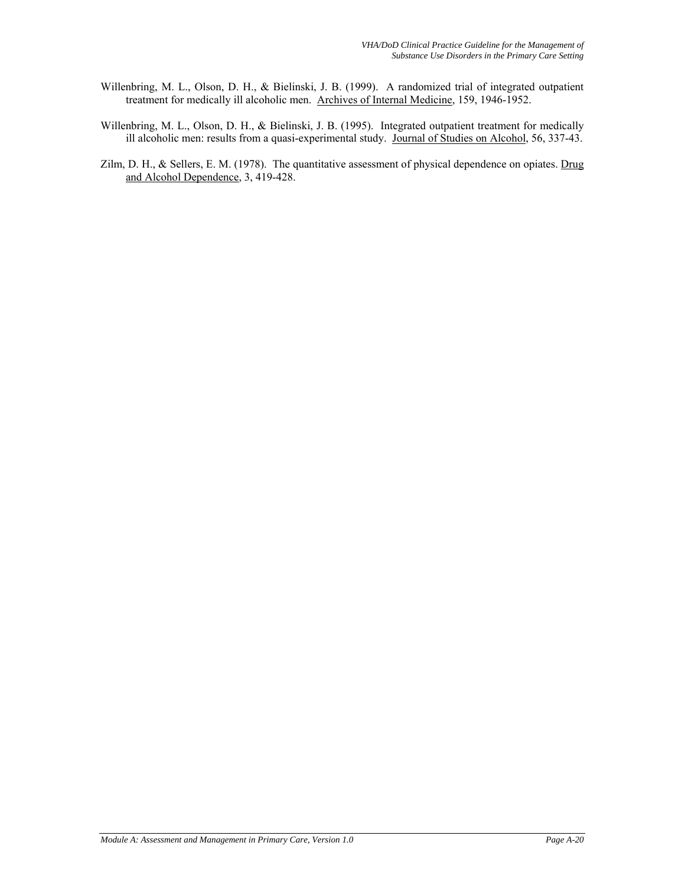- Willenbring, M. L., Olson, D. H., & Bielinski, J. B. (1999). A randomized trial of integrated outpatient treatment for medically ill alcoholic men. Archives of Internal Medicine, 159, 1946-1952.
- Willenbring, M. L., Olson, D. H., & Bielinski, J. B. (1995). Integrated outpatient treatment for medically ill alcoholic men: results from a quasi-experimental study. Journal of Studies on Alcohol, 56, 337-43.
- Zilm, D. H., & Sellers, E. M. (1978). The quantitative assessment of physical dependence on opiates. Drug and Alcohol Dependence, 3, 419-428.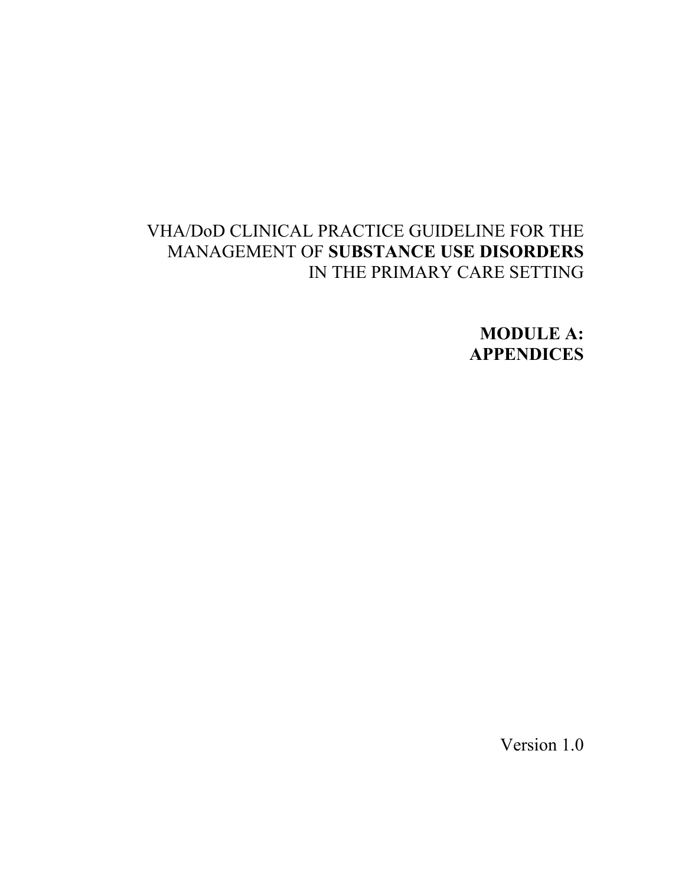# VHA/DoD CLINICAL PRACTICE GUIDELINE FOR THE MANAGEMENT OF **SUBSTANCE USE DISORDERS**  IN THE PRIMARY CARE SETTING

**MODULE A: APPENDICES** 

Version 1.0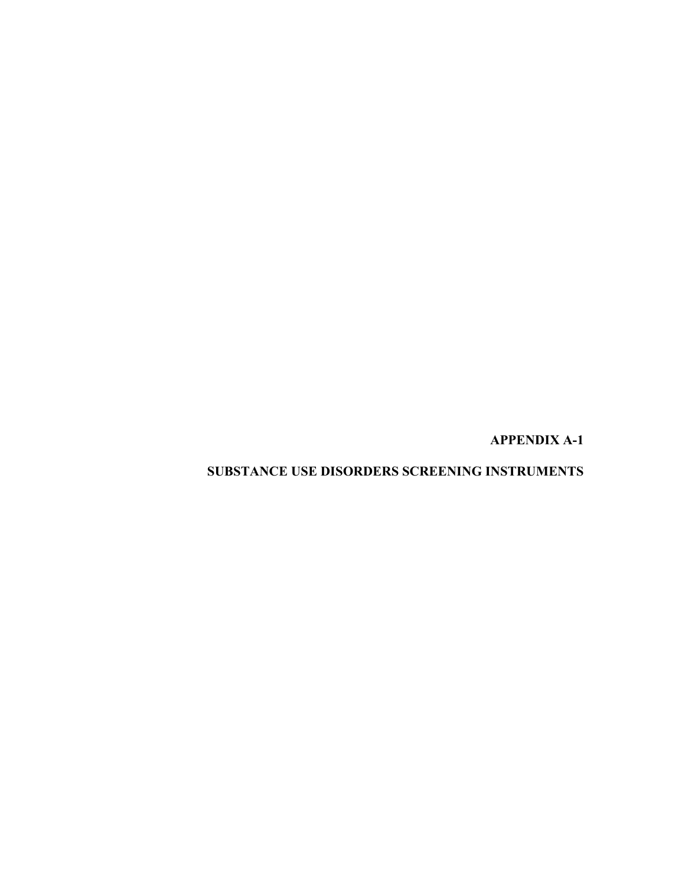**APPENDIX A-1** 

**SUBSTANCE USE DISORDERS SCREENING INSTRUMENTS**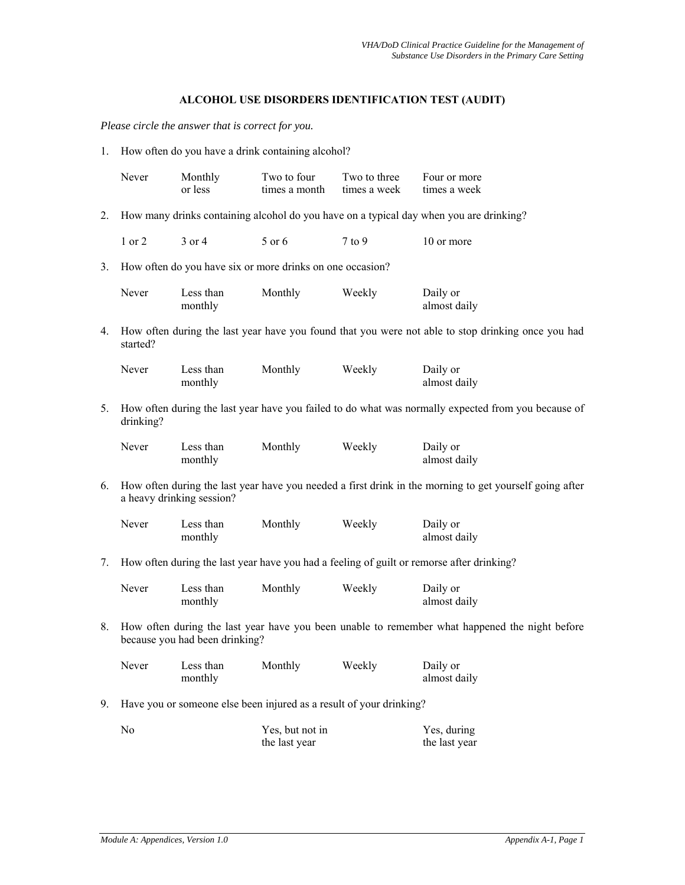# **ALCOHOL USE DISORDERS IDENTIFICATION TEST (AUDIT)**

*Please circle the answer that is correct for you.* 

1. How often do you have a drink containing alcohol?

|    | Never          | Monthly<br>or less                                        | Two to four<br>times a month     | Two to three<br>times a week                                        | Four or more<br>times a week                                                                            |
|----|----------------|-----------------------------------------------------------|----------------------------------|---------------------------------------------------------------------|---------------------------------------------------------------------------------------------------------|
| 2. |                |                                                           |                                  |                                                                     | How many drinks containing alcohol do you have on a typical day when you are drinking?                  |
|    | 1 or 2         | $3$ or $4$                                                | 5 or 6                           | $7$ to $9$                                                          | 10 or more                                                                                              |
| 3. |                | How often do you have six or more drinks on one occasion? |                                  |                                                                     |                                                                                                         |
|    | Never          | Less than<br>monthly                                      | Monthly                          | Weekly                                                              | Daily or<br>almost daily                                                                                |
| 4. | started?       |                                                           |                                  |                                                                     | How often during the last year have you found that you were not able to stop drinking once you had      |
|    | Never          | Less than<br>monthly                                      | Monthly                          | Weekly                                                              | Daily or<br>almost daily                                                                                |
| 5. | drinking?      |                                                           |                                  |                                                                     | How often during the last year have you failed to do what was normally expected from you because of     |
|    | Never          | Less than<br>monthly                                      | Monthly                          | Weekly                                                              | Daily or<br>almost daily                                                                                |
| 6. |                | a heavy drinking session?                                 |                                  |                                                                     | How often during the last year have you needed a first drink in the morning to get yourself going after |
|    | Never          | Less than<br>monthly                                      | Monthly                          | Weekly                                                              | Daily or<br>almost daily                                                                                |
| 7. |                |                                                           |                                  |                                                                     | How often during the last year have you had a feeling of guilt or remorse after drinking?               |
|    | Never          | Less than<br>monthly                                      | Monthly                          | Weekly                                                              | Daily or<br>almost daily                                                                                |
| 8. |                | because you had been drinking?                            |                                  |                                                                     | How often during the last year have you been unable to remember what happened the night before          |
|    |                | Never Less than Monthly Weekly<br>monthly                 |                                  |                                                                     | Daily or<br>almost daily                                                                                |
| 9. |                |                                                           |                                  | Have you or someone else been injured as a result of your drinking? |                                                                                                         |
|    | N <sub>0</sub> |                                                           | Yes, but not in<br>the last year |                                                                     | Yes, during<br>the last year                                                                            |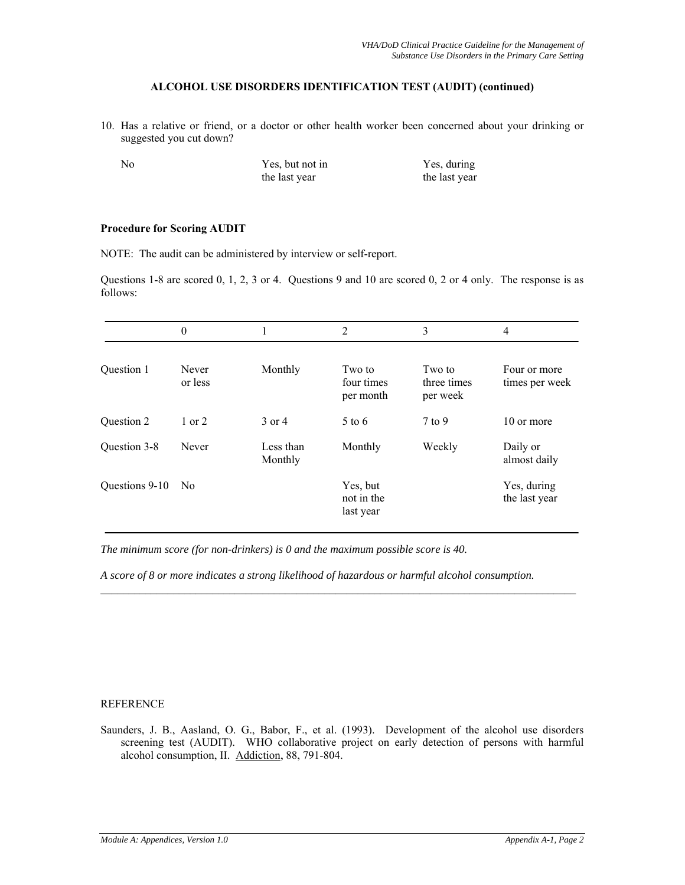# **ALCOHOL USE DISORDERS IDENTIFICATION TEST (AUDIT) (continued)**

10. Has a relative or friend, or a doctor or other health worker been concerned about your drinking or suggested you cut down?

| N <sub>0</sub> | Yes, but not in | Yes, during   |
|----------------|-----------------|---------------|
|                | the last year   | the last year |

## **Procedure for Scoring AUDIT**

NOTE: The audit can be administered by interview or self-report.

Questions 1-8 are scored 0, 1, 2, 3 or 4. Questions 9 and 10 are scored 0, 2 or 4 only. The response is as follows:

|                | $\boldsymbol{0}$ |                      | $\overline{2}$                      | 3                                 | 4                              |
|----------------|------------------|----------------------|-------------------------------------|-----------------------------------|--------------------------------|
| Question 1     | Never<br>or less | Monthly              | Two to<br>four times<br>per month   | Two to<br>three times<br>per week | Four or more<br>times per week |
| Question 2     | $1$ or $2$       | $3$ or $4$           | $5 \text{ to } 6$                   | $7$ to 9                          | 10 or more                     |
| Question 3-8   | Never            | Less than<br>Monthly | Monthly                             | Weekly                            | Daily or<br>almost daily       |
| Questions 9-10 | N <sub>0</sub>   |                      | Yes, but<br>not in the<br>last year |                                   | Yes, during<br>the last year   |

*The minimum score (for non-drinkers) is 0 and the maximum possible score is 40.* 

*A score of 8 or more indicates a strong likelihood of hazardous or harmful alcohol consumption.* 

 $\mathcal{L}_\text{max}$ 

# REFERENCE

Saunders, J. B., Aasland, O. G., Babor, F., et al. (1993). Development of the alcohol use disorders screening test (AUDIT). WHO collaborative project on early detection of persons with harmful alcohol consumption, II. Addiction, 88, 791-804.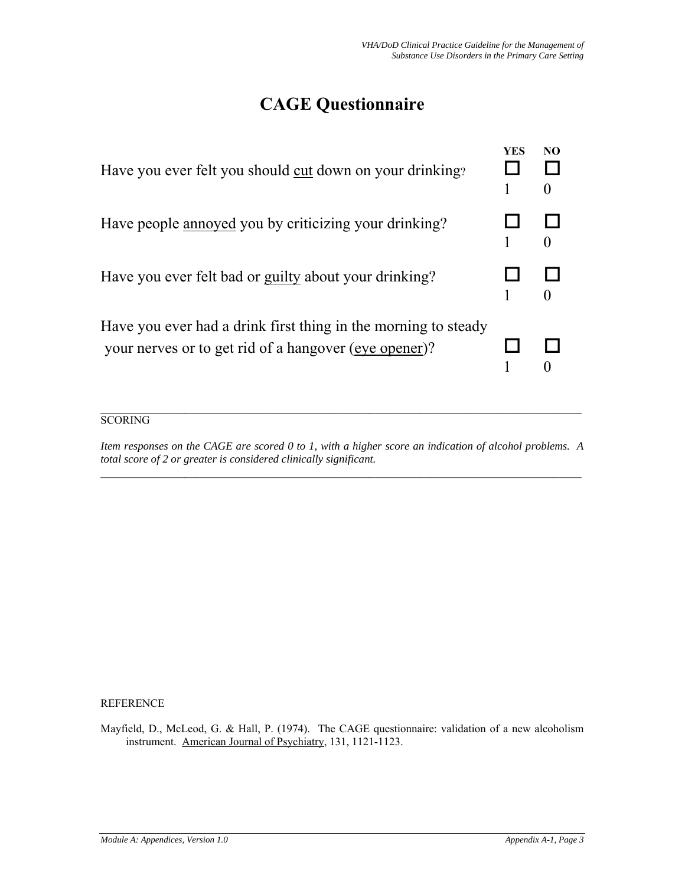# **CAGE Questionnaire**

| Have you ever felt you should cut down on your drinking?                                                                | <b>YES</b> | NO<br>$\theta$ |
|-------------------------------------------------------------------------------------------------------------------------|------------|----------------|
| Have people annoyed you by criticizing your drinking?                                                                   |            |                |
| Have you ever felt bad or guilty about your drinking?                                                                   |            |                |
| Have you ever had a drink first thing in the morning to steady<br>your nerves or to get rid of a hangover (eye opener)? |            |                |

# **SCORING**

*Item responses on the CAGE are scored 0 to 1, with a higher score an indication of alcohol problems. A total score of 2 or greater is considered clinically significant.*   $\mathcal{L}_\mathcal{L} = \{ \mathcal{L}_\mathcal{L} = \{ \mathcal{L}_\mathcal{L} = \{ \mathcal{L}_\mathcal{L} = \{ \mathcal{L}_\mathcal{L} = \{ \mathcal{L}_\mathcal{L} = \{ \mathcal{L}_\mathcal{L} = \{ \mathcal{L}_\mathcal{L} = \{ \mathcal{L}_\mathcal{L} = \{ \mathcal{L}_\mathcal{L} = \{ \mathcal{L}_\mathcal{L} = \{ \mathcal{L}_\mathcal{L} = \{ \mathcal{L}_\mathcal{L} = \{ \mathcal{L}_\mathcal{L} = \{ \mathcal{L}_\mathcal{$ 

REFERENCE

Mayfield, D., McLeod, G. & Hall, P. (1974). The CAGE questionnaire: validation of a new alcoholism instrument. American Journal of Psychiatry, 131, 1121-1123.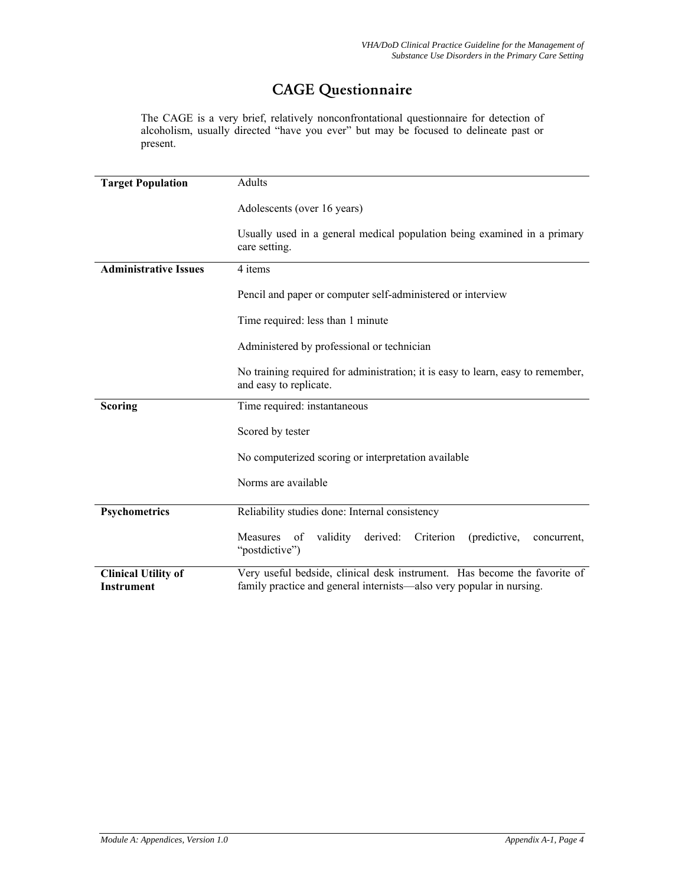# CAGE Questionnaire

The CAGE is a very brief, relatively nonconfrontational questionnaire for detection of alcoholism, usually directed "have you ever" but may be focused to delineate past or present.

| <b>Target Population</b>                        | Adults                                                                                                                                            |  |  |  |  |
|-------------------------------------------------|---------------------------------------------------------------------------------------------------------------------------------------------------|--|--|--|--|
|                                                 | Adolescents (over 16 years)                                                                                                                       |  |  |  |  |
|                                                 | Usually used in a general medical population being examined in a primary<br>care setting.                                                         |  |  |  |  |
| <b>Administrative Issues</b>                    | 4 items                                                                                                                                           |  |  |  |  |
|                                                 | Pencil and paper or computer self-administered or interview                                                                                       |  |  |  |  |
|                                                 | Time required: less than 1 minute                                                                                                                 |  |  |  |  |
|                                                 | Administered by professional or technician                                                                                                        |  |  |  |  |
|                                                 | No training required for administration; it is easy to learn, easy to remember,<br>and easy to replicate.                                         |  |  |  |  |
| <b>Scoring</b>                                  | Time required: instantaneous                                                                                                                      |  |  |  |  |
|                                                 | Scored by tester                                                                                                                                  |  |  |  |  |
|                                                 | No computerized scoring or interpretation available                                                                                               |  |  |  |  |
|                                                 | Norms are available                                                                                                                               |  |  |  |  |
| Psychometrics                                   | Reliability studies done: Internal consistency                                                                                                    |  |  |  |  |
|                                                 | validity<br>derived:<br>Criterion<br>Measures of<br>(predictive,<br>concurrent.<br>"postdictive")                                                 |  |  |  |  |
| <b>Clinical Utility of</b><br><b>Instrument</b> | Very useful bedside, clinical desk instrument. Has become the favorite of<br>family practice and general internists—also very popular in nursing. |  |  |  |  |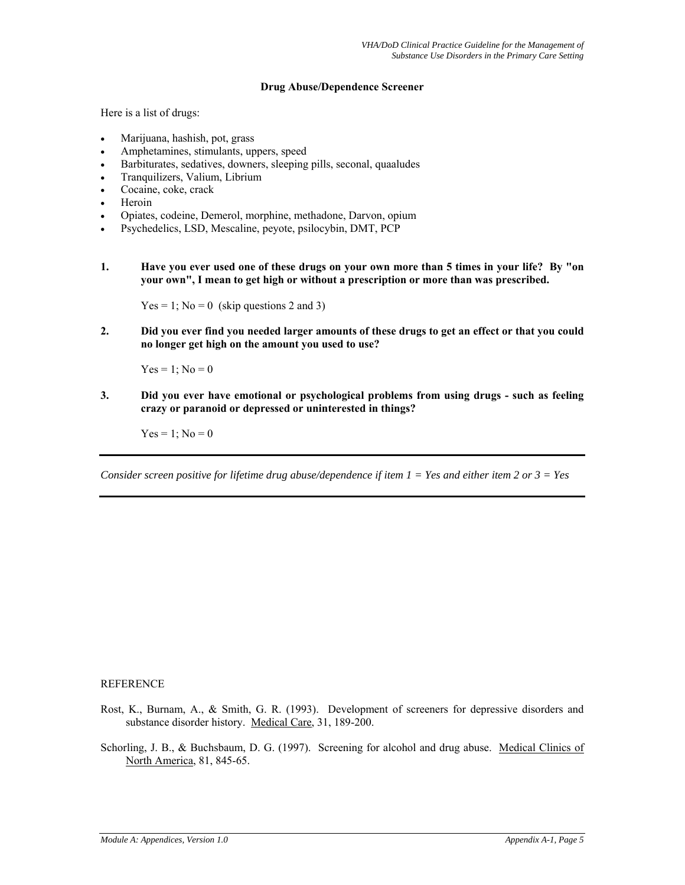## **Drug Abuse/Dependence Screener**

Here is a list of drugs:

- Marijuana, hashish, pot, grass
- Amphetamines, stimulants, uppers, speed
- Barbiturates, sedatives, downers, sleeping pills, seconal, quaaludes
- Tranquilizers, Valium, Librium
- Cocaine, coke, crack
- Heroin
- Opiates, codeine, Demerol, morphine, methadone, Darvon, opium
- Psychedelics, LSD, Mescaline, peyote, psilocybin, DMT, PCP
- **1. Have you ever used one of these drugs on your own more than 5 times in your life? By "on your own", I mean to get high or without a prescription or more than was prescribed.**

 $Yes = 1$ ; No = 0 (skip questions 2 and 3)

**2. Did you ever find you needed larger amounts of these drugs to get an effect or that you could no longer get high on the amount you used to use?**

 $Yes = 1; No = 0$ 

**3. Did you ever have emotional or psychological problems from using drugs - such as feeling crazy or paranoid or depressed or uninterested in things?** 

 $Yes = 1$ ;  $No = 0$ 

*Consider screen positive for lifetime drug abuse/dependence if item 1 = Yes and either item 2 or 3 = Yes* 

### REFERENCE

- Rost, K., Burnam, A., & Smith, G. R. (1993). Development of screeners for depressive disorders and substance disorder history. Medical Care, 31, 189-200.
- Schorling, J. B., & Buchsbaum, D. G. (1997). Screening for alcohol and drug abuse. Medical Clinics of North America, 81, 845-65.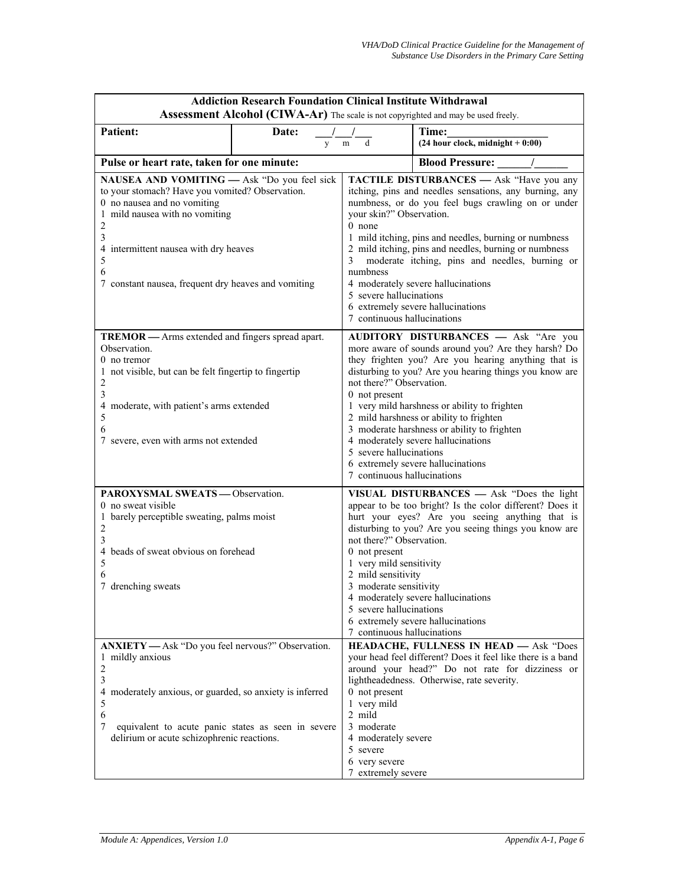|                                                                                                                                                                                                                                                                                     | <b>Addiction Research Foundation Clinical Institute Withdrawal</b><br>Assessment Alcohol (CIWA-Ar) The scale is not copyrighted and may be used freely. |                                                                                                                                                                                |                                                                                                                                                                                                                                                                                                                                                                                                                                   |  |  |
|-------------------------------------------------------------------------------------------------------------------------------------------------------------------------------------------------------------------------------------------------------------------------------------|---------------------------------------------------------------------------------------------------------------------------------------------------------|--------------------------------------------------------------------------------------------------------------------------------------------------------------------------------|-----------------------------------------------------------------------------------------------------------------------------------------------------------------------------------------------------------------------------------------------------------------------------------------------------------------------------------------------------------------------------------------------------------------------------------|--|--|
| <b>Patient:</b>                                                                                                                                                                                                                                                                     | Date:<br>y                                                                                                                                              | d<br>m                                                                                                                                                                         | Time:<br>$(24 hour clock, midnight + 0:00)$                                                                                                                                                                                                                                                                                                                                                                                       |  |  |
| Pulse or heart rate, taken for one minute:                                                                                                                                                                                                                                          |                                                                                                                                                         |                                                                                                                                                                                | <b>Blood Pressure:</b>                                                                                                                                                                                                                                                                                                                                                                                                            |  |  |
| NAUSEA AND VOMITING - Ask "Do you feel sick<br>to your stomach? Have you vomited? Observation.<br>0 no nausea and no vomiting<br>1 mild nausea with no vomiting<br>2<br>3<br>4 intermittent nausea with dry heaves<br>5<br>6<br>7 constant nausea, frequent dry heaves and vomiting |                                                                                                                                                         | your skin?" Observation.<br>$0$ none<br>3<br>numbness<br>5 severe hallucinations<br>7 continuous hallucinations                                                                | <b>TACTILE DISTURBANCES</b> - Ask "Have you any<br>itching, pins and needles sensations, any burning, any<br>numbness, or do you feel bugs crawling on or under<br>1 mild itching, pins and needles, burning or numbness<br>2 mild itching, pins and needles, burning or numbness<br>moderate itching, pins and needles, burning or<br>4 moderately severe hallucinations<br>6 extremely severe hallucinations                    |  |  |
| <b>TREMOR</b> — Arms extended and fingers spread apart.<br>Observation.<br>$0$ no tremor<br>1 not visible, but can be felt fingertip to fingertip<br>2<br>3<br>4 moderate, with patient's arms extended<br>5<br>6<br>7 severe, even with arms not extended                          |                                                                                                                                                         | not there?" Observation.<br>0 not present<br>5 severe hallucinations<br>7 continuous hallucinations                                                                            | AUDITORY DISTURBANCES - Ask "Are you<br>more aware of sounds around you? Are they harsh? Do<br>they frighten you? Are you hearing anything that is<br>disturbing to you? Are you hearing things you know are<br>1 very mild harshness or ability to frighten<br>2 mild harshness or ability to frighten<br>3 moderate harshness or ability to frighten<br>4 moderately severe hallucinations<br>6 extremely severe hallucinations |  |  |
| PAROXYSMAL SWEATS - Observation.<br>0 no sweat visible<br>1 barely perceptible sweating, palms moist<br>2<br>3<br>4 beads of sweat obvious on forehead<br>5<br>6<br>7 drenching sweats                                                                                              |                                                                                                                                                         | not there?" Observation.<br>0 not present<br>1 very mild sensitivity<br>2 mild sensitivity<br>3 moderate sensitivity<br>5 severe hallucinations<br>7 continuous hallucinations | VISUAL DISTURBANCES - Ask "Does the light<br>appear to be too bright? Is the color different? Does it<br>hurt your eyes? Are you seeing anything that is<br>disturbing to you? Are you seeing things you know are<br>4 moderately severe hallucinations<br>6 extremely severe hallucinations                                                                                                                                      |  |  |
| ANXIETY - Ask "Do you feel nervous?" Observation.<br>1 mildly anxious<br>$\sqrt{2}$<br>3<br>4 moderately anxious, or guarded, so anxiety is inferred<br>5<br>6<br>7<br>equivalent to acute panic states as seen in severe<br>delirium or acute schizophrenic reactions.             |                                                                                                                                                         | 0 not present<br>1 very mild<br>2 mild<br>3 moderate<br>4 moderately severe<br>5 severe<br>6 very severe<br>7 extremely severe                                                 | <b>HEADACHE, FULLNESS IN HEAD - Ask "Does</b><br>your head feel different? Does it feel like there is a band<br>around your head?" Do not rate for dizziness or<br>lightheadedness. Otherwise, rate severity.                                                                                                                                                                                                                     |  |  |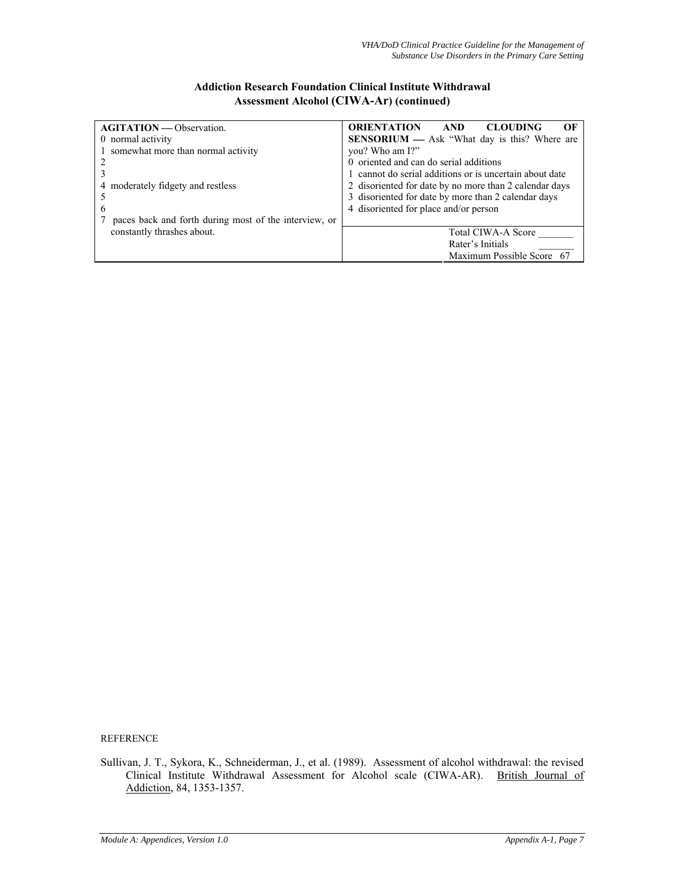# **Addiction Research Foundation Clinical Institute Withdrawal Assessment Alcohol (CIWA-Ar) (continued)**

| <b>AGITATION</b> — Observation.                       | <b>ORIENTATION</b><br><b>AND</b><br><b>CLOUDING</b><br>OЕ |  |  |  |
|-------------------------------------------------------|-----------------------------------------------------------|--|--|--|
| 0 normal activity                                     | <b>SENSORIUM</b> — Ask "What day is this? Where are       |  |  |  |
| somewhat more than normal activity                    | you? Who am I?"                                           |  |  |  |
|                                                       | 0 oriented and can do serial additions                    |  |  |  |
|                                                       | 1 cannot do serial additions or is uncertain about date   |  |  |  |
| 4 moderately fidgety and restless                     | 2 disoriented for date by no more than 2 calendar days    |  |  |  |
|                                                       | 3 disoriented for date by more than 2 calendar days       |  |  |  |
| 6                                                     | 4 disoriented for place and/or person                     |  |  |  |
| paces back and forth during most of the interview, or |                                                           |  |  |  |
| constantly thrashes about.                            | <b>Total CIWA-A Score</b>                                 |  |  |  |
|                                                       | Rater's Initials                                          |  |  |  |
|                                                       | Maximum Possible Score 67                                 |  |  |  |

REFERENCE

Sullivan, J. T., Sykora, K., Schneiderman, J., et al. (1989). Assessment of alcohol withdrawal: the revised Clinical Institute Withdrawal Assessment for Alcohol scale (CIWA-AR). British Journal of Addiction, 84, 1353-1357.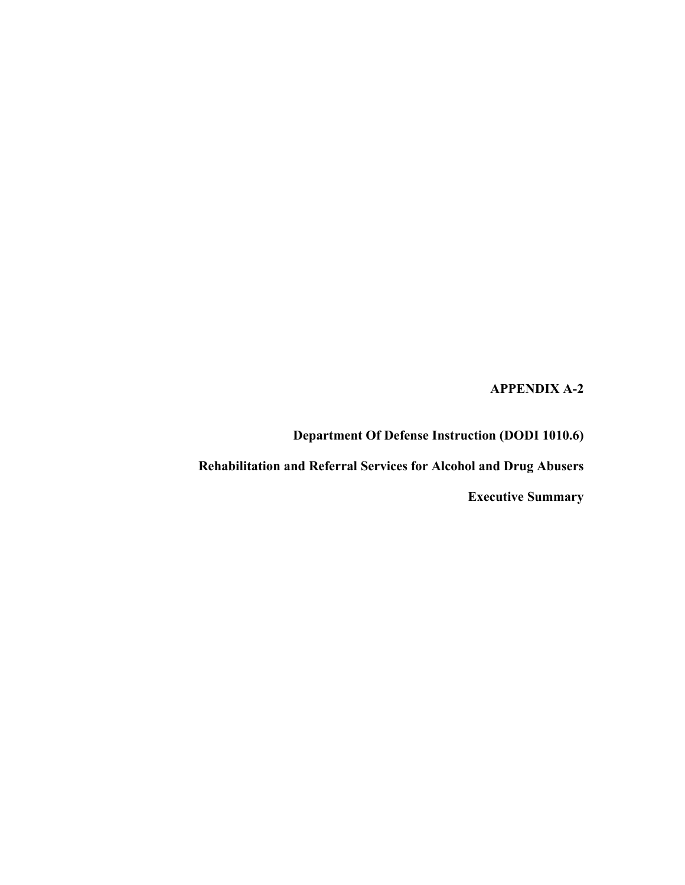**APPENDIX A-2** 

**Department Of Defense Instruction (DODI 1010.6)** 

**Rehabilitation and Referral Services for Alcohol and Drug Abusers** 

**Executive Summary**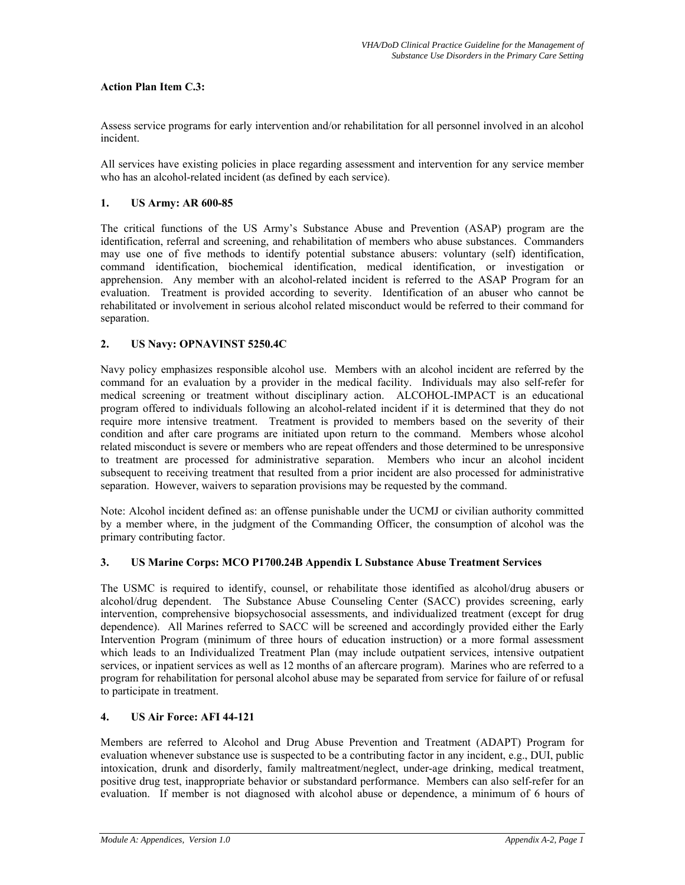# **Action Plan Item C.3:**

Assess service programs for early intervention and/or rehabilitation for all personnel involved in an alcohol incident.

All services have existing policies in place regarding assessment and intervention for any service member who has an alcohol-related incident (as defined by each service).

## **1. US Army: AR 600-85**

The critical functions of the US Army's Substance Abuse and Prevention (ASAP) program are the identification, referral and screening, and rehabilitation of members who abuse substances. Commanders may use one of five methods to identify potential substance abusers: voluntary (self) identification, command identification, biochemical identification, medical identification, or investigation or apprehension. Any member with an alcohol-related incident is referred to the ASAP Program for an evaluation. Treatment is provided according to severity. Identification of an abuser who cannot be rehabilitated or involvement in serious alcohol related misconduct would be referred to their command for separation.

# **2. US Navy: OPNAVINST 5250.4C**

Navy policy emphasizes responsible alcohol use. Members with an alcohol incident are referred by the command for an evaluation by a provider in the medical facility. Individuals may also self-refer for medical screening or treatment without disciplinary action. ALCOHOL-IMPACT is an educational program offered to individuals following an alcohol-related incident if it is determined that they do not require more intensive treatment. Treatment is provided to members based on the severity of their condition and after care programs are initiated upon return to the command. Members whose alcohol related misconduct is severe or members who are repeat offenders and those determined to be unresponsive to treatment are processed for administrative separation. Members who incur an alcohol incident subsequent to receiving treatment that resulted from a prior incident are also processed for administrative separation. However, waivers to separation provisions may be requested by the command.

Note: Alcohol incident defined as: an offense punishable under the UCMJ or civilian authority committed by a member where, in the judgment of the Commanding Officer, the consumption of alcohol was the primary contributing factor.

# **3. US Marine Corps: MCO P1700.24B Appendix L Substance Abuse Treatment Services**

The USMC is required to identify, counsel, or rehabilitate those identified as alcohol/drug abusers or alcohol/drug dependent. The Substance Abuse Counseling Center (SACC) provides screening, early intervention, comprehensive biopsychosocial assessments, and individualized treatment (except for drug dependence). All Marines referred to SACC will be screened and accordingly provided either the Early Intervention Program (minimum of three hours of education instruction) or a more formal assessment which leads to an Individualized Treatment Plan (may include outpatient services, intensive outpatient services, or inpatient services as well as 12 months of an aftercare program). Marines who are referred to a program for rehabilitation for personal alcohol abuse may be separated from service for failure of or refusal to participate in treatment.

# **4. US Air Force: AFI 44-121**

Members are referred to Alcohol and Drug Abuse Prevention and Treatment (ADAPT) Program for evaluation whenever substance use is suspected to be a contributing factor in any incident, e.g., DUI, public intoxication, drunk and disorderly, family maltreatment/neglect, under-age drinking, medical treatment, positive drug test, inappropriate behavior or substandard performance. Members can also self-refer for an evaluation. If member is not diagnosed with alcohol abuse or dependence, a minimum of 6 hours of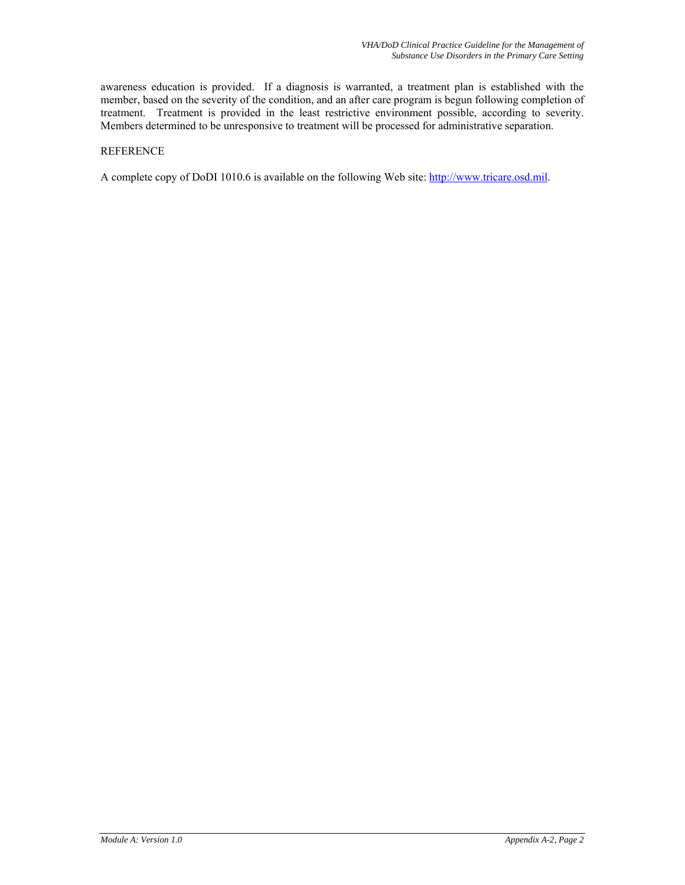awareness education is provided. If a diagnosis is warranted, a treatment plan is established with the member, based on the severity of the condition, and an after care program is begun following completion of treatment. Treatment is provided in the least restrictive environment possible, according to severity. Members determined to be unresponsive to treatment will be processed for administrative separation.

## **REFERENCE**

A complete copy of DoDI 1010.6 is available on the following Web site: [http://www.tricare.osd.mil.](http://www.tricare.osd.mil/)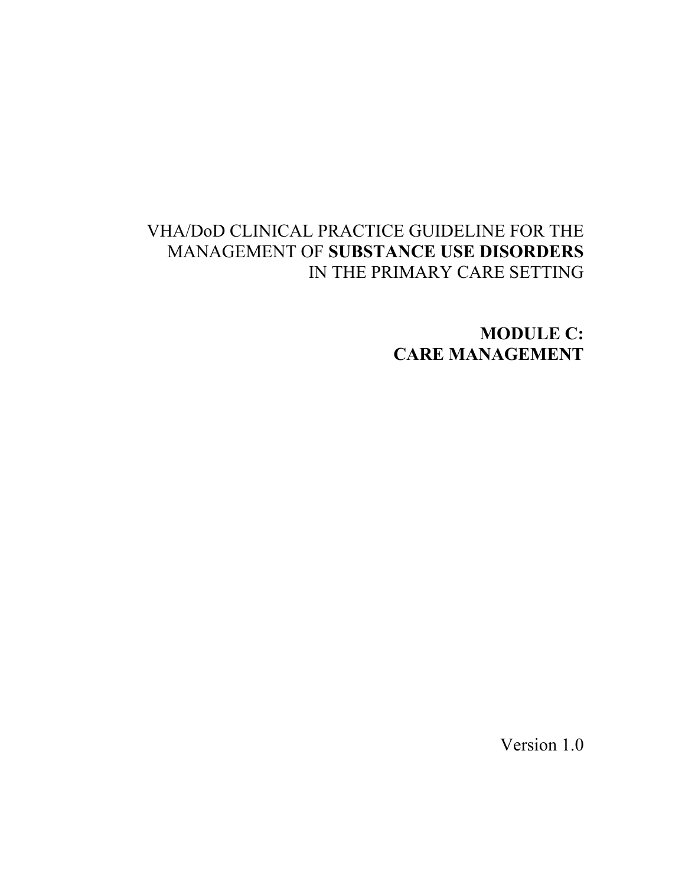# VHA/DoD CLINICAL PRACTICE GUIDELINE FOR THE MANAGEMENT OF **SUBSTANCE USE DISORDERS** IN THE PRIMARY CARE SETTING

**MODULE C: CARE MANAGEMENT** 

Version 1.0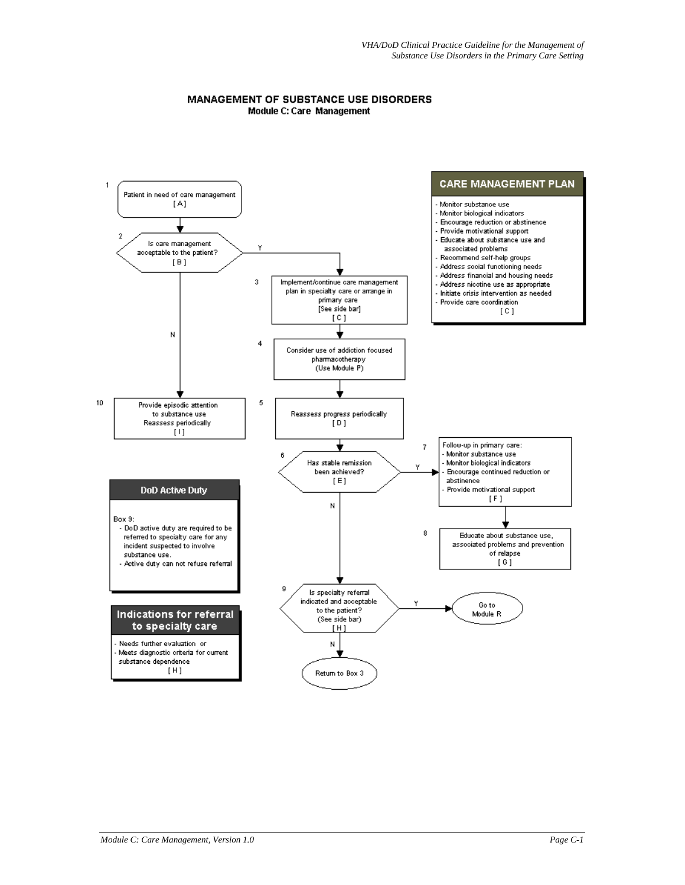#### MANAGEMENT OF SUBSTANCE USE DISORDERS Module C: Care Management

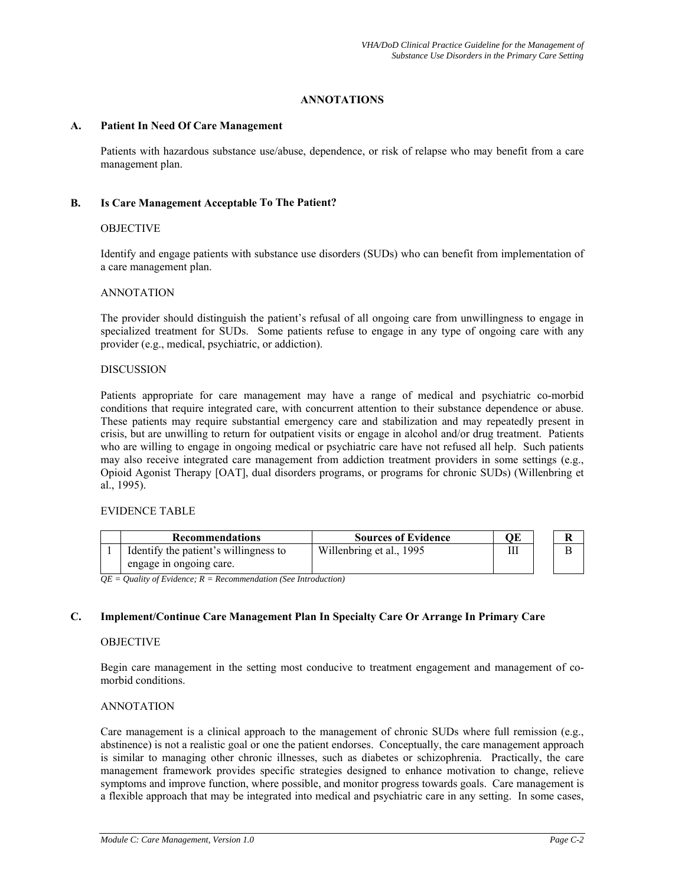# **ANNOTATIONS**

## **A. Patient In Need Of Care Management**

Patients with hazardous substance use/abuse, dependence, or risk of relapse who may benefit from a care management plan.

## **B. Is Care Management Acceptable To The Patient?**

## **OBJECTIVE**

Identify and engage patients with substance use disorders (SUDs) who can benefit from implementation of a care management plan.

## ANNOTATION

The provider should distinguish the patient's refusal of all ongoing care from unwillingness to engage in specialized treatment for SUDs. Some patients refuse to engage in any type of ongoing care with any provider (e.g., medical, psychiatric, or addiction).

### DISCUSSION

Patients appropriate for care management may have a range of medical and psychiatric co-morbid conditions that require integrated care, with concurrent attention to their substance dependence or abuse. These patients may require substantial emergency care and stabilization and may repeatedly present in crisis, but are unwilling to return for outpatient visits or engage in alcohol and/or drug treatment. Patients who are willing to engage in ongoing medical or psychiatric care have not refused all help. Such patients may also receive integrated care management from addiction treatment providers in some settings (e.g., Opioid Agonist Therapy [OAT], dual disorders programs, or programs for chronic SUDs) (Willenbring et al., 1995).

## EVIDENCE TABLE

| <b>Recommendations</b>                | <b>Sources of Evidence</b> | ОE |  |
|---------------------------------------|----------------------------|----|--|
| Identify the patient's willingness to | Willenbring et al., 1995   | Ш  |  |
| engage in ongoing care.               |                            |    |  |

*QE = Quality of Evidence; R = Recommendation (See Introduction)* 

# **C. Implement/Continue Care Management Plan In Specialty Care Or Arrange In Primary Care**

### **OBJECTIVE**

Begin care management in the setting most conducive to treatment engagement and management of comorbid conditions.

### ANNOTATION

Care management is a clinical approach to the management of chronic SUDs where full remission (e.g., abstinence) is not a realistic goal or one the patient endorses. Conceptually, the care management approach is similar to managing other chronic illnesses, such as diabetes or schizophrenia. Practically, the care management framework provides specific strategies designed to enhance motivation to change, relieve symptoms and improve function, where possible, and monitor progress towards goals. Care management is a flexible approach that may be integrated into medical and psychiatric care in any setting. In some cases,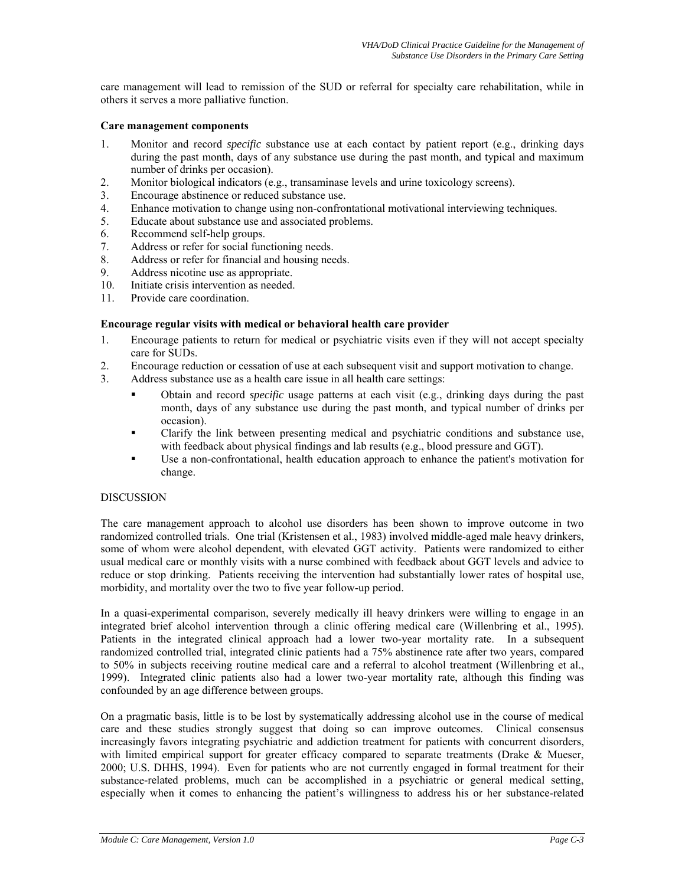care management will lead to remission of the SUD or referral for specialty care rehabilitation, while in others it serves a more palliative function.

## **Care management components**

- 1. Monitor and record *specific* substance use at each contact by patient report (e.g., drinking days during the past month, days of any substance use during the past month, and typical and maximum number of drinks per occasion).
- 2. Monitor biological indicators (e.g., transaminase levels and urine toxicology screens).
- 3. Encourage abstinence or reduced substance use.
- 4. Enhance motivation to change using non-confrontational motivational interviewing techniques.
- 5. Educate about substance use and associated problems.
- 6. Recommend self-help groups.
- 7. Address or refer for social functioning needs.
- 8. Address or refer for financial and housing needs.
- 9. Address nicotine use as appropriate.
- 10. Initiate crisis intervention as needed.
- 11. Provide care coordination.

# **Encourage regular visits with medical or behavioral health care provider**

- 1. Encourage patients to return for medical or psychiatric visits even if they will not accept specialty care for SUDs.
- 2. Encourage reduction or cessation of use at each subsequent visit and support motivation to change.
- 3. Address substance use as a health care issue in all health care settings:
	- Obtain and record *specific* usage patterns at each visit (e.g., drinking days during the past month, days of any substance use during the past month, and typical number of drinks per occasion).
	- Clarify the link between presenting medical and psychiatric conditions and substance use, with feedback about physical findings and lab results (e.g., blood pressure and GGT).
	- Use a non-confrontational, health education approach to enhance the patient's motivation for change.

# **DISCUSSION**

The care management approach to alcohol use disorders has been shown to improve outcome in two randomized controlled trials. One trial (Kristensen et al., 1983) involved middle-aged male heavy drinkers, some of whom were alcohol dependent, with elevated GGT activity. Patients were randomized to either usual medical care or monthly visits with a nurse combined with feedback about GGT levels and advice to reduce or stop drinking. Patients receiving the intervention had substantially lower rates of hospital use, morbidity, and mortality over the two to five year follow-up period.

In a quasi-experimental comparison, severely medically ill heavy drinkers were willing to engage in an integrated brief alcohol intervention through a clinic offering medical care (Willenbring et al., 1995). Patients in the integrated clinical approach had a lower two-year mortality rate. In a subsequent randomized controlled trial, integrated clinic patients had a 75% abstinence rate after two years, compared to 50% in subjects receiving routine medical care and a referral to alcohol treatment (Willenbring et al., 1999). Integrated clinic patients also had a lower two-year mortality rate, although this finding was confounded by an age difference between groups.

On a pragmatic basis, little is to be lost by systematically addressing alcohol use in the course of medical care and these studies strongly suggest that doing so can improve outcomes. Clinical consensus increasingly favors integrating psychiatric and addiction treatment for patients with concurrent disorders, with limited empirical support for greater efficacy compared to separate treatments (Drake & Mueser, 2000; U.S. DHHS, 1994). Even for patients who are not currently engaged in formal treatment for their substance-related problems, much can be accomplished in a psychiatric or general medical setting, especially when it comes to enhancing the patient's willingness to address his or her substance-related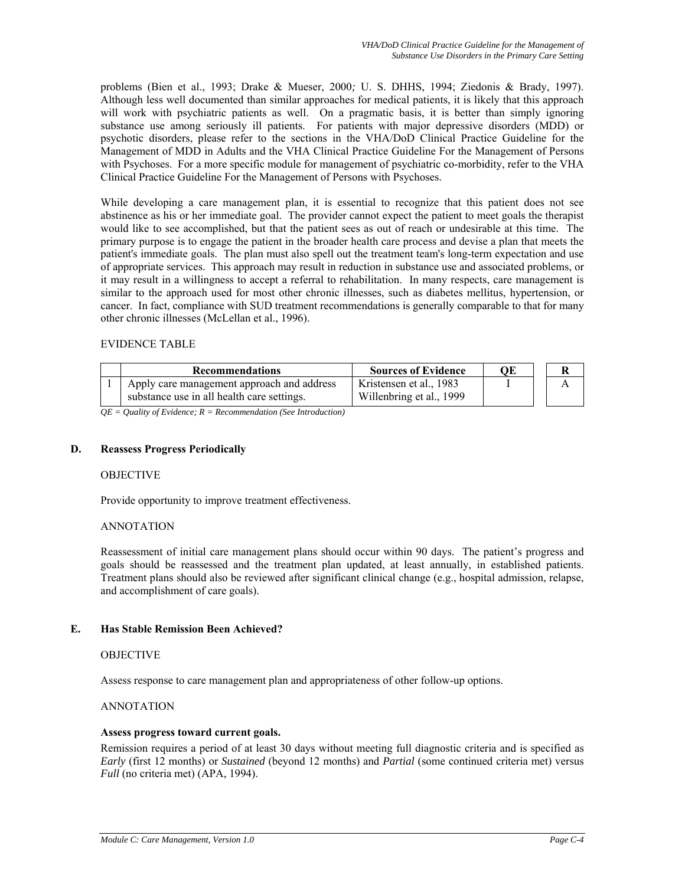problems (Bien et al., 1993; Drake & Mueser, 2000*;* U. S. DHHS, 1994; Ziedonis & Brady, 1997). Although less well documented than similar approaches for medical patients, it is likely that this approach will work with psychiatric patients as well. On a pragmatic basis, it is better than simply ignoring substance use among seriously ill patients. For patients with major depressive disorders (MDD) or psychotic disorders, please refer to the sections in the VHA/DoD Clinical Practice Guideline for the Management of MDD in Adults and the VHA Clinical Practice Guideline For the Management of Persons with Psychoses. For a more specific module for management of psychiatric co-morbidity, refer to the VHA Clinical Practice Guideline For the Management of Persons with Psychoses.

While developing a care management plan, it is essential to recognize that this patient does not see abstinence as his or her immediate goal. The provider cannot expect the patient to meet goals the therapist would like to see accomplished, but that the patient sees as out of reach or undesirable at this time. The primary purpose is to engage the patient in the broader health care process and devise a plan that meets the patient's immediate goals. The plan must also spell out the treatment team's long-term expectation and use of appropriate services. This approach may result in reduction in substance use and associated problems, or it may result in a willingness to accept a referral to rehabilitation. In many respects, care management is similar to the approach used for most other chronic illnesses, such as diabetes mellitus, hypertension, or cancer. In fact, compliance with SUD treatment recommendations is generally comparable to that for many other chronic illnesses (McLellan et al., 1996).

# EVIDENCE TABLE

| <b>Recommendations</b>                                                                   | <b>Sources of Evidence</b>                          | OЕ | R |
|------------------------------------------------------------------------------------------|-----------------------------------------------------|----|---|
| Apply care management approach and address<br>substance use in all health care settings. | Kristensen et al., 1983<br>Willenbring et al., 1999 |    |   |

*QE = Quality of Evidence; R = Recommendation (See Introduction)* 

# **D. Reassess Progress Periodically**

### OBJECTIVE

Provide opportunity to improve treatment effectiveness.

# ANNOTATION

Reassessment of initial care management plans should occur within 90 days. The patient's progress and goals should be reassessed and the treatment plan updated, at least annually, in established patients. Treatment plans should also be reviewed after significant clinical change (e.g., hospital admission, relapse, and accomplishment of care goals).

# **E. Has Stable Remission Been Achieved?**

### OBJECTIVE

Assess response to care management plan and appropriateness of other follow-up options.

## ANNOTATION

### **Assess progress toward current goals.**

Remission requires a period of at least 30 days without meeting full diagnostic criteria and is specified as *Early* (first 12 months) or *Sustained* (beyond 12 months) and *Partial* (some continued criteria met) versus *Full* (no criteria met) (APA, 1994).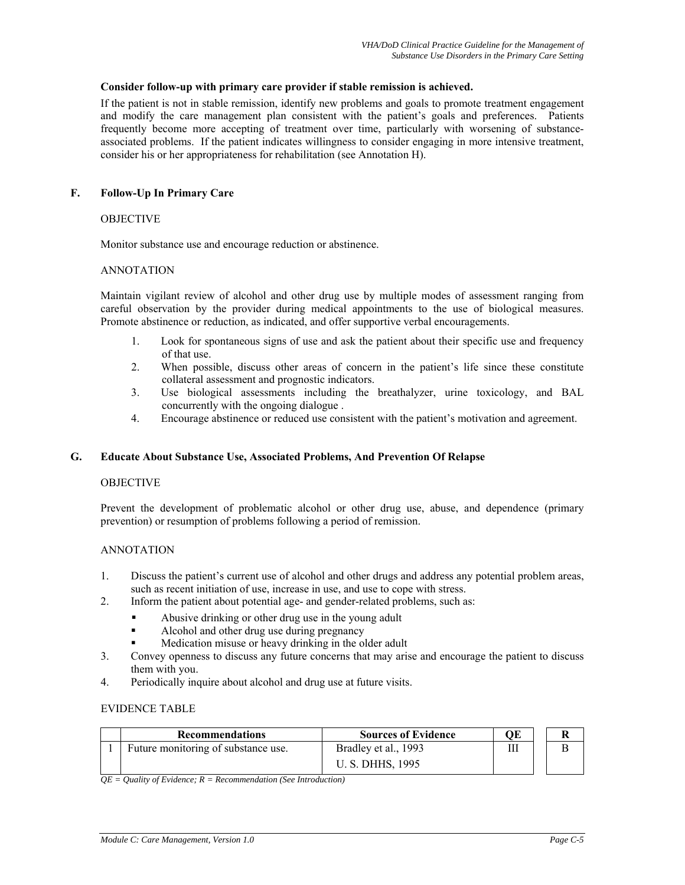## **Consider follow-up with primary care provider if stable remission is achieved.**

If the patient is not in stable remission, identify new problems and goals to promote treatment engagement and modify the care management plan consistent with the patient's goals and preferences. Patients frequently become more accepting of treatment over time, particularly with worsening of substanceassociated problems. If the patient indicates willingness to consider engaging in more intensive treatment, consider his or her appropriateness for rehabilitation (see Annotation H).

# **F. Follow-Up In Primary Care**

## **OBJECTIVE**

Monitor substance use and encourage reduction or abstinence.

## ANNOTATION

Maintain vigilant review of alcohol and other drug use by multiple modes of assessment ranging from careful observation by the provider during medical appointments to the use of biological measures. Promote abstinence or reduction, as indicated, and offer supportive verbal encouragements.

- 1. Look for spontaneous signs of use and ask the patient about their specific use and frequency of that use.
- 2. When possible, discuss other areas of concern in the patient's life since these constitute collateral assessment and prognostic indicators.
- 3. Use biological assessments including the breathalyzer, urine toxicology, and BAL concurrently with the ongoing dialogue .
- 4. Encourage abstinence or reduced use consistent with the patient's motivation and agreement.

### **G. Educate About Substance Use, Associated Problems, And Prevention Of Relapse**

### **OBJECTIVE**

Prevent the development of problematic alcohol or other drug use, abuse, and dependence (primary prevention) or resumption of problems following a period of remission.

# ANNOTATION

- 1. Discuss the patient's current use of alcohol and other drugs and address any potential problem areas, such as recent initiation of use, increase in use, and use to cope with stress.
- 2. Inform the patient about potential age- and gender-related problems, such as:
	- Abusive drinking or other drug use in the young adult
	- Alcohol and other drug use during pregnancy
	- Medication misuse or heavy drinking in the older adult
- 3. Convey openness to discuss any future concerns that may arise and encourage the patient to discuss them with you.
- 4. Periodically inquire about alcohol and drug use at future visits.

## EVIDENCE TABLE

| <b>Recommendations</b>              | <b>Sources of Evidence</b> | ОE |  |
|-------------------------------------|----------------------------|----|--|
| Future monitoring of substance use. | Bradley et al., 1993       | Ш  |  |
|                                     | U. S. DHHS, 1995           |    |  |

*QE = Quality of Evidence; R = Recommendation (See Introduction)*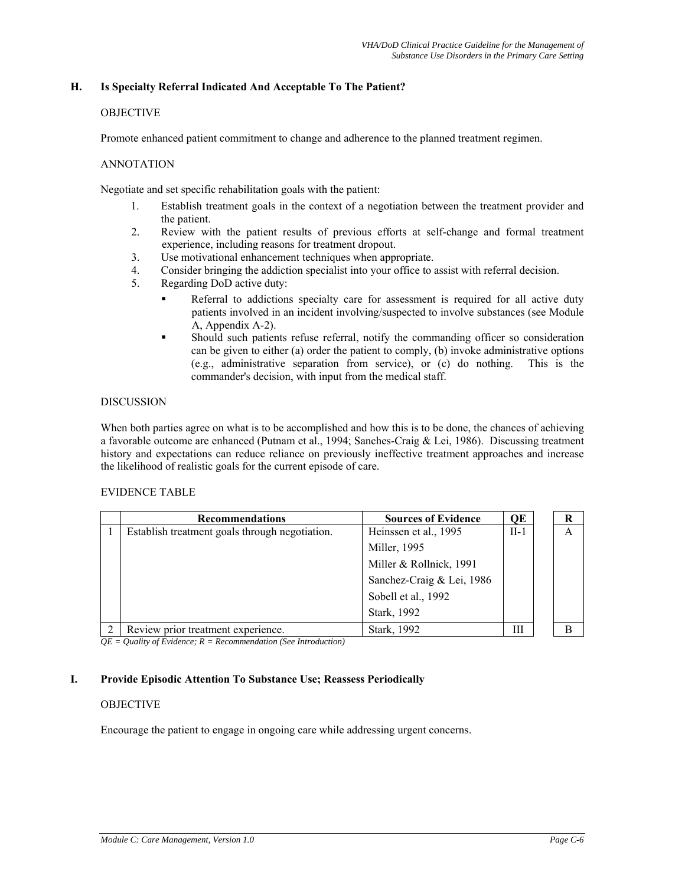# **H. Is Specialty Referral Indicated And Acceptable To The Patient?**

# OBJECTIVE

Promote enhanced patient commitment to change and adherence to the planned treatment regimen.

## ANNOTATION

Negotiate and set specific rehabilitation goals with the patient:

- 1. Establish treatment goals in the context of a negotiation between the treatment provider and the patient.
- 2. Review with the patient results of previous efforts at self-change and formal treatment experience, including reasons for treatment dropout.
- 3. Use motivational enhancement techniques when appropriate.
- 4. Consider bringing the addiction specialist into your office to assist with referral decision.
- 5. Regarding DoD active duty:
	- Referral to addictions specialty care for assessment is required for all active duty patients involved in an incident involving/suspected to involve substances (see Module A, Appendix A-2).
	- Should such patients refuse referral, notify the commanding officer so consideration can be given to either (a) order the patient to comply, (b) invoke administrative options (e.g., administrative separation from service), or (c) do nothing. This is the commander's decision, with input from the medical staff.

## DISCUSSION

When both parties agree on what is to be accomplished and how this is to be done, the chances of achieving a favorable outcome are enhanced (Putnam et al., 1994; Sanches-Craig & Lei, 1986). Discussing treatment history and expectations can reduce reliance on previously ineffective treatment approaches and increase the likelihood of realistic goals for the current episode of care.

## EVIDENCE TABLE

| <b>Recommendations</b>                         | <b>Sources of Evidence</b> | QE     | R |
|------------------------------------------------|----------------------------|--------|---|
| Establish treatment goals through negotiation. | Heinssen et al., 1995      | $II-1$ | A |
|                                                | Miller, 1995               |        |   |
|                                                | Miller & Rollnick, 1991    |        |   |
|                                                | Sanchez-Craig & Lei, 1986  |        |   |
|                                                | Sobell et al., 1992        |        |   |
|                                                | Stark, 1992                |        |   |
| Review prior treatment experience.             | Stark, 1992                | Ш      | R |

*QE = Quality of Evidence; R = Recommendation (See Introduction)* 

# **I. Provide Episodic Attention To Substance Use; Reassess Periodically**

# **OBJECTIVE**

Encourage the patient to engage in ongoing care while addressing urgent concerns.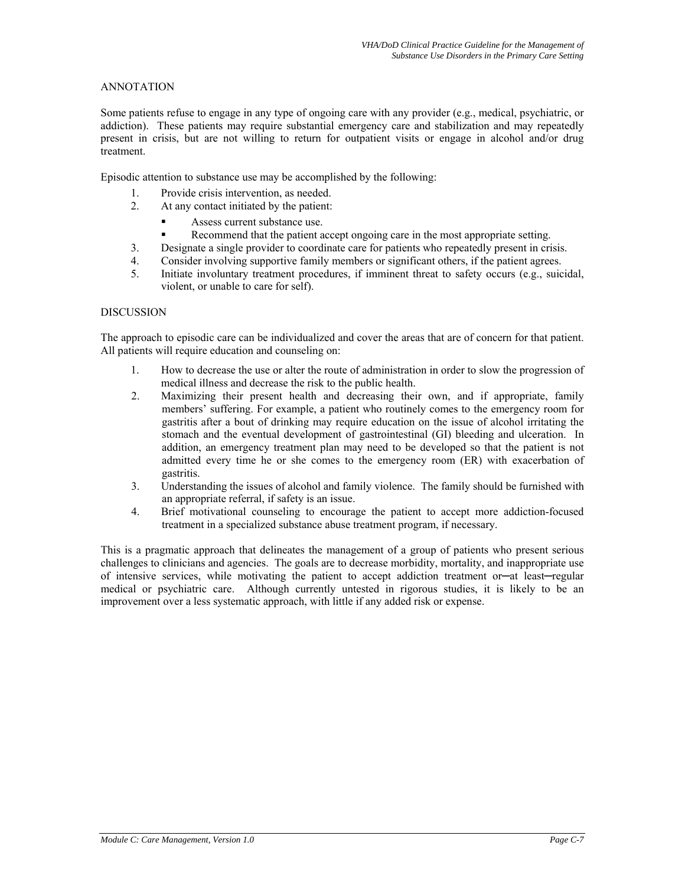# ANNOTATION

Some patients refuse to engage in any type of ongoing care with any provider (e.g., medical, psychiatric, or addiction). These patients may require substantial emergency care and stabilization and may repeatedly present in crisis, but are not willing to return for outpatient visits or engage in alcohol and/or drug treatment.

Episodic attention to substance use may be accomplished by the following:

- 1. Provide crisis intervention, as needed.
- 2. At any contact initiated by the patient:
	- Assess current substance use.
	- Recommend that the patient accept ongoing care in the most appropriate setting.
- 3. Designate a single provider to coordinate care for patients who repeatedly present in crisis.
- 4. Consider involving supportive family members or significant others, if the patient agrees.
- 5. Initiate involuntary treatment procedures, if imminent threat to safety occurs (e.g., suicidal, violent, or unable to care for self).

# DISCUSSION

The approach to episodic care can be individualized and cover the areas that are of concern for that patient. All patients will require education and counseling on:

- 1. How to decrease the use or alter the route of administration in order to slow the progression of medical illness and decrease the risk to the public health.
- 2. Maximizing their present health and decreasing their own, and if appropriate, family members' suffering. For example, a patient who routinely comes to the emergency room for gastritis after a bout of drinking may require education on the issue of alcohol irritating the stomach and the eventual development of gastrointestinal (GI) bleeding and ulceration. In addition, an emergency treatment plan may need to be developed so that the patient is not admitted every time he or she comes to the emergency room (ER) with exacerbation of gastritis.
- 3. Understanding the issues of alcohol and family violence. The family should be furnished with an appropriate referral, if safety is an issue.
- 4. Brief motivational counseling to encourage the patient to accept more addiction-focused treatment in a specialized substance abuse treatment program, if necessary.

This is a pragmatic approach that delineates the management of a group of patients who present serious challenges to clinicians and agencies. The goals are to decrease morbidity, mortality, and inappropriate use of intensive services, while motivating the patient to accept addiction treatment or—at least—regular medical or psychiatric care. Although currently untested in rigorous studies, it is likely to be an improvement over a less systematic approach, with little if any added risk or expense.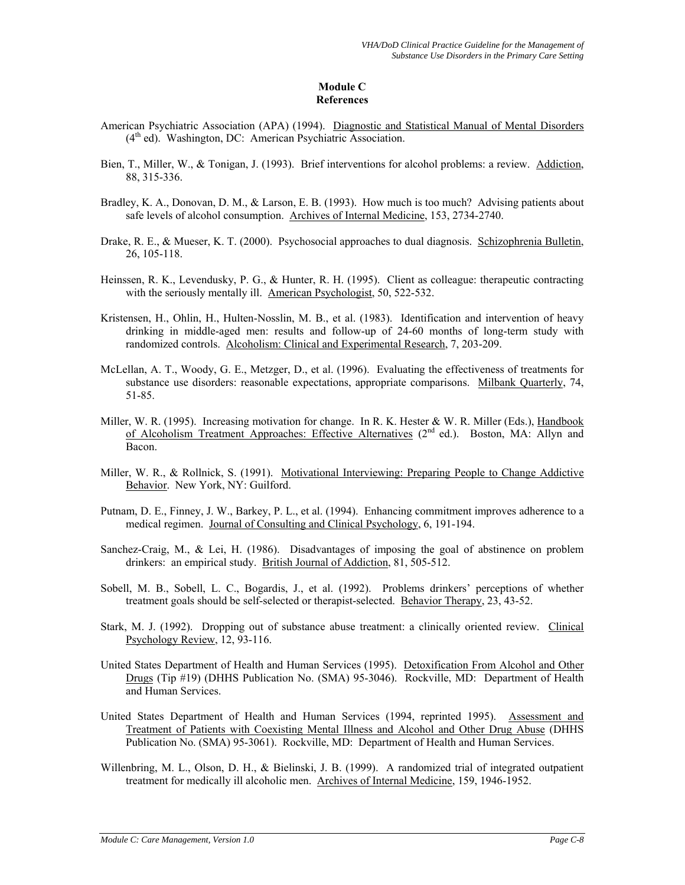# **Module C References**

- American Psychiatric Association (APA) (1994). Diagnostic and Statistical Manual of Mental Disorders  $(4<sup>th</sup>$  ed). Washington, DC: American Psychiatric Association.
- Bien, T., Miller, W., & Tonigan, J. (1993). Brief interventions for alcohol problems: a review. Addiction, 88, 315-336.
- Bradley, K. A., Donovan, D. M., & Larson, E. B. (1993). How much is too much? Advising patients about safe levels of alcohol consumption. Archives of Internal Medicine, 153, 2734-2740.
- Drake, R. E., & Mueser, K. T. (2000). Psychosocial approaches to dual diagnosis. Schizophrenia Bulletin, 26, 105-118.
- Heinssen, R. K., Levendusky, P. G., & Hunter, R. H. (1995). Client as colleague: therapeutic contracting with the seriously mentally ill. American Psychologist, 50, 522-532.
- Kristensen, H., Ohlin, H., Hulten-Nosslin, M. B., et al. (1983). Identification and intervention of heavy drinking in middle-aged men: results and follow-up of 24-60 months of long-term study with randomized controls. Alcoholism: Clinical and Experimental Research, 7, 203-209.
- McLellan, A. T., Woody, G. E., Metzger, D., et al. (1996). Evaluating the effectiveness of treatments for substance use disorders: reasonable expectations, appropriate comparisons. Milbank Quarterly, 74, 51-85.
- Miller, W. R. (1995). Increasing motivation for change. In R. K. Hester & W. R. Miller (Eds.), Handbook of Alcoholism Treatment Approaches: Effective Alternatives (2<sup>nd</sup> ed.). Boston, MA: Allyn and Bacon.
- Miller, W. R., & Rollnick, S. (1991). Motivational Interviewing: Preparing People to Change Addictive Behavior. New York, NY: Guilford.
- Putnam, D. E., Finney, J. W., Barkey, P. L., et al. (1994). Enhancing commitment improves adherence to a medical regimen. Journal of Consulting and Clinical Psychology, 6, 191-194.
- Sanchez-Craig, M., & Lei, H. (1986). Disadvantages of imposing the goal of abstinence on problem drinkers: an empirical study. British Journal of Addiction, 81, 505-512.
- Sobell, M. B., Sobell, L. C., Bogardis, J., et al. (1992). Problems drinkers' perceptions of whether treatment goals should be self-selected or therapist-selected. Behavior Therapy, 23, 43-52.
- Stark, M. J. (1992). Dropping out of substance abuse treatment: a clinically oriented review. Clinical Psychology Review, 12, 93-116.
- United States Department of Health and Human Services (1995). Detoxification From Alcohol and Other Drugs (Tip #19) (DHHS Publication No. (SMA) 95-3046). Rockville, MD: Department of Health and Human Services.
- United States Department of Health and Human Services (1994, reprinted 1995). Assessment and Treatment of Patients with Coexisting Mental Illness and Alcohol and Other Drug Abuse (DHHS Publication No. (SMA) 95-3061). Rockville, MD: Department of Health and Human Services.
- Willenbring, M. L., Olson, D. H., & Bielinski, J. B. (1999). A randomized trial of integrated outpatient treatment for medically ill alcoholic men. Archives of Internal Medicine, 159, 1946-1952.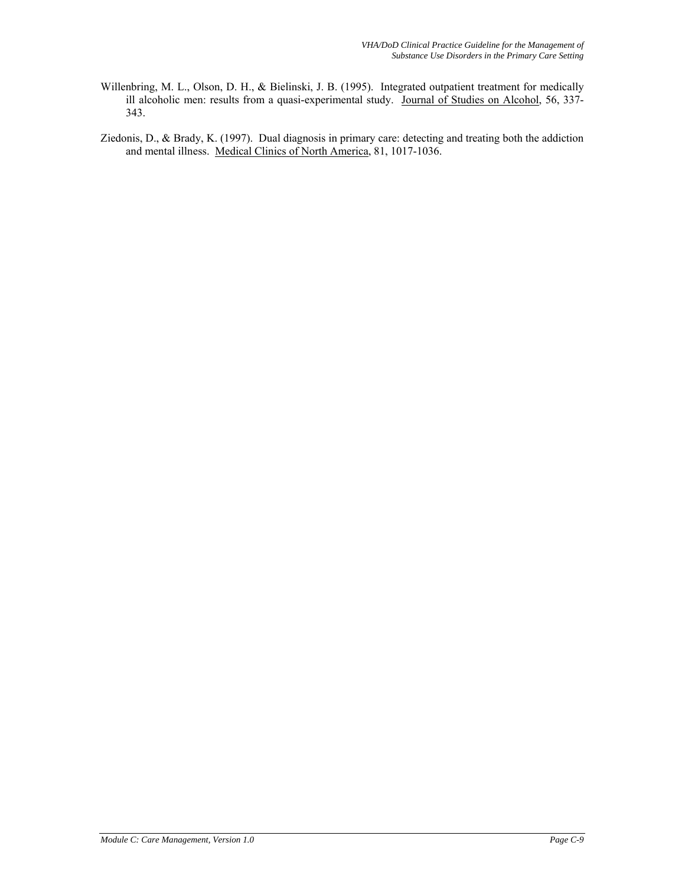- Willenbring, M. L., Olson, D. H., & Bielinski, J. B. (1995). Integrated outpatient treatment for medically ill alcoholic men: results from a quasi-experimental study. Journal of Studies on Alcohol, 56, 337- 343.
- Ziedonis, D., & Brady, K. (1997). Dual diagnosis in primary care: detecting and treating both the addiction and mental illness. Medical Clinics of North America, 81, 1017-1036.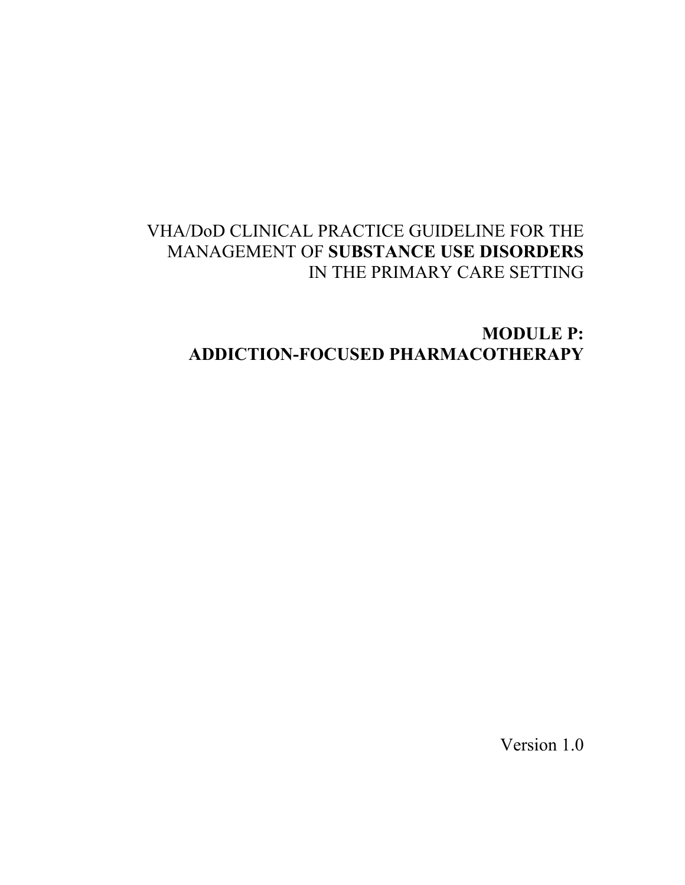# VHA/DoD CLINICAL PRACTICE GUIDELINE FOR THE MANAGEMENT OF **SUBSTANCE USE DISORDERS**  IN THE PRIMARY CARE SETTING

# **MODULE P: ADDICTION-FOCUSED PHARMACOTHERAPY**

Version 1.0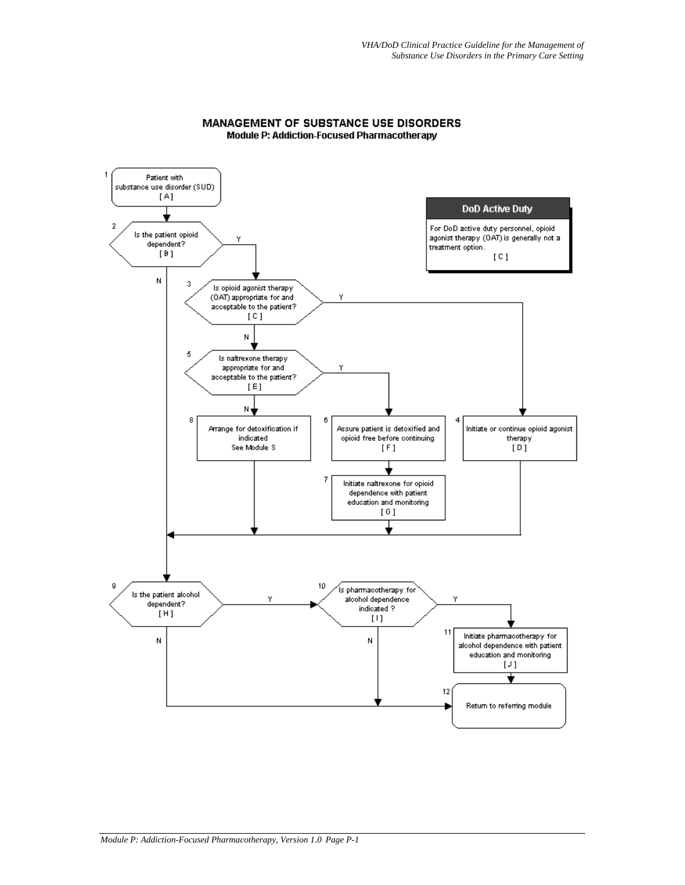

## MANAGEMENT OF SUBSTANCE USE DISORDERS Module P: Addiction-Focused Pharmacotherapy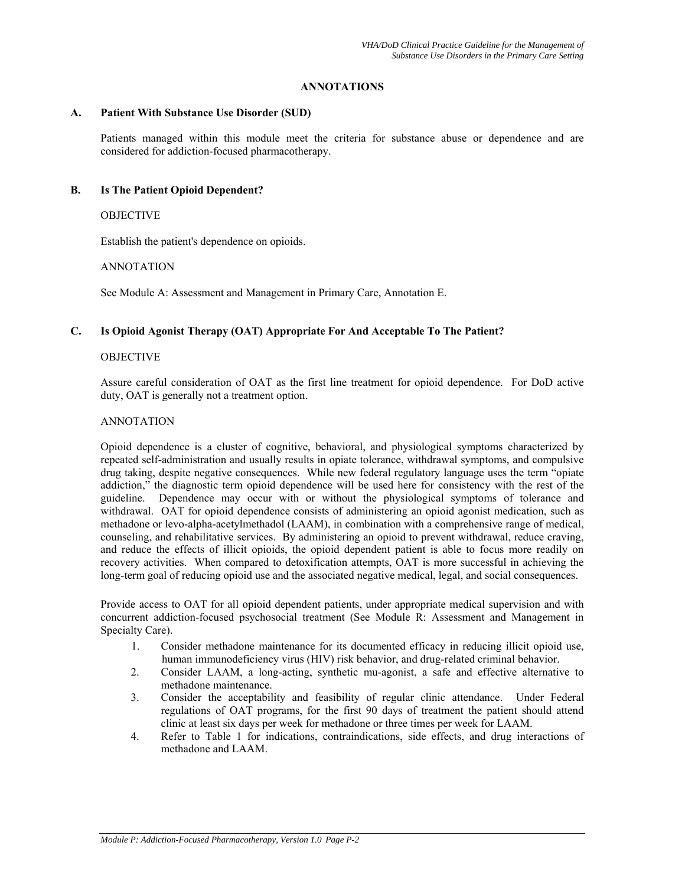# **ANNOTATIONS**

## **A. Patient With Substance Use Disorder (SUD)**

Patients managed within this module meet the criteria for substance abuse or dependence and are considered for addiction-focused pharmacotherapy.

# **B. Is The Patient Opioid Dependent?**

# OBJECTIVE

Establish the patient's dependence on opioids.

# ANNOTATION

See Module A: Assessment and Management in Primary Care, Annotation E.

# **C. Is Opioid Agonist Therapy (OAT) Appropriate For And Acceptable To The Patient?**

# OBJECTIVE

Assure careful consideration of OAT as the first line treatment for opioid dependence. For DoD active duty, OAT is generally not a treatment option.

# ANNOTATION

Opioid dependence is a cluster of cognitive, behavioral, and physiological symptoms characterized by repeated self-administration and usually results in opiate tolerance, withdrawal symptoms, and compulsive drug taking, despite negative consequences. While new federal regulatory language uses the term "opiate addiction," the diagnostic term opioid dependence will be used here for consistency with the rest of the guideline. Dependence may occur with or without the physiological symptoms of tolerance and withdrawal. OAT for opioid dependence consists of administering an opioid agonist medication, such as methadone or levo-alpha-acetylmethadol (LAAM), in combination with a comprehensive range of medical, counseling, and rehabilitative services. By administering an opioid to prevent withdrawal, reduce craving, and reduce the effects of illicit opioids, the opioid dependent patient is able to focus more readily on recovery activities. When compared to detoxification attempts, OAT is more successful in achieving the long-term goal of reducing opioid use and the associated negative medical, legal, and social consequences.

Provide access to OAT for all opioid dependent patients, under appropriate medical supervision and with concurrent addiction-focused psychosocial treatment (See Module R: Assessment and Management in Specialty Care).

- 1. Consider methadone maintenance for its documented efficacy in reducing illicit opioid use, human immunodeficiency virus (HIV) risk behavior, and drug-related criminal behavior.
- 2. Consider LAAM, a long-acting, synthetic mu-agonist, a safe and effective alternative to methadone maintenance.
- 3. Consider the acceptability and feasibility of regular clinic attendance. Under Federal regulations of OAT programs, for the first 90 days of treatment the patient should attend clinic at least six days per week for methadone or three times per week for LAAM.
- 4. Refer to Table 1 for indications, contraindications, side effects, and drug interactions of methadone and LAAM.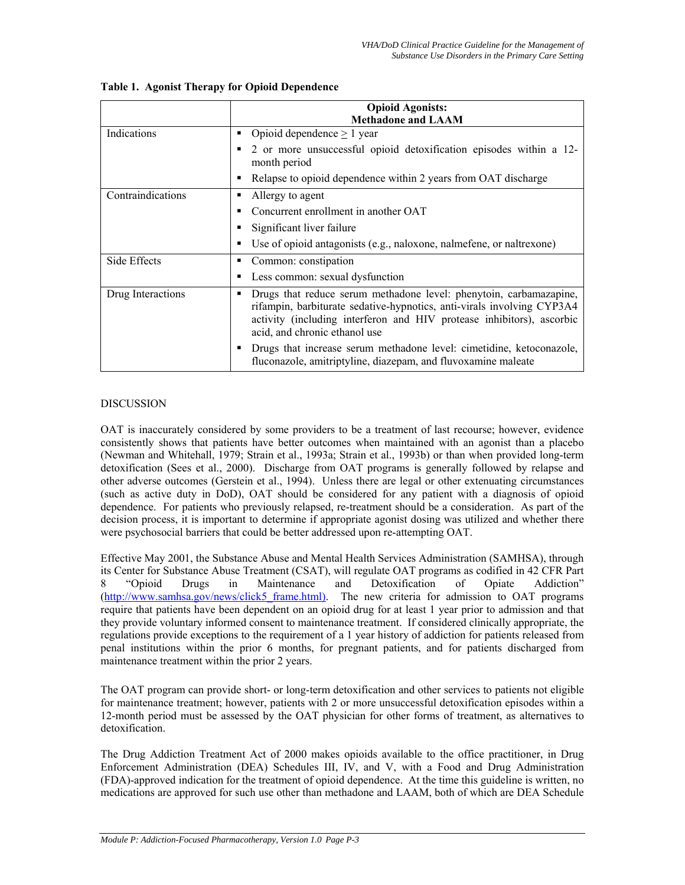|                   |   | <b>Opioid Agonists:</b><br><b>Methadone and LAAM</b>                                                                                                                                                                                                   |
|-------------------|---|--------------------------------------------------------------------------------------------------------------------------------------------------------------------------------------------------------------------------------------------------------|
| Indications       | п | Opioid dependence $> 1$ year                                                                                                                                                                                                                           |
|                   | п | 2 or more unsuccessful opioid detoxification episodes within a 12-<br>month period                                                                                                                                                                     |
|                   |   | Relapse to opioid dependence within 2 years from OAT discharge                                                                                                                                                                                         |
| Contraindications | п | Allergy to agent                                                                                                                                                                                                                                       |
|                   | п | Concurrent enrollment in another OAT                                                                                                                                                                                                                   |
|                   | п | Significant liver failure                                                                                                                                                                                                                              |
|                   |   | Use of opioid antagonists (e.g., naloxone, nalmefene, or naltrexone)                                                                                                                                                                                   |
| Side Effects      | п | Common: constipation                                                                                                                                                                                                                                   |
|                   | в | Less common: sexual dysfunction                                                                                                                                                                                                                        |
| Drug Interactions | п | Drugs that reduce serum methadone level: phenytoin, carbamazapine,<br>rifampin, barbiturate sedative-hypnotics, anti-virals involving CYP3A4<br>activity (including interferon and HIV protease inhibitors), ascorbic<br>acid, and chronic ethanol use |
|                   | п | Drugs that increase serum methadone level: cimetidine, ketoconazole,<br>fluconazole, amitriptyline, diazepam, and fluvoxamine maleate                                                                                                                  |

# **Table 1. Agonist Therapy for Opioid Dependence**

# **DISCUSSION**

OAT is inaccurately considered by some providers to be a treatment of last recourse; however, evidence consistently shows that patients have better outcomes when maintained with an agonist than a placebo (Newman and Whitehall, 1979; Strain et al., 1993a; Strain et al., 1993b) or than when provided long-term detoxification (Sees et al., 2000). Discharge from OAT programs is generally followed by relapse and other adverse outcomes (Gerstein et al., 1994). Unless there are legal or other extenuating circumstances (such as active duty in DoD), OAT should be considered for any patient with a diagnosis of opioid dependence. For patients who previously relapsed, re-treatment should be a consideration. As part of the decision process, it is important to determine if appropriate agonist dosing was utilized and whether there were psychosocial barriers that could be better addressed upon re-attempting OAT.

Effective May 2001, the Substance Abuse and Mental Health Services Administration (SAMHSA), through its Center for Substance Abuse Treatment (CSAT), will regulate OAT programs as codified in 42 CFR Part 8 "Opioid Drugs in Maintenance and Detoxification of Opiate Addiction" [\(http://www.samhsa.gov/news/click5\\_frame.html\)](http://www.samhsa.gov/news/click5_frame.html)). The new criteria for admission to OAT programs require that patients have been dependent on an opioid drug for at least 1 year prior to admission and that they provide voluntary informed consent to maintenance treatment. If considered clinically appropriate, the regulations provide exceptions to the requirement of a 1 year history of addiction for patients released from penal institutions within the prior 6 months, for pregnant patients, and for patients discharged from maintenance treatment within the prior 2 years.

The OAT program can provide short- or long-term detoxification and other services to patients not eligible for maintenance treatment; however, patients with 2 or more unsuccessful detoxification episodes within a 12-month period must be assessed by the OAT physician for other forms of treatment, as alternatives to detoxification.

The Drug Addiction Treatment Act of 2000 makes opioids available to the office practitioner, in Drug Enforcement Administration (DEA) Schedules III, IV, and V, with a Food and Drug Administration (FDA)-approved indication for the treatment of opioid dependence. At the time this guideline is written, no medications are approved for such use other than methadone and LAAM, both of which are DEA Schedule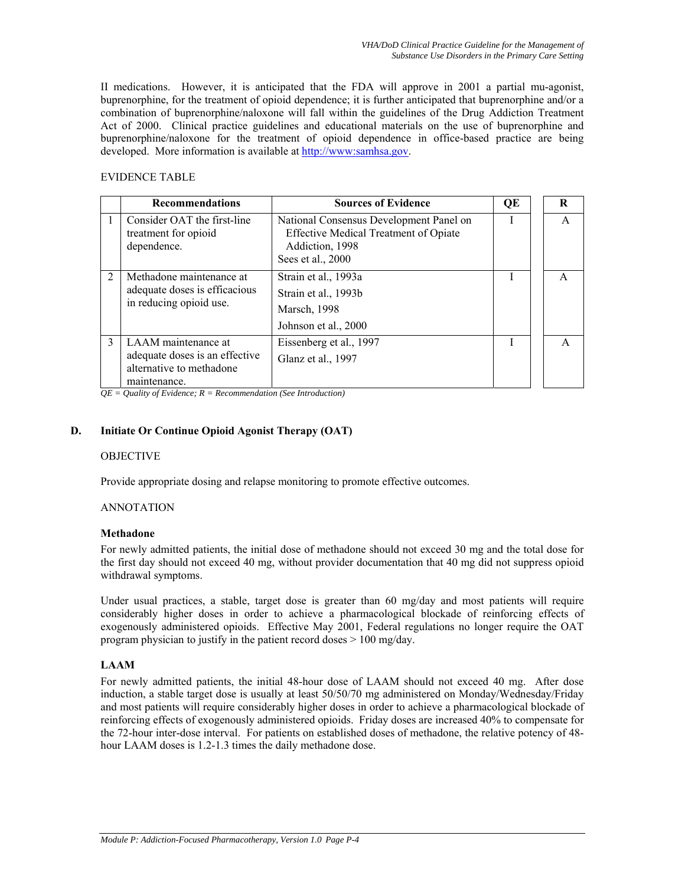II medications. However, it is anticipated that the FDA will approve in 2001 a partial mu-agonist, buprenorphine, for the treatment of opioid dependence; it is further anticipated that buprenorphine and/or a combination of buprenorphine/naloxone will fall within the guidelines of the Drug Addiction Treatment Act of 2000. Clinical practice guidelines and educational materials on the use of buprenorphine and buprenorphine/naloxone for the treatment of opioid dependence in office-based practice are being developed. More information is available at [http://www:samhsa.gov](http://www:samhsa.gov/).

# EVIDENCE TABLE

|                | <b>Recommendations</b>                                                                            | <b>Sources of Evidence</b>                                                                                               | QE | R |
|----------------|---------------------------------------------------------------------------------------------------|--------------------------------------------------------------------------------------------------------------------------|----|---|
|                | Consider OAT the first-line<br>treatment for opioid<br>dependence.                                | National Consensus Development Panel on<br>Effective Medical Treatment of Opiate<br>Addiction, 1998<br>Sees et al., 2000 | I  | A |
| $\overline{2}$ | Methadone maintenance at<br>adequate doses is efficacious<br>in reducing opioid use.              | Strain et al., 1993a<br>Strain et al., 1993b<br>Marsch, 1998<br>Johnson et al., 2000                                     |    | A |
| $\mathcal{L}$  | LAAM maintenance at<br>adequate doses is an effective<br>alternative to methadone<br>maintenance. | Eissenberg et al., 1997<br>Glanz et al., 1997                                                                            |    | A |

*QE = Quality of Evidence; R = Recommendation (See Introduction)* 

# **D. Initiate Or Continue Opioid Agonist Therapy (OAT)**

# OBJECTIVE

Provide appropriate dosing and relapse monitoring to promote effective outcomes.

# ANNOTATION

# **Methadone**

For newly admitted patients, the initial dose of methadone should not exceed 30 mg and the total dose for the first day should not exceed 40 mg, without provider documentation that 40 mg did not suppress opioid withdrawal symptoms.

Under usual practices, a stable, target dose is greater than 60 mg/day and most patients will require considerably higher doses in order to achieve a pharmacological blockade of reinforcing effects of exogenously administered opioids. Effective May 2001, Federal regulations no longer require the OAT program physician to justify in the patient record doses > 100 mg/day.

# **LAAM**

For newly admitted patients, the initial 48-hour dose of LAAM should not exceed 40 mg. After dose induction, a stable target dose is usually at least 50/50/70 mg administered on Monday/Wednesday/Friday and most patients will require considerably higher doses in order to achieve a pharmacological blockade of reinforcing effects of exogenously administered opioids. Friday doses are increased 40% to compensate for the 72-hour inter-dose interval. For patients on established doses of methadone, the relative potency of 48 hour LAAM doses is 1.2-1.3 times the daily methadone dose.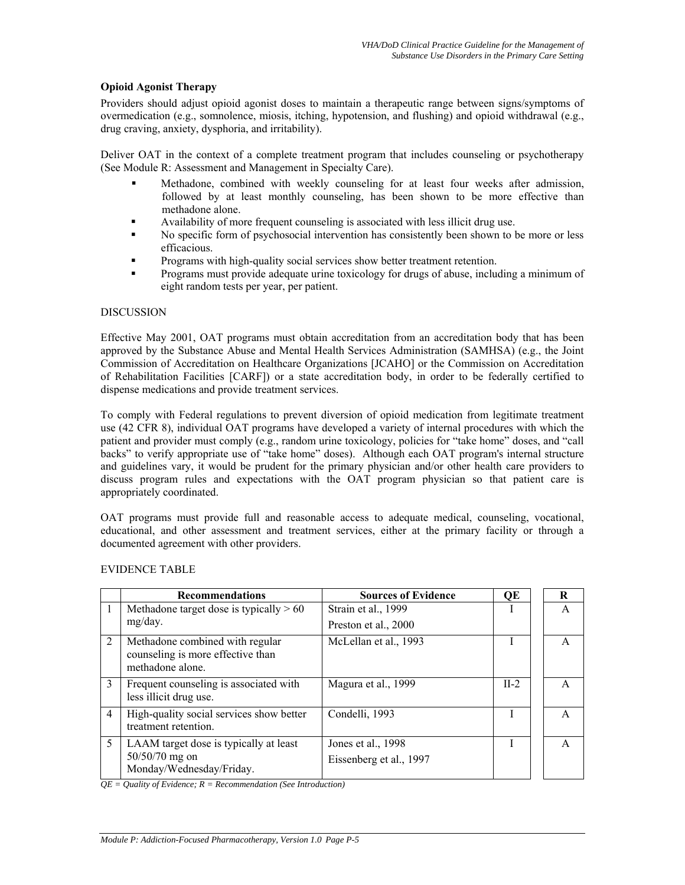# **Opioid Agonist Therapy**

Providers should adjust opioid agonist doses to maintain a therapeutic range between signs/symptoms of overmedication (e.g., somnolence, miosis, itching, hypotension, and flushing) and opioid withdrawal (e.g., drug craving, anxiety, dysphoria, and irritability).

Deliver OAT in the context of a complete treatment program that includes counseling or psychotherapy (See Module R: Assessment and Management in Specialty Care).

- Methadone, combined with weekly counseling for at least four weeks after admission, followed by at least monthly counseling, has been shown to be more effective than methadone alone.
- Availability of more frequent counseling is associated with less illicit drug use.
- No specific form of psychosocial intervention has consistently been shown to be more or less efficacious.
- Programs with high-quality social services show better treatment retention.
- Programs must provide adequate urine toxicology for drugs of abuse, including a minimum of eight random tests per year, per patient.

## DISCUSSION

Effective May 2001, OAT programs must obtain accreditation from an accreditation body that has been approved by the Substance Abuse and Mental Health Services Administration (SAMHSA) (e.g., the Joint Commission of Accreditation on Healthcare Organizations [JCAHO] or the Commission on Accreditation of Rehabilitation Facilities [CARF]) or a state accreditation body, in order to be federally certified to dispense medications and provide treatment services.

To comply with Federal regulations to prevent diversion of opioid medication from legitimate treatment use (42 CFR 8), individual OAT programs have developed a variety of internal procedures with which the patient and provider must comply (e.g., random urine toxicology, policies for "take home" doses, and "call backs" to verify appropriate use of "take home" doses). Although each OAT program's internal structure and guidelines vary, it would be prudent for the primary physician and/or other health care providers to discuss program rules and expectations with the OAT program physician so that patient care is appropriately coordinated.

OAT programs must provide full and reasonable access to adequate medical, counseling, vocational, educational, and other assessment and treatment services, either at the primary facility or through a documented agreement with other providers.

|               | <b>Recommendations</b>                                                                   | <b>Sources of Evidence</b> | QE     | R |
|---------------|------------------------------------------------------------------------------------------|----------------------------|--------|---|
| 1             | Methadone target dose is typically $> 60$                                                | Strain et al., 1999        |        | A |
|               | mg/day.                                                                                  | Preston et al., 2000       |        |   |
| 2             | Methadone combined with regular<br>counseling is more effective than<br>methadone alone. | McLellan et al., 1993      |        | A |
| $\mathcal{E}$ | Frequent counseling is associated with<br>less illicit drug use.                         | Magura et al., 1999        | $II-2$ | A |
| 4             | High-quality social services show better<br>treatment retention.                         | Condelli, 1993             |        | A |
| 5             | LAAM target dose is typically at least                                                   | Jones et al., 1998         |        | A |
|               | $50/50/70$ mg on<br>Monday/Wednesday/Friday.                                             | Eissenberg et al., 1997    |        |   |

### EVIDENCE TABLE

*QE = Quality of Evidence; R = Recommendation (See Introduction)*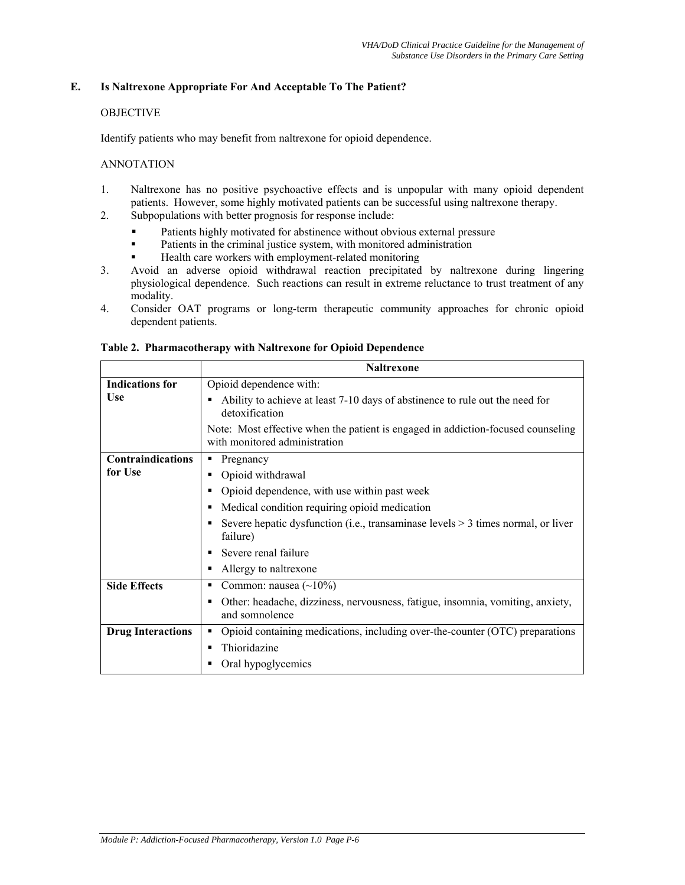# **E. Is Naltrexone Appropriate For And Acceptable To The Patient?**

## OBJECTIVE

Identify patients who may benefit from naltrexone for opioid dependence.

## ANNOTATION

- 1. Naltrexone has no positive psychoactive effects and is unpopular with many opioid dependent patients. However, some highly motivated patients can be successful using naltrexone therapy.
- 2. Subpopulations with better prognosis for response include:
	- **Patients highly motivated for abstinence without obvious external pressure**
	- **Patients in the criminal justice system, with monitored administration**
	- Health care workers with employment-related monitoring
- 3. Avoid an adverse opioid withdrawal reaction precipitated by naltrexone during lingering physiological dependence. Such reactions can result in extreme reluctance to trust treatment of any modality.
- 4. Consider OAT programs or long-term therapeutic community approaches for chronic opioid dependent patients.

|                          | <b>Naltrexone</b>                                                                                                 |  |  |
|--------------------------|-------------------------------------------------------------------------------------------------------------------|--|--|
| <b>Indications for</b>   | Opioid dependence with:                                                                                           |  |  |
| Use                      | Ability to achieve at least 7-10 days of abstinence to rule out the need for<br>detoxification                    |  |  |
|                          | Note: Most effective when the patient is engaged in addiction-focused counseling<br>with monitored administration |  |  |
| <b>Contraindications</b> | Pregnancy                                                                                                         |  |  |
| for Use                  | Opioid withdrawal                                                                                                 |  |  |
|                          | Opioid dependence, with use within past week<br>٠                                                                 |  |  |
|                          | Medical condition requiring opioid medication                                                                     |  |  |
|                          | Severe hepatic dysfunction (i.e., transaminase levels $>$ 3 times normal, or liver<br>failure)                    |  |  |
|                          | Severe renal failure                                                                                              |  |  |
|                          | Allergy to naltrexone                                                                                             |  |  |
| <b>Side Effects</b>      | Common: nausea $(\sim 10\%)$                                                                                      |  |  |
|                          | Other: headache, dizziness, nervousness, fatigue, insomnia, vomiting, anxiety,<br>п<br>and somnolence             |  |  |
| <b>Drug Interactions</b> | Opioid containing medications, including over-the-counter (OTC) preparations<br>٠                                 |  |  |
|                          | Thioridazine                                                                                                      |  |  |
|                          | Oral hypoglycemics                                                                                                |  |  |

## **Table 2. Pharmacotherapy with Naltrexone for Opioid Dependence**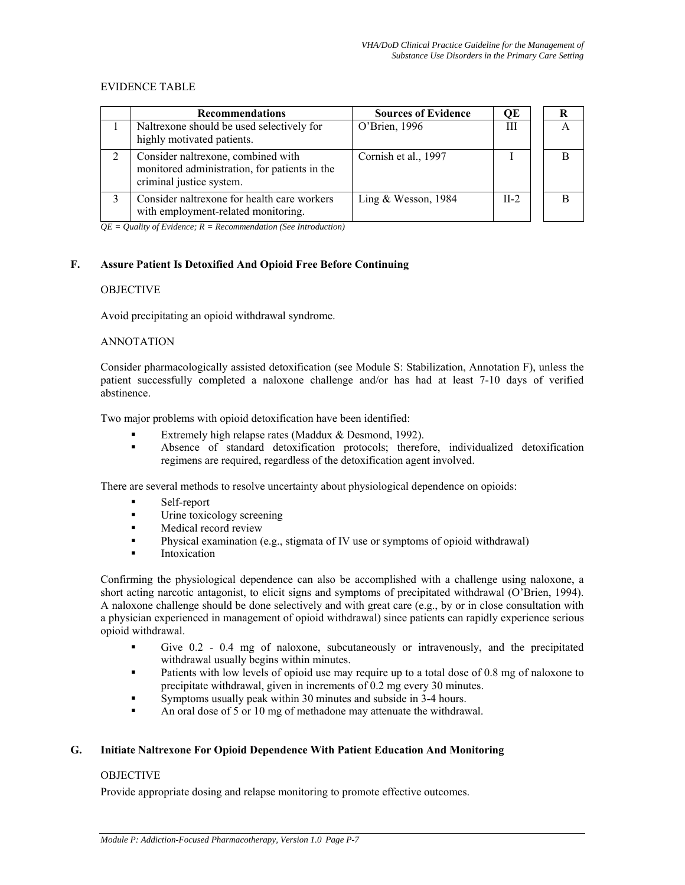## EVIDENCE TABLE

| <b>Recommendations</b>                                                                                          | <b>Sources of Evidence</b> | OЕ     | R |
|-----------------------------------------------------------------------------------------------------------------|----------------------------|--------|---|
| Naltrexone should be used selectively for<br>highly motivated patients.                                         | O'Brien, 1996              | Ш      | A |
| Consider naltrexone, combined with<br>monitored administration, for patients in the<br>criminal justice system. | Cornish et al., 1997       |        |   |
| Consider naltrexone for health care workers<br>with employment-related monitoring.                              | Ling & Wesson, $1984$      | $II-2$ |   |

 $\overline{QE} =$  Quality of Evidence;  $R =$  Recommendation (See Introduction)

# **F. Assure Patient Is Detoxified And Opioid Free Before Continuing**

## **OBJECTIVE**

Avoid precipitating an opioid withdrawal syndrome.

# ANNOTATION

Consider pharmacologically assisted detoxification (see Module S: Stabilization, Annotation F), unless the patient successfully completed a naloxone challenge and/or has had at least 7-10 days of verified abstinence.

Two major problems with opioid detoxification have been identified:

- Extremely high relapse rates (Maddux & Desmond, 1992).
- Absence of standard detoxification protocols; therefore, individualized detoxification regimens are required, regardless of the detoxification agent involved.

There are several methods to resolve uncertainty about physiological dependence on opioids:

- Self-report
- **Urine toxicology screening**
- **Medical record review**
- **Physical examination (e.g., stigmata of IV use or symptoms of opioid withdrawal)**
- Intoxication

Confirming the physiological dependence can also be accomplished with a challenge using naloxone, a short acting narcotic antagonist, to elicit signs and symptoms of precipitated withdrawal (O'Brien, 1994). A naloxone challenge should be done selectively and with great care (e.g., by or in close consultation with a physician experienced in management of opioid withdrawal) since patients can rapidly experience serious opioid withdrawal.

- Give 0.2 0.4 mg of naloxone, subcutaneously or intravenously, and the precipitated withdrawal usually begins within minutes.
- **Patients with low levels of opioid use may require up to a total dose of 0.8 mg of naloxone to** precipitate withdrawal, given in increments of 0.2 mg every 30 minutes.
- Symptoms usually peak within 30 minutes and subside in 3-4 hours.
- An oral dose of 5 or 10 mg of methadone may attenuate the withdrawal.

# **G. Initiate Naltrexone For Opioid Dependence With Patient Education And Monitoring**

# OBJECTIVE

Provide appropriate dosing and relapse monitoring to promote effective outcomes.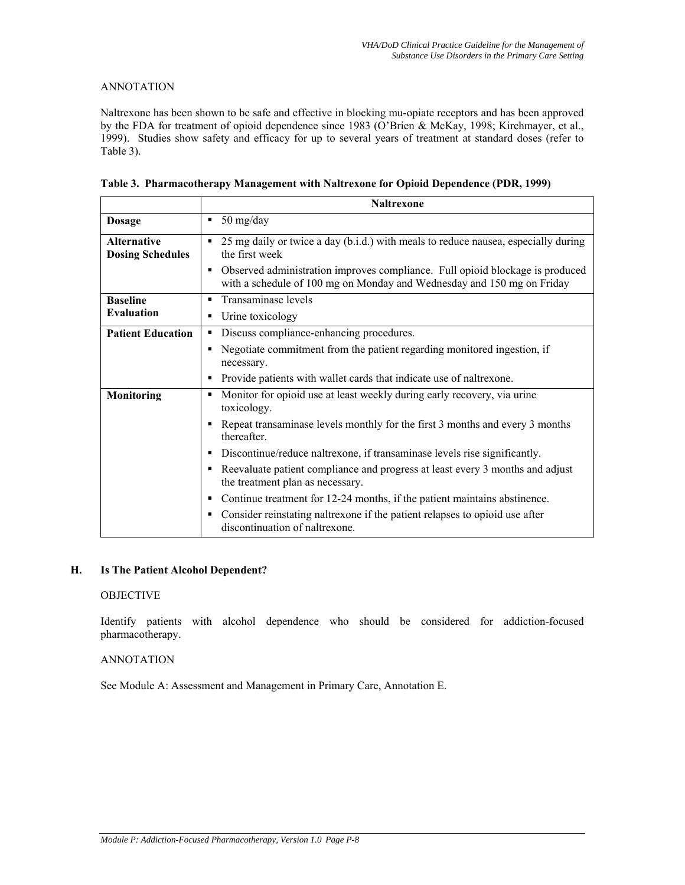# ANNOTATION

Naltrexone has been shown to be safe and effective in blocking mu-opiate receptors and has been approved by the FDA for treatment of opioid dependence since 1983 (O'Brien & McKay, 1998; Kirchmayer, et al., 1999). Studies show safety and efficacy for up to several years of treatment at standard doses (refer to Table 3).

|  | Table 3. Pharmacotherapy Management with Naltrexone for Opioid Dependence (PDR, 1999) |  |  |  |
|--|---------------------------------------------------------------------------------------|--|--|--|
|  |                                                                                       |  |  |  |

|                                               | <b>Naltrexone</b>                                                                                                                                            |
|-----------------------------------------------|--------------------------------------------------------------------------------------------------------------------------------------------------------------|
| <b>Dosage</b>                                 | $50 \frac{\text{mg}}{\text{day}}$<br>٠                                                                                                                       |
| <b>Alternative</b><br><b>Dosing Schedules</b> | 25 mg daily or twice a day (b.i.d.) with meals to reduce nausea, especially during<br>٠<br>the first week                                                    |
|                                               | Observed administration improves compliance. Full opioid blockage is produced<br>٠<br>with a schedule of 100 mg on Monday and Wednesday and 150 mg on Friday |
| <b>Baseline</b>                               | Transaminase levels<br>٠                                                                                                                                     |
| <b>Evaluation</b>                             | Urine toxicology<br>$\blacksquare$                                                                                                                           |
| <b>Patient Education</b>                      | Discuss compliance-enhancing procedures.<br>٠                                                                                                                |
|                                               | Negotiate commitment from the patient regarding monitored ingestion, if<br>٠<br>necessary.                                                                   |
|                                               | Provide patients with wallet cards that indicate use of naltrexone.<br>٠                                                                                     |
| <b>Monitoring</b>                             | Monitor for opioid use at least weekly during early recovery, via urine<br>٠<br>toxicology.                                                                  |
|                                               | Repeat transaminase levels monthly for the first 3 months and every 3 months<br>٠<br>thereafter.                                                             |
|                                               | Discontinue/reduce naltrexone, if transaminase levels rise significantly.<br>٠                                                                               |
|                                               | Reevaluate patient compliance and progress at least every 3 months and adjust<br>٠<br>the treatment plan as necessary.                                       |
|                                               | Continue treatment for 12-24 months, if the patient maintains abstinence.<br>٠                                                                               |
|                                               | Consider reinstating naltrexone if the patient relapses to opioid use after<br>٠<br>discontinuation of naltrexone.                                           |

# **H. Is The Patient Alcohol Dependent?**

# OBJECTIVE

Identify patients with alcohol dependence who should be considered for addiction-focused pharmacotherapy.

# ANNOTATION

See Module A: Assessment and Management in Primary Care, Annotation E.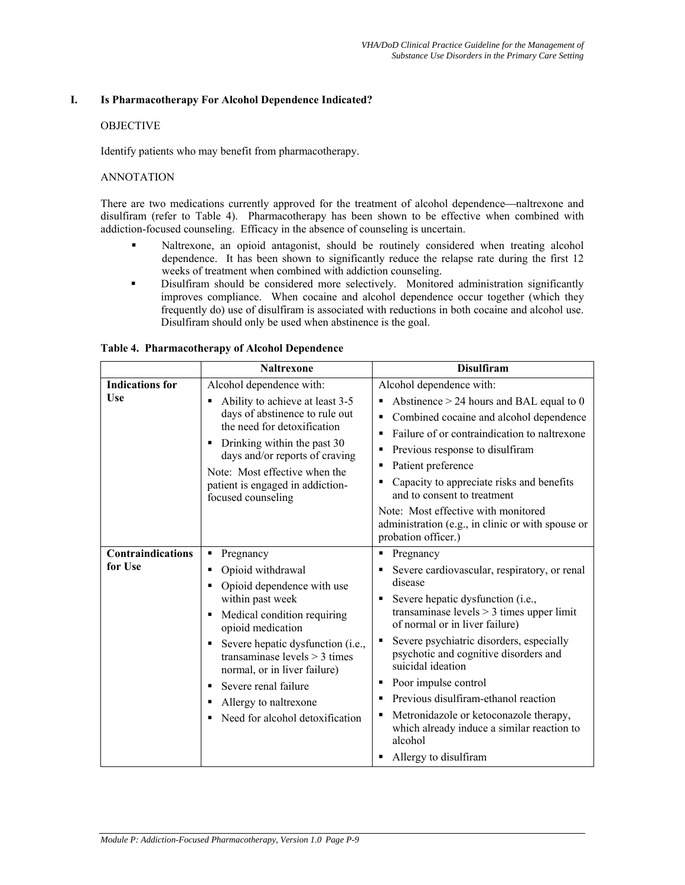# **I. Is Pharmacotherapy For Alcohol Dependence Indicated?**

# **OBJECTIVE**

Identify patients who may benefit from pharmacotherapy.

# ANNOTATION

There are two medications currently approved for the treatment of alcohol dependence—naltrexone and disulfiram (refer to Table 4). Pharmacotherapy has been shown to be effective when combined with addiction-focused counseling. Efficacy in the absence of counseling is uncertain.

- Naltrexone, an opioid antagonist, should be routinely considered when treating alcohol dependence. It has been shown to significantly reduce the relapse rate during the first 12 weeks of treatment when combined with addiction counseling.
- Disulfiram should be considered more selectively. Monitored administration significantly improves compliance. When cocaine and alcohol dependence occur together (which they frequently do) use of disulfiram is associated with reductions in both cocaine and alcohol use. Disulfiram should only be used when abstinence is the goal.

|                                     | <b>Naltrexone</b>                                                                                                                                                                                                                                                                                                                                                        | <b>Disulfiram</b>                                                                                                                                                                                                                                                                                                                                                                                                                                                                                                                        |
|-------------------------------------|--------------------------------------------------------------------------------------------------------------------------------------------------------------------------------------------------------------------------------------------------------------------------------------------------------------------------------------------------------------------------|------------------------------------------------------------------------------------------------------------------------------------------------------------------------------------------------------------------------------------------------------------------------------------------------------------------------------------------------------------------------------------------------------------------------------------------------------------------------------------------------------------------------------------------|
| <b>Indications for</b><br>Use       | Alcohol dependence with:<br>Ability to achieve at least 3-5<br>days of abstinence to rule out<br>the need for detoxification<br>Drinking within the past 30<br>п<br>days and/or reports of craving<br>Note: Most effective when the<br>patient is engaged in addiction-<br>focused counseling                                                                            | Alcohol dependence with:<br>Abstinence $> 24$ hours and BAL equal to 0<br>٠<br>Combined cocaine and alcohol dependence<br>٠<br>Failure of or contraindication to naltrexone<br>$\blacksquare$<br>Previous response to disulfiram<br>٠<br>Patient preference<br>٠<br>Capacity to appreciate risks and benefits<br>٠<br>and to consent to treatment<br>Note: Most effective with monitored<br>administration (e.g., in clinic or with spouse or<br>probation officer.)                                                                     |
| <b>Contraindications</b><br>for Use | Pregnancy<br>п<br>Opioid withdrawal<br>٠<br>Opioid dependence with use<br>п<br>within past week<br>Medical condition requiring<br>٠<br>opioid medication<br>Severe hepatic dysfunction (i.e.,<br>٠<br>transaminase levels $>$ 3 times<br>normal, or in liver failure)<br>Severe renal failure<br>٠<br>Allergy to naltrexone<br>٠<br>Need for alcohol detoxification<br>п | Pregnancy<br>٠<br>Severe cardiovascular, respiratory, or renal<br>٠<br>disease<br>Severe hepatic dysfunction (i.e.,<br>٠<br>transaminase levels $>$ 3 times upper limit<br>of normal or in liver failure)<br>Severe psychiatric disorders, especially<br>٠<br>psychotic and cognitive disorders and<br>suicidal ideation<br>Poor impulse control<br>٠<br>Previous disulfiram-ethanol reaction<br>٠<br>Metronidazole or ketoconazole therapy,<br>٠<br>which already induce a similar reaction to<br>alcohol<br>Allergy to disulfiram<br>٠ |

### **Table 4. Pharmacotherapy of Alcohol Dependence**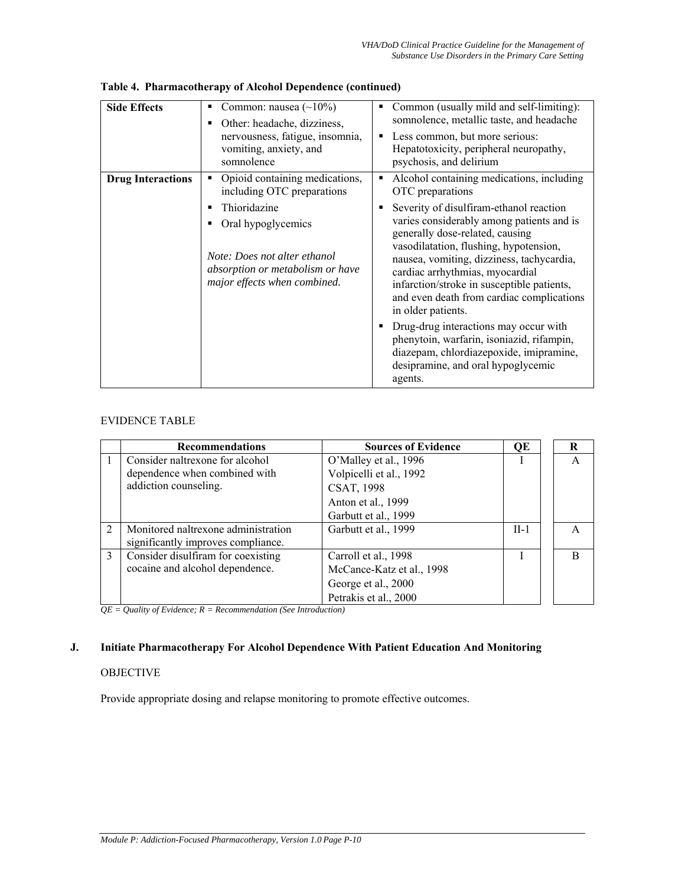| <b>Side Effects</b>      | Common: nausea $(\sim 10\%)$<br>Other: headache, dizziness,<br>nervousness, fatigue, insomnia,<br>vomiting, anxiety, and<br>somnolence | Common (usually mild and self-limiting):<br>somnolence, metallic taste, and headache<br>Less common, but more serious:<br>٠<br>Hepatotoxicity, peripheral neuropathy,<br>psychosis, and delirium                                                                                                                                                                   |
|--------------------------|----------------------------------------------------------------------------------------------------------------------------------------|--------------------------------------------------------------------------------------------------------------------------------------------------------------------------------------------------------------------------------------------------------------------------------------------------------------------------------------------------------------------|
| <b>Drug Interactions</b> | Opioid containing medications,<br>including OTC preparations                                                                           | Alcohol containing medications, including<br>$\blacksquare$<br>OTC preparations                                                                                                                                                                                                                                                                                    |
|                          | Thioridazine<br>Oral hypoglycemics<br>Note: Does not alter ethanol<br>absorption or metabolism or have<br>major effects when combined. | Severity of disulfiram-ethanol reaction<br>varies considerably among patients and is<br>generally dose-related, causing<br>vasodilatation, flushing, hypotension,<br>nausea, vomiting, dizziness, tachycardia,<br>cardiac arrhythmias, myocardial<br>infarction/stroke in susceptible patients,<br>and even death from cardiac complications<br>in older patients. |
|                          |                                                                                                                                        | Drug-drug interactions may occur with<br>phenytoin, warfarin, isoniazid, rifampin,<br>diazepam, chlordiazepoxide, imipramine,<br>desipramine, and oral hypoglycemic<br>agents.                                                                                                                                                                                     |

**Table 4. Pharmacotherapy of Alcohol Dependence (continued)** 

# EVIDENCE TABLE

|                | <b>Recommendations</b>              | <b>Sources of Evidence</b> | OЕ     | R |
|----------------|-------------------------------------|----------------------------|--------|---|
|                | Consider naltrexone for alcohol     | O'Malley et al., 1996      |        | A |
|                | dependence when combined with       | Volpicelli et al., 1992    |        |   |
|                | addiction counseling.               | <b>CSAT, 1998</b>          |        |   |
|                |                                     | Anton et al., 1999         |        |   |
|                |                                     | Garbutt et al., 1999       |        |   |
| $\overline{2}$ | Monitored naltrexone administration | Garbutt et al., 1999       | $II-1$ | A |
|                | significantly improves compliance.  |                            |        |   |
| 3              | Consider disulfiram for coexisting  | Carroll et al., 1998       |        | R |
|                | cocaine and alcohol dependence.     | McCance-Katz et al., 1998  |        |   |
|                |                                     | George et al., 2000        |        |   |
|                |                                     | Petrakis et al., 2000      |        |   |

 $\overline{QE} =$  *Quality of Evidence; R = Recommendation (See Introduction)* 

# **J. Initiate Pharmacotherapy For Alcohol Dependence With Patient Education And Monitoring**

# **OBJECTIVE**

Provide appropriate dosing and relapse monitoring to promote effective outcomes.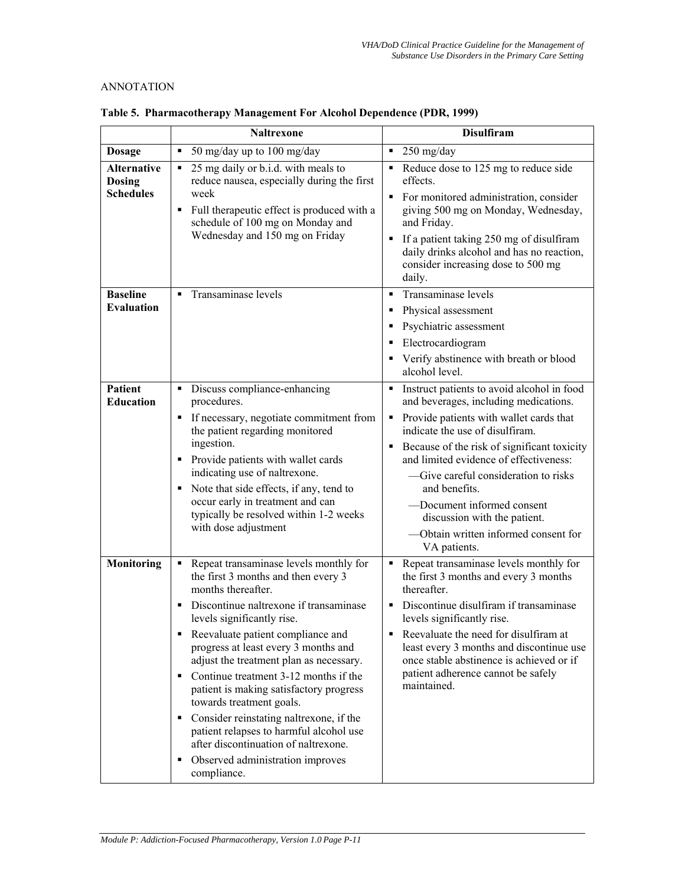# ANNOTATION

|                                                         | <b>Naltrexone</b>                                                                                                                                                                                                                                                                                                                                                                                                                                                                                                                                                                                                             | <b>Disulfiram</b>                                                                                                                                                                                                                                                                                                                                                                                                                                  |
|---------------------------------------------------------|-------------------------------------------------------------------------------------------------------------------------------------------------------------------------------------------------------------------------------------------------------------------------------------------------------------------------------------------------------------------------------------------------------------------------------------------------------------------------------------------------------------------------------------------------------------------------------------------------------------------------------|----------------------------------------------------------------------------------------------------------------------------------------------------------------------------------------------------------------------------------------------------------------------------------------------------------------------------------------------------------------------------------------------------------------------------------------------------|
| <b>Dosage</b>                                           | 50 mg/day up to 100 mg/day<br>$\blacksquare$                                                                                                                                                                                                                                                                                                                                                                                                                                                                                                                                                                                  | 250 mg/day                                                                                                                                                                                                                                                                                                                                                                                                                                         |
| <b>Alternative</b><br><b>Dosing</b><br><b>Schedules</b> | 25 mg daily or b.i.d. with meals to<br>٠<br>reduce nausea, especially during the first<br>week<br>Full therapeutic effect is produced with a<br>۰.<br>schedule of 100 mg on Monday and<br>Wednesday and 150 mg on Friday                                                                                                                                                                                                                                                                                                                                                                                                      | Reduce dose to 125 mg to reduce side<br>٠<br>effects.<br>For monitored administration, consider<br>giving 500 mg on Monday, Wednesday,<br>and Friday.<br>If a patient taking 250 mg of disulfiram<br>daily drinks alcohol and has no reaction,<br>consider increasing dose to 500 mg<br>daily.                                                                                                                                                     |
| <b>Baseline</b><br><b>Evaluation</b>                    | • Transaminase levels                                                                                                                                                                                                                                                                                                                                                                                                                                                                                                                                                                                                         | Transaminase levels<br>Physical assessment<br>Psychiatric assessment<br>Electrocardiogram<br>Verify abstinence with breath or blood<br>alcohol level.                                                                                                                                                                                                                                                                                              |
| <b>Patient</b><br><b>Education</b>                      | Discuss compliance-enhancing<br>procedures.<br>If necessary, negotiate commitment from<br>the patient regarding monitored<br>ingestion.<br>• Provide patients with wallet cards<br>indicating use of naltrexone.<br>• Note that side effects, if any, tend to<br>occur early in treatment and can<br>typically be resolved within 1-2 weeks<br>with dose adjustment                                                                                                                                                                                                                                                           | Instruct patients to avoid alcohol in food<br>and beverages, including medications.<br>Provide patients with wallet cards that<br>٠<br>indicate the use of disulfiram.<br>Because of the risk of significant toxicity<br>٠<br>and limited evidence of effectiveness:<br>-Give careful consideration to risks<br>and benefits.<br>-Document informed consent<br>discussion with the patient.<br>Obtain written informed consent for<br>VA patients. |
| <b>Monitoring</b>                                       | Repeat transaminase levels monthly for<br>٠<br>the first 3 months and then every 3<br>months thereafter.<br>Discontinue naltrexone if transaminase<br>levels significantly rise.<br>Reevaluate patient compliance and<br>٠<br>progress at least every 3 months and<br>adjust the treatment plan as necessary.<br>Continue treatment 3-12 months if the<br>٠<br>patient is making satisfactory progress<br>towards treatment goals.<br>Consider reinstating naltrexone, if the<br>٠<br>patient relapses to harmful alcohol use<br>after discontinuation of naltrexone.<br>Observed administration improves<br>٠<br>compliance. | Repeat transaminase levels monthly for<br>٠<br>the first 3 months and every 3 months<br>thereafter.<br>Discontinue disulfiram if transaminase<br>٠<br>levels significantly rise.<br>Reevaluate the need for disulfiram at<br>least every 3 months and discontinue use<br>once stable abstinence is achieved or if<br>patient adherence cannot be safely<br>maintained.                                                                             |

**Table 5. Pharmacotherapy Management For Alcohol Dependence (PDR, 1999)**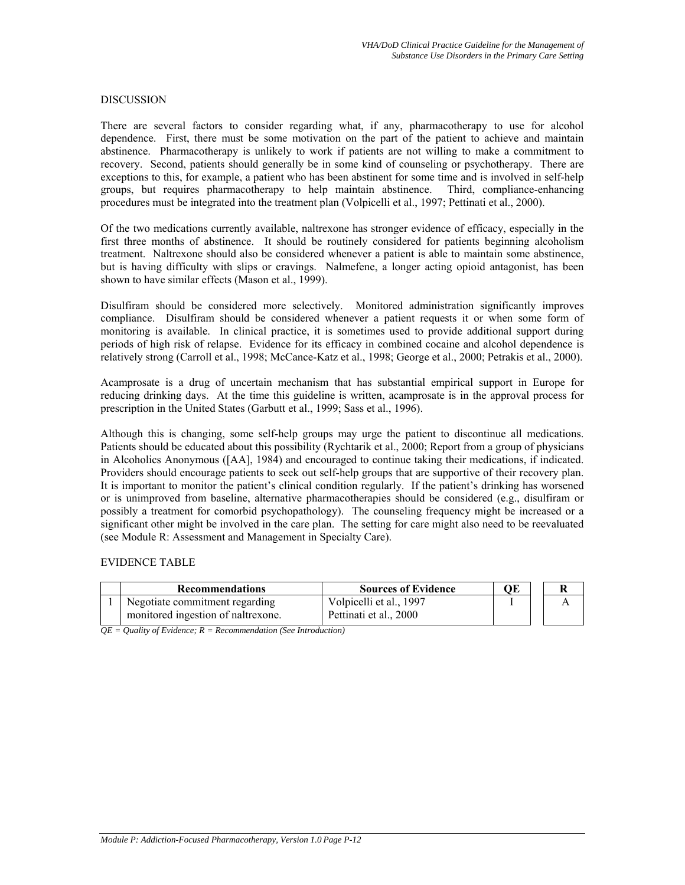### DISCUSSION

There are several factors to consider regarding what, if any, pharmacotherapy to use for alcohol dependence. First, there must be some motivation on the part of the patient to achieve and maintain abstinence. Pharmacotherapy is unlikely to work if patients are not willing to make a commitment to recovery. Second, patients should generally be in some kind of counseling or psychotherapy. There are exceptions to this, for example, a patient who has been abstinent for some time and is involved in self-help groups, but requires pharmacotherapy to help maintain abstinence. Third, compliance-enhancing procedures must be integrated into the treatment plan (Volpicelli et al., 1997; Pettinati et al., 2000).

Of the two medications currently available, naltrexone has stronger evidence of efficacy, especially in the first three months of abstinence. It should be routinely considered for patients beginning alcoholism treatment. Naltrexone should also be considered whenever a patient is able to maintain some abstinence, but is having difficulty with slips or cravings. Nalmefene, a longer acting opioid antagonist, has been shown to have similar effects (Mason et al., 1999).

Disulfiram should be considered more selectively. Monitored administration significantly improves compliance. Disulfiram should be considered whenever a patient requests it or when some form of monitoring is available. In clinical practice, it is sometimes used to provide additional support during periods of high risk of relapse. Evidence for its efficacy in combined cocaine and alcohol dependence is relatively strong (Carroll et al., 1998; McCance-Katz et al., 1998; George et al., 2000; Petrakis et al., 2000).

Acamprosate is a drug of uncertain mechanism that has substantial empirical support in Europe for reducing drinking days. At the time this guideline is written, acamprosate is in the approval process for prescription in the United States (Garbutt et al., 1999; Sass et al., 1996).

Although this is changing, some self-help groups may urge the patient to discontinue all medications. Patients should be educated about this possibility (Rychtarik et al., 2000; Report from a group of physicians in Alcoholics Anonymous ([AA], 1984) and encouraged to continue taking their medications, if indicated. Providers should encourage patients to seek out self-help groups that are supportive of their recovery plan. It is important to monitor the patient's clinical condition regularly. If the patient's drinking has worsened or is unimproved from baseline, alternative pharmacotherapies should be considered (e.g., disulfiram or possibly a treatment for comorbid psychopathology). The counseling frequency might be increased or a significant other might be involved in the care plan. The setting for care might also need to be reevaluated (see Module R: Assessment and Management in Specialty Care).

### EVIDENCE TABLE

| <b>Recommendations</b>             | <b>Sources of Evidence</b> | ОE |  |
|------------------------------------|----------------------------|----|--|
| Negotiate commitment regarding     | Volpicelli et al., 1997    |    |  |
| monitored ingestion of naltrexone. | Pettinati et al., 2000     |    |  |

*QE = Quality of Evidence; R = Recommendation (See Introduction)*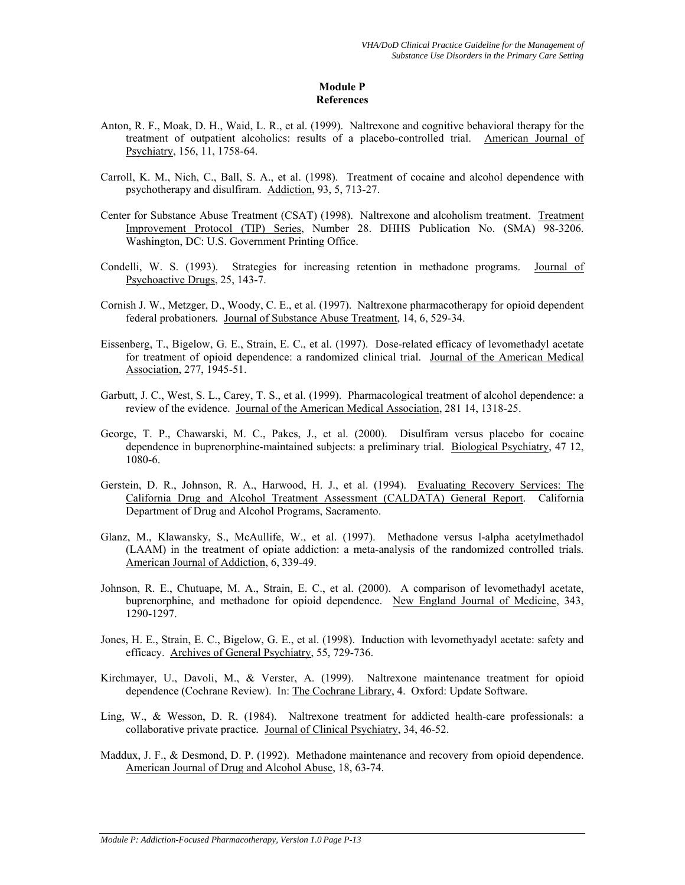# **Module P References**

- Anton, R. F., Moak, D. H., Waid, L. R., et al. (1999). Naltrexone and cognitive behavioral therapy for the treatment of outpatient alcoholics: results of a placebo-controlled trial. American Journal of Psychiatry, 156, 11, 1758-64.
- Carroll, K. M., Nich, C., Ball, S. A., et al. (1998). Treatment of cocaine and alcohol dependence with psychotherapy and disulfiram. Addiction, 93, 5, 713-27.
- Center for Substance Abuse Treatment (CSAT) (1998). Naltrexone and alcoholism treatment. Treatment Improvement Protocol (TIP) Series, Number 28. DHHS Publication No. (SMA) 98-3206. Washington, DC: U.S. Government Printing Office.
- Condelli, W. S. (1993). Strategies for increasing retention in methadone programs. Journal of Psychoactive Drugs, 25, 143-7.
- Cornish J. W., Metzger, D., Woody, C. E., et al. (1997). Naltrexone pharmacotherapy for opioid dependent federal probationers*.* Journal of Substance Abuse Treatment, 14, 6, 529-34.
- Eissenberg, T., Bigelow, G. E., Strain, E. C., et al. (1997). Dose-related efficacy of levomethadyl acetate for treatment of opioid dependence: a randomized clinical trial. Journal of the American Medical Association, 277, 1945-51.
- Garbutt, J. C., West, S. L., Carey, T. S., et al. (1999). Pharmacological treatment of alcohol dependence: a review of the evidence. Journal of the American Medical Association, 281 14, 1318-25.
- George, T. P., Chawarski, M. C., Pakes, J., et al. (2000). Disulfiram versus placebo for cocaine dependence in buprenorphine-maintained subjects: a preliminary trial. Biological Psychiatry, 47 12, 1080-6.
- Gerstein, D. R., Johnson, R. A., Harwood, H. J., et al. (1994). Evaluating Recovery Services: The California Drug and Alcohol Treatment Assessment (CALDATA) General Report. California Department of Drug and Alcohol Programs, Sacramento.
- Glanz, M., Klawansky, S., McAullife, W., et al. (1997). Methadone versus l-alpha acetylmethadol (LAAM) in the treatment of opiate addiction: a meta-analysis of the randomized controlled trials*.*  American Journal of Addiction, 6, 339-49.
- Johnson, R. E., Chutuape, M. A., Strain, E. C., et al. (2000). A comparison of levomethadyl acetate, buprenorphine, and methadone for opioid dependence. New England Journal of Medicine, 343, 1290-1297.
- Jones, H. E., Strain, E. C., Bigelow, G. E., et al. (1998). Induction with levomethyadyl acetate: safety and efficacy. Archives of General Psychiatry, 55, 729-736.
- Kirchmayer, U., Davoli, M., & Verster, A. (1999). Naltrexone maintenance treatment for opioid dependence (Cochrane Review). In: The Cochrane Library, 4. Oxford: Update Software.
- Ling, W., & Wesson, D. R. (1984). Naltrexone treatment for addicted health-care professionals: a collaborative private practice*.* Journal of Clinical Psychiatry, 34, 46-52.
- Maddux, J. F., & Desmond, D. P. (1992). Methadone maintenance and recovery from opioid dependence. American Journal of Drug and Alcohol Abuse, 18, 63-74.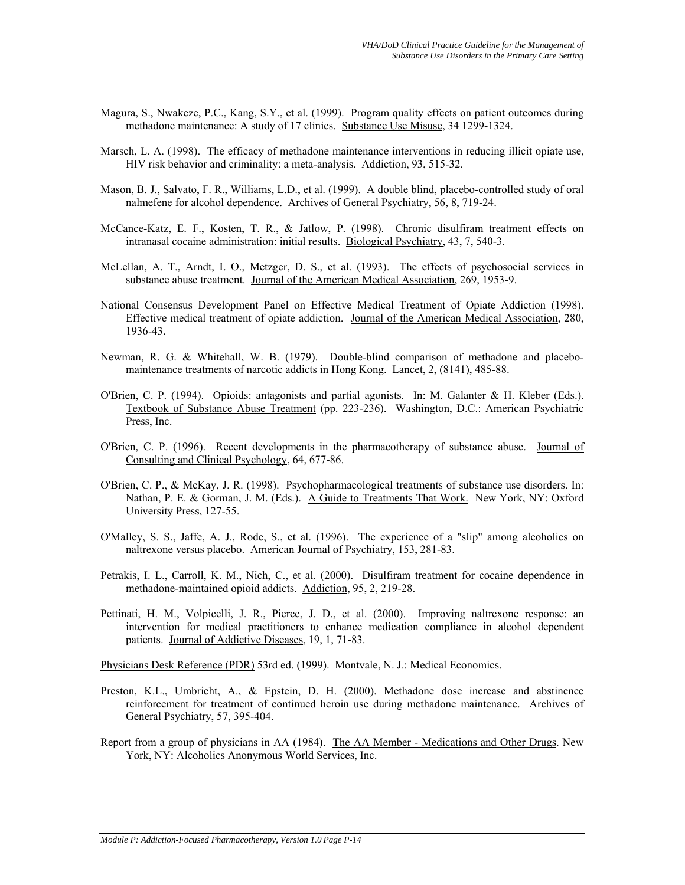- Magura, S., Nwakeze, P.C., Kang, S.Y., et al. (1999). Program quality effects on patient outcomes during methadone maintenance: A study of 17 clinics. Substance Use Misuse, 34 1299-1324.
- Marsch, L. A. (1998). The efficacy of methadone maintenance interventions in reducing illicit opiate use, HIV risk behavior and criminality: a meta-analysis. Addiction, 93, 515-32.
- Mason, B. J., Salvato, F. R., Williams, L.D., et al. (1999). A double blind, placebo-controlled study of oral nalmefene for alcohol dependence. Archives of General Psychiatry, 56, 8, 719-24.
- McCance-Katz, E. F., Kosten, T. R., & Jatlow, P. (1998). Chronic disulfiram treatment effects on intranasal cocaine administration: initial results. Biological Psychiatry, 43, 7, 540-3.
- McLellan, A. T., Arndt, I. O., Metzger, D. S., et al. (1993). The effects of psychosocial services in substance abuse treatment. Journal of the American Medical Association, 269, 1953-9.
- National Consensus Development Panel on Effective Medical Treatment of Opiate Addiction (1998). Effective medical treatment of opiate addiction. Journal of the American Medical Association, 280, 1936-43.
- Newman, R. G. & Whitehall, W. B. (1979). Double-blind comparison of methadone and placebomaintenance treatments of narcotic addicts in Hong Kong. Lancet, 2, (8141), 485-88.
- O'Brien, C. P. (1994). Opioids: antagonists and partial agonists. In: M. Galanter & H. Kleber (Eds.). Textbook of Substance Abuse Treatment (pp. 223-236). Washington, D.C.: American Psychiatric Press, Inc.
- O'Brien, C. P. (1996). Recent developments in the pharmacotherapy of substance abuse. Journal of Consulting and Clinical Psychology, 64, 677-86.
- O'Brien, C. P., & McKay, J. R. (1998). Psychopharmacological treatments of substance use disorders. In: Nathan, P. E. & Gorman, J. M. (Eds.). A Guide to Treatments That Work. New York, NY: Oxford University Press, 127-55.
- O'Malley, S. S., Jaffe, A. J., Rode, S., et al. (1996). The experience of a "slip" among alcoholics on naltrexone versus placebo. American Journal of Psychiatry, 153, 281-83.
- Petrakis, I. L., Carroll, K. M., Nich, C., et al. (2000). Disulfiram treatment for cocaine dependence in methadone-maintained opioid addicts. Addiction, 95, 2, 219-28.
- Pettinati, H. M., Volpicelli, J. R., Pierce, J. D., et al. (2000). Improving naltrexone response: an intervention for medical practitioners to enhance medication compliance in alcohol dependent patients. Journal of Addictive Diseases, 19, 1, 71-83.

Physicians Desk Reference (PDR) 53rd ed. (1999). Montvale, N. J.: Medical Economics.

- Preston, K.L., Umbricht, A., & Epstein, D. H. (2000). Methadone dose increase and abstinence reinforcement for treatment of continued heroin use during methadone maintenance. Archives of General Psychiatry, 57, 395-404.
- Report from a group of physicians in AA (1984). The AA Member Medications and Other Drugs. New York, NY: Alcoholics Anonymous World Services, Inc.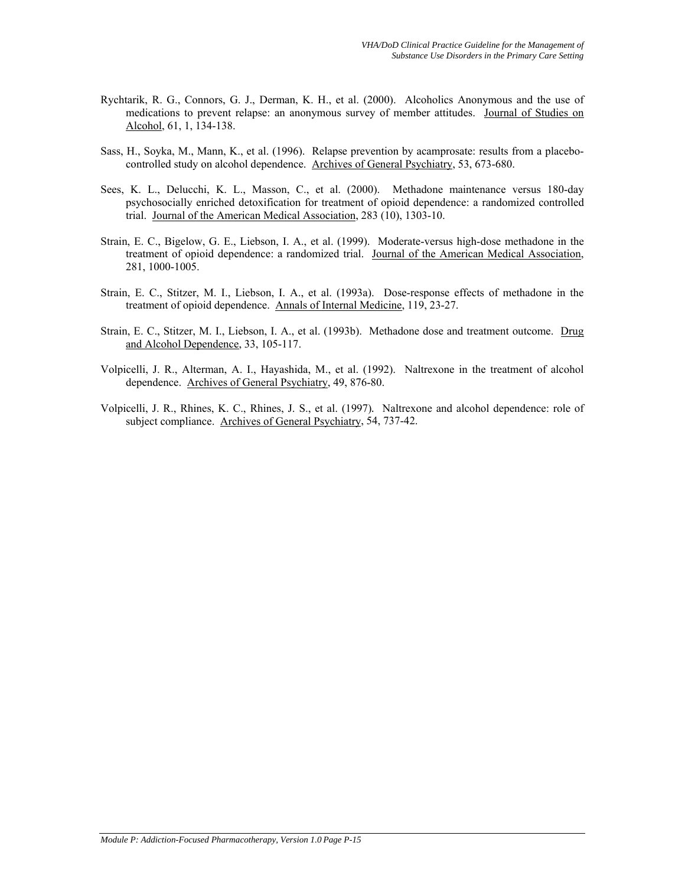- Rychtarik, R. G., Connors, G. J., Derman, K. H., et al. (2000). Alcoholics Anonymous and the use of medications to prevent relapse: an anonymous survey of member attitudes. Journal of Studies on Alcohol, 61, 1, 134-138.
- Sass, H., Soyka, M., Mann, K., et al. (1996). Relapse prevention by acamprosate: results from a placebocontrolled study on alcohol dependence. Archives of General Psychiatry, 53, 673-680.
- Sees, K. L., Delucchi, K. L., Masson, C., et al. (2000). Methadone maintenance versus 180-day psychosocially enriched detoxification for treatment of opioid dependence: a randomized controlled trial. Journal of the American Medical Association, 283 (10), 1303-10.
- Strain, E. C., Bigelow, G. E., Liebson, I. A., et al. (1999). Moderate-versus high-dose methadone in the treatment of opioid dependence: a randomized trial. Journal of the American Medical Association, 281, 1000-1005.
- Strain, E. C., Stitzer, M. I., Liebson, I. A., et al. (1993a). Dose-response effects of methadone in the treatment of opioid dependence. Annals of Internal Medicine, 119, 23-27.
- Strain, E. C., Stitzer, M. I., Liebson, I. A., et al. (1993b). Methadone dose and treatment outcome. Drug and Alcohol Dependence, 33, 105-117.
- Volpicelli, J. R., Alterman, A. I., Hayashida, M., et al. (1992). Naltrexone in the treatment of alcohol dependence. Archives of General Psychiatry, 49, 876-80.
- Volpicelli, J. R., Rhines, K. C., Rhines, J. S., et al. (1997)*.* Naltrexone and alcohol dependence: role of subject compliance. Archives of General Psychiatry, 54, 737-42.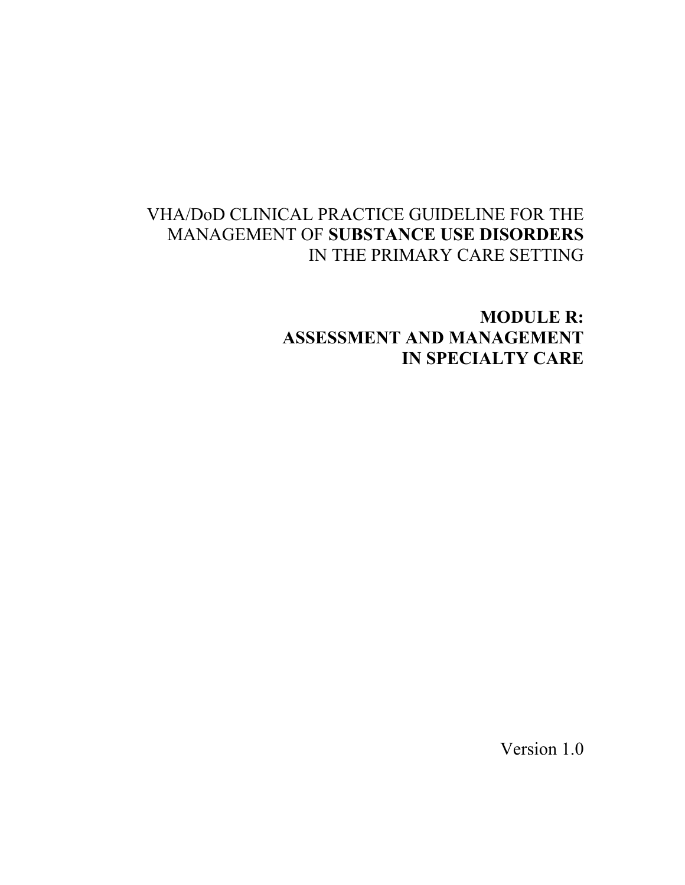# VHA/DoD CLINICAL PRACTICE GUIDELINE FOR THE MANAGEMENT OF **SUBSTANCE USE DISORDERS** IN THE PRIMARY CARE SETTING

**MODULE R: ASSESSMENT AND MANAGEMENT IN SPECIALTY CARE** 

Version 1.0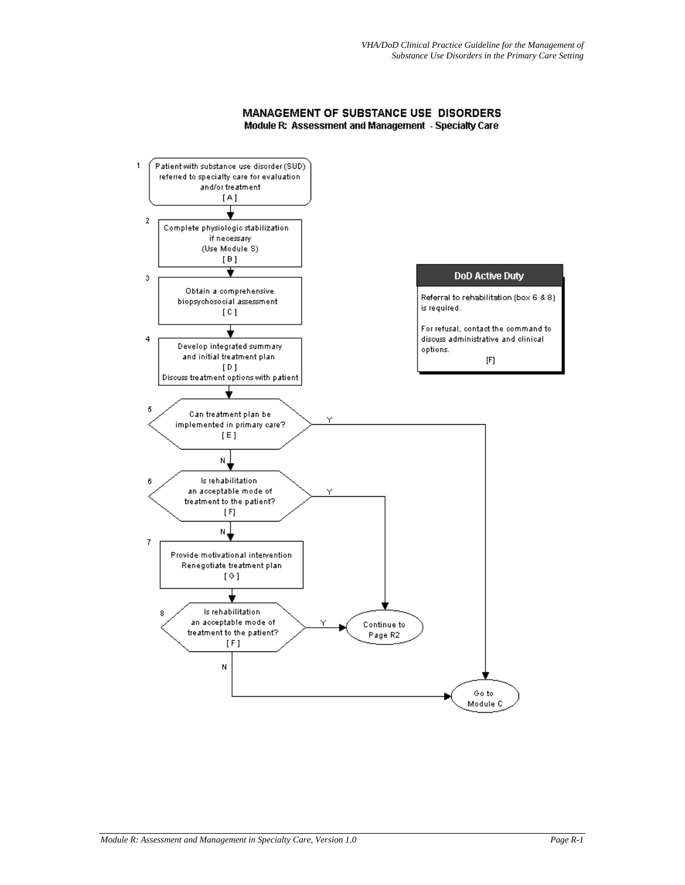#### MANAGEMENT OF SUBSTANCE USE DISORDERS Module R: Assessment and Management - Specialty Care

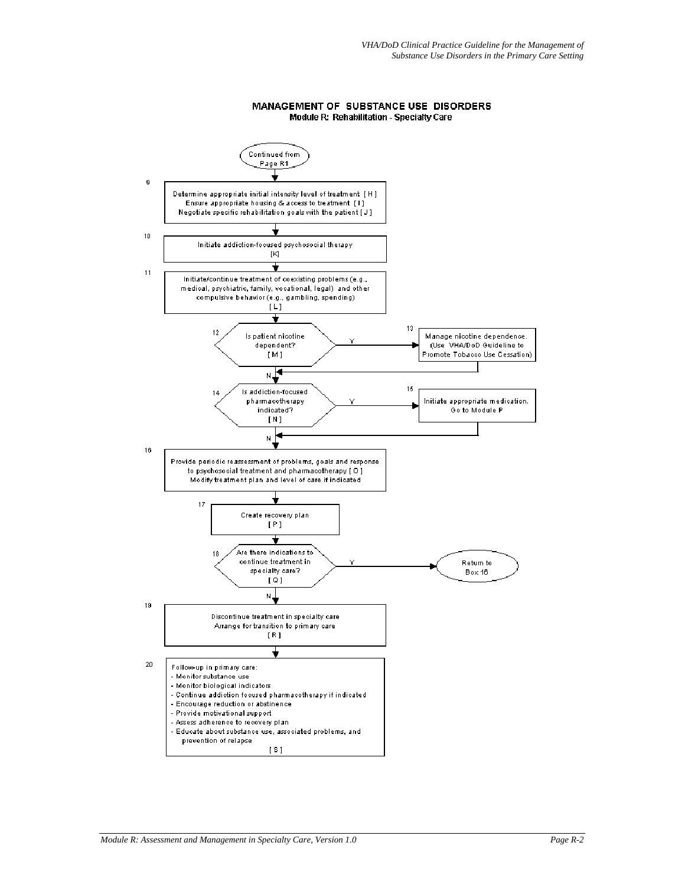

#### MANAGEMENT OF SUBSTANCE USE DISORDERS Module R: Rehabilitation - Specialty Care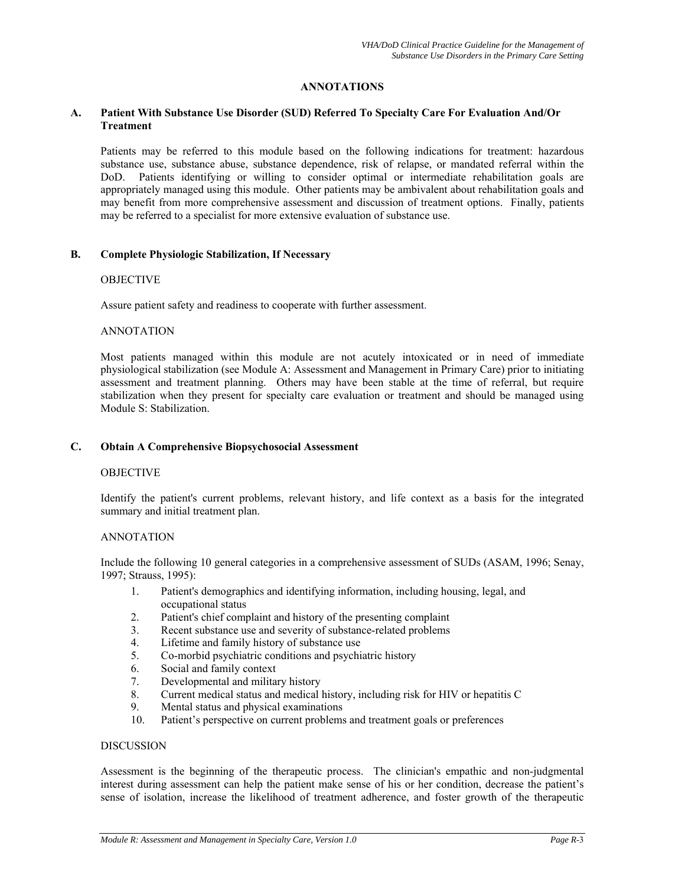# **ANNOTATIONS**

#### **A. Patient With Substance Use Disorder (SUD) Referred To Specialty Care For Evaluation And/Or Treatment**

Patients may be referred to this module based on the following indications for treatment: hazardous substance use, substance abuse, substance dependence, risk of relapse, or mandated referral within the DoD. Patients identifying or willing to consider optimal or intermediate rehabilitation goals are appropriately managed using this module. Other patients may be ambivalent about rehabilitation goals and may benefit from more comprehensive assessment and discussion of treatment options. Finally, patients may be referred to a specialist for more extensive evaluation of substance use.

#### **B. Complete Physiologic Stabilization, If Necessary**

#### **OBJECTIVE**

Assure patient safety and readiness to cooperate with further assessment.

#### ANNOTATION

Most patients managed within this module are not acutely intoxicated or in need of immediate physiological stabilization (see Module A: Assessment and Management in Primary Care) prior to initiating assessment and treatment planning. Others may have been stable at the time of referral, but require stabilization when they present for specialty care evaluation or treatment and should be managed using Module S: Stabilization.

#### **C. Obtain A Comprehensive Biopsychosocial Assessment**

#### **OBJECTIVE**

Identify the patient's current problems, relevant history, and life context as a basis for the integrated summary and initial treatment plan.

## ANNOTATION

Include the following 10 general categories in a comprehensive assessment of SUDs (ASAM, 1996; Senay, 1997; Strauss, 1995):

- 1. Patient's demographics and identifying information, including housing, legal, and occupational status
- 2. Patient's chief complaint and history of the presenting complaint
- 3. Recent substance use and severity of substance-related problems
- 4. Lifetime and family history of substance use
- 5. Co-morbid psychiatric conditions and psychiatric history
- 6. Social and family context
- 7. Developmental and military history
- 8. Current medical status and medical history, including risk for HIV or hepatitis C
- 9. Mental status and physical examinations
- 10. Patient's perspective on current problems and treatment goals or preferences

#### DISCUSSION

Assessment is the beginning of the therapeutic process. The clinician's empathic and non-judgmental interest during assessment can help the patient make sense of his or her condition, decrease the patient's sense of isolation, increase the likelihood of treatment adherence, and foster growth of the therapeutic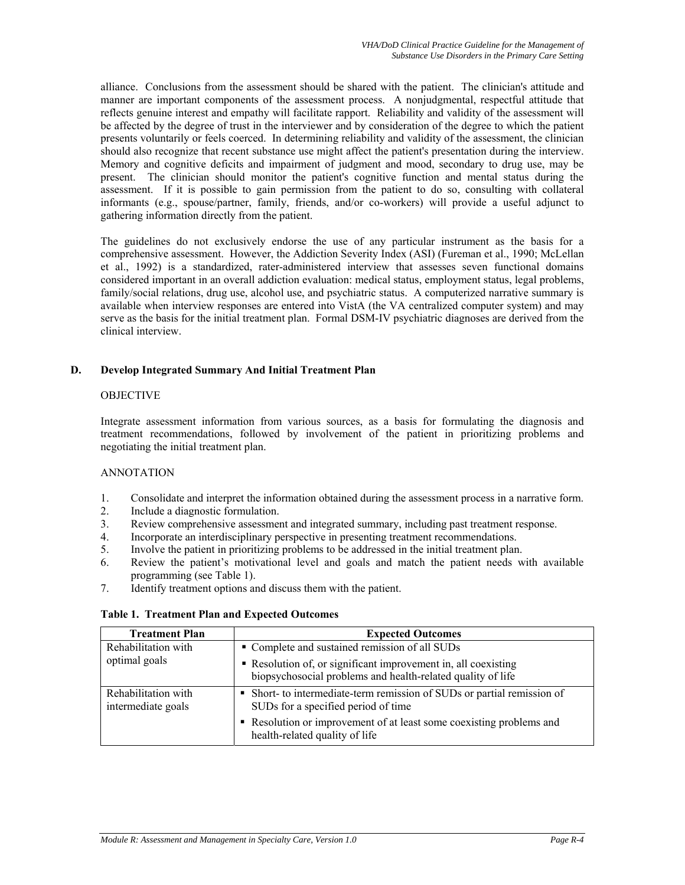alliance. Conclusions from the assessment should be shared with the patient. The clinician's attitude and manner are important components of the assessment process. A nonjudgmental, respectful attitude that reflects genuine interest and empathy will facilitate rapport. Reliability and validity of the assessment will be affected by the degree of trust in the interviewer and by consideration of the degree to which the patient presents voluntarily or feels coerced. In determining reliability and validity of the assessment, the clinician should also recognize that recent substance use might affect the patient's presentation during the interview. Memory and cognitive deficits and impairment of judgment and mood, secondary to drug use, may be present. The clinician should monitor the patient's cognitive function and mental status during the assessment. If it is possible to gain permission from the patient to do so, consulting with collateral informants (e.g., spouse/partner, family, friends, and/or co-workers) will provide a useful adjunct to gathering information directly from the patient.

The guidelines do not exclusively endorse the use of any particular instrument as the basis for a comprehensive assessment. However, the Addiction Severity Index (ASI) (Fureman et al., 1990; McLellan et al., 1992) is a standardized, rater-administered interview that assesses seven functional domains considered important in an overall addiction evaluation: medical status, employment status, legal problems, family/social relations, drug use, alcohol use, and psychiatric status. A computerized narrative summary is available when interview responses are entered into VistA (the VA centralized computer system) and may serve as the basis for the initial treatment plan. Formal DSM-IV psychiatric diagnoses are derived from the clinical interview.

## **D. Develop Integrated Summary And Initial Treatment Plan**

#### **OBJECTIVE**

Integrate assessment information from various sources, as a basis for formulating the diagnosis and treatment recommendations, followed by involvement of the patient in prioritizing problems and negotiating the initial treatment plan.

## ANNOTATION

- 1. Consolidate and interpret the information obtained during the assessment process in a narrative form.
- 2. Include a diagnostic formulation.
- 3. Review comprehensive assessment and integrated summary, including past treatment response.
- 4. Incorporate an interdisciplinary perspective in presenting treatment recommendations.
- 5. Involve the patient in prioritizing problems to be addressed in the initial treatment plan.
- 6. Review the patient's motivational level and goals and match the patient needs with available programming (see Table 1).
- 7. Identify treatment options and discuss them with the patient.

#### **Table 1. Treatment Plan and Expected Outcomes**

| <b>Treatment Plan</b>                     | <b>Expected Outcomes</b>                                                                                                      |
|-------------------------------------------|-------------------------------------------------------------------------------------------------------------------------------|
| Rehabilitation with                       | • Complete and sustained remission of all SUDs                                                                                |
| optimal goals                             | • Resolution of, or significant improvement in, all coexisting<br>biopsychosocial problems and health-related quality of life |
| Rehabilitation with<br>intermediate goals | • Short- to intermediate-term remission of SUDs or partial remission of<br>SUDs for a specified period of time                |
|                                           | Resolution or improvement of at least some coexisting problems and<br>health-related quality of life                          |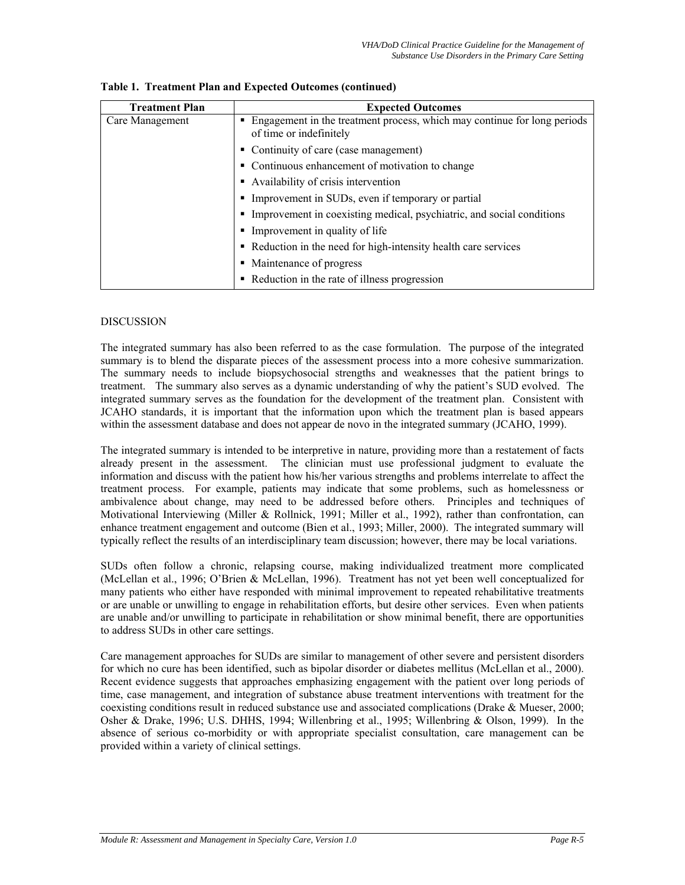| <b>Treatment Plan</b> | <b>Expected Outcomes</b>                                                                                 |  |
|-----------------------|----------------------------------------------------------------------------------------------------------|--|
| Care Management       | Engagement in the treatment process, which may continue for long periods<br>■<br>of time or indefinitely |  |
|                       | • Continuity of care (case management)                                                                   |  |
|                       | • Continuous enhancement of motivation to change                                                         |  |
|                       | Availability of crisis intervention                                                                      |  |
|                       | Improvement in SUDs, even if temporary or partial                                                        |  |
|                       | Improvement in coexisting medical, psychiatric, and social conditions                                    |  |
|                       | Improvement in quality of life                                                                           |  |
|                       | • Reduction in the need for high-intensity health care services                                          |  |
|                       | Maintenance of progress<br>٠                                                                             |  |
|                       | • Reduction in the rate of illness progression                                                           |  |

| Table 1. Treatment Plan and Expected Outcomes (continued) |
|-----------------------------------------------------------|
|-----------------------------------------------------------|

# **DISCUSSION**

The integrated summary has also been referred to as the case formulation. The purpose of the integrated summary is to blend the disparate pieces of the assessment process into a more cohesive summarization. The summary needs to include biopsychosocial strengths and weaknesses that the patient brings to treatment. The summary also serves as a dynamic understanding of why the patient's SUD evolved. The integrated summary serves as the foundation for the development of the treatment plan. Consistent with JCAHO standards, it is important that the information upon which the treatment plan is based appears within the assessment database and does not appear de novo in the integrated summary (JCAHO, 1999).

The integrated summary is intended to be interpretive in nature, providing more than a restatement of facts already present in the assessment. The clinician must use professional judgment to evaluate the information and discuss with the patient how his/her various strengths and problems interrelate to affect the treatment process. For example, patients may indicate that some problems, such as homelessness or ambivalence about change, may need to be addressed before others. Principles and techniques of Motivational Interviewing (Miller & Rollnick, 1991; Miller et al., 1992), rather than confrontation, can enhance treatment engagement and outcome (Bien et al., 1993; Miller, 2000). The integrated summary will typically reflect the results of an interdisciplinary team discussion; however, there may be local variations.

SUDs often follow a chronic, relapsing course, making individualized treatment more complicated (McLellan et al., 1996; O'Brien & McLellan, 1996). Treatment has not yet been well conceptualized for many patients who either have responded with minimal improvement to repeated rehabilitative treatments or are unable or unwilling to engage in rehabilitation efforts, but desire other services. Even when patients are unable and/or unwilling to participate in rehabilitation or show minimal benefit, there are opportunities to address SUDs in other care settings.

Care management approaches for SUDs are similar to management of other severe and persistent disorders for which no cure has been identified, such as bipolar disorder or diabetes mellitus (McLellan et al., 2000). Recent evidence suggests that approaches emphasizing engagement with the patient over long periods of time, case management, and integration of substance abuse treatment interventions with treatment for the coexisting conditions result in reduced substance use and associated complications (Drake & Mueser, 2000; Osher & Drake, 1996; U.S. DHHS, 1994; Willenbring et al., 1995; Willenbring & Olson, 1999). In the absence of serious co-morbidity or with appropriate specialist consultation, care management can be provided within a variety of clinical settings.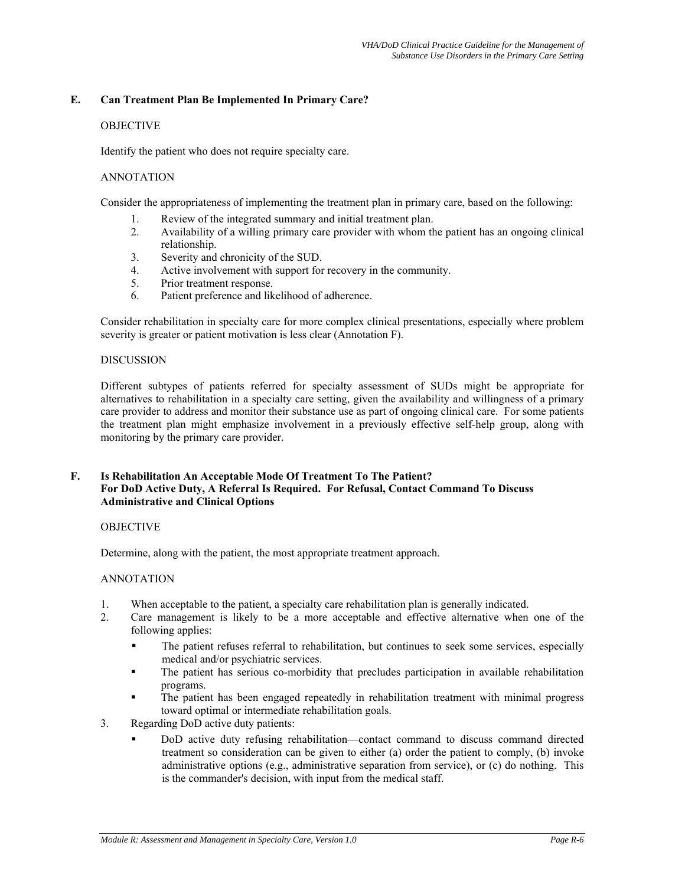# **E. Can Treatment Plan Be Implemented In Primary Care?**

# **OBJECTIVE**

Identify the patient who does not require specialty care.

## ANNOTATION

Consider the appropriateness of implementing the treatment plan in primary care, based on the following:

- 1. Review of the integrated summary and initial treatment plan.
- 2. Availability of a willing primary care provider with whom the patient has an ongoing clinical relationship.
- 3. Severity and chronicity of the SUD.
- 4. Active involvement with support for recovery in the community.
- 5. Prior treatment response.
- 6. Patient preference and likelihood of adherence.

Consider rehabilitation in specialty care for more complex clinical presentations, especially where problem severity is greater or patient motivation is less clear (Annotation F).

#### **DISCUSSION**

Different subtypes of patients referred for specialty assessment of SUDs might be appropriate for alternatives to rehabilitation in a specialty care setting, given the availability and willingness of a primary care provider to address and monitor their substance use as part of ongoing clinical care. For some patients the treatment plan might emphasize involvement in a previously effective self-help group, along with monitoring by the primary care provider.

## **F. Is Rehabilitation An Acceptable Mode Of Treatment To The Patient? For DoD Active Duty, A Referral Is Required. For Refusal, Contact Command To Discuss Administrative and Clinical Options**

## OBJECTIVE

Determine, along with the patient, the most appropriate treatment approach.

## ANNOTATION

- 1. When acceptable to the patient, a specialty care rehabilitation plan is generally indicated.
- 2. Care management is likely to be a more acceptable and effective alternative when one of the following applies:
	- The patient refuses referral to rehabilitation, but continues to seek some services, especially medical and/or psychiatric services.
	- The patient has serious co-morbidity that precludes participation in available rehabilitation programs.
	- The patient has been engaged repeatedly in rehabilitation treatment with minimal progress toward optimal or intermediate rehabilitation goals.
- 3. Regarding DoD active duty patients:
	- DoD active duty refusing rehabilitation—contact command to discuss command directed treatment so consideration can be given to either (a) order the patient to comply, (b) invoke administrative options (e.g., administrative separation from service), or (c) do nothing. This is the commander's decision, with input from the medical staff.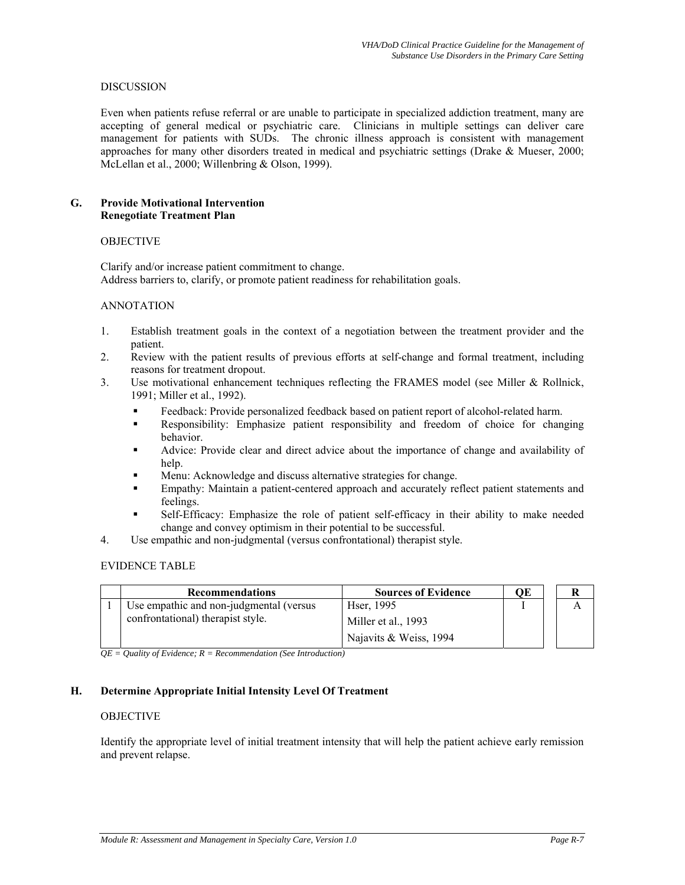## DISCUSSION

Even when patients refuse referral or are unable to participate in specialized addiction treatment, many are accepting of general medical or psychiatric care. Clinicians in multiple settings can deliver care management for patients with SUDs. The chronic illness approach is consistent with management approaches for many other disorders treated in medical and psychiatric settings (Drake & Mueser, 2000; McLellan et al., 2000; Willenbring & Olson, 1999).

## **G. Provide Motivational Intervention Renegotiate Treatment Plan**

#### **OBJECTIVE**

Clarify and/or increase patient commitment to change. Address barriers to, clarify, or promote patient readiness for rehabilitation goals.

#### ANNOTATION

- 1. Establish treatment goals in the context of a negotiation between the treatment provider and the patient.
- 2. Review with the patient results of previous efforts at self-change and formal treatment, including reasons for treatment dropout.
- 3. Use motivational enhancement techniques reflecting the FRAMES model (see Miller & Rollnick, 1991; Miller et al., 1992).
	- Feedback: Provide personalized feedback based on patient report of alcohol-related harm.
	- Responsibility: Emphasize patient responsibility and freedom of choice for changing behavior.
	- Advice: Provide clear and direct advice about the importance of change and availability of help.
	- Menu: Acknowledge and discuss alternative strategies for change.
	- Empathy: Maintain a patient-centered approach and accurately reflect patient statements and feelings.
	- Self-Efficacy: Emphasize the role of patient self-efficacy in their ability to make needed change and convey optimism in their potential to be successful.
- 4. Use empathic and non-judgmental (versus confrontational) therapist style.

#### EVIDENCE TABLE

| <b>Recommendations</b>                   | <b>Sources of Evidence</b> | ОE |  |
|------------------------------------------|----------------------------|----|--|
| Use empathic and non-judgmental (versus) | Hser, 1995                 |    |  |
| confrontational) therapist style.        | Miller et al., 1993        |    |  |
|                                          | Najavits & Weiss, 1994     |    |  |

*QE = Quality of Evidence; R = Recommendation (See Introduction)* 

## **H. Determine Appropriate Initial Intensity Level Of Treatment**

#### **OBJECTIVE**

Identify the appropriate level of initial treatment intensity that will help the patient achieve early remission and prevent relapse.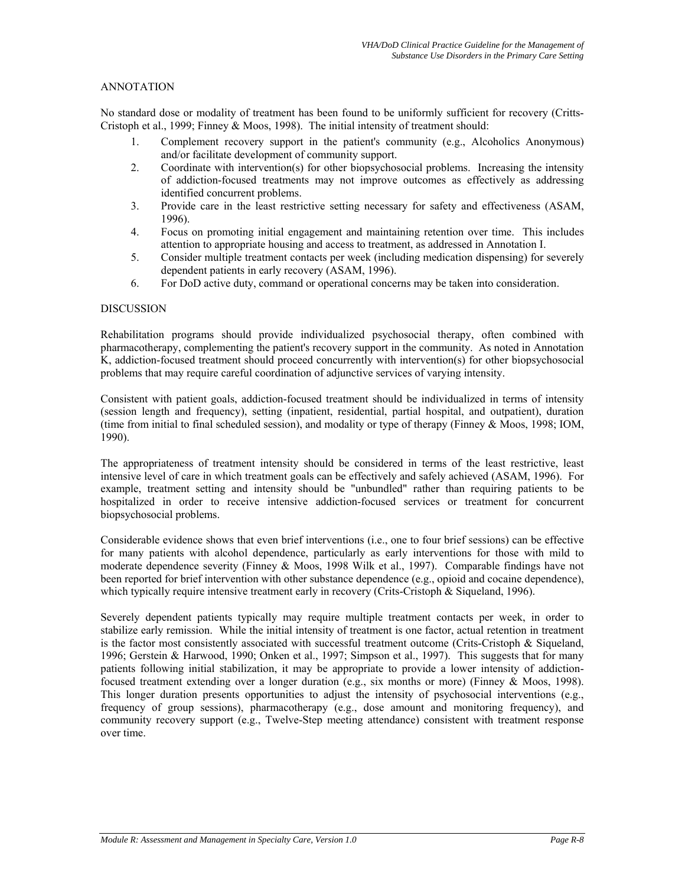# ANNOTATION

No standard dose or modality of treatment has been found to be uniformly sufficient for recovery (Critts-Cristoph et al., 1999; Finney & Moos, 1998). The initial intensity of treatment should:

- 1. Complement recovery support in the patient's community (e.g., Alcoholics Anonymous) and/or facilitate development of community support.
- 2. Coordinate with intervention(s) for other biopsychosocial problems. Increasing the intensity of addiction-focused treatments may not improve outcomes as effectively as addressing identified concurrent problems.
- 3. Provide care in the least restrictive setting necessary for safety and effectiveness (ASAM, 1996).
- 4. Focus on promoting initial engagement and maintaining retention over time. This includes attention to appropriate housing and access to treatment, as addressed in Annotation I.
- 5. Consider multiple treatment contacts per week (including medication dispensing) for severely dependent patients in early recovery (ASAM, 1996).
- 6. For DoD active duty, command or operational concerns may be taken into consideration.

#### DISCUSSION

Rehabilitation programs should provide individualized psychosocial therapy, often combined with pharmacotherapy, complementing the patient's recovery support in the community. As noted in Annotation K, addiction-focused treatment should proceed concurrently with intervention(s) for other biopsychosocial problems that may require careful coordination of adjunctive services of varying intensity.

Consistent with patient goals, addiction-focused treatment should be individualized in terms of intensity (session length and frequency), setting (inpatient, residential, partial hospital, and outpatient), duration (time from initial to final scheduled session), and modality or type of therapy (Finney & Moos, 1998; IOM, 1990).

The appropriateness of treatment intensity should be considered in terms of the least restrictive, least intensive level of care in which treatment goals can be effectively and safely achieved (ASAM, 1996). For example, treatment setting and intensity should be "unbundled" rather than requiring patients to be hospitalized in order to receive intensive addiction-focused services or treatment for concurrent biopsychosocial problems.

Considerable evidence shows that even brief interventions (i.e., one to four brief sessions) can be effective for many patients with alcohol dependence, particularly as early interventions for those with mild to moderate dependence severity (Finney & Moos, 1998 Wilk et al., 1997). Comparable findings have not been reported for brief intervention with other substance dependence (e.g., opioid and cocaine dependence), which typically require intensive treatment early in recovery (Crits-Cristoph & Siqueland, 1996).

Severely dependent patients typically may require multiple treatment contacts per week, in order to stabilize early remission. While the initial intensity of treatment is one factor, actual retention in treatment is the factor most consistently associated with successful treatment outcome (Crits-Cristoph & Siqueland, 1996; Gerstein & Harwood, 1990; Onken et al., 1997; Simpson et al., 1997). This suggests that for many patients following initial stabilization, it may be appropriate to provide a lower intensity of addictionfocused treatment extending over a longer duration (e.g., six months or more) (Finney & Moos, 1998). This longer duration presents opportunities to adjust the intensity of psychosocial interventions (e.g., frequency of group sessions), pharmacotherapy (e.g., dose amount and monitoring frequency), and community recovery support (e.g., Twelve-Step meeting attendance) consistent with treatment response over time.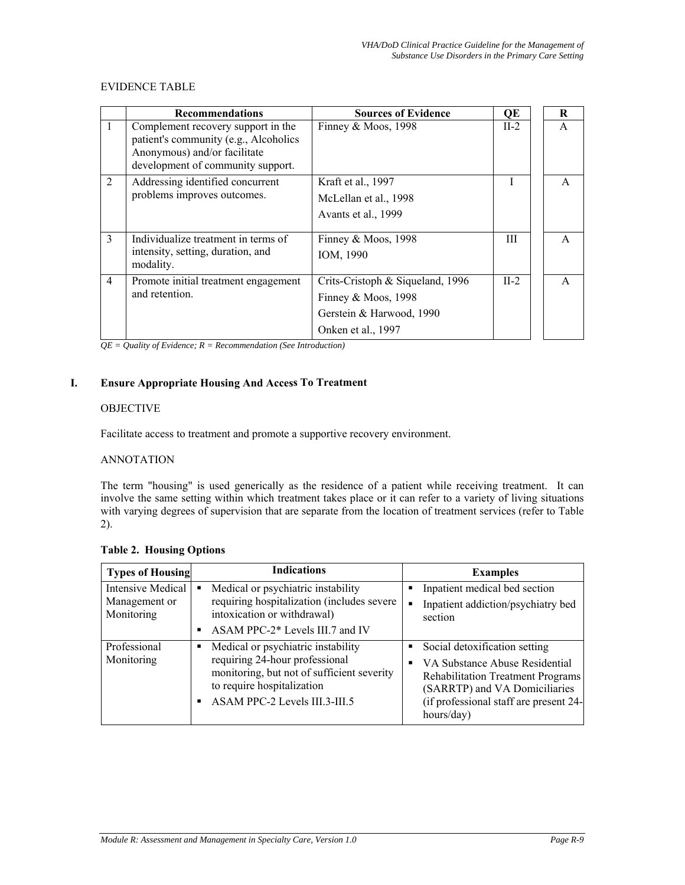# EVIDENCE TABLE

|                | <b>Recommendations</b>                                                                                                                           | <b>Sources of Evidence</b>       | QE     | R            |
|----------------|--------------------------------------------------------------------------------------------------------------------------------------------------|----------------------------------|--------|--------------|
| $\mathbf{1}$   | Complement recovery support in the<br>patient's community (e.g., Alcoholics<br>Anonymous) and/or facilitate<br>development of community support. | Finney & Moos, 1998              | $II-2$ | A            |
| 2              | Addressing identified concurrent                                                                                                                 | Kraft et al., 1997               |        | A            |
|                | problems improves outcomes.                                                                                                                      | McLellan et al., 1998            |        |              |
|                |                                                                                                                                                  | Avants et al., 1999              |        |              |
| $\mathcal{E}$  | Individualize treatment in terms of                                                                                                              | Finney & Moos, $1998$            | Ш      | $\mathsf{A}$ |
|                | intensity, setting, duration, and<br>modality.                                                                                                   | IOM, 1990                        |        |              |
| $\overline{4}$ | Promote initial treatment engagement                                                                                                             | Crits-Cristoph & Siqueland, 1996 | $II-2$ | $\mathsf{A}$ |
|                | and retention.                                                                                                                                   | Finney & Moos, $1998$            |        |              |
|                |                                                                                                                                                  | Gerstein & Harwood, 1990         |        |              |
|                |                                                                                                                                                  | Onken et al., 1997               |        |              |

*QE = Quality of Evidence; R = Recommendation (See Introduction)* 

# **I. Ensure Appropriate Housing And Access To Treatment**

# OBJECTIVE

Facilitate access to treatment and promote a supportive recovery environment.

#### ANNOTATION

The term "housing" is used generically as the residence of a patient while receiving treatment. It can involve the same setting within which treatment takes place or it can refer to a variety of living situations with varying degrees of supervision that are separate from the location of treatment services (refer to Table 2).

## **Table 2. Housing Options**

| <b>Types of Housing</b>                          | <b>Indications</b>                                                                                                                                                                     | <b>Examples</b>                                                                                                                                                                                      |
|--------------------------------------------------|----------------------------------------------------------------------------------------------------------------------------------------------------------------------------------------|------------------------------------------------------------------------------------------------------------------------------------------------------------------------------------------------------|
| Intensive Medical<br>Management or<br>Monitoring | Medical or psychiatric instability<br>requiring hospitalization (includes severe<br>intoxication or withdrawal)<br>ASAM PPC-2* Levels III.7 and IV                                     | Inpatient medical bed section<br>Inpatient addiction/psychiatry bed<br>section                                                                                                                       |
| Professional<br>Monitoring                       | Medical or psychiatric instability<br>п<br>requiring 24-hour professional<br>monitoring, but not of sufficient severity<br>to require hospitalization<br>ASAM PPC-2 Levels III.3-III.5 | Social detoxification setting<br>VA Substance Abuse Residential<br><b>Rehabilitation Treatment Programs</b><br>(SARRTP) and VA Domiciliaries<br>(if professional staff are present 24-<br>hours/day) |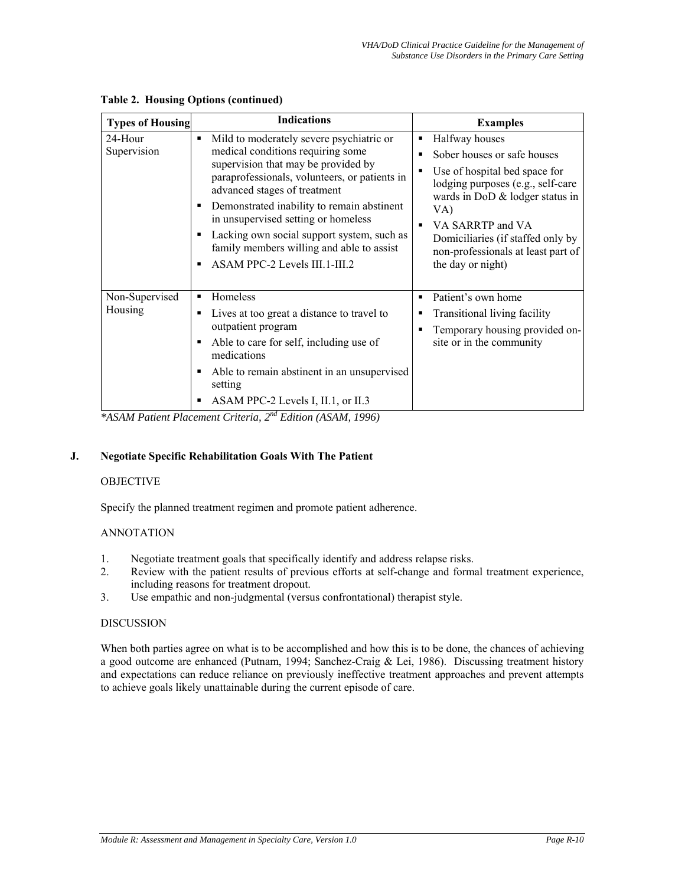| <b>Types of Housing</b>   | <b>Indications</b>                                                                                                                                                                                                                                                                                                                                                                                                                    | <b>Examples</b>                                                                                                                                                                                                                                                                                                    |
|---------------------------|---------------------------------------------------------------------------------------------------------------------------------------------------------------------------------------------------------------------------------------------------------------------------------------------------------------------------------------------------------------------------------------------------------------------------------------|--------------------------------------------------------------------------------------------------------------------------------------------------------------------------------------------------------------------------------------------------------------------------------------------------------------------|
| 24-Hour<br>Supervision    | Mild to moderately severe psychiatric or<br>٠<br>medical conditions requiring some<br>supervision that may be provided by<br>paraprofessionals, volunteers, or patients in<br>advanced stages of treatment<br>Demonstrated inability to remain abstinent<br>in unsupervised setting or homeless<br>Lacking own social support system, such as<br>٠<br>family members willing and able to assist<br>ASAM PPC-2 Levels III.1-III.2<br>٠ | Halfway houses<br>п<br>Sober houses or safe houses<br>п<br>Use of hospital bed space for<br>п<br>lodging purposes (e.g., self-care<br>wards in DoD & lodger status in<br>VA)<br>VA SARRTP and VA<br>$\blacksquare$<br>Domiciliaries (if staffed only by<br>non-professionals at least part of<br>the day or night) |
| Non-Supervised<br>Housing | Homeless<br>٠<br>Lives at too great a distance to travel to<br>٠<br>outpatient program<br>Able to care for self, including use of<br>medications<br>Able to remain abstinent in an unsupervised<br>٠<br>setting<br>ASAM PPC-2 Levels I, II.1, or II.3<br>٠<br>$a \cdot b$ and $F \cdot b$ (1.0114, 1006)                                                                                                                              | Patient's own home<br>٠<br>Transitional living facility<br>п<br>Temporary housing provided on-<br>site or in the community                                                                                                                                                                                         |

**Table 2. Housing Options (continued)** 

*\*ASAM Patient Placement Criteria, 2nd Edition (ASAM, 1996)* 

## **J. Negotiate Specific Rehabilitation Goals With The Patient**

## OBJECTIVE

Specify the planned treatment regimen and promote patient adherence.

## ANNOTATION

- 1. Negotiate treatment goals that specifically identify and address relapse risks.<br>2. Review with the patient results of previous efforts at self-change and formation
- Review with the patient results of previous efforts at self-change and formal treatment experience, including reasons for treatment dropout.
- 3. Use empathic and non-judgmental (versus confrontational) therapist style.

## DISCUSSION

When both parties agree on what is to be accomplished and how this is to be done, the chances of achieving a good outcome are enhanced (Putnam, 1994; Sanchez-Craig & Lei, 1986). Discussing treatment history and expectations can reduce reliance on previously ineffective treatment approaches and prevent attempts to achieve goals likely unattainable during the current episode of care.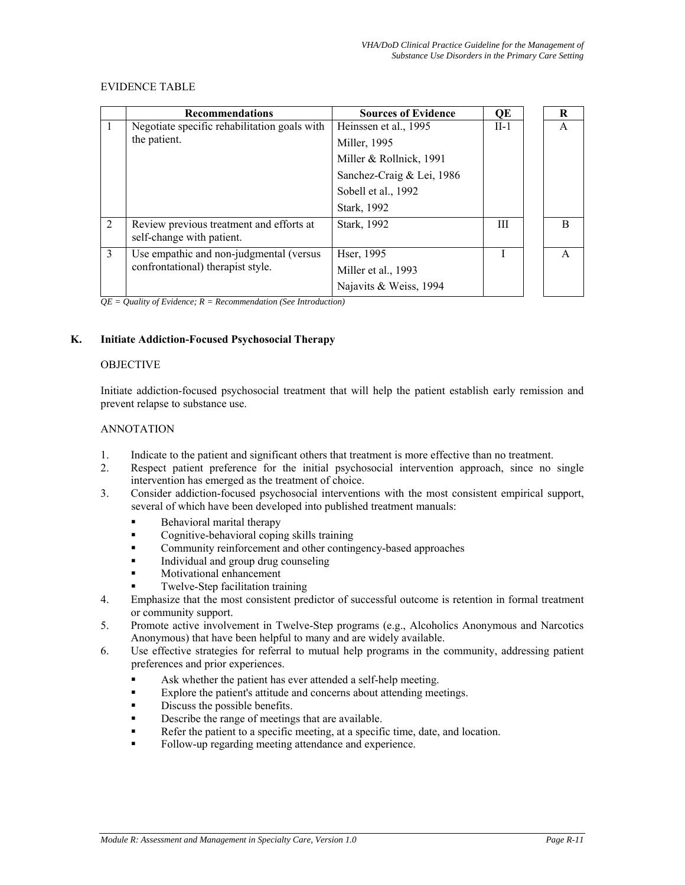## EVIDENCE TABLE

|                | <b>Recommendations</b>                                                | <b>Sources of Evidence</b> | QE     | R            |
|----------------|-----------------------------------------------------------------------|----------------------------|--------|--------------|
| 1              | Negotiate specific rehabilitation goals with                          | Heinssen et al., 1995      | $II-1$ | A            |
|                | the patient.                                                          | Miller, 1995               |        |              |
|                |                                                                       | Miller & Rollnick, 1991    |        |              |
|                |                                                                       | Sanchez-Craig & Lei, 1986  |        |              |
|                |                                                                       | Sobell et al., 1992        |        |              |
|                |                                                                       | Stark, 1992                |        |              |
| $\overline{2}$ | Review previous treatment and efforts at<br>self-change with patient. | Stark, 1992                | Ш      | <sub>R</sub> |
| 3              | Use empathic and non-judgmental (versus                               | Hser, 1995                 |        | A            |
|                | confrontational) therapist style.                                     | Miller et al., 1993        |        |              |
|                |                                                                       | Najavits & Weiss, 1994     |        |              |

*QE = Quality of Evidence; R = Recommendation (See Introduction)* 

# **K. Initiate Addiction-Focused Psychosocial Therapy**

#### **OBJECTIVE**

Initiate addiction-focused psychosocial treatment that will help the patient establish early remission and prevent relapse to substance use.

## ANNOTATION

- 1. Indicate to the patient and significant others that treatment is more effective than no treatment.
- 2. Respect patient preference for the initial psychosocial intervention approach, since no single intervention has emerged as the treatment of choice.
- 3. Consider addiction-focused psychosocial interventions with the most consistent empirical support, several of which have been developed into published treatment manuals:
	- Behavioral marital therapy
	- Cognitive-behavioral coping skills training
	- Community reinforcement and other contingency-based approaches
	- Individual and group drug counseling
	- Motivational enhancement
	- Twelve-Step facilitation training
- 4. Emphasize that the most consistent predictor of successful outcome is retention in formal treatment or community support.
- 5. Promote active involvement in Twelve-Step programs (e.g., Alcoholics Anonymous and Narcotics Anonymous) that have been helpful to many and are widely available.
- 6. Use effective strategies for referral to mutual help programs in the community, addressing patient preferences and prior experiences.
	- Ask whether the patient has ever attended a self-help meeting.
	- Explore the patient's attitude and concerns about attending meetings.
	- Discuss the possible benefits.
	- Describe the range of meetings that are available.
	- Refer the patient to a specific meeting, at a specific time, date, and location.
	- Follow-up regarding meeting attendance and experience.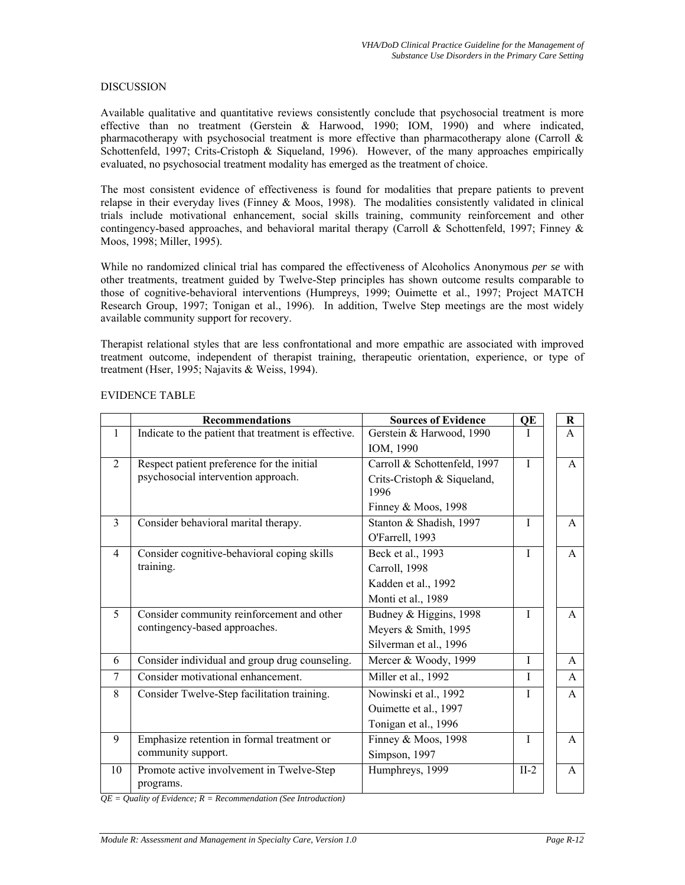#### DISCUSSION

Available qualitative and quantitative reviews consistently conclude that psychosocial treatment is more effective than no treatment (Gerstein & Harwood, 1990; IOM, 1990) and where indicated, pharmacotherapy with psychosocial treatment is more effective than pharmacotherapy alone (Carroll  $\&$ Schottenfeld, 1997; Crits-Cristoph & Siqueland, 1996). However, of the many approaches empirically evaluated, no psychosocial treatment modality has emerged as the treatment of choice.

The most consistent evidence of effectiveness is found for modalities that prepare patients to prevent relapse in their everyday lives (Finney & Moos, 1998). The modalities consistently validated in clinical trials include motivational enhancement, social skills training, community reinforcement and other contingency-based approaches, and behavioral marital therapy (Carroll & Schottenfeld, 1997; Finney & Moos, 1998; Miller, 1995).

While no randomized clinical trial has compared the effectiveness of Alcoholics Anonymous *per se* with other treatments, treatment guided by Twelve-Step principles has shown outcome results comparable to those of cognitive-behavioral interventions (Humpreys, 1999; Ouimette et al., 1997; Project MATCH Research Group, 1997; Tonigan et al., 1996). In addition, Twelve Step meetings are the most widely available community support for recovery.

Therapist relational styles that are less confrontational and more empathic are associated with improved treatment outcome, independent of therapist training, therapeutic orientation, experience, or type of treatment (Hser, 1995; Najavits & Weiss, 1994).

|                | <b>Recommendations</b>                               | <b>Sources of Evidence</b>   | QE           | $\bf R$      |              |
|----------------|------------------------------------------------------|------------------------------|--------------|--------------|--------------|
| $\mathbf{1}$   | Indicate to the patient that treatment is effective. | Gerstein & Harwood, 1990     | I            | $\mathsf{A}$ |              |
|                |                                                      | IOM, 1990                    |              |              |              |
| $\overline{2}$ | Respect patient preference for the initial           | Carroll & Schottenfeld, 1997 | T            |              | $\mathsf{A}$ |
|                | psychosocial intervention approach.                  | Crits-Cristoph & Siqueland,  |              |              |              |
|                |                                                      | 1996                         |              |              |              |
|                |                                                      | Finney & Moos, 1998          |              |              |              |
| $\overline{3}$ | Consider behavioral marital therapy.                 | Stanton & Shadish, 1997      | $\mathbf{I}$ |              | $\mathsf{A}$ |
|                |                                                      | O'Farrell, 1993              |              |              |              |
| $\overline{4}$ | Consider cognitive-behavioral coping skills          | Beck et al., 1993            | $\mathbf{I}$ |              | $\mathsf{A}$ |
|                | training.                                            | Carroll, 1998                |              |              |              |
|                |                                                      | Kadden et al., 1992          |              |              |              |
|                |                                                      | Monti et al., 1989           |              |              |              |
| 5              | Consider community reinforcement and other           | Budney & Higgins, 1998       | T            |              | $\mathsf{A}$ |
|                | contingency-based approaches.                        | Meyers & Smith, 1995         |              |              |              |
|                |                                                      | Silverman et al., 1996       |              |              |              |
| 6              | Consider individual and group drug counseling.       | Mercer & Woody, 1999         | I            |              | $\mathsf{A}$ |
| $\tau$         | Consider motivational enhancement.                   | Miller et al., 1992          | I            |              | $\mathsf{A}$ |
| 8              | Consider Twelve-Step facilitation training.          | Nowinski et al., 1992        | L            |              | $\mathsf{A}$ |
|                |                                                      | Ouimette et al., 1997        |              |              |              |
|                |                                                      | Tonigan et al., 1996         |              |              |              |
| 9              | Emphasize retention in formal treatment or           | Finney & Moos, 1998          | I            |              | $\mathsf{A}$ |
|                | community support.                                   | Simpson, 1997                |              |              |              |
| 10             | Promote active involvement in Twelve-Step            | Humphreys, 1999              | $II-2$       |              | $\mathsf{A}$ |
|                | programs.                                            |                              |              |              |              |

#### EVIDENCE TABLE

*QE = Quality of Evidence; R = Recommendation (See Introduction)*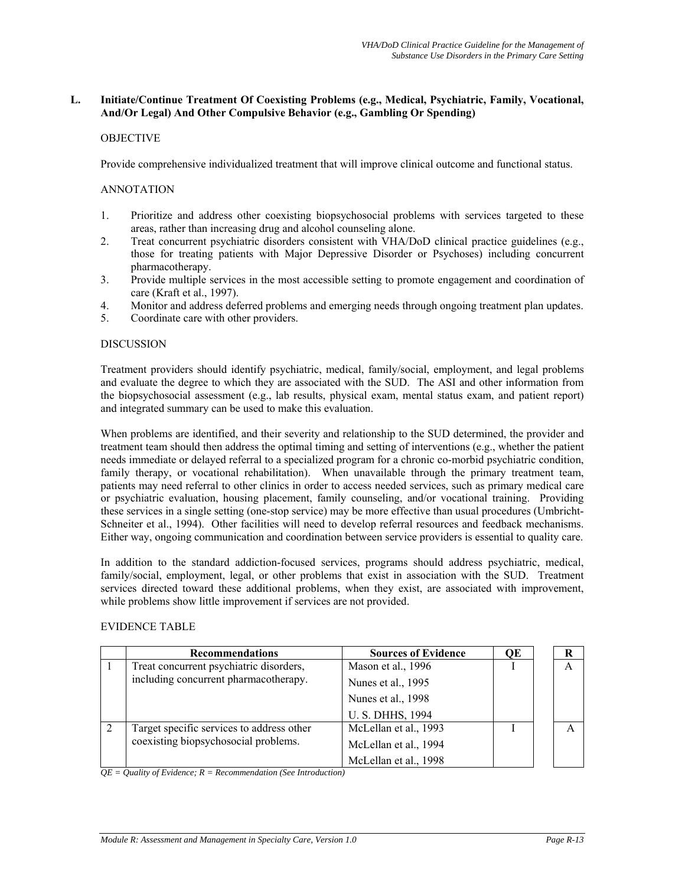#### **L. Initiate/Continue Treatment Of Coexisting Problems (e.g., Medical, Psychiatric, Family, Vocational, And/Or Legal) And Other Compulsive Behavior (e.g., Gambling Or Spending)**

# **OBJECTIVE**

Provide comprehensive individualized treatment that will improve clinical outcome and functional status.

#### ANNOTATION

- 1. Prioritize and address other coexisting biopsychosocial problems with services targeted to these areas, rather than increasing drug and alcohol counseling alone.
- 2. Treat concurrent psychiatric disorders consistent with VHA/DoD clinical practice guidelines (e.g., those for treating patients with Major Depressive Disorder or Psychoses) including concurrent pharmacotherapy.
- 3. Provide multiple services in the most accessible setting to promote engagement and coordination of care (Kraft et al., 1997).
- 4. Monitor and address deferred problems and emerging needs through ongoing treatment plan updates.
- 5. Coordinate care with other providers.

#### DISCUSSION

Treatment providers should identify psychiatric, medical, family/social, employment, and legal problems and evaluate the degree to which they are associated with the SUD. The ASI and other information from the biopsychosocial assessment (e.g., lab results, physical exam, mental status exam, and patient report) and integrated summary can be used to make this evaluation.

When problems are identified, and their severity and relationship to the SUD determined, the provider and treatment team should then address the optimal timing and setting of interventions (e.g., whether the patient needs immediate or delayed referral to a specialized program for a chronic co-morbid psychiatric condition, family therapy, or vocational rehabilitation). When unavailable through the primary treatment team, patients may need referral to other clinics in order to access needed services, such as primary medical care or psychiatric evaluation, housing placement, family counseling, and/or vocational training. Providing these services in a single setting (one-stop service) may be more effective than usual procedures (Umbricht-Schneiter et al., 1994). Other facilities will need to develop referral resources and feedback mechanisms. Either way, ongoing communication and coordination between service providers is essential to quality care.

In addition to the standard addiction-focused services, programs should address psychiatric, medical, family/social, employment, legal, or other problems that exist in association with the SUD. Treatment services directed toward these additional problems, when they exist, are associated with improvement, while problems show little improvement if services are not provided.

## EVIDENCE TABLE

| <b>Recommendations</b>                    | <b>Sources of Evidence</b> | OЕ |   |
|-------------------------------------------|----------------------------|----|---|
| Treat concurrent psychiatric disorders,   | Mason et al., 1996         |    | A |
| including concurrent pharmacotherapy.     | Nunes et al., 1995         |    |   |
|                                           | Nunes et al., 1998         |    |   |
|                                           | U. S. DHHS, 1994           |    |   |
| Target specific services to address other | McLellan et al., 1993      |    |   |
| coexisting biopsychosocial problems.      | McLellan et al., 1994      |    |   |
|                                           | McLellan et al., 1998      |    |   |

*QE = Quality of Evidence; R = Recommendation (See Introduction)*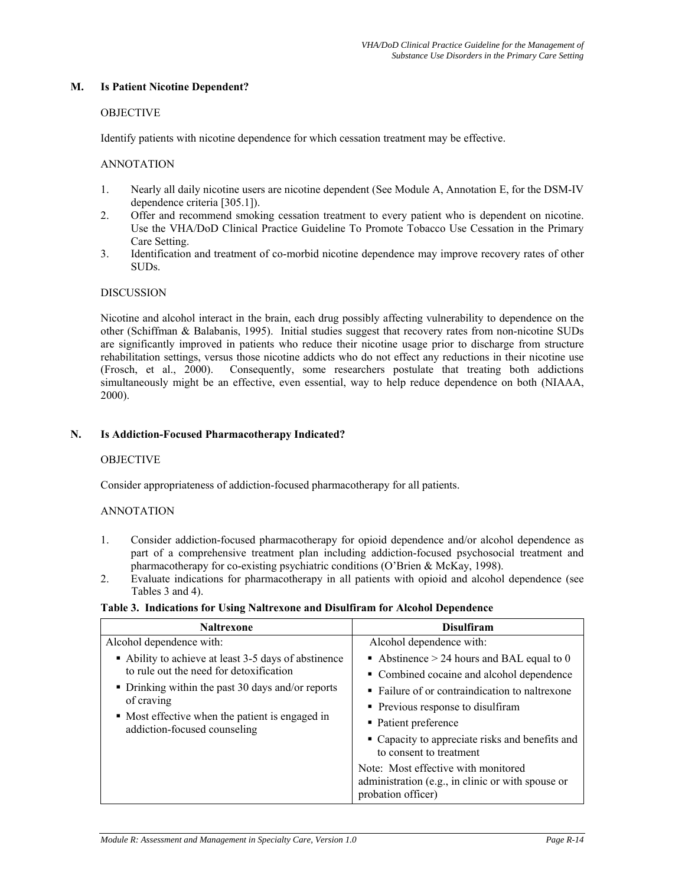#### **M. Is Patient Nicotine Dependent?**

#### **OBJECTIVE**

Identify patients with nicotine dependence for which cessation treatment may be effective.

#### ANNOTATION

- 1. Nearly all daily nicotine users are nicotine dependent (See Module A, Annotation E, for the DSM-IV dependence criteria [305.1]).
- 2. Offer and recommend smoking cessation treatment to every patient who is dependent on nicotine. Use the VHA/DoD Clinical Practice Guideline To Promote Tobacco Use Cessation in the Primary Care Setting.
- 3. Identification and treatment of co-morbid nicotine dependence may improve recovery rates of other SUDs.

#### **DISCUSSION**

Nicotine and alcohol interact in the brain, each drug possibly affecting vulnerability to dependence on the other (Schiffman & Balabanis, 1995). Initial studies suggest that recovery rates from non-nicotine SUDs are significantly improved in patients who reduce their nicotine usage prior to discharge from structure rehabilitation settings, versus those nicotine addicts who do not effect any reductions in their nicotine use (Frosch, et al., 2000). Consequently, some researchers postulate that treating both addictions simultaneously might be an effective, even essential, way to help reduce dependence on both (NIAAA, 2000).

#### **N. Is Addiction-Focused Pharmacotherapy Indicated?**

#### **OBJECTIVE**

Consider appropriateness of addiction-focused pharmacotherapy for all patients.

## ANNOTATION

- 1. Consider addiction-focused pharmacotherapy for opioid dependence and/or alcohol dependence as part of a comprehensive treatment plan including addiction-focused psychosocial treatment and pharmacotherapy for co-existing psychiatric conditions (O'Brien & McKay, 1998).
- 2. Evaluate indications for pharmacotherapy in all patients with opioid and alcohol dependence (see Tables 3 and 4).

#### **Table 3. Indications for Using Naltrexone and Disulfiram for Alcohol Dependence**

| <b>Naltrexone</b>                                                               | <b>Disulfiram</b>                                                                                              |
|---------------------------------------------------------------------------------|----------------------------------------------------------------------------------------------------------------|
| Alcohol dependence with:                                                        | Alcohol dependence with:                                                                                       |
| Ability to achieve at least 3-5 days of abstinence                              | Abstinence $> 24$ hours and BAL equal to 0                                                                     |
| to rule out the need for detoxification                                         | • Combined cocaine and alcohol dependence                                                                      |
| • Drinking within the past 30 days and/or reports                               | • Failure of or contraindication to naltrexone                                                                 |
| of craving                                                                      | • Previous response to disulfiram                                                                              |
| • Most effective when the patient is engaged in<br>addiction-focused counseling | • Patient preference                                                                                           |
|                                                                                 | • Capacity to appreciate risks and benefits and<br>to consent to treatment                                     |
|                                                                                 | Note: Most effective with monitored<br>administration (e.g., in clinic or with spouse or<br>probation officer) |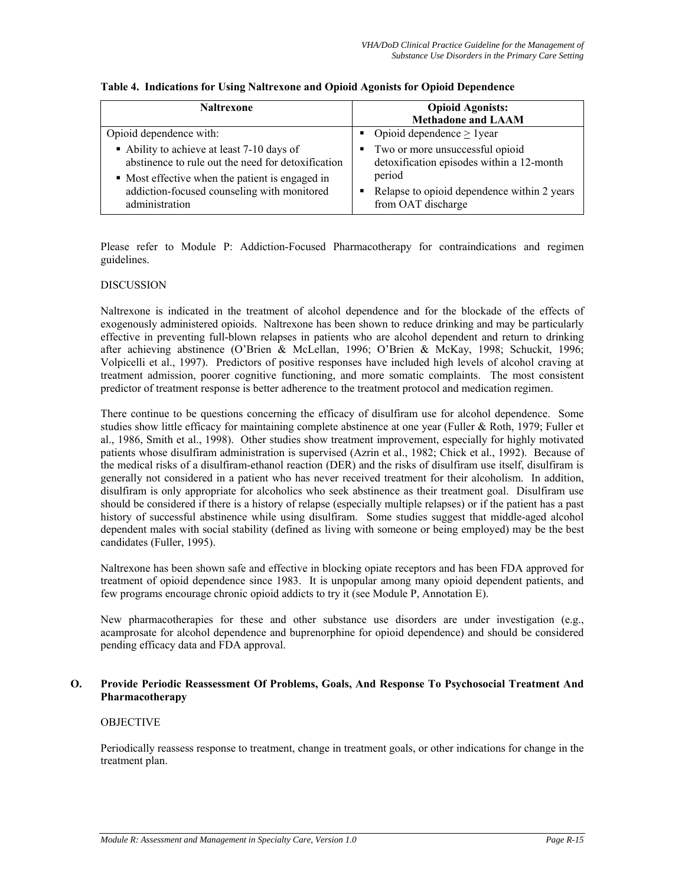| <b>Naltrexone</b>                                  | <b>Opioid Agonists:</b><br><b>Methadone and LAAM</b> |
|----------------------------------------------------|------------------------------------------------------|
| Opioid dependence with:                            | • Opioid dependence $> 1$ year                       |
| • Ability to achieve at least 7-10 days of         | Two or more unsuccessful opioid                      |
| abstinence to rule out the need for detoxification | detoxification episodes within a 12-month            |
| • Most effective when the patient is engaged in    | period                                               |
| addiction-focused counseling with monitored        | Relapse to opioid dependence within 2 years          |
| administration                                     | from OAT discharge                                   |

#### **Table 4. Indications for Using Naltrexone and Opioid Agonists for Opioid Dependence**

Please refer to Module P: Addiction-Focused Pharmacotherapy for contraindications and regimen guidelines.

## DISCUSSION

Naltrexone is indicated in the treatment of alcohol dependence and for the blockade of the effects of exogenously administered opioids. Naltrexone has been shown to reduce drinking and may be particularly effective in preventing full-blown relapses in patients who are alcohol dependent and return to drinking after achieving abstinence (O'Brien & McLellan, 1996; O'Brien & McKay, 1998; Schuckit, 1996; Volpicelli et al., 1997). Predictors of positive responses have included high levels of alcohol craving at treatment admission, poorer cognitive functioning, and more somatic complaints. The most consistent predictor of treatment response is better adherence to the treatment protocol and medication regimen.

There continue to be questions concerning the efficacy of disulfiram use for alcohol dependence. Some studies show little efficacy for maintaining complete abstinence at one year (Fuller & Roth, 1979; Fuller et al., 1986, Smith et al., 1998). Other studies show treatment improvement, especially for highly motivated patients whose disulfiram administration is supervised (Azrin et al., 1982; Chick et al., 1992). Because of the medical risks of a disulfiram-ethanol reaction (DER) and the risks of disulfiram use itself, disulfiram is generally not considered in a patient who has never received treatment for their alcoholism. In addition, disulfiram is only appropriate for alcoholics who seek abstinence as their treatment goal. Disulfiram use should be considered if there is a history of relapse (especially multiple relapses) or if the patient has a past history of successful abstinence while using disulfiram. Some studies suggest that middle-aged alcohol dependent males with social stability (defined as living with someone or being employed) may be the best candidates (Fuller, 1995).

Naltrexone has been shown safe and effective in blocking opiate receptors and has been FDA approved for treatment of opioid dependence since 1983. It is unpopular among many opioid dependent patients, and few programs encourage chronic opioid addicts to try it (see Module P, Annotation E).

New pharmacotherapies for these and other substance use disorders are under investigation (e.g., acamprosate for alcohol dependence and buprenorphine for opioid dependence) and should be considered pending efficacy data and FDA approval.

#### **O. Provide Periodic Reassessment Of Problems, Goals, And Response To Psychosocial Treatment And Pharmacotherapy**

## **OBJECTIVE**

Periodically reassess response to treatment, change in treatment goals, or other indications for change in the treatment plan.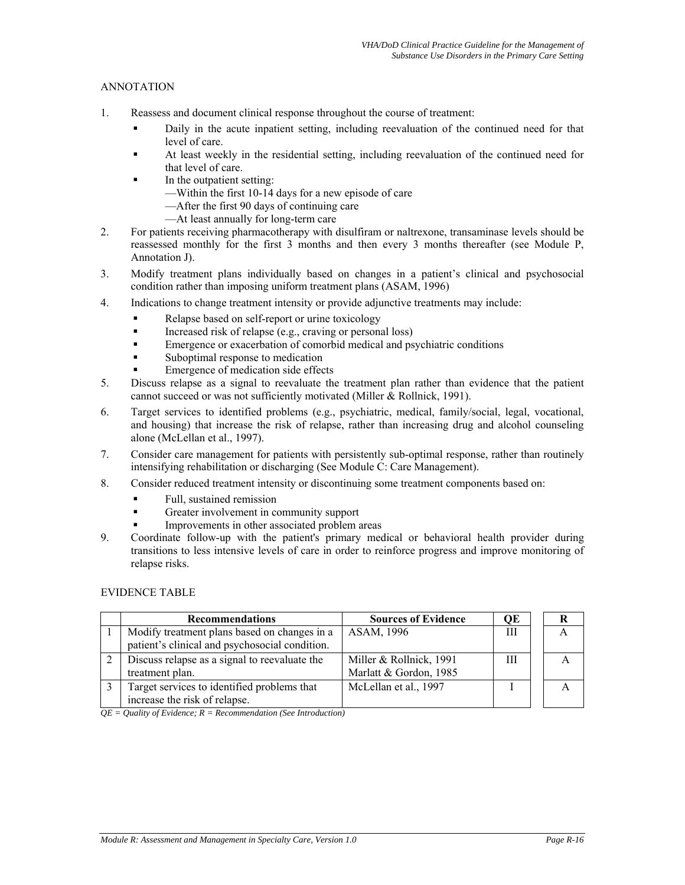# ANNOTATION

- 1. Reassess and document clinical response throughout the course of treatment:
	- Daily in the acute inpatient setting, including reevaluation of the continued need for that level of care.
	- At least weekly in the residential setting, including reevaluation of the continued need for that level of care.
		- In the outpatient setting:
			- —Within the first 10-14 days for a new episode of care
			- —After the first 90 days of continuing care
			- —At least annually for long-term care
- 2. For patients receiving pharmacotherapy with disulfiram or naltrexone, transaminase levels should be reassessed monthly for the first 3 months and then every 3 months thereafter (see Module P, Annotation J).
- 3. Modify treatment plans individually based on changes in a patient's clinical and psychosocial condition rather than imposing uniform treatment plans (ASAM, 1996)
- 4. Indications to change treatment intensity or provide adjunctive treatments may include:
	- Relapse based on self-report or urine toxicology
	- Increased risk of relapse (e.g., craving or personal loss)
	- Emergence or exacerbation of comorbid medical and psychiatric conditions
	- Suboptimal response to medication
	- Emergence of medication side effects
- 5. Discuss relapse as a signal to reevaluate the treatment plan rather than evidence that the patient cannot succeed or was not sufficiently motivated (Miller & Rollnick, 1991).
- 6. Target services to identified problems (e.g., psychiatric, medical, family/social, legal, vocational, and housing) that increase the risk of relapse, rather than increasing drug and alcohol counseling alone (McLellan et al., 1997).
- 7. Consider care management for patients with persistently sub-optimal response, rather than routinely intensifying rehabilitation or discharging (See Module C: Care Management).
- 8. Consider reduced treatment intensity or discontinuing some treatment components based on:
	- Full, sustained remission
	- Greater involvement in community support
	- Improvements in other associated problem areas
- 9. Coordinate follow-up with the patient's primary medical or behavioral health provider during transitions to less intensive levels of care in order to reinforce progress and improve monitoring of relapse risks.

#### EVIDENCE TABLE

| <b>Recommendations</b>                                                                         | <b>Sources of Evidence</b>                        | ОE |   |
|------------------------------------------------------------------------------------------------|---------------------------------------------------|----|---|
| Modify treatment plans based on changes in a<br>patient's clinical and psychosocial condition. | ASAM, 1996                                        | Ш  | A |
| Discuss relapse as a signal to reevaluate the<br>treatment plan.                               | Miller & Rollnick, 1991<br>Marlatt & Gordon, 1985 | Ш  |   |
| Target services to identified problems that<br>increase the risk of relapse.                   | McLellan et al., 1997                             |    |   |

*QE = Quality of Evidence; R = Recommendation (See Introduction)*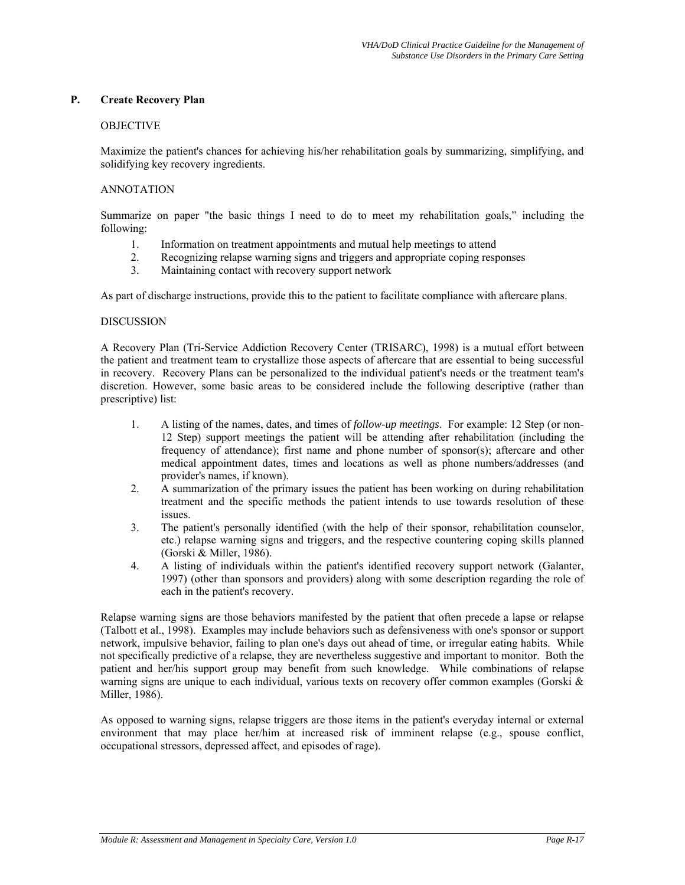## **P. Create Recovery Plan**

#### **OBJECTIVE**

Maximize the patient's chances for achieving his/her rehabilitation goals by summarizing, simplifying, and solidifying key recovery ingredients.

#### ANNOTATION

Summarize on paper "the basic things I need to do to meet my rehabilitation goals," including the following:

- 1. Information on treatment appointments and mutual help meetings to attend
- 2. Recognizing relapse warning signs and triggers and appropriate coping responses<br>3. Maintaining contact with recovery support network
- Maintaining contact with recovery support network

As part of discharge instructions, provide this to the patient to facilitate compliance with aftercare plans.

#### DISCUSSION

A Recovery Plan (Tri-Service Addiction Recovery Center (TRISARC), 1998) is a mutual effort between the patient and treatment team to crystallize those aspects of aftercare that are essential to being successful in recovery. Recovery Plans can be personalized to the individual patient's needs or the treatment team's discretion. However, some basic areas to be considered include the following descriptive (rather than prescriptive) list:

- 1. A listing of the names, dates, and times of *follow-up meetings*. For example: 12 Step (or non-12 Step) support meetings the patient will be attending after rehabilitation (including the frequency of attendance); first name and phone number of sponsor(s); aftercare and other medical appointment dates, times and locations as well as phone numbers/addresses (and provider's names, if known).
- 2. A summarization of the primary issues the patient has been working on during rehabilitation treatment and the specific methods the patient intends to use towards resolution of these issues.
- 3. The patient's personally identified (with the help of their sponsor, rehabilitation counselor, etc.) relapse warning signs and triggers, and the respective countering coping skills planned (Gorski & Miller, 1986).
- 4. A listing of individuals within the patient's identified recovery support network (Galanter, 1997) (other than sponsors and providers) along with some description regarding the role of each in the patient's recovery.

Relapse warning signs are those behaviors manifested by the patient that often precede a lapse or relapse (Talbott et al., 1998). Examples may include behaviors such as defensiveness with one's sponsor or support network, impulsive behavior, failing to plan one's days out ahead of time, or irregular eating habits. While not specifically predictive of a relapse, they are nevertheless suggestive and important to monitor. Both the patient and her/his support group may benefit from such knowledge. While combinations of relapse warning signs are unique to each individual, various texts on recovery offer common examples (Gorski & Miller, 1986).

As opposed to warning signs, relapse triggers are those items in the patient's everyday internal or external environment that may place her/him at increased risk of imminent relapse (e.g., spouse conflict, occupational stressors, depressed affect, and episodes of rage).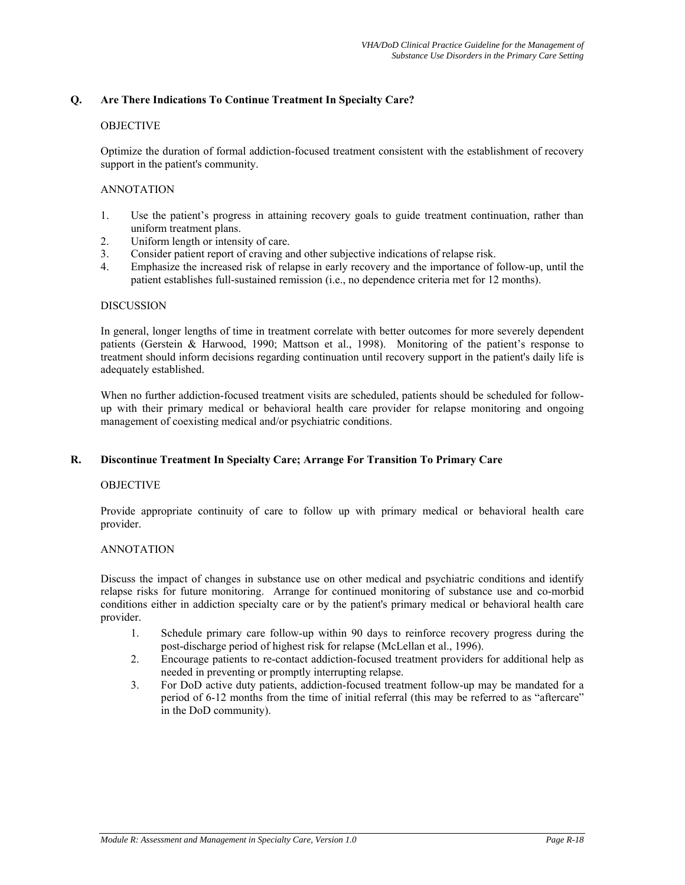# **Q. Are There Indications To Continue Treatment In Specialty Care?**

## **OBJECTIVE**

Optimize the duration of formal addiction-focused treatment consistent with the establishment of recovery support in the patient's community.

#### ANNOTATION

- 1. Use the patient's progress in attaining recovery goals to guide treatment continuation, rather than uniform treatment plans.
- 2. Uniform length or intensity of care.
- 3. Consider patient report of craving and other subjective indications of relapse risk.
- 4. Emphasize the increased risk of relapse in early recovery and the importance of follow-up, until the patient establishes full-sustained remission (i.e., no dependence criteria met for 12 months).

#### DISCUSSION

In general, longer lengths of time in treatment correlate with better outcomes for more severely dependent patients (Gerstein & Harwood, 1990; Mattson et al., 1998). Monitoring of the patient's response to treatment should inform decisions regarding continuation until recovery support in the patient's daily life is adequately established.

When no further addiction-focused treatment visits are scheduled, patients should be scheduled for followup with their primary medical or behavioral health care provider for relapse monitoring and ongoing management of coexisting medical and/or psychiatric conditions.

## **R. Discontinue Treatment In Specialty Care; Arrange For Transition To Primary Care**

#### OBJECTIVE

Provide appropriate continuity of care to follow up with primary medical or behavioral health care provider.

## ANNOTATION

Discuss the impact of changes in substance use on other medical and psychiatric conditions and identify relapse risks for future monitoring. Arrange for continued monitoring of substance use and co-morbid conditions either in addiction specialty care or by the patient's primary medical or behavioral health care provider.

- 1. Schedule primary care follow-up within 90 days to reinforce recovery progress during the post-discharge period of highest risk for relapse (McLellan et al., 1996).
- 2. Encourage patients to re-contact addiction-focused treatment providers for additional help as needed in preventing or promptly interrupting relapse.
- 3. For DoD active duty patients, addiction-focused treatment follow-up may be mandated for a period of 6-12 months from the time of initial referral (this may be referred to as "aftercare" in the DoD community).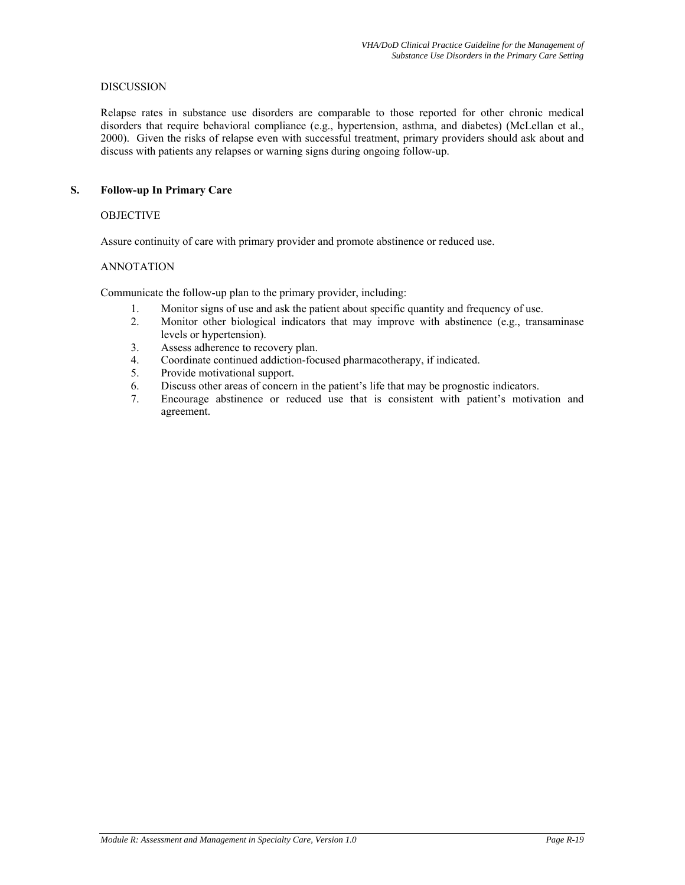#### DISCUSSION

Relapse rates in substance use disorders are comparable to those reported for other chronic medical disorders that require behavioral compliance (e.g., hypertension, asthma, and diabetes) (McLellan et al., 2000). Given the risks of relapse even with successful treatment, primary providers should ask about and discuss with patients any relapses or warning signs during ongoing follow-up.

## **S. Follow-up In Primary Care**

#### OBJECTIVE

Assure continuity of care with primary provider and promote abstinence or reduced use.

#### ANNOTATION

Communicate the follow-up plan to the primary provider, including:

- 1. Monitor signs of use and ask the patient about specific quantity and frequency of use.
- 2. Monitor other biological indicators that may improve with abstinence (e.g., transaminase levels or hypertension).
- 3. Assess adherence to recovery plan.
- 4. Coordinate continued addiction-focused pharmacotherapy, if indicated.
- 5. Provide motivational support.
- 6. Discuss other areas of concern in the patient's life that may be prognostic indicators.
- 7. Encourage abstinence or reduced use that is consistent with patient's motivation and agreement.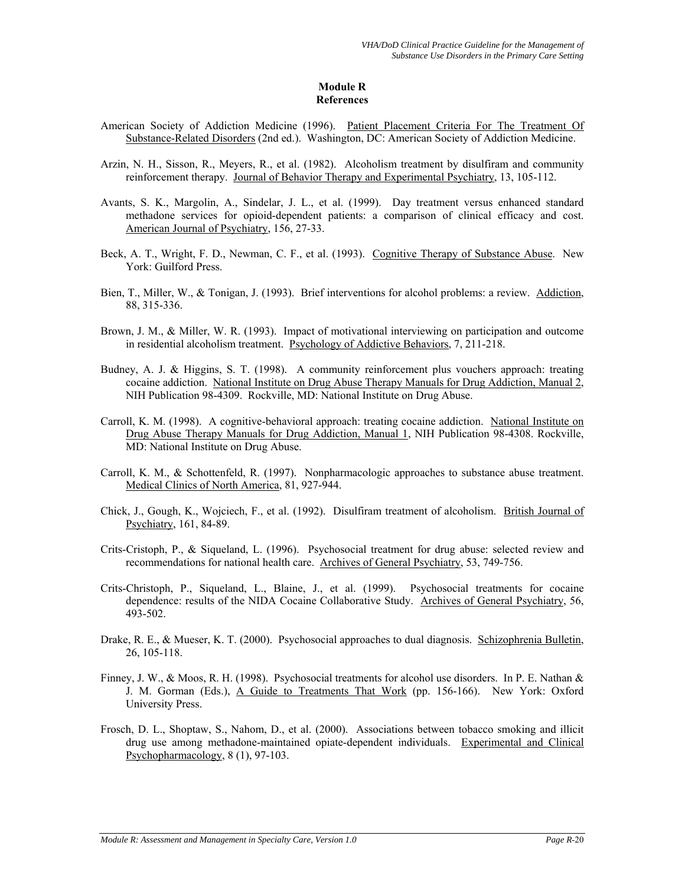# **Module R References**

- American Society of Addiction Medicine (1996). Patient Placement Criteria For The Treatment Of Substance-Related Disorders (2nd ed.). Washington, DC: American Society of Addiction Medicine.
- Arzin, N. H., Sisson, R., Meyers, R., et al. (1982). Alcoholism treatment by disulfiram and community reinforcement therapy. Journal of Behavior Therapy and Experimental Psychiatry, 13, 105-112.
- Avants, S. K., Margolin, A., Sindelar, J. L., et al. (1999). Day treatment versus enhanced standard methadone services for opioid-dependent patients: a comparison of clinical efficacy and cost. American Journal of Psychiatry, 156, 27-33.
- Beck, A. T., Wright, F. D., Newman, C. F., et al. (1993). Cognitive Therapy of Substance Abuse. New York: Guilford Press.
- Bien, T., Miller, W., & Tonigan, J. (1993). Brief interventions for alcohol problems: a review. Addiction, 88, 315-336.
- Brown, J. M., & Miller, W. R. (1993). Impact of motivational interviewing on participation and outcome in residential alcoholism treatment. Psychology of Addictive Behaviors, 7, 211-218.
- Budney, A. J. & Higgins, S. T. (1998). A community reinforcement plus vouchers approach: treating cocaine addiction. National Institute on Drug Abuse Therapy Manuals for Drug Addiction, Manual 2, NIH Publication 98-4309. Rockville, MD: National Institute on Drug Abuse.
- Carroll, K. M. (1998). A cognitive-behavioral approach: treating cocaine addiction. National Institute on Drug Abuse Therapy Manuals for Drug Addiction, Manual 1, NIH Publication 98-4308. Rockville, MD: National Institute on Drug Abuse.
- Carroll, K. M., & Schottenfeld, R. (1997). Nonpharmacologic approaches to substance abuse treatment. Medical Clinics of North America, 81, 927-944.
- Chick, J., Gough, K., Wojciech, F., et al. (1992). Disulfiram treatment of alcoholism. British Journal of Psychiatry, 161, 84-89.
- Crits-Cristoph, P., & Siqueland, L. (1996). Psychosocial treatment for drug abuse: selected review and recommendations for national health care. Archives of General Psychiatry, 53, 749-756.
- Crits-Christoph, P., Siqueland, L., Blaine, J., et al. (1999). Psychosocial treatments for cocaine dependence: results of the NIDA Cocaine Collaborative Study. Archives of General Psychiatry, 56, 493-502.
- Drake, R. E., & Mueser, K. T. (2000). Psychosocial approaches to dual diagnosis. Schizophrenia Bulletin, 26, 105-118.
- Finney, J. W., & Moos, R. H. (1998). Psychosocial treatments for alcohol use disorders. In P. E. Nathan & J. M. Gorman (Eds.), A Guide to Treatments That Work (pp. 156-166). New York: Oxford University Press.
- Frosch, D. L., Shoptaw, S., Nahom, D., et al. (2000). Associations between tobacco smoking and illicit drug use among methadone-maintained opiate-dependent individuals. Experimental and Clinical Psychopharmacology, 8 (1), 97-103.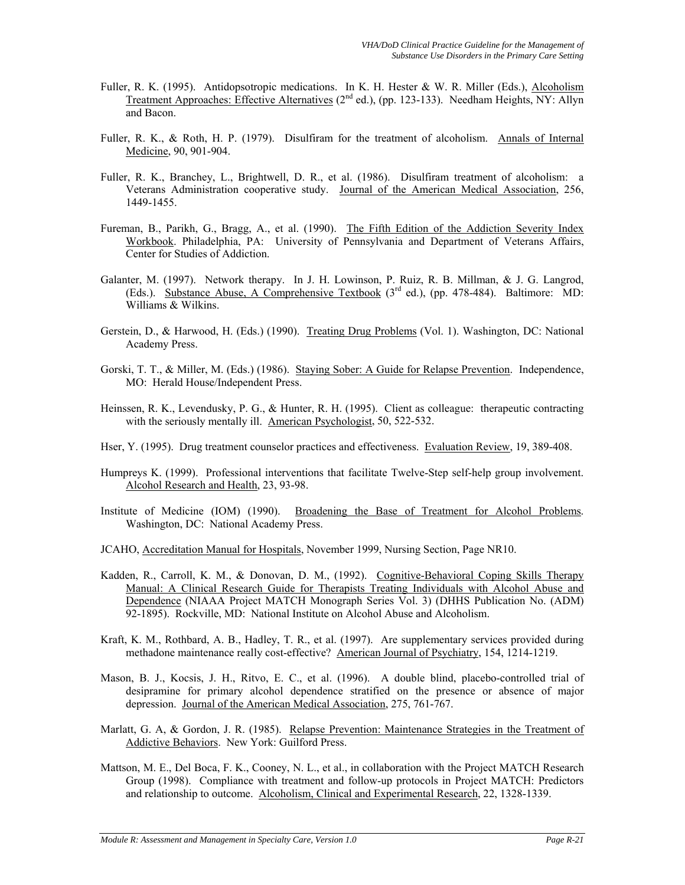- Fuller, R. K. (1995). Antidopsotropic medications. In K. H. Hester & W. R. Miller (Eds.), Alcoholism Treatment Approaches: Effective Alternatives (2<sup>nd</sup> ed.), (pp. 123-133). Needham Heights, NY: Allyn and Bacon.
- Fuller, R. K., & Roth, H. P. (1979). Disulfiram for the treatment of alcoholism. Annals of Internal Medicine, 90, 901-904.
- Fuller, R. K., Branchey, L., Brightwell, D. R., et al. (1986). Disulfiram treatment of alcoholism: a Veterans Administration cooperative study. Journal of the American Medical Association, 256, 1449-1455.
- Fureman, B., Parikh, G., Bragg, A., et al. (1990). The Fifth Edition of the Addiction Severity Index Workbook. Philadelphia, PA: University of Pennsylvania and Department of Veterans Affairs, Center for Studies of Addiction.
- Galanter, M. (1997). Network therapy. In J. H. Lowinson, P. Ruiz, R. B. Millman, & J. G. Langrod, (Eds.). Substance Abuse, A Comprehensive Textbook  $(3<sup>rd</sup> ed.)$ , (pp. 478-484). Baltimore: MD: Williams & Wilkins.
- Gerstein, D., & Harwood, H. (Eds.) (1990). Treating Drug Problems (Vol. 1). Washington, DC: National Academy Press.
- Gorski, T. T., & Miller, M. (Eds.) (1986). Staying Sober: A Guide for Relapse Prevention. Independence, MO: Herald House/Independent Press.
- Heinssen, R. K., Levendusky, P. G., & Hunter, R. H. (1995). Client as colleague: therapeutic contracting with the seriously mentally ill. American Psychologist, 50, 522-532.
- Hser, Y. (1995). Drug treatment counselor practices and effectiveness. Evaluation Review, 19, 389-408.
- Humpreys K. (1999). Professional interventions that facilitate Twelve-Step self-help group involvement. Alcohol Research and Health, 23, 93-98.
- Institute of Medicine (IOM) (1990). Broadening the Base of Treatment for Alcohol Problems. Washington, DC: National Academy Press.
- JCAHO, Accreditation Manual for Hospitals, November 1999, Nursing Section, Page NR10.
- Kadden, R., Carroll, K. M., & Donovan, D. M., (1992). Cognitive-Behavioral Coping Skills Therapy Manual: A Clinical Research Guide for Therapists Treating Individuals with Alcohol Abuse and Dependence (NIAAA Project MATCH Monograph Series Vol. 3) (DHHS Publication No. (ADM) 92-1895). Rockville, MD: National Institute on Alcohol Abuse and Alcoholism.
- Kraft, K. M., Rothbard, A. B., Hadley, T. R., et al. (1997). Are supplementary services provided during methadone maintenance really cost-effective? American Journal of Psychiatry, 154, 1214-1219.
- Mason, B. J., Kocsis, J. H., Ritvo, E. C., et al. (1996). A double blind, placebo-controlled trial of desipramine for primary alcohol dependence stratified on the presence or absence of major depression. Journal of the American Medical Association, 275, 761-767.
- Marlatt, G. A, & Gordon, J. R. (1985). Relapse Prevention: Maintenance Strategies in the Treatment of Addictive Behaviors. New York: Guilford Press.
- Mattson, M. E., Del Boca, F. K., Cooney, N. L., et al., in collaboration with the Project MATCH Research Group (1998). Compliance with treatment and follow-up protocols in Project MATCH: Predictors and relationship to outcome. Alcoholism, Clinical and Experimental Research, 22, 1328-1339.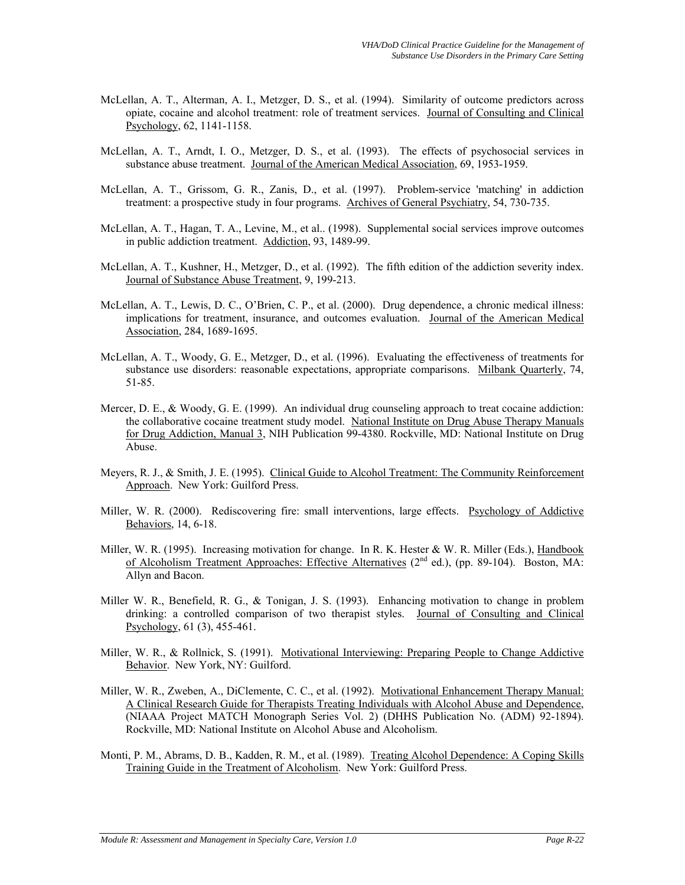- McLellan, A. T., Alterman, A. I., Metzger, D. S., et al. (1994). Similarity of outcome predictors across opiate, cocaine and alcohol treatment: role of treatment services. Journal of Consulting and Clinical Psychology, 62, 1141-1158.
- McLellan, A. T., Arndt, I. O., Metzger, D. S., et al. (1993). The effects of psychosocial services in substance abuse treatment. Journal of the American Medical Association, 69, 1953-1959.
- McLellan, A. T., Grissom, G. R., Zanis, D., et al. (1997). Problem-service 'matching' in addiction treatment: a prospective study in four programs. Archives of General Psychiatry, 54, 730-735.
- McLellan, A. T., Hagan, T. A., Levine, M., et al.. (1998). Supplemental social services improve outcomes in public addiction treatment. Addiction, 93, 1489-99.
- McLellan, A. T., Kushner, H., Metzger, D., et al. (1992). The fifth edition of the addiction severity index. Journal of Substance Abuse Treatment, 9, 199-213.
- McLellan, A. T., Lewis, D. C., O'Brien, C. P., et al. (2000). Drug dependence, a chronic medical illness: implications for treatment, insurance, and outcomes evaluation. Journal of the American Medical Association, 284, 1689-1695.
- McLellan, A. T., Woody, G. E., Metzger, D., et al*.* (1996). Evaluating the effectiveness of treatments for substance use disorders: reasonable expectations, appropriate comparisons. Milbank Quarterly, 74, 51-85.
- Mercer, D. E., & Woody, G. E. (1999). An individual drug counseling approach to treat cocaine addiction: the collaborative cocaine treatment study model. National Institute on Drug Abuse Therapy Manuals for Drug Addiction, Manual 3, NIH Publication 99-4380. Rockville, MD: National Institute on Drug Abuse.
- Meyers, R. J., & Smith, J. E. (1995). Clinical Guide to Alcohol Treatment: The Community Reinforcement Approach. New York: Guilford Press.
- Miller, W. R. (2000). Rediscovering fire: small interventions, large effects. Psychology of Addictive Behaviors, 14, 6-18.
- Miller, W. R. (1995). Increasing motivation for change. In R. K. Hester & W. R. Miller (Eds.), Handbook of Alcoholism Treatment Approaches: Effective Alternatives  $(2<sup>nd</sup> ed.)$ , (pp. 89-104). Boston, MA: Allyn and Bacon.
- Miller W. R., Benefield, R. G., & Tonigan, J. S. (1993). Enhancing motivation to change in problem drinking: a controlled comparison of two therapist styles. Journal of Consulting and Clinical Psychology, 61 (3), 455-461.
- Miller, W. R., & Rollnick, S. (1991). Motivational Interviewing: Preparing People to Change Addictive Behavior. New York, NY: Guilford.
- Miller, W. R., Zweben, A., DiClemente, C. C., et al. (1992). Motivational Enhancement Therapy Manual: A Clinical Research Guide for Therapists Treating Individuals with Alcohol Abuse and Dependence, (NIAAA Project MATCH Monograph Series Vol. 2) (DHHS Publication No. (ADM) 92-1894). Rockville, MD: National Institute on Alcohol Abuse and Alcoholism.
- Monti, P. M., Abrams, D. B., Kadden, R. M., et al. (1989). Treating Alcohol Dependence: A Coping Skills Training Guide in the Treatment of Alcoholism. New York: Guilford Press.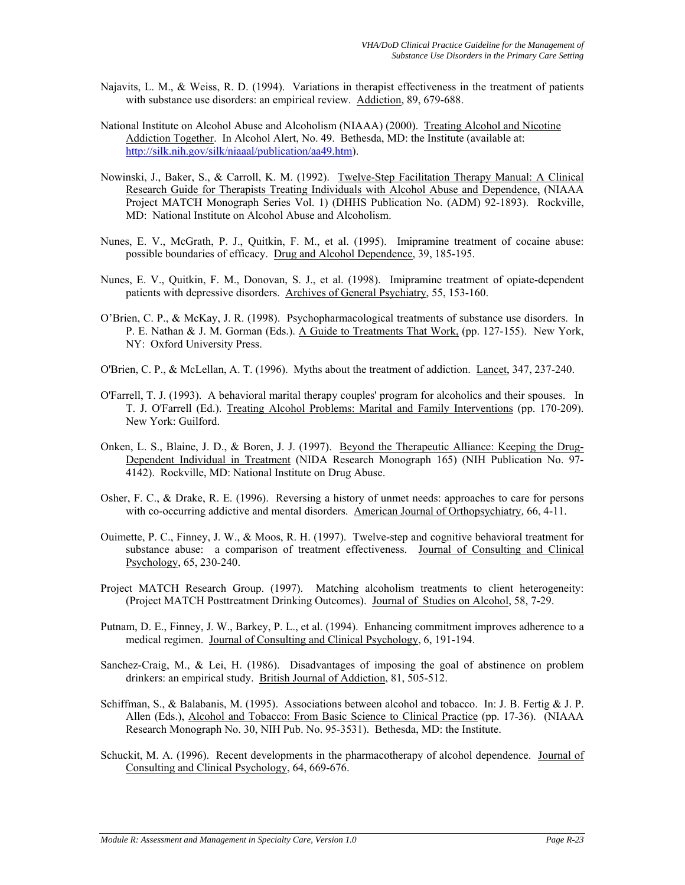- Najavits, L. M., & Weiss, R. D. (1994). Variations in therapist effectiveness in the treatment of patients with substance use disorders: an empirical review. Addiction, 89, 679-688.
- National Institute on Alcohol Abuse and Alcoholism (NIAAA) (2000). Treating Alcohol and Nicotine Addiction Together. In Alcohol Alert, No. 49. Bethesda, MD: the Institute (available at: [http://silk.nih.gov/silk/niaaal/publication/aa49.htm\)](http://silk.nih.gov/silk/niaaal/publication/aa49.htm).
- Nowinski, J., Baker, S., & Carroll, K. M. (1992). Twelve-Step Facilitation Therapy Manual: A Clinical Research Guide for Therapists Treating Individuals with Alcohol Abuse and Dependence, (NIAAA Project MATCH Monograph Series Vol. 1) (DHHS Publication No. (ADM) 92-1893). Rockville, MD: National Institute on Alcohol Abuse and Alcoholism.
- Nunes, E. V., McGrath, P. J., Quitkin, F. M., et al. (1995). Imipramine treatment of cocaine abuse: possible boundaries of efficacy. Drug and Alcohol Dependence, 39, 185-195.
- Nunes, E. V., Quitkin, F. M., Donovan, S. J., et al. (1998). Imipramine treatment of opiate-dependent patients with depressive disorders. Archives of General Psychiatry, 55, 153-160.
- O'Brien, C. P., & McKay, J. R. (1998). Psychopharmacological treatments of substance use disorders. In P. E. Nathan & J. M. Gorman (Eds.). A Guide to Treatments That Work, (pp. 127-155). New York, NY: Oxford University Press.
- O'Brien, C. P., & McLellan, A. T. (1996). Myths about the treatment of addiction. Lancet, 347, 237-240.
- O'Farrell, T. J. (1993). A behavioral marital therapy couples' program for alcoholics and their spouses. In T. J. O'Farrell (Ed.). Treating Alcohol Problems: Marital and Family Interventions (pp. 170-209). New York: Guilford.
- Onken, L. S., Blaine, J. D., & Boren, J. J. (1997). Beyond the Therapeutic Alliance: Keeping the Drug-Dependent Individual in Treatment (NIDA Research Monograph 165) (NIH Publication No. 97- 4142). Rockville, MD: National Institute on Drug Abuse.
- Osher, F. C., & Drake, R. E. (1996). Reversing a history of unmet needs: approaches to care for persons with co-occurring addictive and mental disorders. American Journal of Orthopsychiatry, 66, 4-11.
- Ouimette, P. C., Finney, J. W., & Moos, R. H. (1997). Twelve-step and cognitive behavioral treatment for substance abuse: a comparison of treatment effectiveness. Journal of Consulting and Clinical Psychology, 65, 230-240.
- Project MATCH Research Group. (1997). Matching alcoholism treatments to client heterogeneity: (Project MATCH Posttreatment Drinking Outcomes). Journal of Studies on Alcohol, 58, 7-29.
- Putnam, D. E., Finney, J. W., Barkey, P. L., et al. (1994). Enhancing commitment improves adherence to a medical regimen. Journal of Consulting and Clinical Psychology, 6, 191-194.
- Sanchez-Craig, M., & Lei, H. (1986). Disadvantages of imposing the goal of abstinence on problem drinkers: an empirical study. British Journal of Addiction, 81, 505-512.
- Schiffman, S., & Balabanis, M. (1995). Associations between alcohol and tobacco. In: J. B. Fertig & J. P. Allen (Eds.), Alcohol and Tobacco: From Basic Science to Clinical Practice (pp. 17-36). (NIAAA Research Monograph No. 30, NIH Pub. No. 95-3531). Bethesda, MD: the Institute.
- Schuckit, M. A. (1996). Recent developments in the pharmacotherapy of alcohol dependence. Journal of Consulting and Clinical Psychology, 64, 669-676.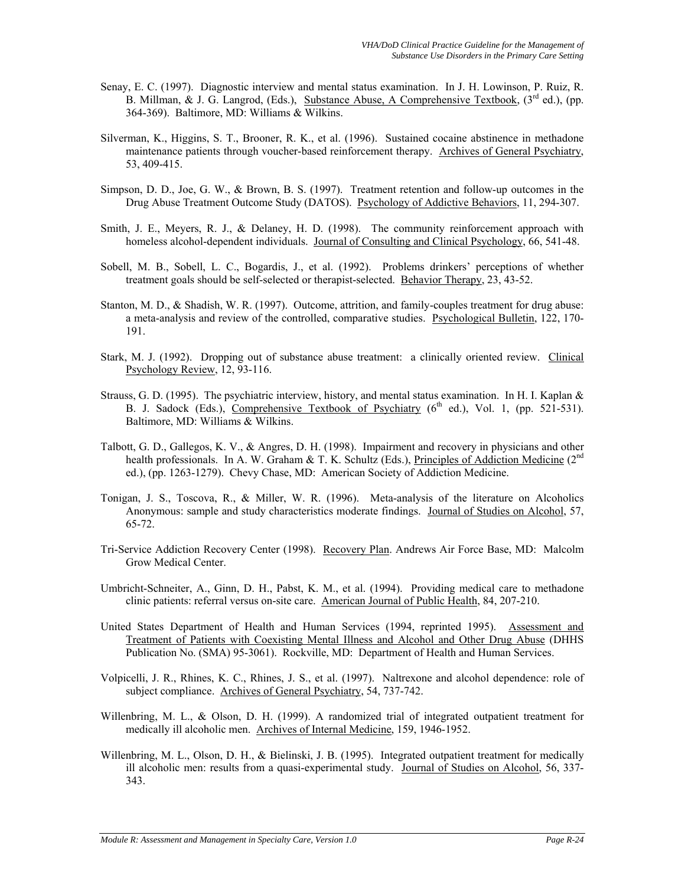- Senay, E. C. (1997). Diagnostic interview and mental status examination. In J. H. Lowinson, P. Ruiz, R. B. Millman, & J. G. Langrod, (Eds.), Substance Abuse, A Comprehensive Textbook, (3<sup>rd</sup> ed.), (pp. 364-369). Baltimore, MD: Williams & Wilkins.
- Silverman, K., Higgins, S. T., Brooner, R. K., et al. (1996). Sustained cocaine abstinence in methadone maintenance patients through voucher-based reinforcement therapy. Archives of General Psychiatry, 53, 409-415.
- Simpson, D. D., Joe, G. W., & Brown, B. S. (1997). Treatment retention and follow-up outcomes in the Drug Abuse Treatment Outcome Study (DATOS). Psychology of Addictive Behaviors, 11, 294-307.
- Smith, J. E., Meyers, R. J., & Delaney, H. D. (1998). The community reinforcement approach with homeless alcohol-dependent individuals. Journal of Consulting and Clinical Psychology, 66, 541-48.
- Sobell, M. B., Sobell, L. C., Bogardis, J., et al. (1992). Problems drinkers' perceptions of whether treatment goals should be self-selected or therapist-selected. Behavior Therapy, 23, 43-52.
- Stanton, M. D., & Shadish, W. R. (1997). Outcome, attrition, and family-couples treatment for drug abuse: a meta-analysis and review of the controlled, comparative studies. Psychological Bulletin, 122, 170- 191.
- Stark, M. J. (1992). Dropping out of substance abuse treatment: a clinically oriented review. Clinical Psychology Review, 12, 93-116.
- Strauss, G. D. (1995). The psychiatric interview, history, and mental status examination. In H. I. Kaplan & B. J. Sadock (Eds.), Comprehensive Textbook of Psychiatry  $(6<sup>th</sup>$  ed.), Vol. 1, (pp. 521-531). Baltimore, MD: Williams & Wilkins.
- Talbott, G. D., Gallegos, K. V., & Angres, D. H. (1998). Impairment and recovery in physicians and other health professionals. In A. W. Graham & T. K. Schultz (Eds.), Principles of Addiction Medicine ( $2^{nd}$ ed.), (pp. 1263-1279). Chevy Chase, MD: American Society of Addiction Medicine.
- Tonigan, J. S., Toscova, R., & Miller, W. R. (1996). Meta-analysis of the literature on Alcoholics Anonymous: sample and study characteristics moderate findings. Journal of Studies on Alcohol, 57, 65-72.
- Tri-Service Addiction Recovery Center (1998). Recovery Plan. Andrews Air Force Base, MD: Malcolm Grow Medical Center.
- Umbricht-Schneiter, A., Ginn, D. H., Pabst, K. M., et al. (1994). Providing medical care to methadone clinic patients: referral versus on-site care. American Journal of Public Health, 84, 207-210.
- United States Department of Health and Human Services (1994, reprinted 1995). Assessment and Treatment of Patients with Coexisting Mental Illness and Alcohol and Other Drug Abuse (DHHS Publication No. (SMA) 95-3061). Rockville, MD: Department of Health and Human Services.
- Volpicelli, J. R., Rhines, K. C., Rhines, J. S., et al. (1997). Naltrexone and alcohol dependence: role of subject compliance. Archives of General Psychiatry, 54, 737-742.
- Willenbring, M. L., & Olson, D. H. (1999). A randomized trial of integrated outpatient treatment for medically ill alcoholic men. Archives of Internal Medicine, 159, 1946-1952.
- Willenbring, M. L., Olson, D. H., & Bielinski, J. B. (1995). Integrated outpatient treatment for medically ill alcoholic men: results from a quasi-experimental study. Journal of Studies on Alcohol, 56, 337-343.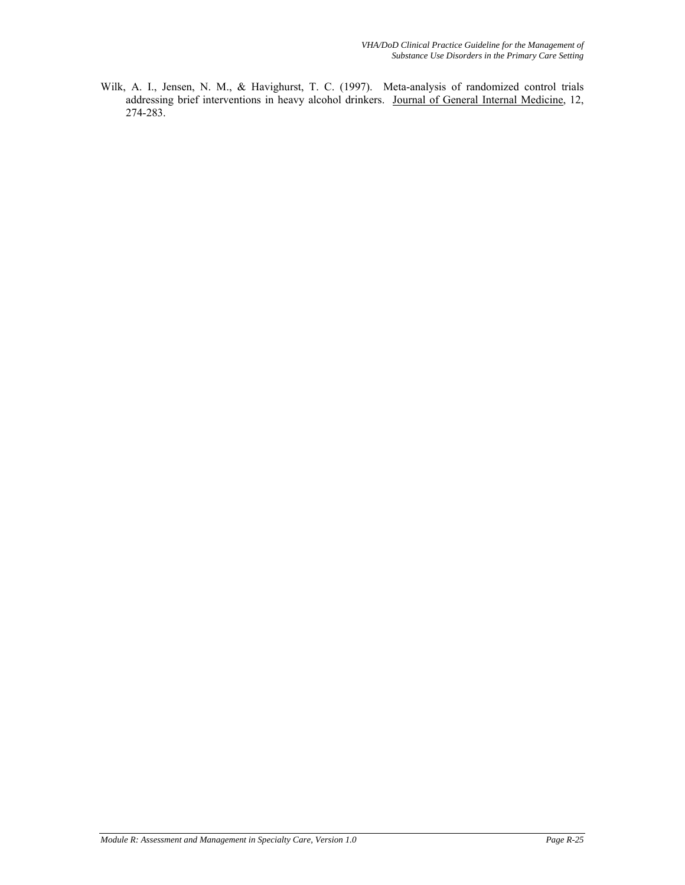Wilk, A. I., Jensen, N. M., & Havighurst, T. C. (1997). Meta-analysis of randomized control trials addressing brief interventions in heavy alcohol drinkers. Journal of General Internal Medicine, 12, 274-283.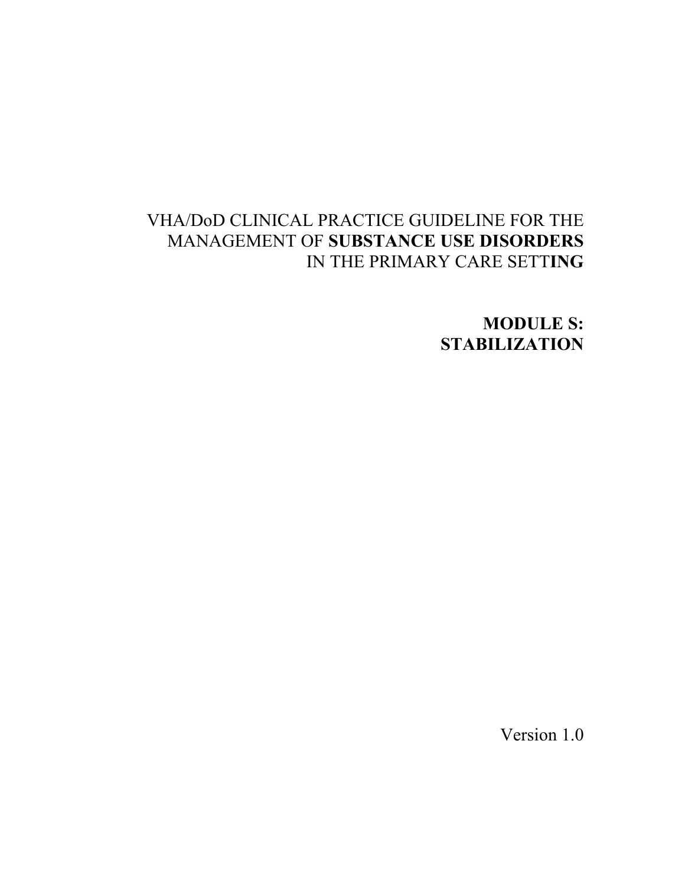# VHA/DoD CLINICAL PRACTICE GUIDELINE FOR THE MANAGEMENT OF **SUBSTANCE USE DISORDERS**  IN THE PRIMARY CARE SETT**ING**

**MODULE S: STABILIZATION** 

Version 1.0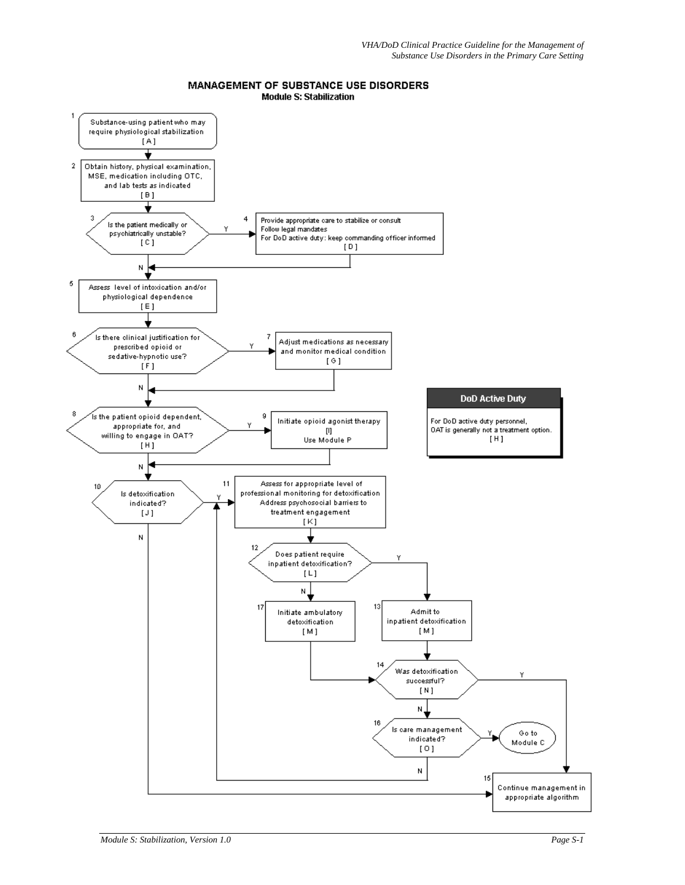#### MANAGEMENT OF SUBSTANCE USE DISORDERS **Module S: Stabilization**

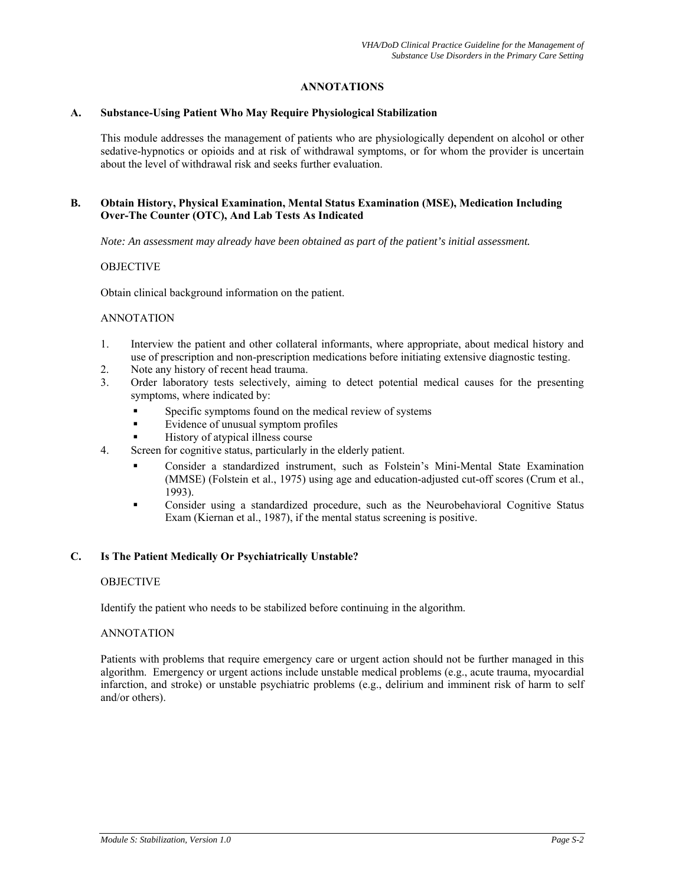# **ANNOTATIONS**

#### **A. Substance-Using Patient Who May Require Physiological Stabilization**

This module addresses the management of patients who are physiologically dependent on alcohol or other sedative-hypnotics or opioids and at risk of withdrawal symptoms, or for whom the provider is uncertain about the level of withdrawal risk and seeks further evaluation.

# **B. Obtain History, Physical Examination, Mental Status Examination (MSE), Medication Including Over-The Counter (OTC), And Lab Tests As Indicated**

*Note: An assessment may already have been obtained as part of the patient's initial assessment.*

## **OBJECTIVE**

Obtain clinical background information on the patient.

#### ANNOTATION

- 1. Interview the patient and other collateral informants, where appropriate, about medical history and use of prescription and non-prescription medications before initiating extensive diagnostic testing.
- 2. Note any history of recent head trauma.
- 3. Order laboratory tests selectively, aiming to detect potential medical causes for the presenting symptoms, where indicated by:
	- Specific symptoms found on the medical review of systems
	- Evidence of unusual symptom profiles
	- History of atypical illness course
- 4. Screen for cognitive status, particularly in the elderly patient.
	- Consider a standardized instrument, such as Folstein's Mini-Mental State Examination (MMSE) (Folstein et al., 1975) using age and education-adjusted cut-off scores (Crum et al., 1993).
	- Consider using a standardized procedure, such as the Neurobehavioral Cognitive Status Exam (Kiernan et al., 1987), if the mental status screening is positive.

## **C. Is The Patient Medically Or Psychiatrically Unstable?**

## **OBJECTIVE**

Identify the patient who needs to be stabilized before continuing in the algorithm.

## ANNOTATION

Patients with problems that require emergency care or urgent action should not be further managed in this algorithm. Emergency or urgent actions include unstable medical problems (e.g., acute trauma, myocardial infarction, and stroke) or unstable psychiatric problems (e.g., delirium and imminent risk of harm to self and/or others).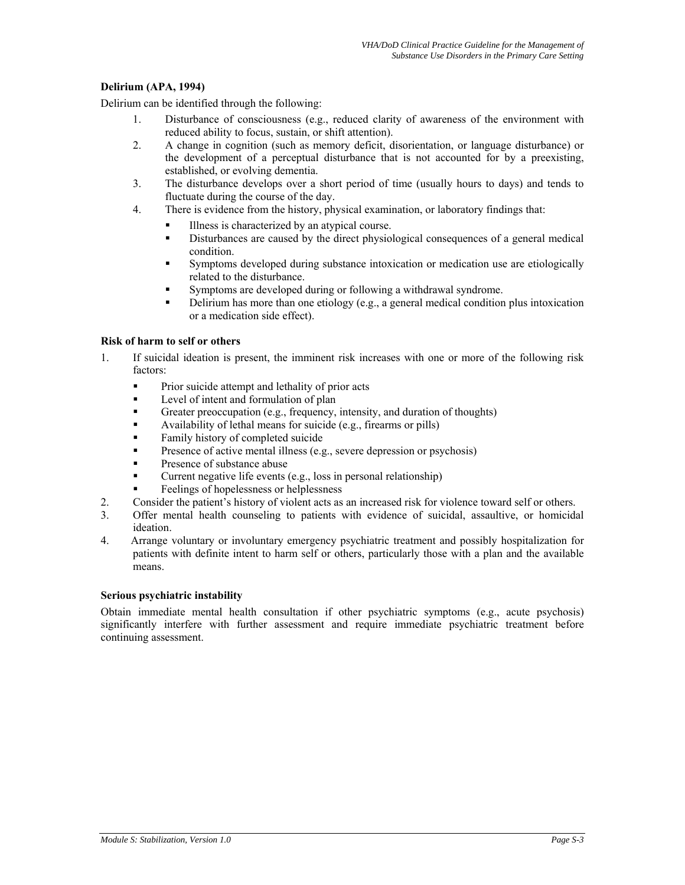# **Delirium (APA, 1994)**

Delirium can be identified through the following:

- 1. Disturbance of consciousness (e.g., reduced clarity of awareness of the environment with reduced ability to focus, sustain, or shift attention).
- 2. A change in cognition (such as memory deficit, disorientation, or language disturbance) or the development of a perceptual disturbance that is not accounted for by a preexisting, established, or evolving dementia.
- 3. The disturbance develops over a short period of time (usually hours to days) and tends to fluctuate during the course of the day.
- 4. There is evidence from the history, physical examination, or laboratory findings that:
	- Illness is characterized by an atypical course.
	- Disturbances are caused by the direct physiological consequences of a general medical condition.
	- Symptoms developed during substance intoxication or medication use are etiologically related to the disturbance.
	- Symptoms are developed during or following a withdrawal syndrome.
	- Delirium has more than one etiology (e.g., a general medical condition plus intoxication or a medication side effect).

## **Risk of harm to self or others**

- 1. If suicidal ideation is present, the imminent risk increases with one or more of the following risk factors:
	- **Prior suicide attempt and lethality of prior acts**
	- Level of intent and formulation of plan
	- Greater preoccupation (e.g., frequency, intensity, and duration of thoughts)
	- Availability of lethal means for suicide (e.g., firearms or pills)
	- Family history of completed suicide
	- Presence of active mental illness (e.g., severe depression or psychosis)
	- Presence of substance abuse
	- Current negative life events (e.g., loss in personal relationship)
	- Feelings of hopelessness or helplessness
- 2. Consider the patient's history of violent acts as an increased risk for violence toward self or others.
- 3. Offer mental health counseling to patients with evidence of suicidal, assaultive, or homicidal ideation.
- 4. Arrange voluntary or involuntary emergency psychiatric treatment and possibly hospitalization for patients with definite intent to harm self or others, particularly those with a plan and the available means.

## **Serious psychiatric instability**

Obtain immediate mental health consultation if other psychiatric symptoms (e.g., acute psychosis) significantly interfere with further assessment and require immediate psychiatric treatment before continuing assessment.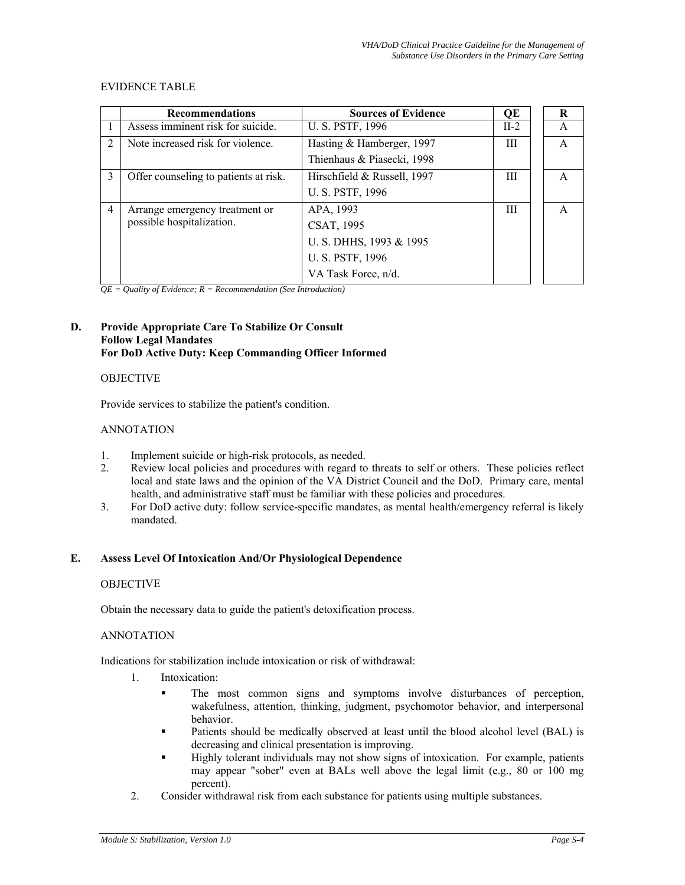#### EVIDENCE TABLE

|                | <b>Recommendations</b>                | <b>Sources of Evidence</b>  | QE     | R |  |
|----------------|---------------------------------------|-----------------------------|--------|---|--|
|                | Assess imminent risk for suicide.     | U. S. PSTF, 1996            | $II-2$ | A |  |
| $\mathcal{D}$  | Note increased risk for violence.     | Hasting & Hamberger, 1997   | Ш      | A |  |
|                |                                       | Thienhaus & Piasecki, 1998  |        |   |  |
| 3              | Offer counseling to patients at risk. | Hirschfield & Russell, 1997 | Ш      |   |  |
|                |                                       | U. S. PSTF, 1996            |        |   |  |
| $\overline{4}$ | Arrange emergency treatment or        | APA, 1993                   | Ш      | A |  |
|                | possible hospitalization.             | CSAT, 1995                  |        |   |  |
|                |                                       | U. S. DHHS, 1993 & 1995     |        |   |  |
|                |                                       | U. S. PSTF, 1996            |        |   |  |
|                |                                       | VA Task Force, n/d.         |        |   |  |

*QE = Quality of Evidence; R = Recommendation (See Introduction)* 

#### **D. Provide Appropriate Care To Stabilize Or Consult Follow Legal Mandates For DoD Active Duty: Keep Commanding Officer Informed**

#### **OBJECTIVE**

Provide services to stabilize the patient's condition.

#### ANNOTATION

- 1. Implement suicide or high-risk protocols, as needed.
- 2. Review local policies and procedures with regard to threats to self or others. These policies reflect local and state laws and the opinion of the VA District Council and the DoD. Primary care, mental health, and administrative staff must be familiar with these policies and procedures.
- 3. For DoD active duty: follow service-specific mandates, as mental health/emergency referral is likely mandated.

## **E. Assess Level Of Intoxication And/Or Physiological Dependence**

#### **OBJECTIVE**

Obtain the necessary data to guide the patient's detoxification process.

#### ANNOTATION

Indications for stabilization include intoxication or risk of withdrawal:

- 1. Intoxication:
	- The most common signs and symptoms involve disturbances of perception, wakefulness, attention, thinking, judgment, psychomotor behavior, and interpersonal behavior.
	- Patients should be medically observed at least until the blood alcohol level (BAL) is decreasing and clinical presentation is improving.
	- Highly tolerant individuals may not show signs of intoxication. For example, patients may appear "sober" even at BALs well above the legal limit (e.g., 80 or 100 mg percent).
- 2. Consider withdrawal risk from each substance for patients using multiple substances.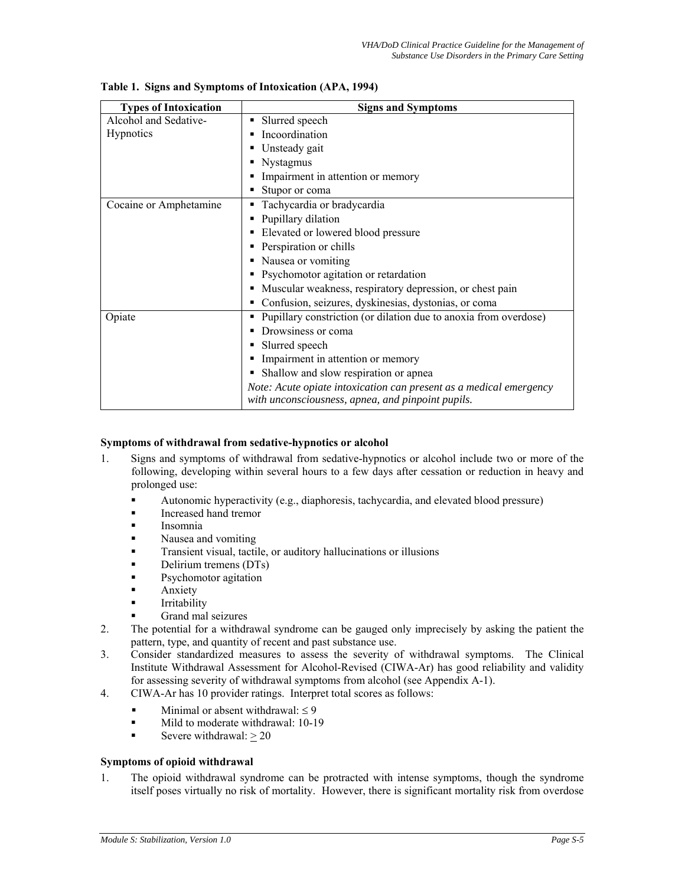| <b>Types of Intoxication</b> | <b>Signs and Symptoms</b>                                          |  |  |  |
|------------------------------|--------------------------------------------------------------------|--|--|--|
| Alcohol and Sedative-        | Slurred speech                                                     |  |  |  |
| Hypnotics                    | Incoordination                                                     |  |  |  |
|                              | Unsteady gait                                                      |  |  |  |
|                              | Nystagmus                                                          |  |  |  |
|                              | Impairment in attention or memory                                  |  |  |  |
|                              | Stupor or coma                                                     |  |  |  |
| Cocaine or Amphetamine       | Tachycardia or bradycardia                                         |  |  |  |
|                              | Pupillary dilation                                                 |  |  |  |
|                              | Elevated or lowered blood pressure                                 |  |  |  |
|                              | Perspiration or chills                                             |  |  |  |
|                              | Nausea or vomiting                                                 |  |  |  |
|                              | Psychomotor agitation or retardation                               |  |  |  |
|                              | Muscular weakness, respiratory depression, or chest pain           |  |  |  |
|                              | Confusion, seizures, dyskinesias, dystonias, or coma               |  |  |  |
| Opiate                       | Pupillary constriction (or dilation due to anoxia from overdose)   |  |  |  |
|                              | Drowsiness or coma                                                 |  |  |  |
|                              | Slurred speech                                                     |  |  |  |
|                              | Impairment in attention or memory                                  |  |  |  |
|                              | Shallow and slow respiration or apnea                              |  |  |  |
|                              | Note: Acute opiate intoxication can present as a medical emergency |  |  |  |
|                              | with unconsciousness, apnea, and pinpoint pupils.                  |  |  |  |

**Table 1. Signs and Symptoms of Intoxication (APA, 1994)** 

## **Symptoms of withdrawal from sedative-hypnotics or alcohol**

- 1. Signs and symptoms of withdrawal from sedative-hypnotics or alcohol include two or more of the following, developing within several hours to a few days after cessation or reduction in heavy and prolonged use:
	- Autonomic hyperactivity (e.g., diaphoresis, tachycardia, and elevated blood pressure)
	- Increased hand tremor
	- Insomnia
	- Nausea and vomiting
	- Transient visual, tactile, or auditory hallucinations or illusions
	- Delirium tremens (DTs)
	- Psychomotor agitation
	- Anxiety
	- Irritability
	- Grand mal seizures
- 2. The potential for a withdrawal syndrome can be gauged only imprecisely by asking the patient the pattern, type, and quantity of recent and past substance use.
- 3. Consider standardized measures to assess the severity of withdrawal symptoms. The Clinical Institute Withdrawal Assessment for Alcohol-Revised (CIWA-Ar) has good reliability and validity for assessing severity of withdrawal symptoms from alcohol (see Appendix A-1).
- 4. CIWA-Ar has 10 provider ratings. Interpret total scores as follows:
	- Minimal or absent withdrawal:  $\leq 9$
	- Mild to moderate withdrawal: 10-19
	- Severe withdrawal:  $\geq 20$

# **Symptoms of opioid withdrawal**

1. The opioid withdrawal syndrome can be protracted with intense symptoms, though the syndrome itself poses virtually no risk of mortality. However, there is significant mortality risk from overdose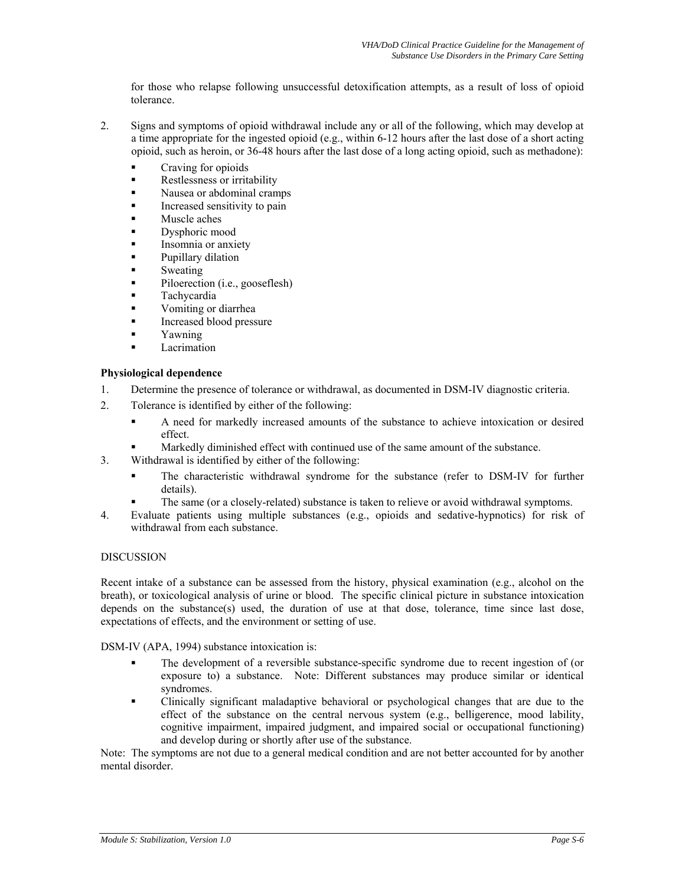for those who relapse following unsuccessful detoxification attempts, as a result of loss of opioid tolerance.

- 2. Signs and symptoms of opioid withdrawal include any or all of the following, which may develop at a time appropriate for the ingested opioid (e.g., within 6-12 hours after the last dose of a short acting opioid, such as heroin, or 36-48 hours after the last dose of a long acting opioid, such as methadone):
	- **Craving for opioids**
	- Restlessness or irritability
	- Nausea or abdominal cramps
	- Increased sensitivity to pain
	- Muscle aches
	- Dysphoric mood
	- Insomnia or anxiety
	- Pupillary dilation
	- Sweating
	- Piloerection (i.e., gooseflesh)
	- Tachycardia
	- Vomiting or diarrhea
	- Increased blood pressure
	- Yawning
	- Lacrimation

# **Physiological dependence**

- 1. Determine the presence of tolerance or withdrawal, as documented in DSM-IV diagnostic criteria.
- 2. Tolerance is identified by either of the following:
	- A need for markedly increased amounts of the substance to achieve intoxication or desired effect.
	- Markedly diminished effect with continued use of the same amount of the substance.
- 3. Withdrawal is identified by either of the following:
	- The characteristic withdrawal syndrome for the substance (refer to DSM-IV for further details).
	- The same (or a closely-related) substance is taken to relieve or avoid withdrawal symptoms.
- 4. Evaluate patients using multiple substances (e.g., opioids and sedative-hypnotics) for risk of withdrawal from each substance.

# DISCUSSION

Recent intake of a substance can be assessed from the history, physical examination (e.g., alcohol on the breath), or toxicological analysis of urine or blood. The specific clinical picture in substance intoxication depends on the substance(s) used, the duration of use at that dose, tolerance, time since last dose, expectations of effects, and the environment or setting of use.

DSM-IV (APA, 1994) substance intoxication is:

- The development of a reversible substance-specific syndrome due to recent ingestion of (or exposure to) a substance. Note: Different substances may produce similar or identical syndromes.
- Clinically significant maladaptive behavioral or psychological changes that are due to the effect of the substance on the central nervous system (e.g., belligerence, mood lability, cognitive impairment, impaired judgment, and impaired social or occupational functioning) and develop during or shortly after use of the substance.

Note: The symptoms are not due to a general medical condition and are not better accounted for by another mental disorder.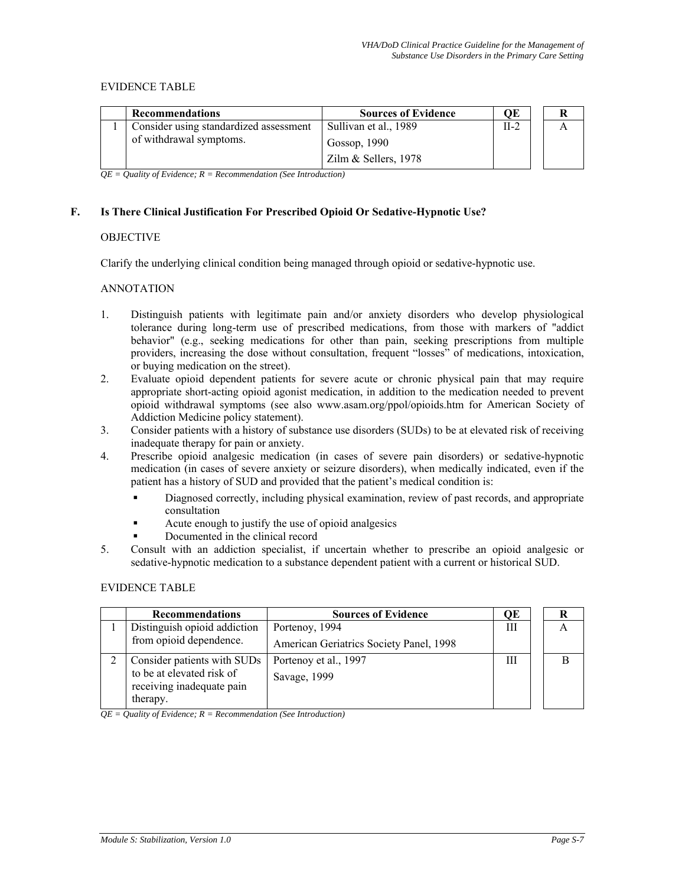## EVIDENCE TABLE

| <b>Recommendations</b>                 | <b>Sources of Evidence</b> | ОE     |  |
|----------------------------------------|----------------------------|--------|--|
| Consider using standardized assessment | Sullivan et al., 1989      | $II-2$ |  |
| of withdrawal symptoms.                | Gossop, $1990$             |        |  |
|                                        | Zilm $&$ Sellers, 1978     |        |  |

*QE = Quality of Evidence; R = Recommendation (See Introduction)* 

# **F. Is There Clinical Justification For Prescribed Opioid Or Sedative-Hypnotic Use?**

## **OBJECTIVE**

Clarify the underlying clinical condition being managed through opioid or sedative-hypnotic use.

## ANNOTATION

- 1. Distinguish patients with legitimate pain and/or anxiety disorders who develop physiological tolerance during long-term use of prescribed medications, from those with markers of "addict behavior" (e.g., seeking medications for other than pain, seeking prescriptions from multiple providers, increasing the dose without consultation, frequent "losses" of medications, intoxication, or buying medication on the street).
- 2. Evaluate opioid dependent patients for severe acute or chronic physical pain that may require appropriate short-acting opioid agonist medication, in addition to the medication needed to prevent opioid withdrawal symptoms (see also [www.asam.org/ppol/opioids.htm](http://www.asam.org/ppol/opioids.htm) for American Society of Addiction Medicine policy statement).
- 3. Consider patients with a history of substance use disorders (SUDs) to be at elevated risk of receiving inadequate therapy for pain or anxiety.
- 4. Prescribe opioid analgesic medication (in cases of severe pain disorders) or sedative-hypnotic medication (in cases of severe anxiety or seizure disorders), when medically indicated, even if the patient has a history of SUD and provided that the patient's medical condition is:
	- Diagnosed correctly, including physical examination, review of past records, and appropriate consultation
	- Acute enough to justify the use of opioid analgesics
	- Documented in the clinical record
- 5. Consult with an addiction specialist, if uncertain whether to prescribe an opioid analgesic or sedative-hypnotic medication to a substance dependent patient with a current or historical SUD.

## EVIDENCE TABLE

| <b>Recommendations</b>                                             | <b>Sources of Evidence</b>              | OЕ | к |
|--------------------------------------------------------------------|-----------------------------------------|----|---|
| Distinguish opioid addiction                                       | Portenoy, 1994                          | Ш  | A |
| from opioid dependence.                                            | American Geriatrics Society Panel, 1998 |    |   |
| Consider patients with SUDs                                        | Portenoy et al., 1997                   | Ш  |   |
| to be at elevated risk of<br>receiving inadequate pain<br>therapy. | Savage, 1999                            |    |   |

*QE = Quality of Evidence; R = Recommendation (See Introduction)*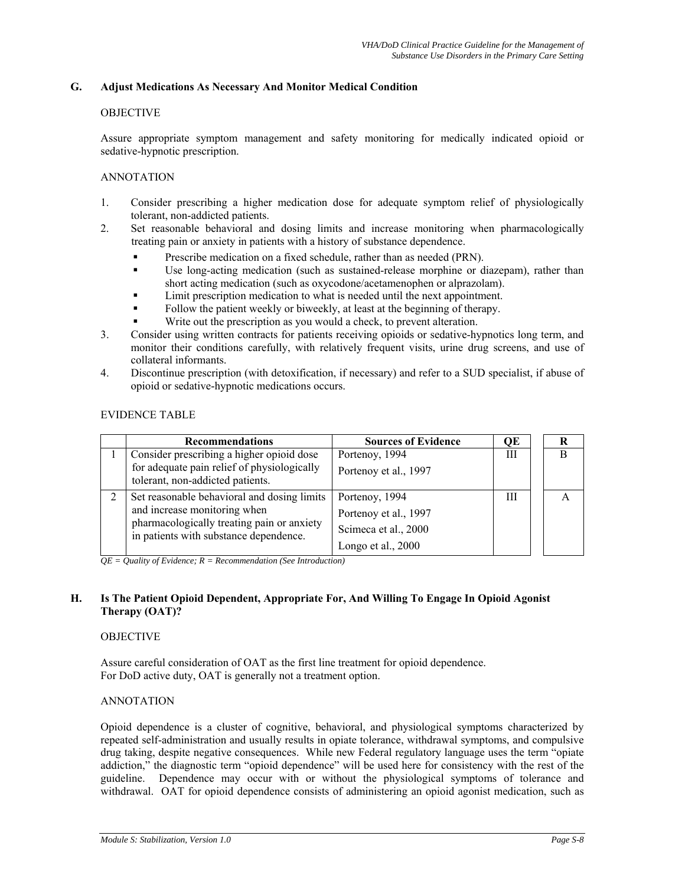# **G. Adjust Medications As Necessary And Monitor Medical Condition**

### OBJECTIVE

Assure appropriate symptom management and safety monitoring for medically indicated opioid or sedative-hypnotic prescription.

### ANNOTATION

- 1. Consider prescribing a higher medication dose for adequate symptom relief of physiologically tolerant, non-addicted patients.
- 2. Set reasonable behavioral and dosing limits and increase monitoring when pharmacologically treating pain or anxiety in patients with a history of substance dependence.
	- **Prescribe medication on a fixed schedule, rather than as needed (PRN).**
	- Use long-acting medication (such as sustained-release morphine or diazepam), rather than short acting medication (such as oxycodone/acetamenophen or alprazolam).
	- Limit prescription medication to what is needed until the next appointment.
	- Follow the patient weekly or biweekly, at least at the beginning of therapy.
	- Write out the prescription as you would a check, to prevent alteration.
- 3. Consider using written contracts for patients receiving opioids or sedative-hypnotics long term, and monitor their conditions carefully, with relatively frequent visits, urine drug screens, and use of collateral informants.
- 4. Discontinue prescription (with detoxification, if necessary) and refer to a SUD specialist, if abuse of opioid or sedative-hypnotic medications occurs.

#### EVIDENCE TABLE

|   | <b>Recommendations</b>                                                                                                                                              | <b>Sources of Evidence</b>                                                            | QE | R |
|---|---------------------------------------------------------------------------------------------------------------------------------------------------------------------|---------------------------------------------------------------------------------------|----|---|
|   | Consider prescribing a higher opioid dose<br>for adequate pain relief of physiologically<br>tolerant, non-addicted patients.                                        | Portenoy, 1994<br>Portenoy et al., 1997                                               | Ш  | R |
| 2 | Set reasonable behavioral and dosing limits<br>and increase monitoring when<br>pharmacologically treating pain or anxiety<br>in patients with substance dependence. | Portenoy, 1994<br>Portenoy et al., 1997<br>Scimeca et al., 2000<br>Longo et al., 2000 | Ш  |   |

*QE = Quality of Evidence; R = Recommendation (See Introduction)* 

## **H. Is The Patient Opioid Dependent, Appropriate For, And Willing To Engage In Opioid Agonist Therapy (OAT)?**

## **OBJECTIVE**

Assure careful consideration of OAT as the first line treatment for opioid dependence. For DoD active duty, OAT is generally not a treatment option.

## ANNOTATION

Opioid dependence is a cluster of cognitive, behavioral, and physiological symptoms characterized by repeated self-administration and usually results in opiate tolerance, withdrawal symptoms, and compulsive drug taking, despite negative consequences. While new Federal regulatory language uses the term "opiate addiction," the diagnostic term "opioid dependence" will be used here for consistency with the rest of the guideline. Dependence may occur with or without the physiological symptoms of tolerance and withdrawal. OAT for opioid dependence consists of administering an opioid agonist medication, such as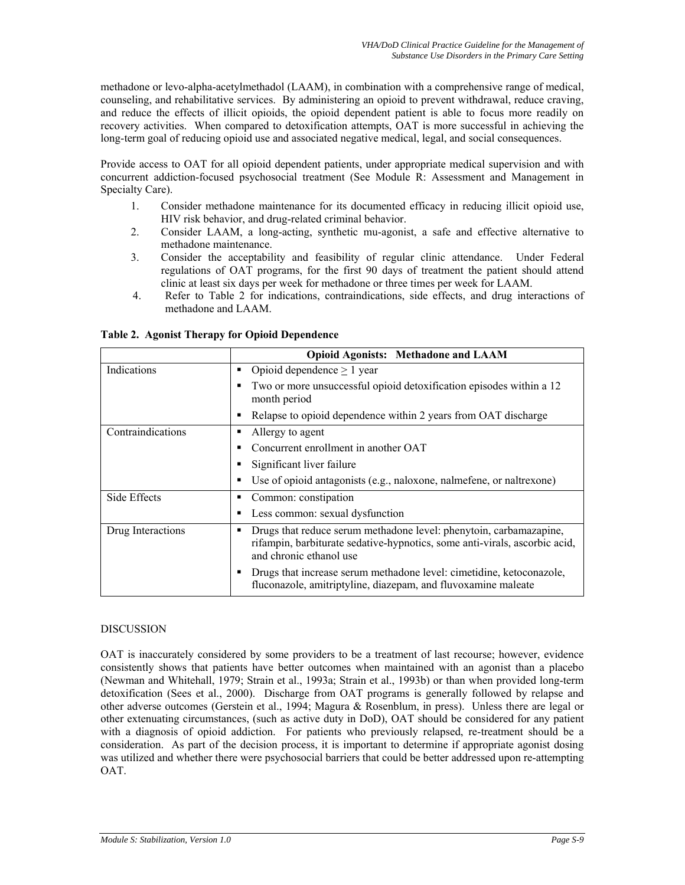methadone or levo-alpha-acetylmethadol (LAAM), in combination with a comprehensive range of medical, counseling, and rehabilitative services. By administering an opioid to prevent withdrawal, reduce craving, and reduce the effects of illicit opioids, the opioid dependent patient is able to focus more readily on recovery activities. When compared to detoxification attempts, OAT is more successful in achieving the long-term goal of reducing opioid use and associated negative medical, legal, and social consequences.

Provide access to OAT for all opioid dependent patients, under appropriate medical supervision and with concurrent addiction-focused psychosocial treatment (See Module R: Assessment and Management in Specialty Care).

- 1. Consider methadone maintenance for its documented efficacy in reducing illicit opioid use, HIV risk behavior, and drug-related criminal behavior.
- 2. Consider LAAM, a long-acting, synthetic mu-agonist, a safe and effective alternative to methadone maintenance.
- 3. Consider the acceptability and feasibility of regular clinic attendance. Under Federal regulations of OAT programs, for the first 90 days of treatment the patient should attend clinic at least six days per week for methadone or three times per week for LAAM.
- 4. Refer to Table 2 for indications, contraindications, side effects, and drug interactions of methadone and LAAM.

|                   | <b>Opioid Agonists: Methadone and LAAM</b>                                                                                                                                       |
|-------------------|----------------------------------------------------------------------------------------------------------------------------------------------------------------------------------|
| Indications       | Opioid dependence $\geq 1$ year<br>٠                                                                                                                                             |
|                   | Two or more unsuccessful opioid detoxification episodes within a 12<br>п<br>month period                                                                                         |
|                   | Relapse to opioid dependence within 2 years from OAT discharge<br>п                                                                                                              |
| Contraindications | Allergy to agent<br>п                                                                                                                                                            |
|                   | Concurrent enrollment in another OAT<br>п                                                                                                                                        |
|                   | Significant liver failure<br>п                                                                                                                                                   |
|                   | Use of opioid antagonists (e.g., naloxone, nalmefene, or naltrexone)<br>п                                                                                                        |
| Side Effects      | Common: constipation<br>п                                                                                                                                                        |
|                   | Less common: sexual dysfunction<br>п                                                                                                                                             |
| Drug Interactions | Drugs that reduce serum methadone level: phenytoin, carbamazapine,<br>п<br>rifampin, barbiturate sedative-hypnotics, some anti-virals, ascorbic acid,<br>and chronic ethanol use |
|                   | Drugs that increase serum methadone level: cimetidine, ketoconazole,<br>п<br>fluconazole, amitriptyline, diazepam, and fluvoxamine maleate                                       |

**Table 2. Agonist Therapy for Opioid Dependence** 

## DISCUSSION

OAT is inaccurately considered by some providers to be a treatment of last recourse; however, evidence consistently shows that patients have better outcomes when maintained with an agonist than a placebo (Newman and Whitehall, 1979; Strain et al., 1993a; Strain et al., 1993b) or than when provided long-term detoxification (Sees et al., 2000). Discharge from OAT programs is generally followed by relapse and other adverse outcomes (Gerstein et al., 1994; Magura & Rosenblum, in press). Unless there are legal or other extenuating circumstances, (such as active duty in DoD), OAT should be considered for any patient with a diagnosis of opioid addiction. For patients who previously relapsed, re-treatment should be a consideration. As part of the decision process, it is important to determine if appropriate agonist dosing was utilized and whether there were psychosocial barriers that could be better addressed upon re-attempting OAT.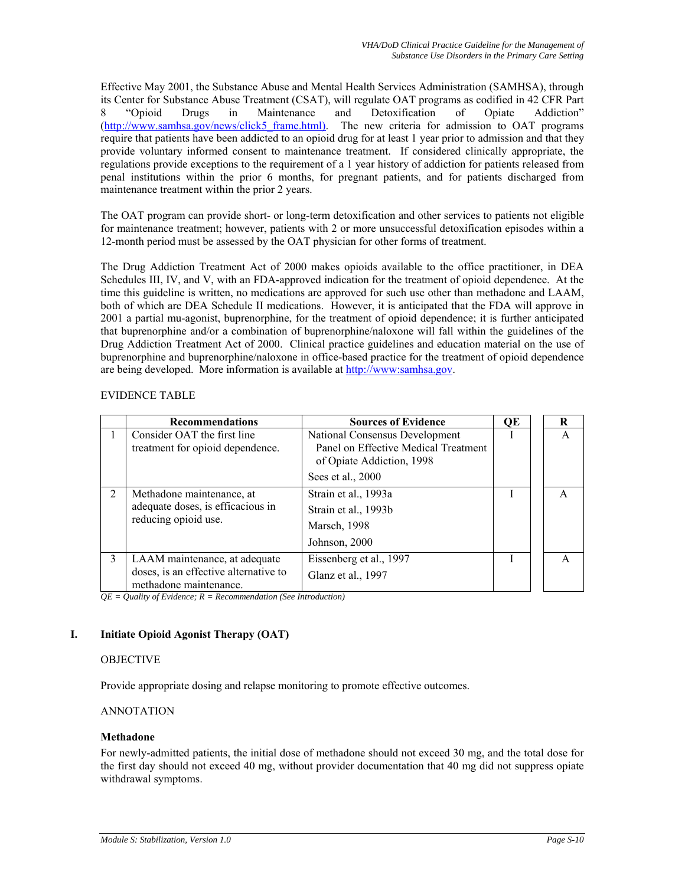Effective May 2001, the Substance Abuse and Mental Health Services Administration (SAMHSA), through its Center for Substance Abuse Treatment (CSAT), will regulate OAT programs as codified in 42 CFR Part 8 "Opioid Drugs in Maintenance and Detoxification of Opiate Addiction" [\(http://www.samhsa.gov/news/click5\\_frame.html\)](http://www.samhsa.gov/news/click5_frame.html)). The new criteria for admission to OAT programs require that patients have been addicted to an opioid drug for at least 1 year prior to admission and that they provide voluntary informed consent to maintenance treatment. If considered clinically appropriate, the regulations provide exceptions to the requirement of a 1 year history of addiction for patients released from penal institutions within the prior 6 months, for pregnant patients, and for patients discharged from maintenance treatment within the prior 2 years.

The OAT program can provide short- or long-term detoxification and other services to patients not eligible for maintenance treatment; however, patients with 2 or more unsuccessful detoxification episodes within a 12-month period must be assessed by the OAT physician for other forms of treatment.

The Drug Addiction Treatment Act of 2000 makes opioids available to the office practitioner, in DEA Schedules III, IV, and V, with an FDA-approved indication for the treatment of opioid dependence. At the time this guideline is written, no medications are approved for such use other than methadone and LAAM, both of which are DEA Schedule II medications. However, it is anticipated that the FDA will approve in 2001 a partial mu-agonist, buprenorphine, for the treatment of opioid dependence; it is further anticipated that buprenorphine and/or a combination of buprenorphine/naloxone will fall within the guidelines of the Drug Addiction Treatment Act of 2000. Clinical practice guidelines and education material on the use of buprenorphine and buprenorphine/naloxone in office-based practice for the treatment of opioid dependence are being developed. More information is available at [http://www:samhsa.gov.](http://www:samhsa.gov/)

# EVIDENCE TABLE

|                | <b>Recommendations</b>                                                                           | <b>Sources of Evidence</b>                                                                          | ОE | R            |
|----------------|--------------------------------------------------------------------------------------------------|-----------------------------------------------------------------------------------------------------|----|--------------|
|                | Consider OAT the first line<br>treatment for opioid dependence.                                  | National Consensus Development<br>Panel on Effective Medical Treatment<br>of Opiate Addiction, 1998 |    | $\mathsf{A}$ |
|                |                                                                                                  | Sees et al., 2000                                                                                   |    |              |
| $\overline{2}$ | Methadone maintenance, at<br>adequate doses, is efficacious in<br>reducing opioid use.           | Strain et al., 1993a<br>Strain et al., 1993b<br><b>Marsch</b> , 1998<br>Johnson, 2000               |    | A            |
| 3              | LAAM maintenance, at adequate<br>doses, is an effective alternative to<br>methadone maintenance. | Eissenberg et al., 1997<br>Glanz et al., 1997                                                       |    |              |

*QE = Quality of Evidence; R = Recommendation (See Introduction)* 

# **I. Initiate Opioid Agonist Therapy (OAT)**

## OBJECTIVE

Provide appropriate dosing and relapse monitoring to promote effective outcomes.

## ANNOTATION

## **Methadone**

For newly-admitted patients, the initial dose of methadone should not exceed 30 mg, and the total dose for the first day should not exceed 40 mg, without provider documentation that 40 mg did not suppress opiate withdrawal symptoms.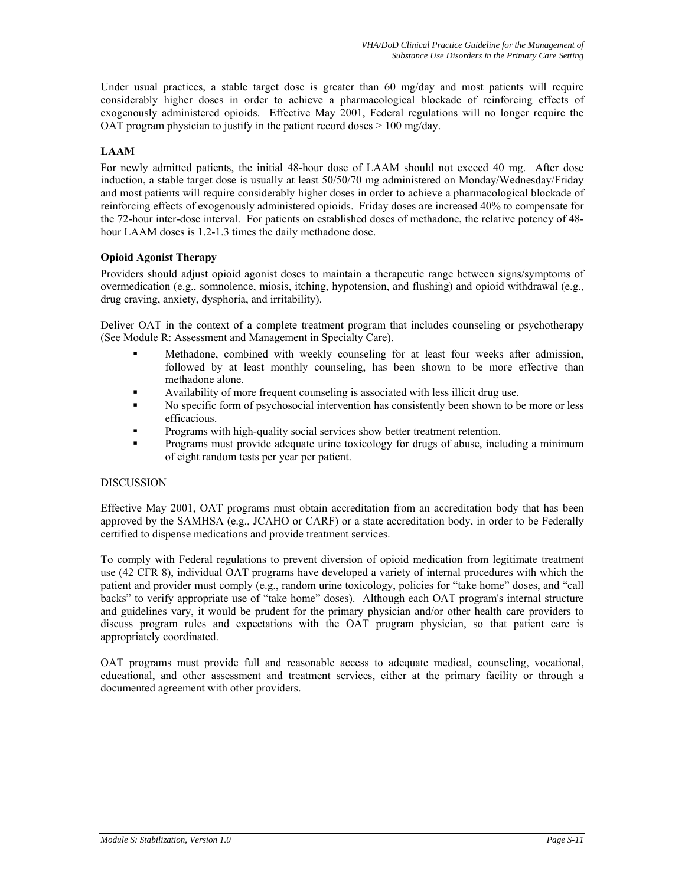Under usual practices, a stable target dose is greater than 60 mg/day and most patients will require considerably higher doses in order to achieve a pharmacological blockade of reinforcing effects of exogenously administered opioids. Effective May 2001, Federal regulations will no longer require the OAT program physician to justify in the patient record doses  $> 100$  mg/day.

# **LAAM**

For newly admitted patients, the initial 48-hour dose of LAAM should not exceed 40 mg. After dose induction, a stable target dose is usually at least 50/50/70 mg administered on Monday/Wednesday/Friday and most patients will require considerably higher doses in order to achieve a pharmacological blockade of reinforcing effects of exogenously administered opioids. Friday doses are increased 40% to compensate for the 72-hour inter-dose interval. For patients on established doses of methadone, the relative potency of 48 hour LAAM doses is 1.2-1.3 times the daily methadone dose.

# **Opioid Agonist Therapy**

Providers should adjust opioid agonist doses to maintain a therapeutic range between signs/symptoms of overmedication (e.g., somnolence, miosis, itching, hypotension, and flushing) and opioid withdrawal (e.g., drug craving, anxiety, dysphoria, and irritability).

Deliver OAT in the context of a complete treatment program that includes counseling or psychotherapy (See Module R: Assessment and Management in Specialty Care).

- Methadone, combined with weekly counseling for at least four weeks after admission, followed by at least monthly counseling, has been shown to be more effective than methadone alone.
- Availability of more frequent counseling is associated with less illicit drug use.
- No specific form of psychosocial intervention has consistently been shown to be more or less efficacious.
- Programs with high-quality social services show better treatment retention.
- Programs must provide adequate urine toxicology for drugs of abuse, including a minimum of eight random tests per year per patient.

## **DISCUSSION**

Effective May 2001, OAT programs must obtain accreditation from an accreditation body that has been approved by the SAMHSA (e.g., JCAHO or CARF) or a state accreditation body, in order to be Federally certified to dispense medications and provide treatment services.

To comply with Federal regulations to prevent diversion of opioid medication from legitimate treatment use (42 CFR 8), individual OAT programs have developed a variety of internal procedures with which the patient and provider must comply (e.g., random urine toxicology, policies for "take home" doses, and "call backs" to verify appropriate use of "take home" doses). Although each OAT program's internal structure and guidelines vary, it would be prudent for the primary physician and/or other health care providers to discuss program rules and expectations with the OAT program physician, so that patient care is appropriately coordinated.

OAT programs must provide full and reasonable access to adequate medical, counseling, vocational, educational, and other assessment and treatment services, either at the primary facility or through a documented agreement with other providers.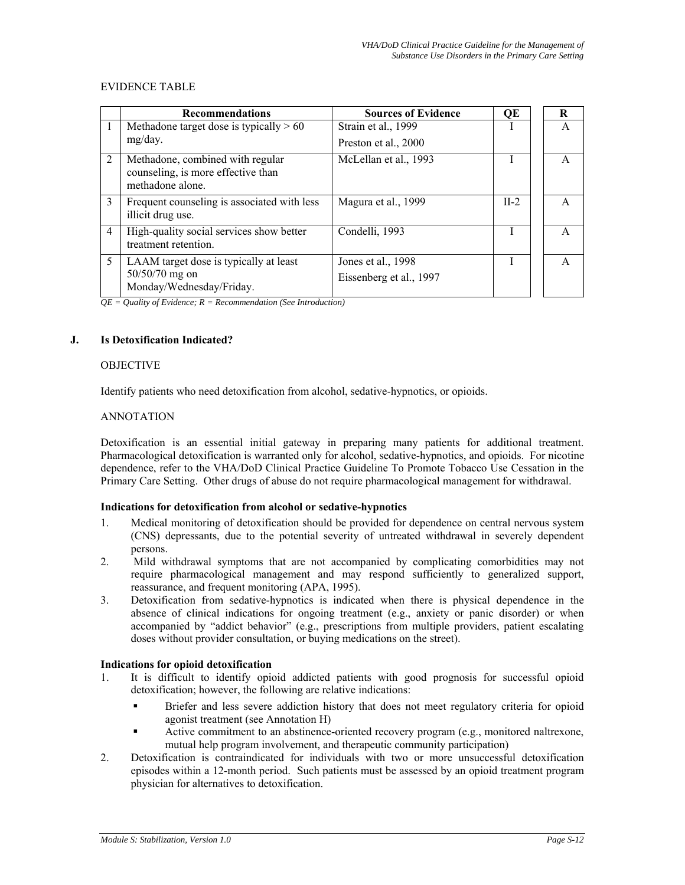#### EVIDENCE TABLE

|   | <b>Recommendations</b>                                                                     | <b>Sources of Evidence</b>                    | QE     | R |
|---|--------------------------------------------------------------------------------------------|-----------------------------------------------|--------|---|
|   | Methadone target dose is typically $> 60$                                                  | Strain et al., 1999                           |        | A |
|   | mg/day.                                                                                    | Preston et al., 2000                          |        |   |
| 2 | Methadone, combined with regular<br>counseling, is more effective than<br>methadone alone. | McLellan et al., 1993                         |        | A |
| 3 | Frequent counseling is associated with less<br>illicit drug use.                           | Magura et al., 1999                           | $II-2$ | A |
| 4 | High-quality social services show better<br>treatment retention.                           | Condelli, 1993                                |        | A |
| 5 | LAAM target dose is typically at least<br>$50/50/70$ mg on<br>Monday/Wednesday/Friday.     | Jones et al., 1998<br>Eissenberg et al., 1997 | Τ      | A |

 $QE = Quality$  of  $\overline{Evidence}$ ;  $R = Recommentation$  (*See Introduction*)

#### **J. Is Detoxification Indicated?**

#### **OBJECTIVE**

Identify patients who need detoxification from alcohol, sedative-hypnotics, or opioids.

#### ANNOTATION

Detoxification is an essential initial gateway in preparing many patients for additional treatment. Pharmacological detoxification is warranted only for alcohol, sedative-hypnotics, and opioids. For nicotine dependence, refer to the VHA/DoD Clinical Practice Guideline To Promote Tobacco Use Cessation in the Primary Care Setting. Other drugs of abuse do not require pharmacological management for withdrawal.

#### **Indications for detoxification from alcohol or sedative-hypnotics**

- 1. Medical monitoring of detoxification should be provided for dependence on central nervous system (CNS) depressants, due to the potential severity of untreated withdrawal in severely dependent persons.
- 2. Mild withdrawal symptoms that are not accompanied by complicating comorbidities may not require pharmacological management and may respond sufficiently to generalized support, reassurance, and frequent monitoring (APA, 1995).
- 3. Detoxification from sedative-hypnotics is indicated when there is physical dependence in the absence of clinical indications for ongoing treatment (e.g., anxiety or panic disorder) or when accompanied by "addict behavior" (e.g., prescriptions from multiple providers, patient escalating doses without provider consultation, or buying medications on the street).

### **Indications for opioid detoxification**

- 1. It is difficult to identify opioid addicted patients with good prognosis for successful opioid detoxification; however, the following are relative indications:
	- Briefer and less severe addiction history that does not meet regulatory criteria for opioid agonist treatment (see Annotation H)
	- Active commitment to an abstinence-oriented recovery program (e.g., monitored naltrexone, mutual help program involvement, and therapeutic community participation)
- 2. Detoxification is contraindicated for individuals with two or more unsuccessful detoxification episodes within a 12-month period. Such patients must be assessed by an opioid treatment program physician for alternatives to detoxification.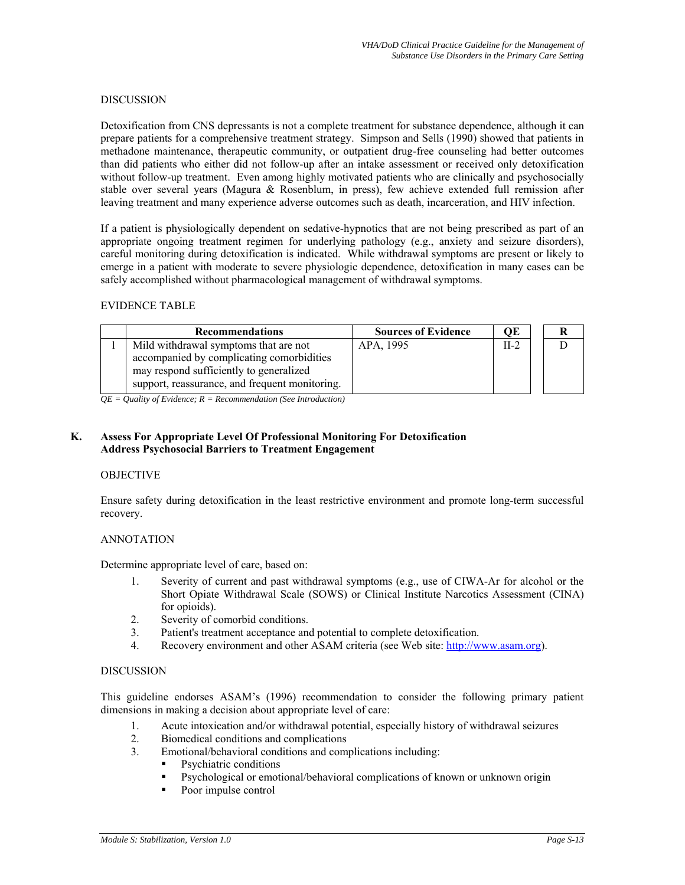#### DISCUSSION

Detoxification from CNS depressants is not a complete treatment for substance dependence, although it can prepare patients for a comprehensive treatment strategy. Simpson and Sells (1990) showed that patients in methadone maintenance, therapeutic community, or outpatient drug-free counseling had better outcomes than did patients who either did not follow-up after an intake assessment or received only detoxification without follow-up treatment. Even among highly motivated patients who are clinically and psychosocially stable over several years (Magura & Rosenblum, in press), few achieve extended full remission after leaving treatment and many experience adverse outcomes such as death, incarceration, and HIV infection.

If a patient is physiologically dependent on sedative-hypnotics that are not being prescribed as part of an appropriate ongoing treatment regimen for underlying pathology (e.g., anxiety and seizure disorders), careful monitoring during detoxification is indicated. While withdrawal symptoms are present or likely to emerge in a patient with moderate to severe physiologic dependence, detoxification in many cases can be safely accomplished without pharmacological management of withdrawal symptoms.

### EVIDENCE TABLE

| <b>Recommendations</b>                         | <b>Sources of Evidence</b> | QE     |  |
|------------------------------------------------|----------------------------|--------|--|
| Mild withdrawal symptoms that are not          | APA, 1995                  | $II-2$ |  |
| accompanied by complicating comorbidities      |                            |        |  |
| may respond sufficiently to generalized        |                            |        |  |
| support, reassurance, and frequent monitoring. |                            |        |  |

*QE = Quality of Evidence; R = Recommendation (See Introduction)* 

# **K. Assess For Appropriate Level Of Professional Monitoring For Detoxification Address Psychosocial Barriers to Treatment Engagement**

## OBJECTIVE

Ensure safety during detoxification in the least restrictive environment and promote long-term successful recovery.

#### ANNOTATION

Determine appropriate level of care, based on:

- 1. Severity of current and past withdrawal symptoms (e.g., use of CIWA-Ar for alcohol or the Short Opiate Withdrawal Scale (SOWS) or Clinical Institute Narcotics Assessment (CINA) for opioids).
- 2. Severity of comorbid conditions.
- 3. Patient's treatment acceptance and potential to complete detoxification.
- 4. Recovery environment and other ASAM criteria (see Web site: [http://www.asam.org\)](http://www.asam.org/).

## DISCUSSION

This guideline endorses ASAM's (1996) recommendation to consider the following primary patient dimensions in making a decision about appropriate level of care:

- 1. Acute intoxication and/or withdrawal potential, especially history of withdrawal seizures
- 2. Biomedical conditions and complications
- 3. Emotional/behavioral conditions and complications including:
	- **•** Psychiatric conditions
	- Psychological or emotional/behavioral complications of known or unknown origin
	- Poor impulse control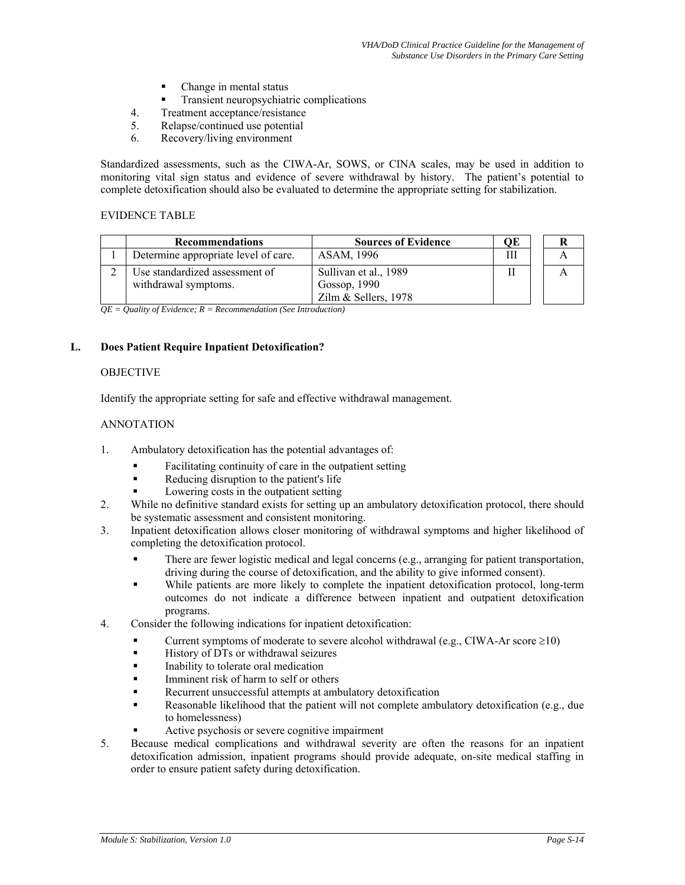- Change in mental status
- Transient neuropsychiatric complications
- 4. Treatment acceptance/resistance
- 5. Relapse/continued use potential
- 6. Recovery/living environment

Standardized assessments, such as the CIWA-Ar, SOWS, or CINA scales, may be used in addition to monitoring vital sign status and evidence of severe withdrawal by history. The patient's potential to complete detoxification should also be evaluated to determine the appropriate setting for stabilization.

#### EVIDENCE TABLE

| <b>Recommendations</b>                                 | <b>Sources of Evidence</b>            | ОE |  |
|--------------------------------------------------------|---------------------------------------|----|--|
| Determine appropriate level of care.                   | ASAM, 1996                            | Ш  |  |
| Use standardized assessment of<br>withdrawal symptoms. | Sullivan et al., 1989<br>Gossop, 1990 |    |  |
|                                                        | Zilm & Sellers, 1978                  |    |  |

*QE = Quality of Evidence; R = Recommendation (See Introduction)* 

## **L. Does Patient Require Inpatient Detoxification?**

#### **OBJECTIVE**

Identify the appropriate setting for safe and effective withdrawal management.

## ANNOTATION

- 1. Ambulatory detoxification has the potential advantages of:
	- Facilitating continuity of care in the outpatient setting
	- Reducing disruption to the patient's life
	- Lowering costs in the outpatient setting
- 2. While no definitive standard exists for setting up an ambulatory detoxification protocol, there should be systematic assessment and consistent monitoring.
- 3. Inpatient detoxification allows closer monitoring of withdrawal symptoms and higher likelihood of completing the detoxification protocol.
	- There are fewer logistic medical and legal concerns (e.g., arranging for patient transportation, driving during the course of detoxification, and the ability to give informed consent).
	- While patients are more likely to complete the inpatient detoxification protocol, long-term outcomes do not indicate a difference between inpatient and outpatient detoxification programs.
- 4. Consider the following indications for inpatient detoxification:
	- Current symptoms of moderate to severe alcohol withdrawal (e.g., CIWA-Ar score  $\geq$ 10)
	- History of DTs or withdrawal seizures
	- Inability to tolerate oral medication
	- Imminent risk of harm to self or others
	- Recurrent unsuccessful attempts at ambulatory detoxification
	- Reasonable likelihood that the patient will not complete ambulatory detoxification (e.g., due to homelessness)
	- Active psychosis or severe cognitive impairment
- 5. Because medical complications and withdrawal severity are often the reasons for an inpatient detoxification admission, inpatient programs should provide adequate, on-site medical staffing in order to ensure patient safety during detoxification.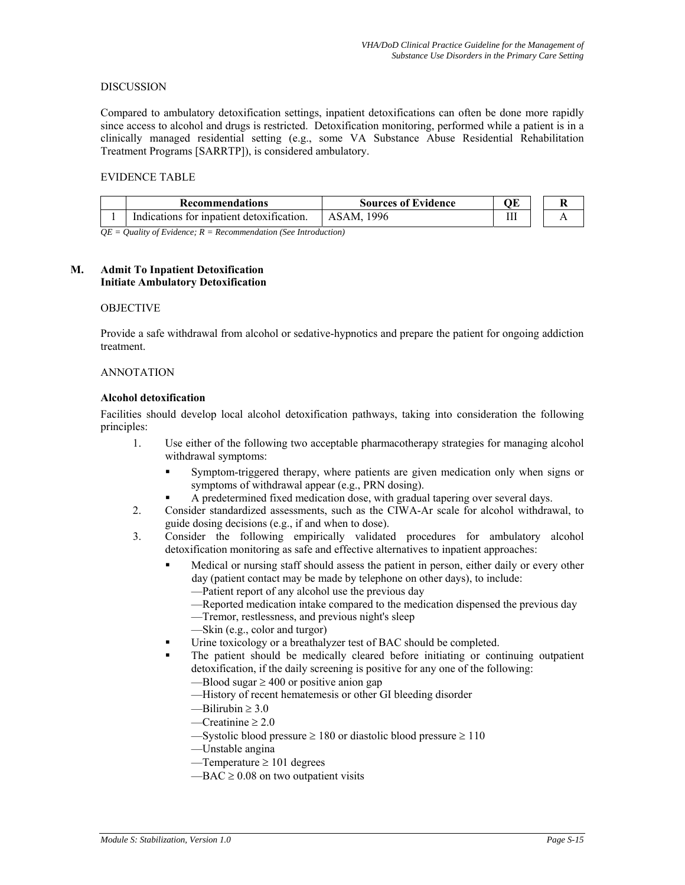#### DISCUSSION

Compared to ambulatory detoxification settings, inpatient detoxifications can often be done more rapidly since access to alcohol and drugs is restricted. Detoxification monitoring, performed while a patient is in a clinically managed residential setting (e.g., some VA Substance Abuse Residential Rehabilitation Treatment Programs [SARRTP]), is considered ambulatory.

#### EVIDENCE TABLE

| <b>Recommendations</b>                    | <b>Sources of Evidence</b> | ЭE |  |
|-------------------------------------------|----------------------------|----|--|
| Indications for inpatient detoxification. | ASAM, 1996                 | Ш  |  |
| $\sqrt{a}$ $\bf{r}$ $\bf{r}$              |                            |    |  |

*QE = Quality of Evidence; R = Recommendation (See Introduction)* 

#### **M. Admit To Inpatient Detoxification Initiate Ambulatory Detoxification**

#### OBJECTIVE

Provide a safe withdrawal from alcohol or sedative-hypnotics and prepare the patient for ongoing addiction treatment.

#### ANNOTATION

#### **Alcohol detoxification**

Facilities should develop local alcohol detoxification pathways, taking into consideration the following principles:

- 1. Use either of the following two acceptable pharmacotherapy strategies for managing alcohol withdrawal symptoms:
	- Symptom-triggered therapy, where patients are given medication only when signs or symptoms of withdrawal appear (e.g., PRN dosing).
	- A predetermined fixed medication dose, with gradual tapering over several days.
- 2. Consider standardized assessments, such as the CIWA-Ar scale for alcohol withdrawal, to guide dosing decisions (e.g., if and when to dose).
- 3. Consider the following empirically validated procedures for ambulatory alcohol detoxification monitoring as safe and effective alternatives to inpatient approaches:
	- Medical or nursing staff should assess the patient in person, either daily or every other day (patient contact may be made by telephone on other days), to include:
		- —Patient report of any alcohol use the previous day
		- —Reported medication intake compared to the medication dispensed the previous day
		- —Tremor, restlessness, and previous night's sleep
		- —Skin (e.g., color and turgor)
	- Urine toxicology or a breathalyzer test of BAC should be completed.
	- The patient should be medically cleared before initiating or continuing outpatient detoxification, if the daily screening is positive for any one of the following:
		- —Blood sugar  $\geq 400$  or positive anion gap
		- —History of recent hematemesis or other GI bleeding disorder
		- $—Bilirubin  $\geq 3.0$$
		- $\equiv$ Creatinine > 2.0
		- —Systolic blood pressure  $\geq 180$  or diastolic blood pressure  $\geq 110$
		- —Unstable angina
		- —Temperature  $\geq 101$  degrees
		- $-BAC \geq 0.08$  on two outpatient visits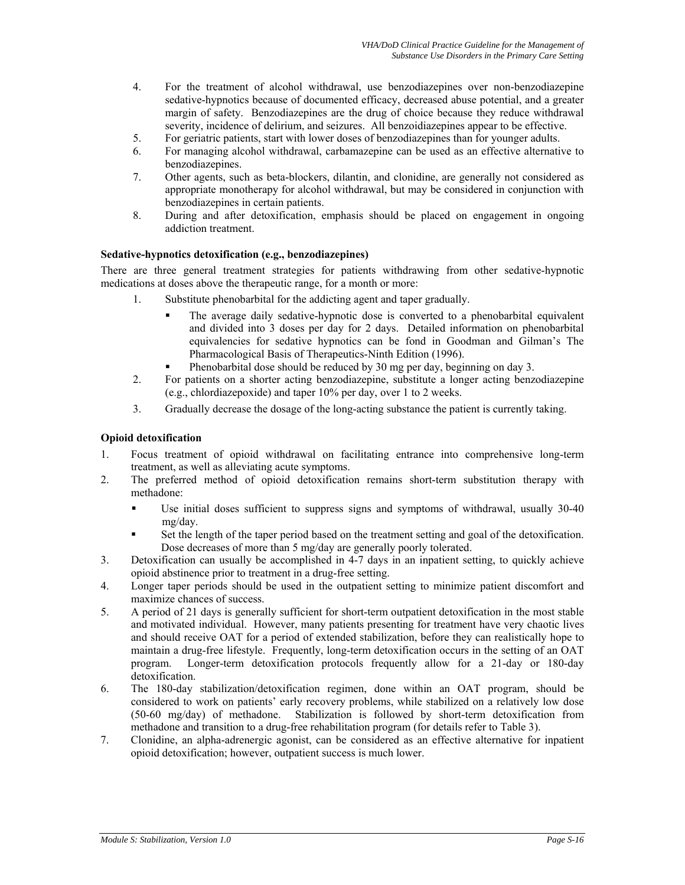- 4. For the treatment of alcohol withdrawal, use benzodiazepines over non-benzodiazepine sedative-hypnotics because of documented efficacy, decreased abuse potential, and a greater margin of safety. Benzodiazepines are the drug of choice because they reduce withdrawal severity, incidence of delirium, and seizures. All benzoidiazepines appear to be effective.
- 5. For geriatric patients, start with lower doses of benzodiazepines than for younger adults.
- 6. For managing alcohol withdrawal, carbamazepine can be used as an effective alternative to benzodiazepines.
- 7. Other agents, such as beta-blockers, dilantin, and clonidine, are generally not considered as appropriate monotherapy for alcohol withdrawal, but may be considered in conjunction with benzodiazepines in certain patients.
- 8. During and after detoxification, emphasis should be placed on engagement in ongoing addiction treatment.

# **Sedative-hypnotics detoxification (e.g., benzodiazepines)**

There are three general treatment strategies for patients withdrawing from other sedative-hypnotic medications at doses above the therapeutic range, for a month or more:

- 1. Substitute phenobarbital for the addicting agent and taper gradually.
	- The average daily sedative-hypnotic dose is converted to a phenobarbital equivalent and divided into 3 doses per day for 2 days. Detailed information on phenobarbital equivalencies for sedative hypnotics can be fond in Goodman and Gilman's The Pharmacological Basis of Therapeutics-Ninth Edition (1996).
	- Phenobarbital dose should be reduced by 30 mg per day, beginning on day 3.
- 2. For patients on a shorter acting benzodiazepine, substitute a longer acting benzodiazepine (e.g., chlordiazepoxide) and taper 10% per day, over 1 to 2 weeks.
- 3. Gradually decrease the dosage of the long-acting substance the patient is currently taking.

#### **Opioid detoxification**

- 1. Focus treatment of opioid withdrawal on facilitating entrance into comprehensive long-term treatment, as well as alleviating acute symptoms.
- 2. The preferred method of opioid detoxification remains short-term substitution therapy with methadone:
	- Use initial doses sufficient to suppress signs and symptoms of withdrawal, usually 30-40 mg/day.
	- Set the length of the taper period based on the treatment setting and goal of the detoxification. Dose decreases of more than 5 mg/day are generally poorly tolerated.
- 3. Detoxification can usually be accomplished in 4-7 days in an inpatient setting, to quickly achieve opioid abstinence prior to treatment in a drug-free setting.
- 4. Longer taper periods should be used in the outpatient setting to minimize patient discomfort and maximize chances of success.
- 5. A period of 21 days is generally sufficient for short-term outpatient detoxification in the most stable and motivated individual. However, many patients presenting for treatment have very chaotic lives and should receive OAT for a period of extended stabilization, before they can realistically hope to maintain a drug-free lifestyle. Frequently, long-term detoxification occurs in the setting of an OAT program. Longer-term detoxification protocols frequently allow for a 21-day or 180-day detoxification.
- 6. The 180-day stabilization/detoxification regimen, done within an OAT program, should be considered to work on patients' early recovery problems, while stabilized on a relatively low dose (50-60 mg/day) of methadone. Stabilization is followed by short-term detoxification from methadone and transition to a drug-free rehabilitation program (for details refer to Table 3).
- 7. Clonidine, an alpha-adrenergic agonist, can be considered as an effective alternative for inpatient opioid detoxification; however, outpatient success is much lower.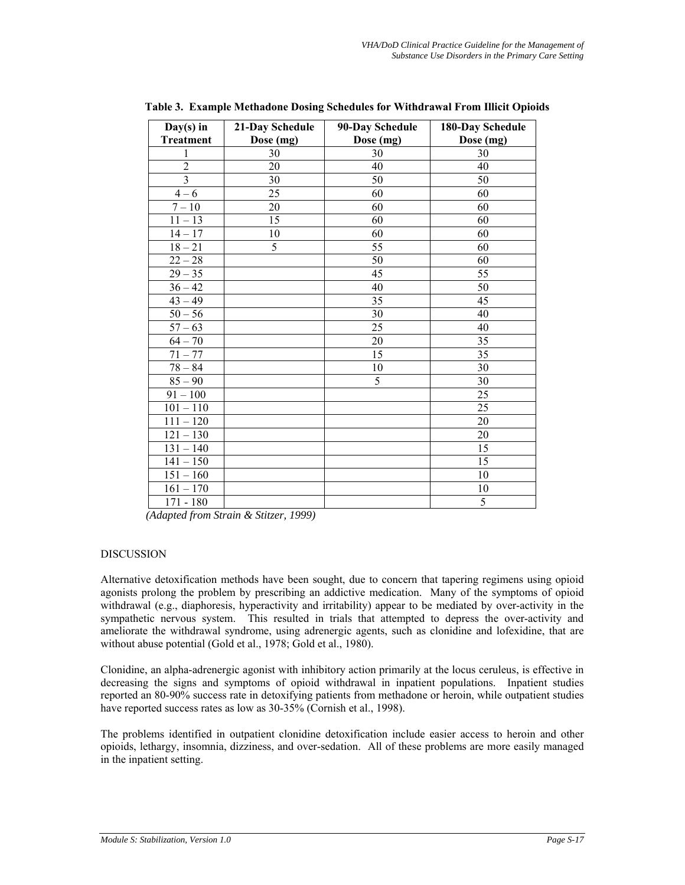| $Day(s)$ in      | 21-Day Schedule | 90-Day Schedule | 180-Day Schedule |
|------------------|-----------------|-----------------|------------------|
| <b>Treatment</b> | Dose (mg)       | Dose (mg)       | Dose (mg)        |
| 1                | 30              | 30              | 30               |
| $\overline{2}$   | 20              | 40              | 40               |
| $\overline{3}$   | 30              | 50              | 50               |
| $4 - 6$          | 25              | 60              | 60               |
| $7 - 10$         | 20              | 60              | 60               |
| $11 - 13$        | 15              | 60              | 60               |
| $14 - 17$        | 10              | 60              | 60               |
| $18 - 21$        | 5               | 55              | 60               |
| $22 - 28$        |                 | 50              | 60               |
| $29 - 35$        |                 | 45              | 55               |
| $36 - 42$        |                 | 40              | 50               |
| $43 - 49$        |                 | 35              | 45               |
| $50 - 56$        |                 | 30              | 40               |
| $57 - 63$        |                 | 25              | 40               |
| $64 - 70$        |                 | 20              | 35               |
| $71 - 77$        |                 | 15              | 35               |
| $78 - 84$        |                 | 10              | 30               |
| $85 - 90$        |                 | 5               | 30               |
| $91 - 100$       |                 |                 | 25               |
| $101 - 110$      |                 |                 | 25               |
| $111 - 120$      |                 |                 | 20               |
| $121 - 130$      |                 |                 | 20               |
| $131 - 140$      |                 |                 | 15               |
| $141 - 150$      |                 |                 | 15               |
| $151 - 160$      |                 |                 | 10               |
| $161 - 170$      |                 |                 | 10               |
| $171 - 180$      |                 |                 | 5                |

**Table 3. Example Methadone Dosing Schedules for Withdrawal From Illicit Opioids** 

*(Adapted from Strain & Stitzer, 1999)* 

#### DISCUSSION

Alternative detoxification methods have been sought, due to concern that tapering regimens using opioid agonists prolong the problem by prescribing an addictive medication. Many of the symptoms of opioid withdrawal (e.g., diaphoresis, hyperactivity and irritability) appear to be mediated by over-activity in the sympathetic nervous system. This resulted in trials that attempted to depress the over-activity and ameliorate the withdrawal syndrome, using adrenergic agents, such as clonidine and lofexidine, that are without abuse potential (Gold et al., 1978; Gold et al., 1980).

Clonidine, an alpha-adrenergic agonist with inhibitory action primarily at the locus ceruleus, is effective in decreasing the signs and symptoms of opioid withdrawal in inpatient populations. Inpatient studies reported an 80-90% success rate in detoxifying patients from methadone or heroin, while outpatient studies have reported success rates as low as  $30-35%$  (Cornish et al., 1998).

The problems identified in outpatient clonidine detoxification include easier access to heroin and other opioids, lethargy, insomnia, dizziness, and over-sedation. All of these problems are more easily managed in the inpatient setting.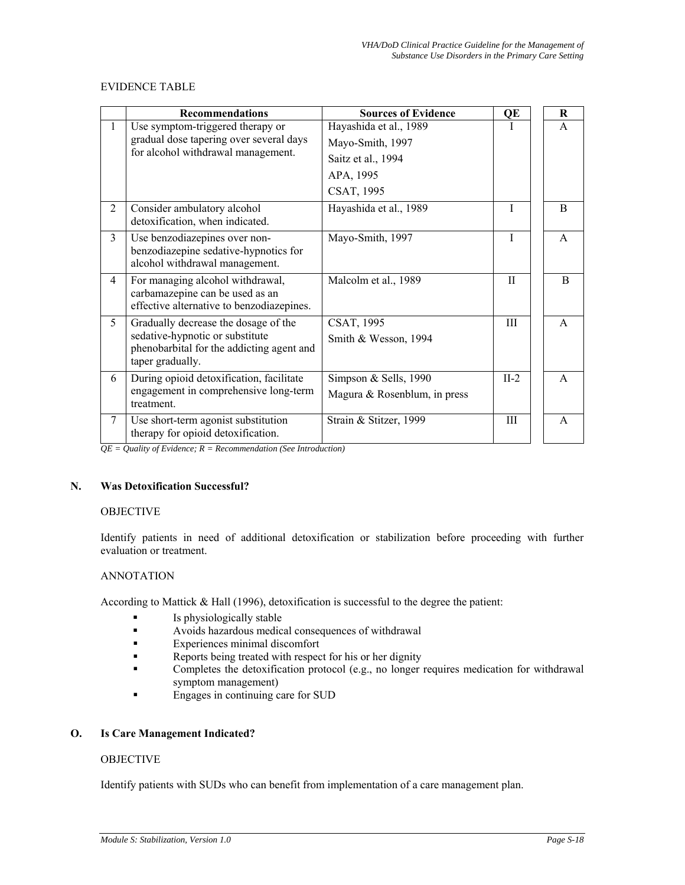# EVIDENCE TABLE

|              | <b>Recommendations</b>                                                                                           | <b>Sources of Evidence</b>   | QE           | R            |
|--------------|------------------------------------------------------------------------------------------------------------------|------------------------------|--------------|--------------|
| $\mathbf{1}$ | Use symptom-triggered therapy or                                                                                 | Hayashida et al., 1989       |              | $\mathsf{A}$ |
|              | gradual dose tapering over several days                                                                          | Mayo-Smith, 1997             |              |              |
|              | for alcohol withdrawal management.                                                                               | Saitz et al., 1994           |              |              |
|              |                                                                                                                  | APA, 1995                    |              |              |
|              |                                                                                                                  | CSAT, 1995                   |              |              |
| 2            | Consider ambulatory alcohol<br>detoxification, when indicated.                                                   | Hayashida et al., 1989       | T            | B            |
| 3            | Use benzodiazepines over non-<br>benzodiazepine sedative-hypnotics for<br>alcohol withdrawal management.         | Mayo-Smith, 1997             | $\mathbf{I}$ | $\mathsf{A}$ |
| 4            | For managing alcohol withdrawal,<br>carbamazepine can be used as an<br>effective alternative to benzodiazepines. | Malcolm et al., 1989         | H            | B            |
| 5            | Gradually decrease the dosage of the                                                                             | CSAT, 1995                   | Ш            | $\mathsf{A}$ |
|              | sedative-hypnotic or substitute<br>phenobarbital for the addicting agent and<br>taper gradually.                 | Smith $&$ Wesson, 1994       |              |              |
| 6            | During opioid detoxification, facilitate                                                                         | Simpson & Sells, 1990        | $II-2$       | $\mathsf{A}$ |
|              | engagement in comprehensive long-term<br>treatment.                                                              | Magura & Rosenblum, in press |              |              |
| 7            | Use short-term agonist substitution<br>therapy for opioid detoxification.                                        | Strain & Stitzer, 1999       | Ш            | $\mathsf{A}$ |

*QE = Quality of Evidence; R = Recommendation (See Introduction)* 

# **N. Was Detoxification Successful?**

# **OBJECTIVE**

Identify patients in need of additional detoxification or stabilization before proceeding with further evaluation or treatment.

## ANNOTATION

According to Mattick & Hall (1996), detoxification is successful to the degree the patient:

- **Is physiologically stable**
- Avoids hazardous medical consequences of withdrawal
- **Experiences minimal discomfort**
- Reports being treated with respect for his or her dignity
- Completes the detoxification protocol (e.g., no longer requires medication for withdrawal symptom management)
- Engages in continuing care for SUD

# **O. Is Care Management Indicated?**

# **OBJECTIVE**

Identify patients with SUDs who can benefit from implementation of a care management plan.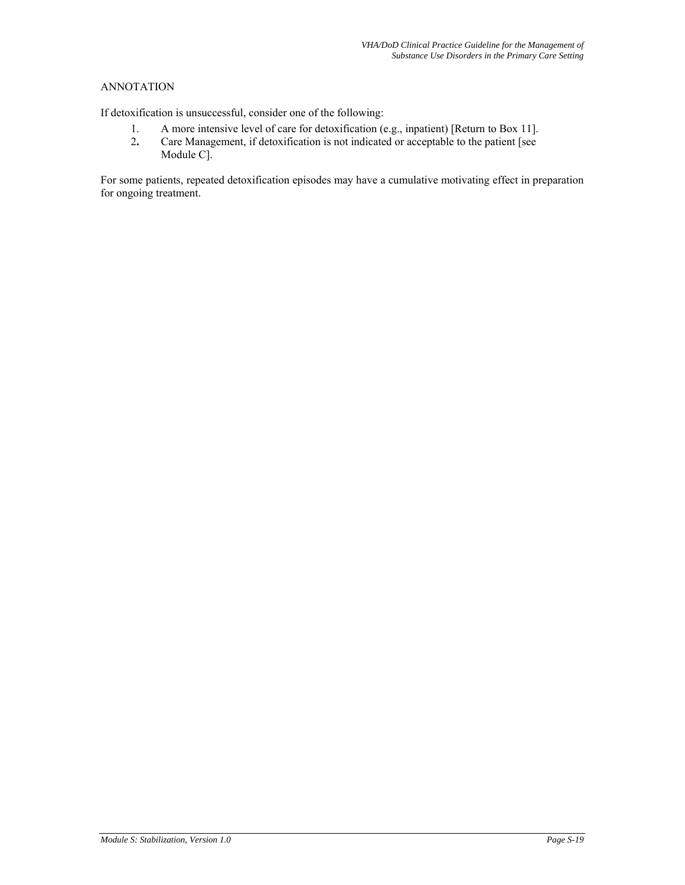# ANNOTATION

If detoxification is unsuccessful, consider one of the following:

- 1. A more intensive level of care for detoxification (e.g., inpatient) [Return to Box 11].
- 2**.** Care Management, if detoxification is not indicated or acceptable to the patient [see Module C].

For some patients, repeated detoxification episodes may have a cumulative motivating effect in preparation for ongoing treatment.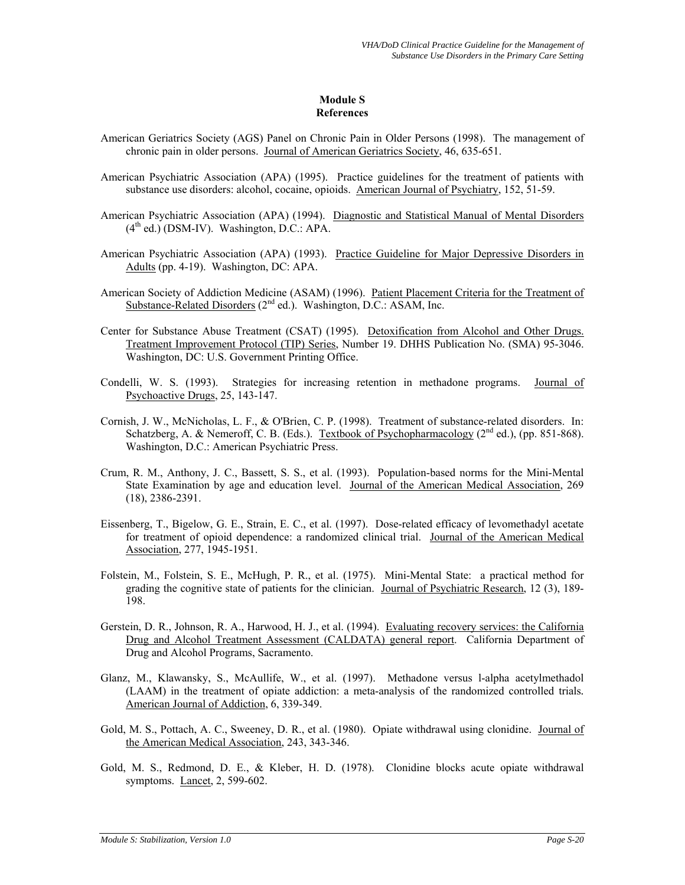### **Module S References**

- American Geriatrics Society (AGS) Panel on Chronic Pain in Older Persons (1998). The management of chronic pain in older persons. Journal of American Geriatrics Society, 46, 635-651.
- American Psychiatric Association (APA) (1995). Practice guidelines for the treatment of patients with substance use disorders: alcohol, cocaine, opioids. American Journal of Psychiatry, 152, 51-59.
- American Psychiatric Association (APA) (1994). Diagnostic and Statistical Manual of Mental Disorders  $(4<sup>th</sup>$  ed.) (DSM-IV). Washington, D.C.: APA.
- American Psychiatric Association (APA) (1993). Practice Guideline for Major Depressive Disorders in Adults (pp. 4-19). Washington, DC: APA.
- American Society of Addiction Medicine (ASAM) (1996). Patient Placement Criteria for the Treatment of Substance-Related Disorders  $(2^{nd}$  ed.). Washington, D.C.: ASAM, Inc.
- Center for Substance Abuse Treatment (CSAT) (1995). Detoxification from Alcohol and Other Drugs. Treatment Improvement Protocol (TIP) Series, Number 19. DHHS Publication No. (SMA) 95-3046. Washington, DC: U.S. Government Printing Office.
- Condelli, W. S. (1993). Strategies for increasing retention in methadone programs. Journal of Psychoactive Drugs, 25, 143-147.
- Cornish, J. W., McNicholas, L. F., & O'Brien, C. P. (1998). Treatment of substance-related disorders. In: Schatzberg, A. & Nemeroff, C. B. (Eds.). Textbook of Psychopharmacology (2<sup>nd</sup> ed.), (pp. 851-868). Washington, D.C.: American Psychiatric Press.
- Crum, R. M., Anthony, J. C., Bassett, S. S., et al. (1993). Population-based norms for the Mini-Mental State Examination by age and education level. Journal of the American Medical Association, 269 (18), 2386-2391.
- Eissenberg, T., Bigelow, G. E., Strain, E. C., et al. (1997). Dose-related efficacy of levomethadyl acetate for treatment of opioid dependence: a randomized clinical trial. Journal of the American Medical Association, 277, 1945-1951.
- Folstein, M., Folstein, S. E., McHugh, P. R., et al. (1975). Mini-Mental State: a practical method for grading the cognitive state of patients for the clinician. Journal of Psychiatric Research, 12 (3), 189- 198.
- Gerstein, D. R., Johnson, R. A., Harwood, H. J., et al. (1994). Evaluating recovery services: the California Drug and Alcohol Treatment Assessment (CALDATA) general report. California Department of Drug and Alcohol Programs, Sacramento.
- Glanz, M., Klawansky, S., McAullife, W., et al. (1997). Methadone versus l-alpha acetylmethadol (LAAM) in the treatment of opiate addiction: a meta-analysis of the randomized controlled trials*.*  American Journal of Addiction, 6, 339-349.
- Gold, M. S., Pottach, A. C., Sweeney, D. R., et al. (1980). Opiate withdrawal using clonidine. Journal of the American Medical Association, 243, 343-346.
- Gold, M. S., Redmond, D. E., & Kleber, H. D. (1978). Clonidine blocks acute opiate withdrawal symptoms. Lancet, 2, 599-602.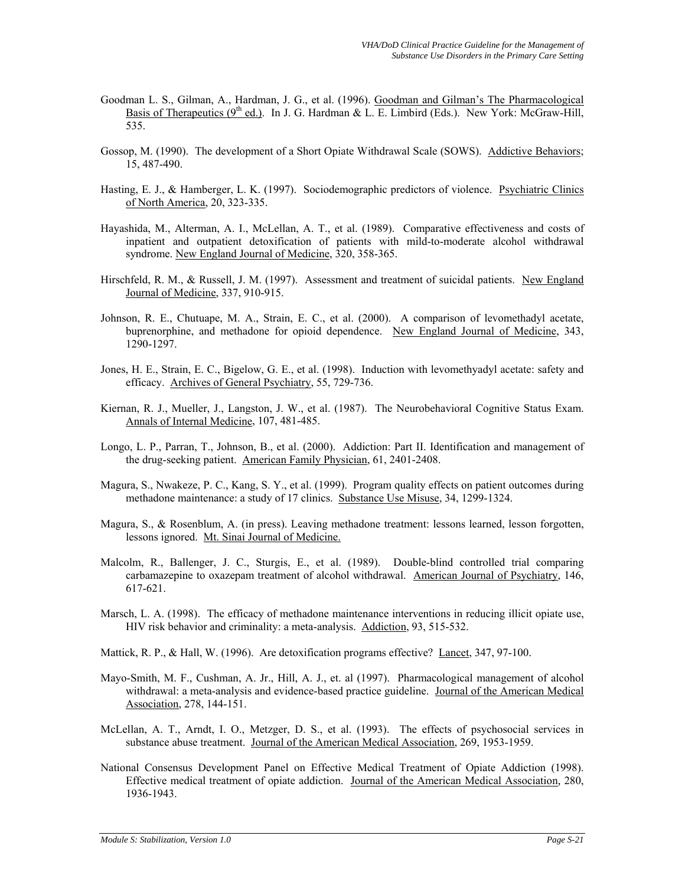- Goodman L. S., Gilman, A., Hardman, J. G., et al. (1996). Goodman and Gilman's The Pharmacological Basis of Therapeutics  $(9^{th}$  ed.). In J. G. Hardman & L. E. Limbird (Eds.). New York: McGraw-Hill, 535.
- Gossop, M. (1990). The development of a Short Opiate Withdrawal Scale (SOWS). Addictive Behaviors; 15, 487-490.
- Hasting, E. J., & Hamberger, L. K. (1997). Sociodemographic predictors of violence. Psychiatric Clinics of North America, 20, 323-335.
- Hayashida, M., Alterman, A. I., McLellan, A. T., et al. (1989). Comparative effectiveness and costs of inpatient and outpatient detoxification of patients with mild-to-moderate alcohol withdrawal syndrome. New England Journal of Medicine, 320, 358-365.
- Hirschfeld, R. M., & Russell, J. M. (1997). Assessment and treatment of suicidal patients. New England Journal of Medicine, 337, 910-915.
- Johnson, R. E., Chutuape, M. A., Strain, E. C., et al. (2000). A comparison of levomethadyl acetate, buprenorphine, and methadone for opioid dependence. New England Journal of Medicine, 343, 1290-1297.
- Jones, H. E., Strain, E. C., Bigelow, G. E., et al. (1998). Induction with levomethyadyl acetate: safety and efficacy. Archives of General Psychiatry, 55, 729-736.
- Kiernan, R. J., Mueller, J., Langston, J. W., et al. (1987). The Neurobehavioral Cognitive Status Exam. Annals of Internal Medicine, 107, 481-485.
- Longo, L. P., Parran, T., Johnson, B., et al. (2000). Addiction: Part II. Identification and management of the drug-seeking patient. American Family Physician, 61, 2401-2408.
- Magura, S., Nwakeze, P. C., Kang, S. Y., et al. (1999). Program quality effects on patient outcomes during methadone maintenance: a study of 17 clinics. Substance Use Misuse, 34, 1299-1324.
- Magura, S., & Rosenblum, A. (in press). Leaving methadone treatment: lessons learned, lesson forgotten, lessons ignored. Mt. Sinai Journal of Medicine.
- Malcolm, R., Ballenger, J. C., Sturgis, E., et al. (1989). Double-blind controlled trial comparing carbamazepine to oxazepam treatment of alcohol withdrawal. American Journal of Psychiatry, 146, 617-621.
- Marsch, L. A. (1998). The efficacy of methadone maintenance interventions in reducing illicit opiate use, HIV risk behavior and criminality: a meta-analysis. Addiction, 93, 515-532.

Mattick, R. P., & Hall, W. (1996). Are detoxification programs effective? Lancet, 347, 97-100.

- Mayo-Smith, M. F., Cushman, A. Jr., Hill, A. J., et. al (1997). Pharmacological management of alcohol withdrawal: a meta-analysis and evidence-based practice guideline. Journal of the American Medical Association, 278, 144-151.
- McLellan, A. T., Arndt, I. O., Metzger, D. S., et al. (1993). The effects of psychosocial services in substance abuse treatment. Journal of the American Medical Association, 269, 1953-1959.
- National Consensus Development Panel on Effective Medical Treatment of Opiate Addiction (1998). Effective medical treatment of opiate addiction. Journal of the American Medical Association*,* 280, 1936-1943.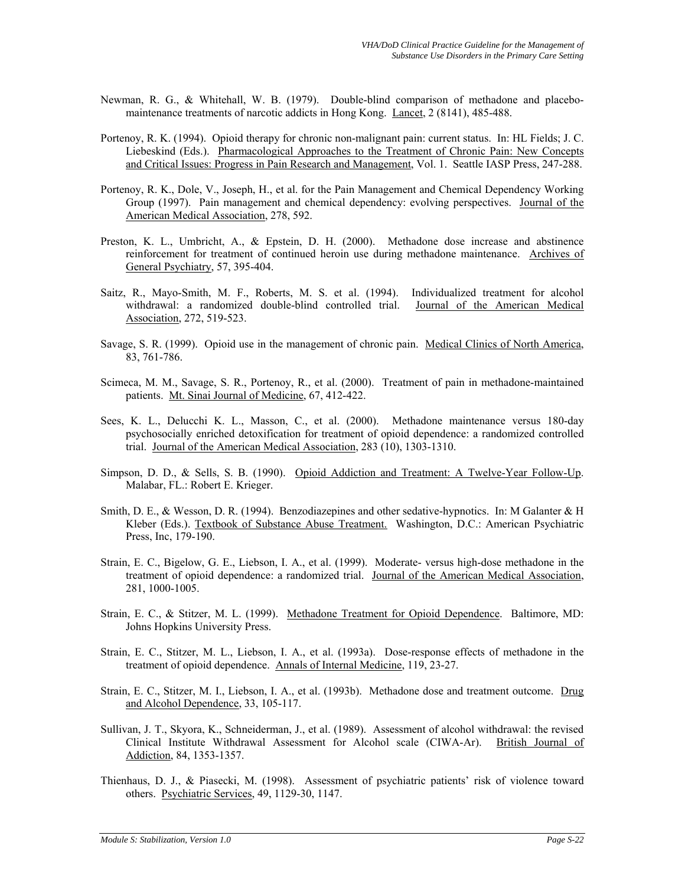- Newman, R. G., & Whitehall, W. B. (1979). Double-blind comparison of methadone and placebomaintenance treatments of narcotic addicts in Hong Kong. Lancet, 2 (8141), 485-488.
- Portenoy, R. K. (1994). Opioid therapy for chronic non-malignant pain: current status. In: HL Fields; J. C. Liebeskind (Eds.). Pharmacological Approaches to the Treatment of Chronic Pain: New Concepts and Critical Issues: Progress in Pain Research and Management, Vol. 1. Seattle IASP Press, 247-288.
- Portenoy, R. K., Dole, V., Joseph, H., et al. for the Pain Management and Chemical Dependency Working Group (1997). Pain management and chemical dependency: evolving perspectives. Journal of the American Medical Association, 278, 592.
- Preston, K. L., Umbricht, A., & Epstein, D. H. (2000). Methadone dose increase and abstinence reinforcement for treatment of continued heroin use during methadone maintenance. Archives of General Psychiatry, 57, 395-404.
- Saitz, R., Mayo-Smith, M. F., Roberts, M. S. et al. (1994). Individualized treatment for alcohol withdrawal: a randomized double-blind controlled trial. Journal of the American Medical Association, 272, 519-523.
- Savage, S. R. (1999). Opioid use in the management of chronic pain. Medical Clinics of North America, 83, 761-786.
- Scimeca, M. M., Savage, S. R., Portenoy, R., et al. (2000). Treatment of pain in methadone-maintained patients. Mt. Sinai Journal of Medicine, 67, 412-422.
- Sees, K. L., Delucchi K. L., Masson, C., et al. (2000). Methadone maintenance versus 180-day psychosocially enriched detoxification for treatment of opioid dependence: a randomized controlled trial. Journal of the American Medical Association, 283 (10), 1303-1310.
- Simpson, D. D., & Sells, S. B. (1990). Opioid Addiction and Treatment: A Twelve-Year Follow-Up. Malabar, FL.: Robert E. Krieger.
- Smith, D. E., & Wesson, D. R. (1994). Benzodiazepines and other sedative-hypnotics. In: M Galanter & H Kleber (Eds.). Textbook of Substance Abuse Treatment. Washington, D.C.: American Psychiatric Press, Inc, 179-190.
- Strain, E. C., Bigelow, G. E., Liebson, I. A., et al. (1999). Moderate- versus high-dose methadone in the treatment of opioid dependence: a randomized trial. Journal of the American Medical Association, 281, 1000-1005.
- Strain, E. C., & Stitzer, M. L. (1999). Methadone Treatment for Opioid Dependence. Baltimore, MD: Johns Hopkins University Press.
- Strain, E. C., Stitzer, M. L., Liebson, I. A., et al. (1993a). Dose-response effects of methadone in the treatment of opioid dependence. Annals of Internal Medicine, 119, 23-27.
- Strain, E. C., Stitzer, M. I., Liebson, I. A., et al. (1993b). Methadone dose and treatment outcome. Drug and Alcohol Dependence, 33, 105-117.
- Sullivan, J. T., Skyora, K., Schneiderman, J., et al. (1989). Assessment of alcohol withdrawal: the revised Clinical Institute Withdrawal Assessment for Alcohol scale (CIWA-Ar). British Journal of Addiction, 84, 1353-1357.
- Thienhaus, D. J., & Piasecki, M. (1998). Assessment of psychiatric patients' risk of violence toward others. Psychiatric Services, 49, 1129-30, 1147.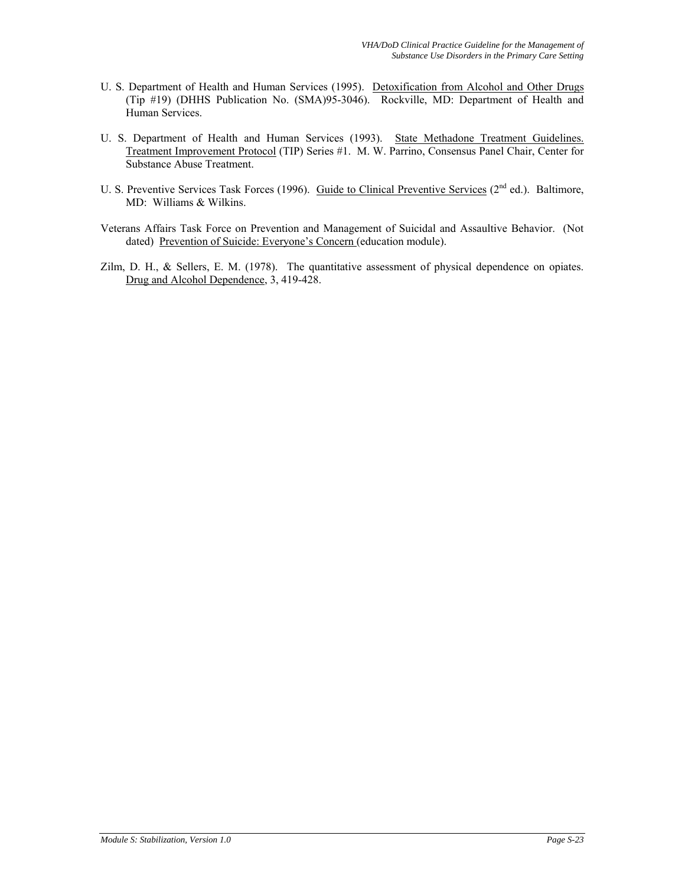- U. S. Department of Health and Human Services (1995). Detoxification from Alcohol and Other Drugs (Tip #19) (DHHS Publication No. (SMA)95-3046). Rockville, MD: Department of Health and Human Services.
- U. S. Department of Health and Human Services (1993). State Methadone Treatment Guidelines. Treatment Improvement Protocol (TIP) Series #1. M. W. Parrino, Consensus Panel Chair, Center for Substance Abuse Treatment.
- U. S. Preventive Services Task Forces (1996). Guide to Clinical Preventive Services (2<sup>nd</sup> ed.). Baltimore, MD: Williams & Wilkins.
- Veterans Affairs Task Force on Prevention and Management of Suicidal and Assaultive Behavior. (Not dated) Prevention of Suicide: Everyone's Concern (education module).
- Zilm, D. H., & Sellers, E. M. (1978). The quantitative assessment of physical dependence on opiates. Drug and Alcohol Dependence, 3, 419-428.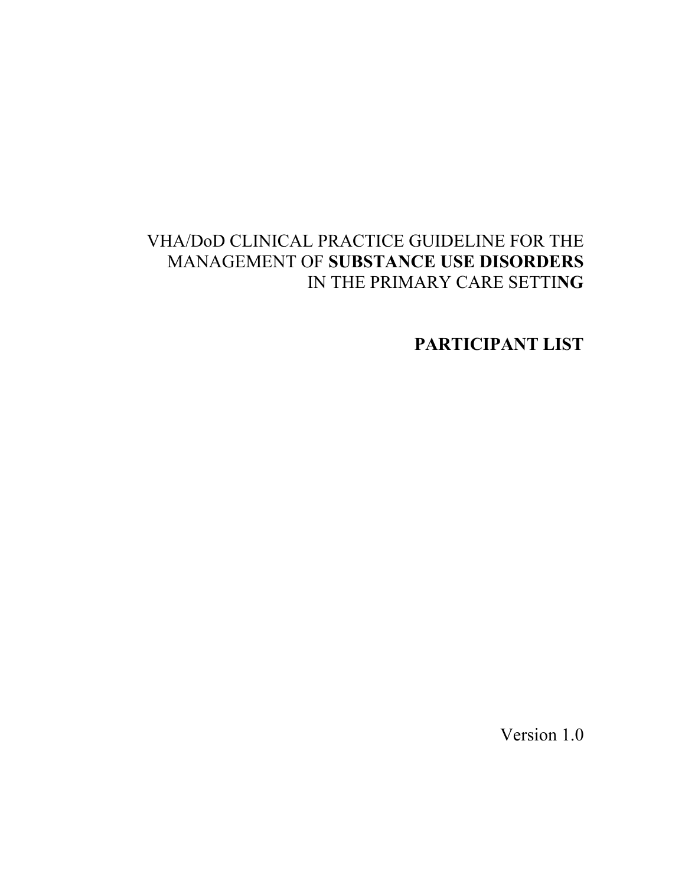# VHA/DoD CLINICAL PRACTICE GUIDELINE FOR THE MANAGEMENT OF **SUBSTANCE USE DISORDERS**  IN THE PRIMARY CARE SETTI**NG**

**PARTICIPANT LIST** 

Version 1.0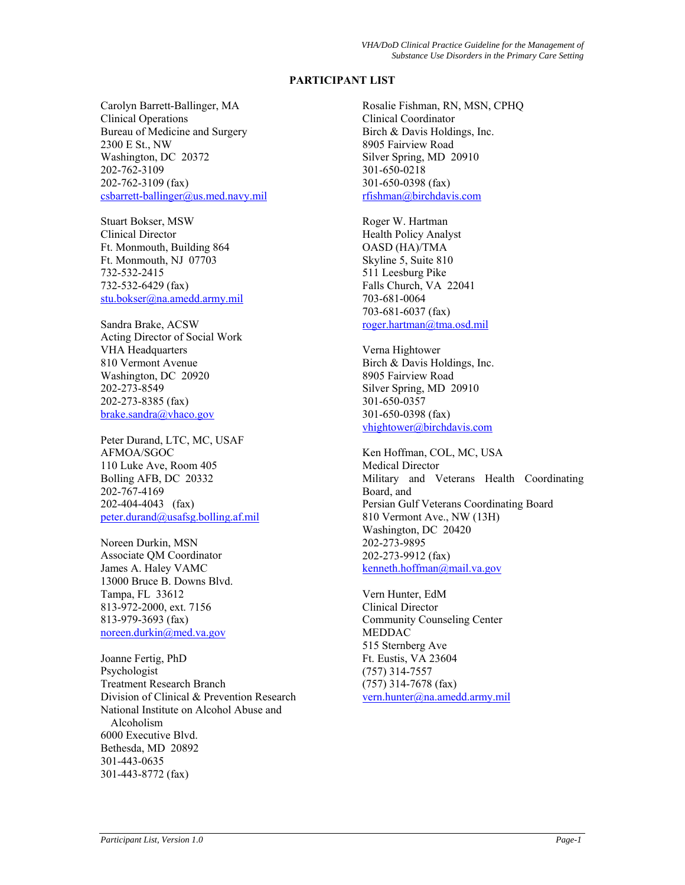# **PARTICIPANT LIST**

Carolyn Barrett-Ballinger, MA Clinical Operations Bureau of Medicine and Surgery 2300 E St., NW Washington, DC 20372 202-762-3109 202-762-3109 (fax)  $csbarrett-ballinger@us med.navy.mil$ 

Stuart Bokser, MSW Clinical Director Ft. Monmouth, Building 864 Ft. Monmouth, NJ 07703 732-532-2415 732-532-6429 (fax) [stu.bokser@na.amedd.army.mil](mailto:stu.bokser@na.amedd.army.mil)

Sandra Brake, ACSW Acting Director of Social Work VHA Headquarters 810 Vermont Avenue Washington, DC 20920 202-273-8549 202-273-8385 (fax) [brake.sandra@vhaco.gov](mailto:brake.sandra@vhaco.gov)

Peter Durand, LTC, MC, USAF AFMOA/SGOC 110 Luke Ave, Room 405 Bolling AFB, DC 20332 202-767-4169 202-404-4043 (fax) [peter.durand@usafsg.bolling.af.mil](mailto:Peter.durand@usafsg.bolling.af.mil)

Noreen Durkin, MSN Associate QM Coordinator James A. Haley VAMC 13000 Bruce B. Downs Blvd. Tampa, FL 33612 813-972-2000, ext. 7156 813-979-3693 (fax) [noreen.durkin@med.va.gov](mailto:noreen.durkin@med.va.gov)

Joanne Fertig, PhD Psychologist Treatment Research Branch Division of Clinical & Prevention Research National Institute on Alcohol Abuse and Alcoholism 6000 Executive Blvd. Bethesda, MD 20892 301-443-0635 301-443-8772 (fax)

Rosalie Fishman, RN, MSN, CPHQ Clinical Coordinator Birch & Davis Holdings, Inc. 8905 Fairview Road Silver Spring, MD 20910 301-650-0218 301-650-0398 (fax) [rfishman@birchdavis.com](mailto:rfishman@birchdavis.com)

Roger W. Hartman Health Policy Analyst OASD (HA)/TMA Skyline 5, Suite 810 511 Leesburg Pike Falls Church, VA 22041 703-681-0064 703-681-6037 (fax) [roger.hartman@tma.osd.mil](mailto:roger.hartman@tma.osd.mil)

Verna Hightower Birch & Davis Holdings, Inc. 8905 Fairview Road Silver Spring, MD 20910 301-650-0357 301-650-0398 (fax) [vhightower@birchdavis.com](mailto:vhightower@birchdavis.com)

Ken Hoffman, COL, MC, USA Medical Director Military and Veterans Health Coordinating Board, and Persian Gulf Veterans Coordinating Board 810 Vermont Ave., NW (13H) Washington, DC 20420 202-273-9895 202-273-9912 (fax) [kenneth.hoffman@mail.va.gov](mailto:kenneth.hoffman@mail.va.gov)

Vern Hunter, EdM Clinical Director Community Counseling Center MEDDAC 515 Sternberg Ave Ft. Eustis, VA 23604 (757) 314-7557 (757) 314-7678 (fax) [vern.hunter@na.amedd.army.mil](mailto:vern.hunter@na.amedd.army.mil)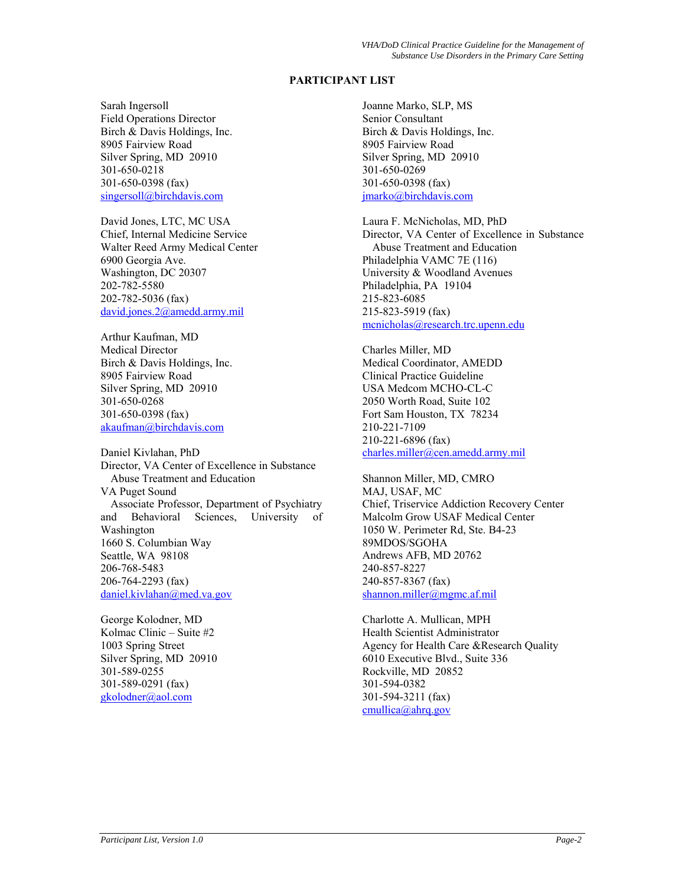# **PARTICIPANT LIST**

Sarah Ingersoll Field Operations Director Birch & Davis Holdings, Inc. 8905 Fairview Road Silver Spring, MD 20910 301-650-0218 301-650-0398 (fax) [singersoll@birchdavis.com](mailto:singersoll@birchdavis.com)

David Jones, LTC, MC USA Chief, Internal Medicine Service Walter Reed Army Medical Center 6900 Georgia Ave. Washington, DC 20307 202-782-5580 202-782-5036 (fax) [david.jones.2@amedd.army.mil](mailto:david.jones.2@amedd.army.mil)

Arthur Kaufman, MD Medical Director Birch & Davis Holdings, Inc. 8905 Fairview Road Silver Spring, MD 20910 301-650-0268 301-650-0398 (fax) [akaufman@birchdavis.com](mailto:akaufman@birchdavis.com)

Daniel Kivlahan, PhD Director, VA Center of Excellence in Substance Abuse Treatment and Education VA Puget Sound Associate Professor, Department of Psychiatry and Behavioral Sciences, University of Washington 1660 S. Columbian Way Seattle, WA 98108 206-768-5483 206-764-2293 (fax) [daniel.kivlahan@med.va.gov](mailto:daniel.kivlahan@med.va.gov)

George Kolodner, MD Kolmac Clinic – Suite #2 1003 Spring Street Silver Spring, MD 20910 301-589-0255 301-589-0291 (fax) [gkolodner@aol.com](mailto:gkolodner@aol.com)

Joanne Marko, SLP, MS Senior Consultant Birch & Davis Holdings, Inc. 8905 Fairview Road Silver Spring, MD 20910 301-650-0269 301-650-0398 (fax) [jmarko@birchdavis.com](mailto:jmarko@birchdavis.com)

Laura F. McNicholas, MD, PhD Director, VA Center of Excellence in Substance Abuse Treatment and Education Philadelphia VAMC 7E (116) University & Woodland Avenues Philadelphia, PA 19104 215-823-6085 215-823-5919 (fax) [mcnicholas@research.trc.upenn.edu](mailto:mcnicholas@research.trc.upenn.edu)

Charles Miller, MD Medical Coordinator, AMEDD Clinical Practice Guideline USA Medcom MCHO-CL-C 2050 Worth Road, Suite 102 Fort Sam Houston, TX 78234 210-221-7109 210-221-6896 (fax) [charles.miller@cen.amedd.army.mil](mailto:charles.miller@cen.amedd.army.mil)

Shannon Miller, MD, CMRO MAJ, USAF, MC Chief, Triservice Addiction Recovery Center Malcolm Grow USAF Medical Center 1050 W. Perimeter Rd, Ste. B4-23 89MDOS/SGOHA Andrews AFB, MD 20762 240-857-8227 240-857-8367 (fax) [shannon.miller@mgmc.af.mil](mailto:shannon.miller@mgmc.af.mil)

Charlotte A. Mullican, MPH Health Scientist Administrator Agency for Health Care &Research Quality 6010 Executive Blvd., Suite 336 Rockville, MD 20852 301-594-0382 301-594-3211 (fax) [cmullica@ahrq.gov](mailto:cmullica@ahrd.gov)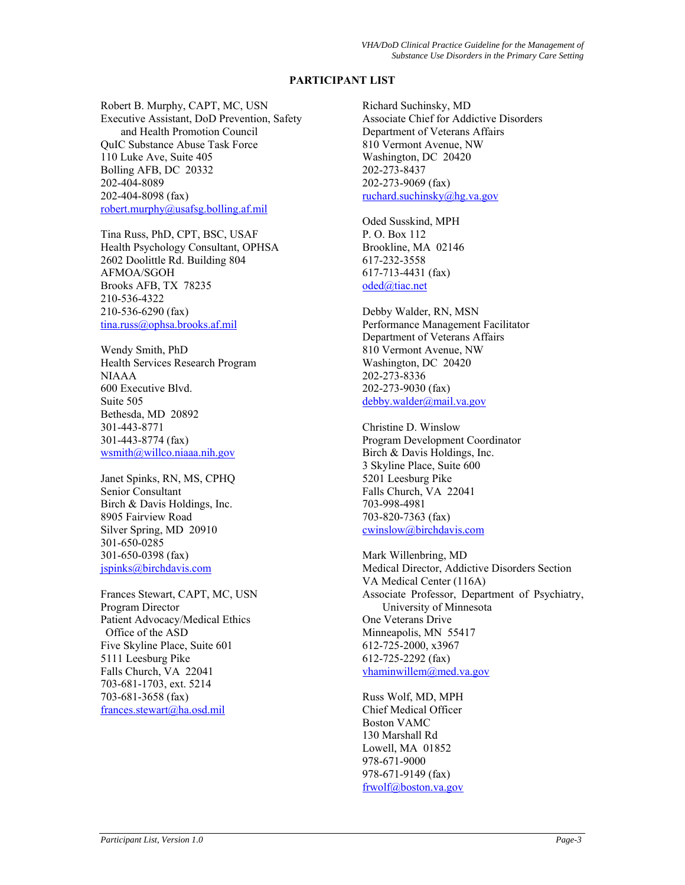# **PARTICIPANT LIST**

Robert B. Murphy, CAPT, MC, USN Executive Assistant, DoD Prevention, Safety and Health Promotion Council QuIC Substance Abuse Task Force 110 Luke Ave, Suite 405 Bolling AFB, DC 20332 202-404-8089 202-404-8098 (fax) [robert.murphy@usafsg.bolling.af.mil](mailto:robert.murphy@usafsg.bolling.af.mil)

Tina Russ, PhD, CPT, BSC, USAF Health Psychology Consultant, OPHSA 2602 Doolittle Rd. Building 804 AFMOA/SGOH Brooks AFB, TX 78235 210-536-4322 210-536-6290 (fax) [tina.russ@ophsa.brooks.af.mil](mailto:tina.russ@ophsa.brooks.af.mil)

Wendy Smith, PhD Health Services Research Program NIAAA 600 Executive Blvd. Suite 505 Bethesda, MD 20892 301-443-8771 301-443-8774 (fax) [wsmith@willco.niaaa.nih.gov](mailto:wsmith@willco.niaaa.nih.gov)

Janet Spinks, RN, MS, CPHQ Senior Consultant Birch & Davis Holdings, Inc. 8905 Fairview Road Silver Spring, MD 20910 301-650-0285 301-650-0398 (fax) [jspinks@birchdavis.com](mailto:jspinks@birchdavis.com)

Frances Stewart, CAPT, MC, USN Program Director Patient Advocacy/Medical Ethics Office of the ASD Five Skyline Place, Suite 601 5111 Leesburg Pike Falls Church, VA 22041 703-681-1703, ext. 5214 703-681-3658 (fax) [frances.stewart@ha.osd.mil](mailto:francis.stewart@ha.osd.mil)

Richard Suchinsky, MD Associate Chief for Addictive Disorders Department of Veterans Affairs 810 Vermont Avenue, NW Washington, DC 20420 202-273-8437 202-273-9069 (fax) [ruchard.suchinsky@hg.va.gov](mailto:ruchard.suchinsky@hg.va.gov)

Oded Susskind, MPH P. O. Box 112 Brookline, MA 02146 617-232-3558 617-713-4431 (fax) [oded@tiac.net](mailto:oded@tiac.net)

Debby Walder, RN, MSN Performance Management Facilitator Department of Veterans Affairs 810 Vermont Avenue, NW Washington, DC 20420 202-273-8336 202-273-9030 (fax) [debby.walder@mail.va.gov](mailto:debby.walder@mail.va.gov)

Christine D. Winslow Program Development Coordinator Birch & Davis Holdings, Inc. 3 Skyline Place, Suite 600 5201 Leesburg Pike Falls Church, VA 22041 703-998-4981 703-820-7363 (fax) [cwinslow@birchdavis.com](mailto:cwinslow@birchdavis.com)

Mark Willenbring, MD Medical Director, Addictive Disorders Section VA Medical Center (116A) Associate Professor, Department of Psychiatry, University of Minnesota One Veterans Drive Minneapolis, MN 55417 612-725-2000, x3967 612-725-2292 (fax) [vhaminwillem@med.va.gov](mailto:vhaminwillem@med.va.gov)

Russ Wolf, MD, MPH Chief Medical Officer Boston VAMC 130 Marshall Rd Lowell, MA 01852 978-671-9000 978-671-9149 (fax) [frwolf@boston.va.gov](mailto:frwolf@boston.va.gov)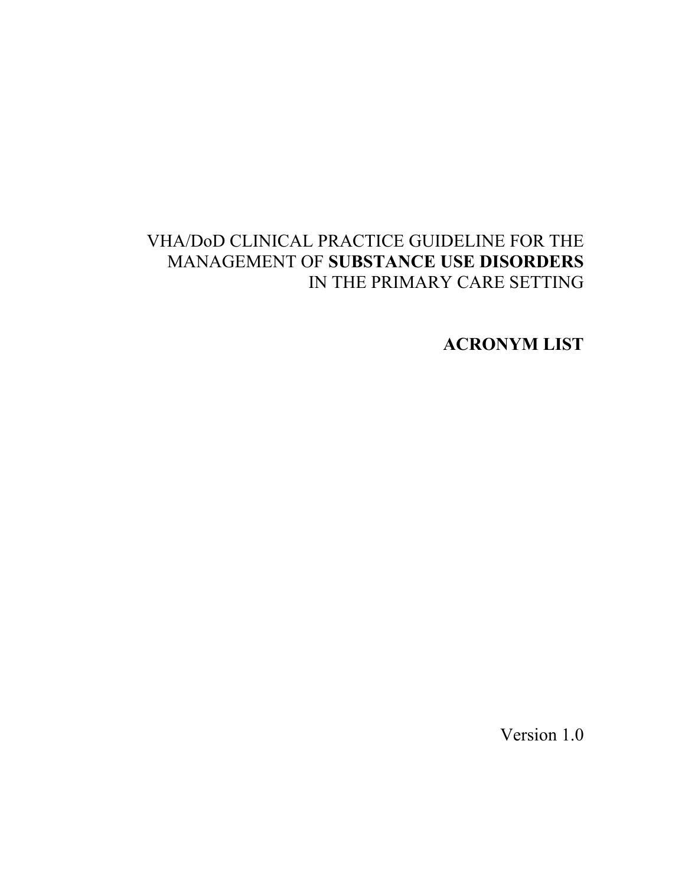# VHA/DoD CLINICAL PRACTICE GUIDELINE FOR THE MANAGEMENT OF **SUBSTANCE USE DISORDERS**  IN THE PRIMARY CARE SETTING

**ACRONYM LIST** 

Version 1.0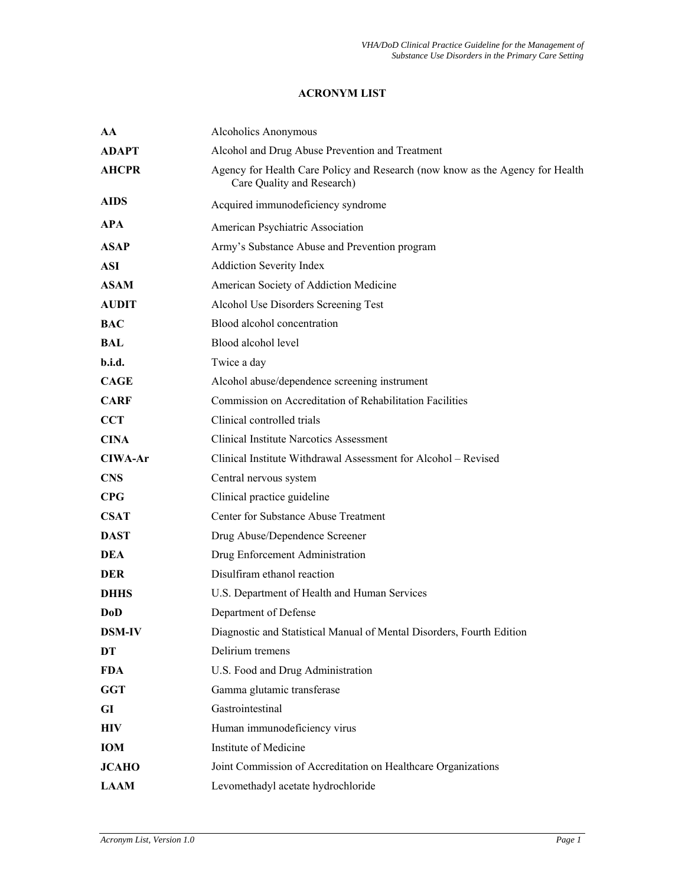# **ACRONYM LIST**

| AA            | Alcoholics Anonymous                                                                                        |
|---------------|-------------------------------------------------------------------------------------------------------------|
| <b>ADAPT</b>  | Alcohol and Drug Abuse Prevention and Treatment                                                             |
| <b>AHCPR</b>  | Agency for Health Care Policy and Research (now know as the Agency for Health<br>Care Quality and Research) |
| <b>AIDS</b>   | Acquired immunodeficiency syndrome                                                                          |
| <b>APA</b>    | American Psychiatric Association                                                                            |
| <b>ASAP</b>   | Army's Substance Abuse and Prevention program                                                               |
| <b>ASI</b>    | <b>Addiction Severity Index</b>                                                                             |
| <b>ASAM</b>   | American Society of Addiction Medicine                                                                      |
| <b>AUDIT</b>  | Alcohol Use Disorders Screening Test                                                                        |
| <b>BAC</b>    | Blood alcohol concentration                                                                                 |
| BAL           | Blood alcohol level                                                                                         |
| b.i.d.        | Twice a day                                                                                                 |
| <b>CAGE</b>   | Alcohol abuse/dependence screening instrument                                                               |
| <b>CARF</b>   | Commission on Accreditation of Rehabilitation Facilities                                                    |
| <b>CCT</b>    | Clinical controlled trials                                                                                  |
| <b>CINA</b>   | <b>Clinical Institute Narcotics Assessment</b>                                                              |
| CIWA-Ar       | Clinical Institute Withdrawal Assessment for Alcohol - Revised                                              |
| <b>CNS</b>    | Central nervous system                                                                                      |
| CPG           | Clinical practice guideline                                                                                 |
| <b>CSAT</b>   | Center for Substance Abuse Treatment                                                                        |
| <b>DAST</b>   | Drug Abuse/Dependence Screener                                                                              |
| <b>DEA</b>    | Drug Enforcement Administration                                                                             |
| <b>DER</b>    | Disulfiram ethanol reaction                                                                                 |
| <b>DHHS</b>   | U.S. Department of Health and Human Services                                                                |
| DoD           | Department of Defense                                                                                       |
| <b>DSM-IV</b> | Diagnostic and Statistical Manual of Mental Disorders, Fourth Edition                                       |
| DT            | Delirium tremens                                                                                            |
| <b>FDA</b>    | U.S. Food and Drug Administration                                                                           |
| <b>GGT</b>    | Gamma glutamic transferase                                                                                  |
| GI            | Gastrointestinal                                                                                            |
| HIV           | Human immunodeficiency virus                                                                                |
| <b>IOM</b>    | Institute of Medicine                                                                                       |
| <b>JCAHO</b>  | Joint Commission of Accreditation on Healthcare Organizations                                               |
| <b>LAAM</b>   | Levomethadyl acetate hydrochloride                                                                          |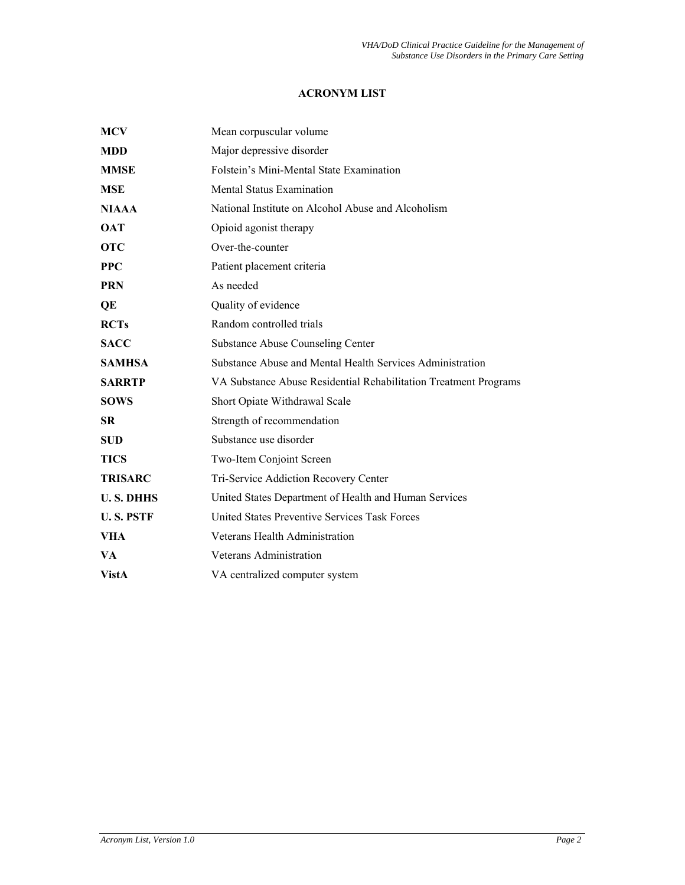# **ACRONYM LIST**

| <b>MCV</b>       | Mean corpuscular volume                                          |
|------------------|------------------------------------------------------------------|
| <b>MDD</b>       | Major depressive disorder                                        |
| <b>MMSE</b>      | Folstein's Mini-Mental State Examination                         |
| <b>MSE</b>       | <b>Mental Status Examination</b>                                 |
| <b>NIAAA</b>     | National Institute on Alcohol Abuse and Alcoholism               |
| <b>OAT</b>       | Opioid agonist therapy                                           |
| <b>OTC</b>       | Over-the-counter                                                 |
| <b>PPC</b>       | Patient placement criteria                                       |
| <b>PRN</b>       | As needed                                                        |
| QE               | Quality of evidence                                              |
| <b>RCTs</b>      | Random controlled trials                                         |
| <b>SACC</b>      | <b>Substance Abuse Counseling Center</b>                         |
| <b>SAMHSA</b>    | Substance Abuse and Mental Health Services Administration        |
| <b>SARRTP</b>    | VA Substance Abuse Residential Rehabilitation Treatment Programs |
| <b>SOWS</b>      | Short Opiate Withdrawal Scale                                    |
| <b>SR</b>        | Strength of recommendation                                       |
| <b>SUD</b>       | Substance use disorder                                           |
| <b>TICS</b>      | Two-Item Conjoint Screen                                         |
| <b>TRISARC</b>   | Tri-Service Addiction Recovery Center                            |
| <b>U.S. DHHS</b> | United States Department of Health and Human Services            |
| <b>U.S. PSTF</b> | United States Preventive Services Task Forces                    |
| VHA              | Veterans Health Administration                                   |
| VA               | Veterans Administration                                          |
| <b>VistA</b>     | VA centralized computer system                                   |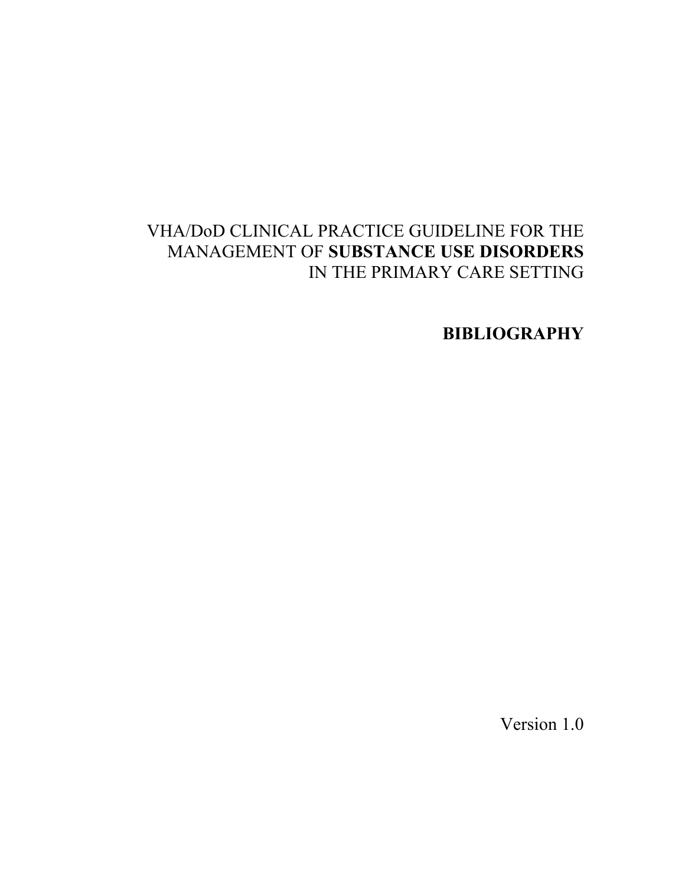# VHA/DoD CLINICAL PRACTICE GUIDELINE FOR THE MANAGEMENT OF **SUBSTANCE USE DISORDERS** IN THE PRIMARY CARE SETTING

**BIBLIOGRAPHY** 

Version 1.0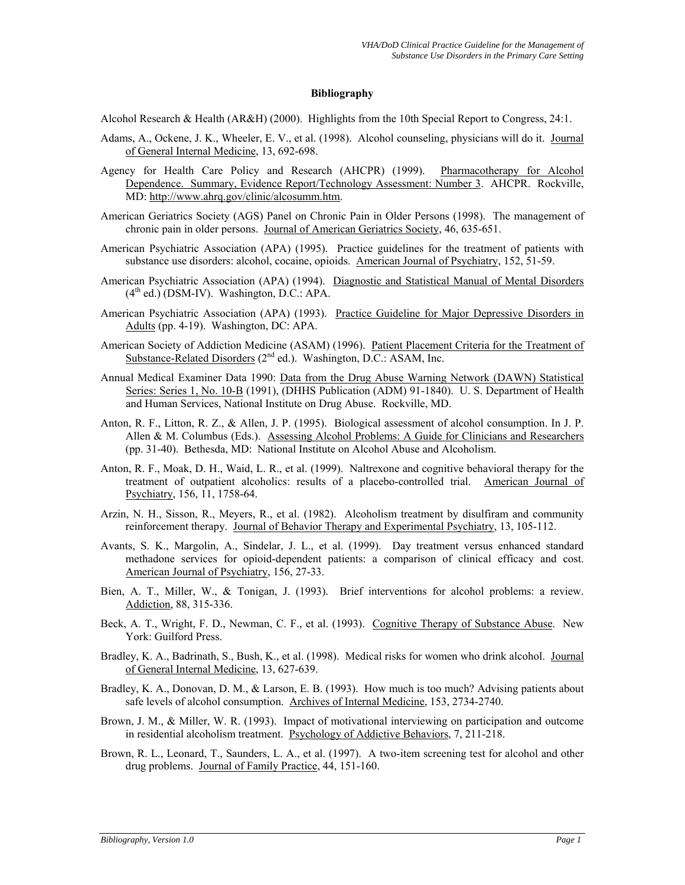#### **Bibliography**

Alcohol Research & Health (AR&H) (2000). Highlights from the 10th Special Report to Congress, 24:1.

- Adams, A., Ockene, J. K., Wheeler, E. V., et al. (1998). Alcohol counseling, physicians will do it. Journal of General Internal Medicine, 13, 692-698.
- Agency for Health Care Policy and Research (AHCPR) (1999). Pharmacotherapy for Alcohol Dependence. Summary, Evidence Report/Technology Assessment: Number 3. AHCPR. Rockville, MD: [http://www.ahrq.gov/clinic/alcosumm.htm.](http://www.ahrq.gov/clinic/alcosumm.htm)
- American Geriatrics Society (AGS) Panel on Chronic Pain in Older Persons (1998). The management of chronic pain in older persons. Journal of American Geriatrics Society, 46, 635-651.
- American Psychiatric Association (APA) (1995). Practice guidelines for the treatment of patients with substance use disorders: alcohol, cocaine, opioids. American Journal of Psychiatry, 152, 51-59.
- American Psychiatric Association (APA) (1994). Diagnostic and Statistical Manual of Mental Disorders  $(4<sup>th</sup>$  ed.) (DSM-IV). Washington, D.C.: APA.
- American Psychiatric Association (APA) (1993). Practice Guideline for Major Depressive Disorders in Adults (pp. 4-19). Washington, DC: APA.
- American Society of Addiction Medicine (ASAM) (1996). Patient Placement Criteria for the Treatment of Substance-Related Disorders  $(2^{nd}$  ed.). Washington, D.C.: ASAM, Inc.
- Annual Medical Examiner Data 1990: Data from the Drug Abuse Warning Network (DAWN) Statistical Series: Series 1, No. 10-B (1991), (DHHS Publication (ADM) 91-1840). U. S. Department of Health and Human Services, National Institute on Drug Abuse. Rockville, MD.
- Anton, R. F., Litton, R. Z., & Allen, J. P. (1995). Biological assessment of alcohol consumption. In J. P. Allen & M. Columbus (Eds.). Assessing Alcohol Problems: A Guide for Clinicians and Researchers (pp. 31-40). Bethesda, MD: National Institute on Alcohol Abuse and Alcoholism.
- Anton, R. F., Moak, D. H., Waid, L. R., et al. (1999). Naltrexone and cognitive behavioral therapy for the treatment of outpatient alcoholics: results of a placebo-controlled trial. American Journal of Psychiatry, 156, 11, 1758-64.
- Arzin, N. H., Sisson, R., Meyers, R., et al. (1982). Alcoholism treatment by disulfiram and community reinforcement therapy. Journal of Behavior Therapy and Experimental Psychiatry, 13, 105-112.
- Avants, S. K., Margolin, A., Sindelar, J. L., et al. (1999). Day treatment versus enhanced standard methadone services for opioid-dependent patients: a comparison of clinical efficacy and cost. American Journal of Psychiatry, 156, 27-33.
- Bien, A. T., Miller, W., & Tonigan, J. (1993). Brief interventions for alcohol problems: a review. Addiction, 88, 315-336.
- Beck, A. T., Wright, F. D., Newman, C. F., et al. (1993). Cognitive Therapy of Substance Abuse. New York: Guilford Press.
- Bradley, K. A., Badrinath, S., Bush, K., et al. (1998). Medical risks for women who drink alcohol. Journal of General Internal Medicine, 13, 627-639.
- Bradley, K. A., Donovan, D. M., & Larson, E. B. (1993). How much is too much? Advising patients about safe levels of alcohol consumption. Archives of Internal Medicine, 153, 2734-2740.
- Brown, J. M., & Miller, W. R. (1993). Impact of motivational interviewing on participation and outcome in residential alcoholism treatment. Psychology of Addictive Behaviors, 7, 211-218.
- Brown, R. L., Leonard, T., Saunders, L. A., et al. (1997). A two-item screening test for alcohol and other drug problems. Journal of Family Practice, 44, 151-160.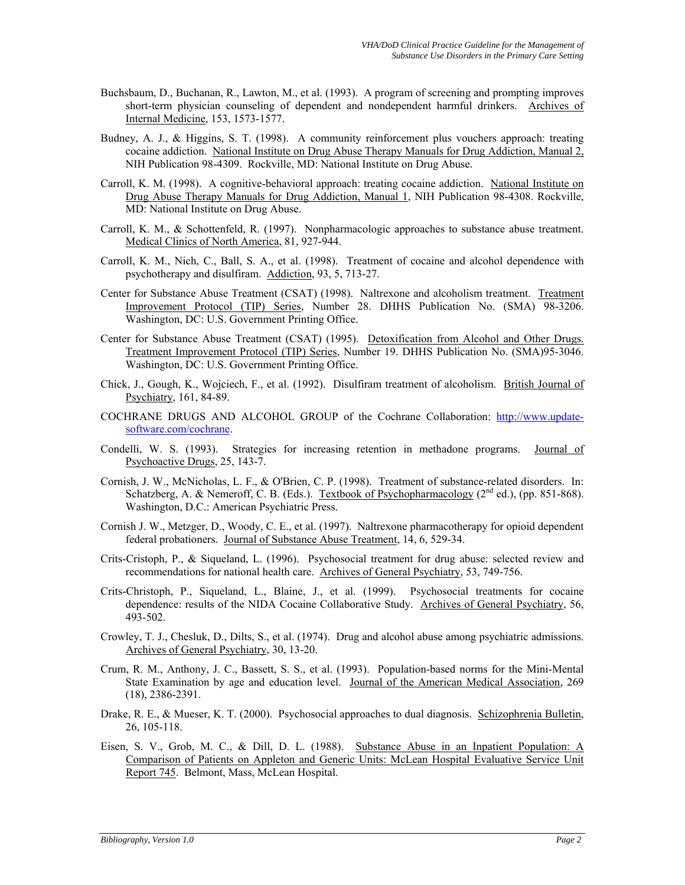- Buchsbaum, D., Buchanan, R., Lawton, M., et al. (1993). A program of screening and prompting improves short-term physician counseling of dependent and nondependent harmful drinkers. Archives of Internal Medicine, 153, 1573-1577.
- Budney, A. J., & Higgins, S. T. (1998). A community reinforcement plus vouchers approach: treating cocaine addiction. National Institute on Drug Abuse Therapy Manuals for Drug Addiction, Manual 2, NIH Publication 98-4309. Rockville, MD: National Institute on Drug Abuse.
- Carroll, K. M. (1998). A cognitive-behavioral approach: treating cocaine addiction. National Institute on Drug Abuse Therapy Manuals for Drug Addiction, Manual 1, NIH Publication 98-4308. Rockville, MD: National Institute on Drug Abuse.
- Carroll, K. M., & Schottenfeld, R. (1997). Nonpharmacologic approaches to substance abuse treatment. Medical Clinics of North America, 81, 927-944.
- Carroll, K. M., Nich, C., Ball, S. A., et al. (1998). Treatment of cocaine and alcohol dependence with psychotherapy and disulfiram. Addiction, 93, 5, 713-27.
- Center for Substance Abuse Treatment (CSAT) (1998). Naltrexone and alcoholism treatment. Treatment Improvement Protocol (TIP) Series, Number 28. DHHS Publication No. (SMA) 98-3206. Washington, DC: U.S. Government Printing Office.
- Center for Substance Abuse Treatment (CSAT) (1995). Detoxification from Alcohol and Other Drugs. Treatment Improvement Protocol (TIP) Series, Number 19. DHHS Publication No. (SMA)95-3046. Washington, DC: U.S. Government Printing Office.
- Chick, J., Gough, K., Wojciech, F., et al. (1992). Disulfiram treatment of alcoholism. British Journal of Psychiatry, 161, 84-89.
- COCHRANE DRUGS AND ALCOHOL GROUP of the Cochrane Collaboration: [http://www.update](http://www.update-software.com/cochrane)[software.com/cochrane.](http://www.update-software.com/cochrane)
- Condelli, W. S. (1993). Strategies for increasing retention in methadone programs. Journal of Psychoactive Drugs, 25, 143-7.
- Cornish, J. W., McNicholas, L. F., & O'Brien, C. P. (1998). Treatment of substance-related disorders. In: Schatzberg, A. & Nemeroff, C. B. (Eds.). Textbook of Psychopharmacology  $(2^{nd}$  ed.), (pp. 851-868). Washington, D.C.: American Psychiatric Press.
- Cornish J. W., Metzger, D., Woody, C. E., et al. (1997). Naltrexone pharmacotherapy for opioid dependent federal probationers*.* Journal of Substance Abuse Treatment, 14, 6, 529-34.
- Crits-Cristoph, P., & Siqueland, L. (1996). Psychosocial treatment for drug abuse: selected review and recommendations for national health care. Archives of General Psychiatry, 53, 749-756.
- Crits-Christoph, P., Siqueland, L., Blaine, J., et al. (1999). Psychosocial treatments for cocaine dependence: results of the NIDA Cocaine Collaborative Study. Archives of General Psychiatry, 56, 493-502.
- Crowley, T. J., Chesluk, D., Dilts, S., et al. (1974). Drug and alcohol abuse among psychiatric admissions. Archives of General Psychiatry, 30, 13-20.
- Crum, R. M., Anthony, J. C., Bassett, S. S., et al. (1993). Population-based norms for the Mini-Mental State Examination by age and education level. Journal of the American Medical Association, 269 (18), 2386-2391.
- Drake, R. E., & Mueser, K. T. (2000). Psychosocial approaches to dual diagnosis. Schizophrenia Bulletin, 26, 105-118.
- Eisen, S. V., Grob, M. C., & Dill, D. L. (1988). Substance Abuse in an Inpatient Population: A Comparison of Patients on Appleton and Generic Units: McLean Hospital Evaluative Service Unit Report 745. Belmont, Mass, McLean Hospital.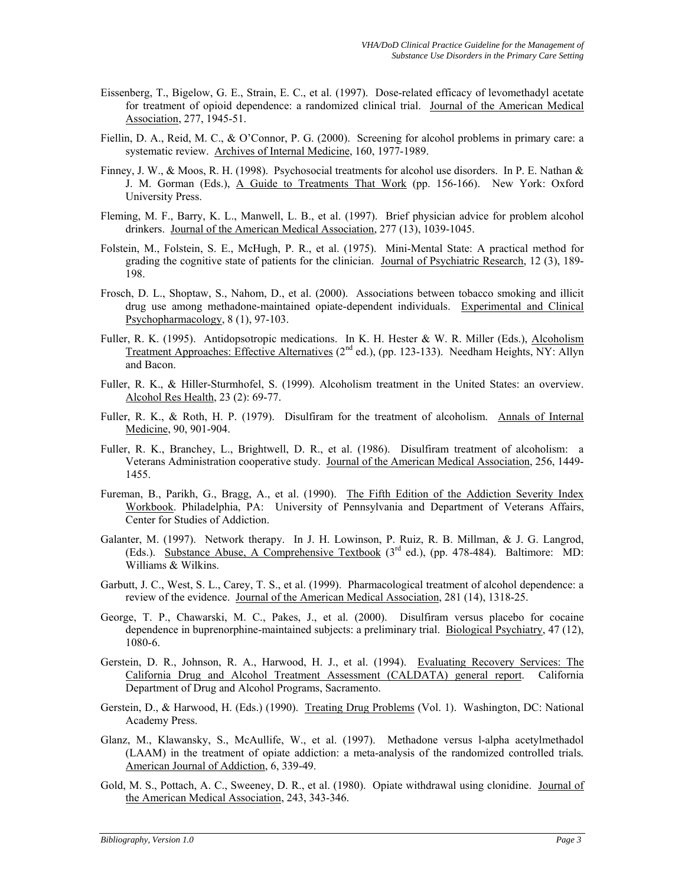- Eissenberg, T., Bigelow, G. E., Strain, E. C., et al. (1997). Dose-related efficacy of levomethadyl acetate for treatment of opioid dependence: a randomized clinical trial. Journal of the American Medical Association, 277, 1945-51.
- Fiellin, D. A., Reid, M. C., & O'Connor, P. G. (2000). Screening for alcohol problems in primary care: a systematic review. Archives of Internal Medicine, 160, 1977-1989.
- Finney, J. W., & Moos, R. H. (1998). Psychosocial treatments for alcohol use disorders. In P. E. Nathan & J. M. Gorman (Eds.), A Guide to Treatments That Work (pp. 156-166). New York: Oxford University Press.
- Fleming, M. F., Barry, K. L., Manwell, L. B., et al. (1997). Brief physician advice for problem alcohol drinkers. Journal of the American Medical Association, 277 (13), 1039-1045.
- Folstein, M., Folstein, S. E., McHugh, P. R., et al. (1975). Mini-Mental State: A practical method for grading the cognitive state of patients for the clinician. Journal of Psychiatric Research, 12 (3), 189- 198.
- Frosch, D. L., Shoptaw, S., Nahom, D., et al. (2000). Associations between tobacco smoking and illicit drug use among methadone-maintained opiate-dependent individuals. Experimental and Clinical Psychopharmacology, 8 (1), 97-103.
- Fuller, R. K. (1995). Antidopsotropic medications. In K. H. Hester & W. R. Miller (Eds.), Alcoholism Treatment Approaches: Effective Alternatives (2<sup>nd</sup> ed.), (pp. 123-133). Needham Heights, NY: Allyn and Bacon.
- Fuller, R. K., & Hiller-Sturmhofel, S. (1999). Alcoholism treatment in the United States: an overview. Alcohol Res Health, 23 (2): 69-77.
- Fuller, R. K., & Roth, H. P. (1979). Disulfiram for the treatment of alcoholism. Annals of Internal Medicine, 90, 901-904.
- Fuller, R. K., Branchey, L., Brightwell, D. R., et al. (1986). Disulfiram treatment of alcoholism: a Veterans Administration cooperative study. Journal of the American Medical Association, 256, 1449- 1455.
- Fureman, B., Parikh, G., Bragg, A., et al. (1990). The Fifth Edition of the Addiction Severity Index Workbook. Philadelphia, PA: University of Pennsylvania and Department of Veterans Affairs, Center for Studies of Addiction.
- Galanter, M. (1997). Network therapy. In J. H. Lowinson, P. Ruiz, R. B. Millman, & J. G. Langrod, (Eds.). Substance Abuse, A Comprehensive Textbook  $(3<sup>rd</sup>$  ed.), (pp. 478-484). Baltimore: MD: Williams & Wilkins.
- Garbutt, J. C., West, S. L., Carey, T. S., et al. (1999). Pharmacological treatment of alcohol dependence: a review of the evidence. Journal of the American Medical Association, 281 (14), 1318-25.
- George, T. P., Chawarski, M. C., Pakes, J., et al. (2000). Disulfiram versus placebo for cocaine dependence in buprenorphine-maintained subjects: a preliminary trial. Biological Psychiatry, 47 (12), 1080-6.
- Gerstein, D. R., Johnson, R. A., Harwood, H. J., et al. (1994). Evaluating Recovery Services: The California Drug and Alcohol Treatment Assessment (CALDATA) general report. California Department of Drug and Alcohol Programs, Sacramento.
- Gerstein, D., & Harwood, H. (Eds.) (1990). Treating Drug Problems (Vol. 1). Washington, DC: National Academy Press.
- Glanz, M., Klawansky, S., McAullife, W., et al. (1997). Methadone versus l-alpha acetylmethadol (LAAM) in the treatment of opiate addiction: a meta-analysis of the randomized controlled trials*.*  American Journal of Addiction, 6, 339-49.
- Gold, M. S., Pottach, A. C., Sweeney, D. R., et al. (1980). Opiate withdrawal using clonidine. Journal of the American Medical Association, 243, 343-346.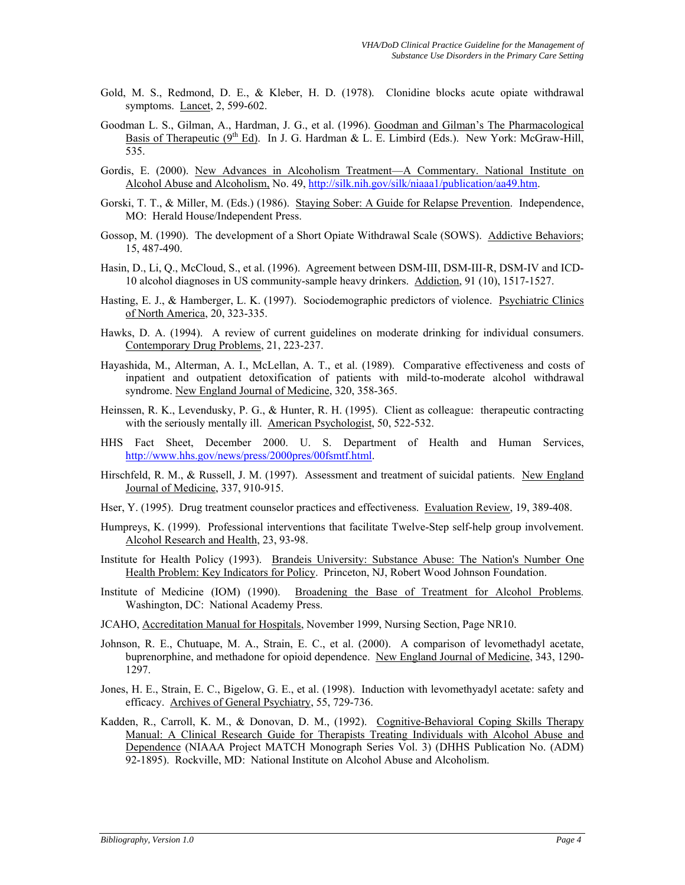- Gold, M. S., Redmond, D. E., & Kleber, H. D. (1978). Clonidine blocks acute opiate withdrawal symptoms. Lancet, 2, 599-602.
- Goodman L. S., Gilman, A., Hardman, J. G., et al. (1996). Goodman and Gilman's The Pharmacological Basis of Therapeutic ( $9<sup>th</sup>$  Ed). In J. G. Hardman & L. E. Limbird (Eds.). New York: McGraw-Hill, 535.
- Gordis, E. (2000). New Advances in Alcoholism Treatment—A Commentary. National Institute on Alcohol Abuse and Alcoholism, No. 49, [http://silk.nih.gov/silk/niaaa1/publication/aa49.htm.](http://silk.nih.gov/silk/niaaa1/publication/aa49.htm)
- Gorski, T. T., & Miller, M. (Eds.) (1986). Staying Sober: A Guide for Relapse Prevention. Independence, MO: Herald House/Independent Press.
- Gossop, M. (1990). The development of a Short Opiate Withdrawal Scale (SOWS). Addictive Behaviors; 15, 487-490.
- Hasin, D., Li, Q., McCloud, S., et al. (1996). Agreement between DSM-III, DSM-III-R, DSM-IV and ICD-10 alcohol diagnoses in US community-sample heavy drinkers. Addiction, 91 (10), 1517-1527.
- Hasting, E. J., & Hamberger, L. K. (1997). Sociodemographic predictors of violence. Psychiatric Clinics of North America, 20, 323-335.
- Hawks, D. A. (1994). A review of current guidelines on moderate drinking for individual consumers. Contemporary Drug Problems, 21, 223-237.
- Hayashida, M., Alterman, A. I., McLellan, A. T., et al. (1989). Comparative effectiveness and costs of inpatient and outpatient detoxification of patients with mild-to-moderate alcohol withdrawal syndrome. New England Journal of Medicine, 320, 358-365.
- Heinssen, R. K., Levendusky, P. G., & Hunter, R. H. (1995). Client as colleague: therapeutic contracting with the seriously mentally ill. American Psychologist, 50, 522-532.
- HHS Fact Sheet, December 2000. U. S. Department of Health and Human Services, [http://www.hhs.gov/news/press/2000pres/00fsmtf.html.](http://www.hhs.gov/news/press/2000pres/00fsmtf.html)
- Hirschfeld, R. M., & Russell, J. M. (1997). Assessment and treatment of suicidal patients. New England Journal of Medicine, 337, 910-915.
- Hser, Y. (1995). Drug treatment counselor practices and effectiveness. Evaluation Review, 19, 389-408.
- Humpreys, K. (1999). Professional interventions that facilitate Twelve-Step self-help group involvement. Alcohol Research and Health, 23, 93-98.
- Institute for Health Policy (1993). Brandeis University: Substance Abuse: The Nation's Number One Health Problem: Key Indicators for Policy. Princeton, NJ, Robert Wood Johnson Foundation.
- Institute of Medicine (IOM) (1990). Broadening the Base of Treatment for Alcohol Problems. Washington, DC: National Academy Press.
- JCAHO, Accreditation Manual for Hospitals, November 1999, Nursing Section, Page NR10.
- Johnson, R. E., Chutuape, M. A., Strain, E. C., et al. (2000). A comparison of levomethadyl acetate, buprenorphine, and methadone for opioid dependence. New England Journal of Medicine, 343, 1290- 1297.
- Jones, H. E., Strain, E. C., Bigelow, G. E., et al. (1998). Induction with levomethyadyl acetate: safety and efficacy. Archives of General Psychiatry, 55, 729-736.
- Kadden, R., Carroll, K. M., & Donovan, D. M., (1992). Cognitive-Behavioral Coping Skills Therapy Manual: A Clinical Research Guide for Therapists Treating Individuals with Alcohol Abuse and Dependence (NIAAA Project MATCH Monograph Series Vol. 3) (DHHS Publication No. (ADM) 92-1895). Rockville, MD: National Institute on Alcohol Abuse and Alcoholism.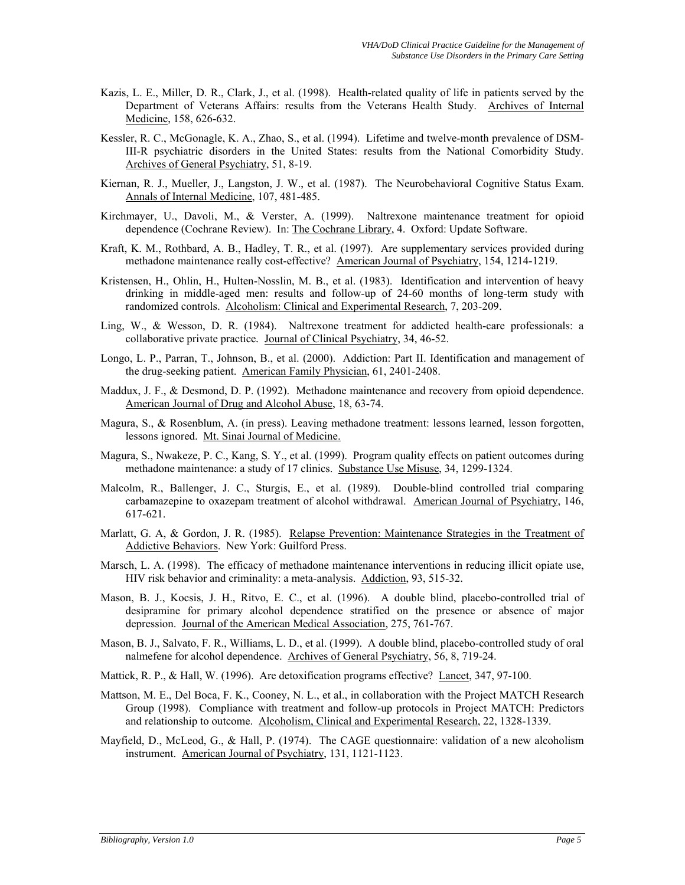- Kazis, L. E., Miller, D. R., Clark, J., et al. (1998). Health-related quality of life in patients served by the Department of Veterans Affairs: results from the Veterans Health Study. Archives of Internal Medicine, 158, 626-632.
- Kessler, R. C., McGonagle, K. A., Zhao, S., et al. (1994). Lifetime and twelve-month prevalence of DSM-III-R psychiatric disorders in the United States: results from the National Comorbidity Study. Archives of General Psychiatry, 51, 8-19.
- Kiernan, R. J., Mueller, J., Langston, J. W., et al. (1987). The Neurobehavioral Cognitive Status Exam. Annals of Internal Medicine, 107, 481-485.
- Kirchmayer, U., Davoli, M., & Verster, A. (1999). Naltrexone maintenance treatment for opioid dependence (Cochrane Review). In: The Cochrane Library, 4. Oxford: Update Software.
- Kraft, K. M., Rothbard, A. B., Hadley, T. R., et al. (1997). Are supplementary services provided during methadone maintenance really cost-effective? American Journal of Psychiatry, 154, 1214-1219.
- Kristensen, H., Ohlin, H., Hulten-Nosslin, M. B., et al. (1983). Identification and intervention of heavy drinking in middle-aged men: results and follow-up of 24-60 months of long-term study with randomized controls. Alcoholism: Clinical and Experimental Research, 7, 203-209.
- Ling, W., & Wesson, D. R. (1984). Naltrexone treatment for addicted health-care professionals: a collaborative private practice*.* Journal of Clinical Psychiatry, 34, 46-52.
- Longo, L. P., Parran, T., Johnson, B., et al. (2000). Addiction: Part II. Identification and management of the drug-seeking patient. American Family Physician, 61, 2401-2408.
- Maddux, J. F., & Desmond, D. P. (1992). Methadone maintenance and recovery from opioid dependence. American Journal of Drug and Alcohol Abuse, 18, 63-74.
- Magura, S., & Rosenblum, A. (in press). Leaving methadone treatment: lessons learned, lesson forgotten, lessons ignored. Mt. Sinai Journal of Medicine.
- Magura, S., Nwakeze, P. C., Kang, S. Y., et al. (1999). Program quality effects on patient outcomes during methadone maintenance: a study of 17 clinics. Substance Use Misuse, 34, 1299-1324.
- Malcolm, R., Ballenger, J. C., Sturgis, E., et al. (1989). Double-blind controlled trial comparing carbamazepine to oxazepam treatment of alcohol withdrawal. American Journal of Psychiatry, 146, 617-621.
- Marlatt, G. A, & Gordon, J. R. (1985). Relapse Prevention: Maintenance Strategies in the Treatment of Addictive Behaviors. New York: Guilford Press.
- Marsch, L. A. (1998). The efficacy of methadone maintenance interventions in reducing illicit opiate use, HIV risk behavior and criminality: a meta-analysis. Addiction, 93, 515-32.
- Mason, B. J., Kocsis, J. H., Ritvo, E. C., et al. (1996). A double blind, placebo-controlled trial of desipramine for primary alcohol dependence stratified on the presence or absence of major depression. Journal of the American Medical Association, 275, 761-767.
- Mason, B. J., Salvato, F. R., Williams, L. D., et al. (1999). A double blind, placebo-controlled study of oral nalmefene for alcohol dependence. Archives of General Psychiatry, 56, 8, 719-24.
- Mattick, R. P., & Hall, W. (1996). Are detoxification programs effective? Lancet, 347, 97-100.
- Mattson, M. E., Del Boca, F. K., Cooney, N. L., et al., in collaboration with the Project MATCH Research Group (1998). Compliance with treatment and follow-up protocols in Project MATCH: Predictors and relationship to outcome. Alcoholism, Clinical and Experimental Research, 22, 1328-1339.
- Mayfield, D., McLeod, G., & Hall, P. (1974). The CAGE questionnaire: validation of a new alcoholism instrument. American Journal of Psychiatry, 131, 1121-1123.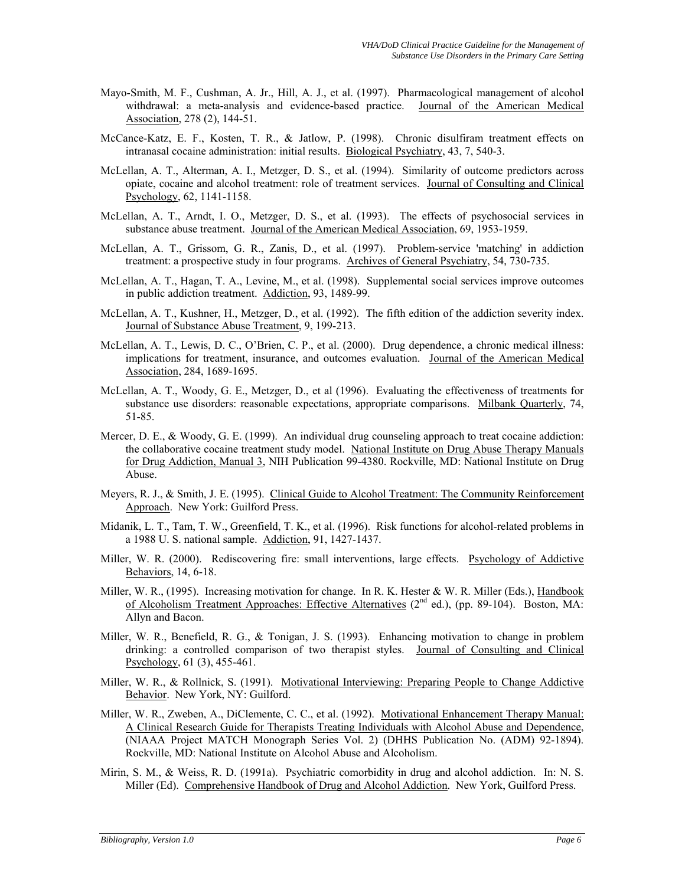- Mayo-Smith, M. F., Cushman, A. Jr., Hill, A. J., et al. (1997). Pharmacological management of alcohol withdrawal: a meta-analysis and evidence-based practice. Journal of the American Medical Association, 278 (2), 144-51.
- McCance-Katz, E. F., Kosten, T. R., & Jatlow, P. (1998). Chronic disulfiram treatment effects on intranasal cocaine administration: initial results. Biological Psychiatry, 43, 7, 540-3.
- McLellan, A. T., Alterman, A. I., Metzger, D. S., et al. (1994). Similarity of outcome predictors across opiate, cocaine and alcohol treatment: role of treatment services. Journal of Consulting and Clinical Psychology, 62, 1141-1158.
- McLellan, A. T., Arndt, I. O., Metzger, D. S., et al. (1993). The effects of psychosocial services in substance abuse treatment. Journal of the American Medical Association, 69, 1953-1959.
- McLellan, A. T., Grissom, G. R., Zanis, D., et al. (1997). Problem-service 'matching' in addiction treatment: a prospective study in four programs. Archives of General Psychiatry, 54, 730-735.
- McLellan, A. T., Hagan, T. A., Levine, M., et al. (1998). Supplemental social services improve outcomes in public addiction treatment. Addiction, 93, 1489-99.
- McLellan, A. T., Kushner, H., Metzger, D., et al. (1992). The fifth edition of the addiction severity index. Journal of Substance Abuse Treatment, 9, 199-213.
- McLellan, A. T., Lewis, D. C., O'Brien, C. P., et al. (2000). Drug dependence, a chronic medical illness: implications for treatment, insurance, and outcomes evaluation. Journal of the American Medical Association, 284, 1689-1695.
- McLellan, A. T., Woody, G. E., Metzger, D., et al (1996). Evaluating the effectiveness of treatments for substance use disorders: reasonable expectations, appropriate comparisons. Milbank Quarterly, 74, 51-85.
- Mercer, D. E., & Woody, G. E. (1999). An individual drug counseling approach to treat cocaine addiction: the collaborative cocaine treatment study model. National Institute on Drug Abuse Therapy Manuals for Drug Addiction, Manual 3, NIH Publication 99-4380. Rockville, MD: National Institute on Drug Abuse.
- Meyers, R. J., & Smith, J. E. (1995). Clinical Guide to Alcohol Treatment: The Community Reinforcement Approach. New York: Guilford Press.
- Midanik, L. T., Tam, T. W., Greenfield, T. K., et al. (1996). Risk functions for alcohol-related problems in a 1988 U. S. national sample. Addiction, 91, 1427-1437.
- Miller, W. R. (2000). Rediscovering fire: small interventions, large effects. Psychology of Addictive Behaviors, 14, 6-18.
- Miller, W. R., (1995). Increasing motivation for change. In R. K. Hester & W. R. Miller (Eds.), Handbook of Alcoholism Treatment Approaches: Effective Alternatives  $(2<sup>nd</sup>$  ed.), (pp. 89-104). Boston, MA: Allyn and Bacon.
- Miller, W. R., Benefield, R. G., & Tonigan, J. S. (1993). Enhancing motivation to change in problem drinking: a controlled comparison of two therapist styles. Journal of Consulting and Clinical Psychology, 61 (3), 455-461.
- Miller, W. R., & Rollnick, S. (1991). Motivational Interviewing: Preparing People to Change Addictive Behavior. New York, NY: Guilford.
- Miller, W. R., Zweben, A., DiClemente, C. C., et al. (1992). Motivational Enhancement Therapy Manual: A Clinical Research Guide for Therapists Treating Individuals with Alcohol Abuse and Dependence, (NIAAA Project MATCH Monograph Series Vol. 2) (DHHS Publication No. (ADM) 92-1894). Rockville, MD: National Institute on Alcohol Abuse and Alcoholism.
- Mirin, S. M., & Weiss, R. D. (1991a). Psychiatric comorbidity in drug and alcohol addiction. In: N. S. Miller (Ed). Comprehensive Handbook of Drug and Alcohol Addiction. New York, Guilford Press.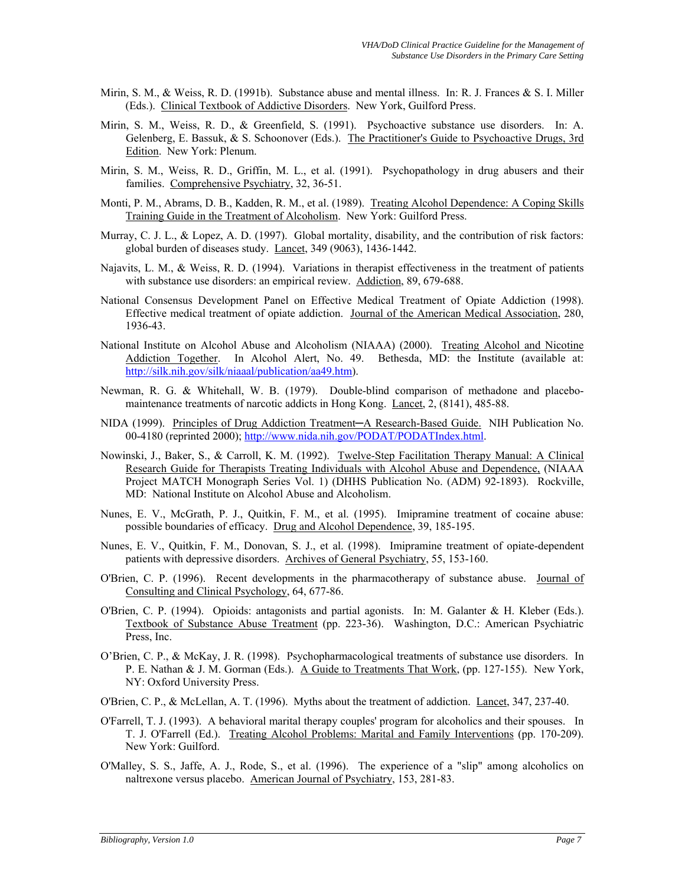- Mirin, S. M., & Weiss, R. D. (1991b). Substance abuse and mental illness. In: R. J. Frances & S. I. Miller (Eds.). Clinical Textbook of Addictive Disorders. New York, Guilford Press.
- Mirin, S. M., Weiss, R. D., & Greenfield, S. (1991). Psychoactive substance use disorders. In: A. Gelenberg, E. Bassuk, & S. Schoonover (Eds.). The Practitioner's Guide to Psychoactive Drugs, 3rd Edition. New York: Plenum.
- Mirin, S. M., Weiss, R. D., Griffin, M. L., et al. (1991). Psychopathology in drug abusers and their families. Comprehensive Psychiatry, 32, 36-51.
- Monti, P. M., Abrams, D. B., Kadden, R. M., et al. (1989). Treating Alcohol Dependence: A Coping Skills Training Guide in the Treatment of Alcoholism. New York: Guilford Press.
- Murray, C. J. L., & Lopez, A. D. (1997). Global mortality, disability, and the contribution of risk factors: global burden of diseases study. Lancet, 349 (9063), 1436-1442.
- Najavits, L. M., & Weiss, R. D. (1994). Variations in therapist effectiveness in the treatment of patients with substance use disorders: an empirical review. Addiction, 89, 679-688.
- National Consensus Development Panel on Effective Medical Treatment of Opiate Addiction (1998). Effective medical treatment of opiate addiction. Journal of the American Medical Association, 280, 1936-43.
- National Institute on Alcohol Abuse and Alcoholism (NIAAA) (2000). Treating Alcohol and Nicotine Addiction Together. In Alcohol Alert, No. 49. Bethesda, MD: the Institute (available at: [http://silk.nih.gov/silk/niaaal/publication/aa49.htm\)](http://silk.nih.gov/silk/niaaal/publication/aa49.htm).
- Newman, R. G. & Whitehall, W. B. (1979). Double-blind comparison of methadone and placebomaintenance treatments of narcotic addicts in Hong Kong. Lancet, 2, (8141), 485-88.
- NIDA (1999). Principles of Drug Addiction Treatment—A Research-Based Guide. NIH Publication No. 00-4180 (reprinted 2000); <http://www.nida.nih.gov/PODAT/PODATIndex.html>.
- Nowinski, J., Baker, S., & Carroll, K. M. (1992). Twelve-Step Facilitation Therapy Manual: A Clinical Research Guide for Therapists Treating Individuals with Alcohol Abuse and Dependence, (NIAAA Project MATCH Monograph Series Vol. 1) (DHHS Publication No. (ADM) 92-1893). Rockville, MD: National Institute on Alcohol Abuse and Alcoholism.
- Nunes, E. V., McGrath, P. J., Quitkin, F. M., et al. (1995). Imipramine treatment of cocaine abuse: possible boundaries of efficacy. Drug and Alcohol Dependence, 39, 185-195.
- Nunes, E. V., Quitkin, F. M., Donovan, S. J., et al. (1998). Imipramine treatment of opiate-dependent patients with depressive disorders. Archives of General Psychiatry, 55, 153-160.
- O'Brien, C. P. (1996). Recent developments in the pharmacotherapy of substance abuse. Journal of Consulting and Clinical Psychology, 64, 677-86.
- O'Brien, C. P. (1994). Opioids: antagonists and partial agonists. In: M. Galanter & H. Kleber (Eds.). Textbook of Substance Abuse Treatment (pp. 223-36). Washington, D.C.: American Psychiatric Press, Inc.
- O'Brien, C. P., & McKay, J. R. (1998). Psychopharmacological treatments of substance use disorders. In P. E. Nathan & J. M. Gorman (Eds.). A Guide to Treatments That Work, (pp. 127-155). New York, NY: Oxford University Press.
- O'Brien, C. P., & McLellan, A. T. (1996). Myths about the treatment of addiction. Lancet, 347, 237-40.
- O'Farrell, T. J. (1993). A behavioral marital therapy couples' program for alcoholics and their spouses. In T. J. O'Farrell (Ed.). Treating Alcohol Problems: Marital and Family Interventions (pp. 170-209). New York: Guilford.
- O'Malley, S. S., Jaffe, A. J., Rode, S., et al. (1996). The experience of a "slip" among alcoholics on naltrexone versus placebo. American Journal of Psychiatry, 153, 281-83.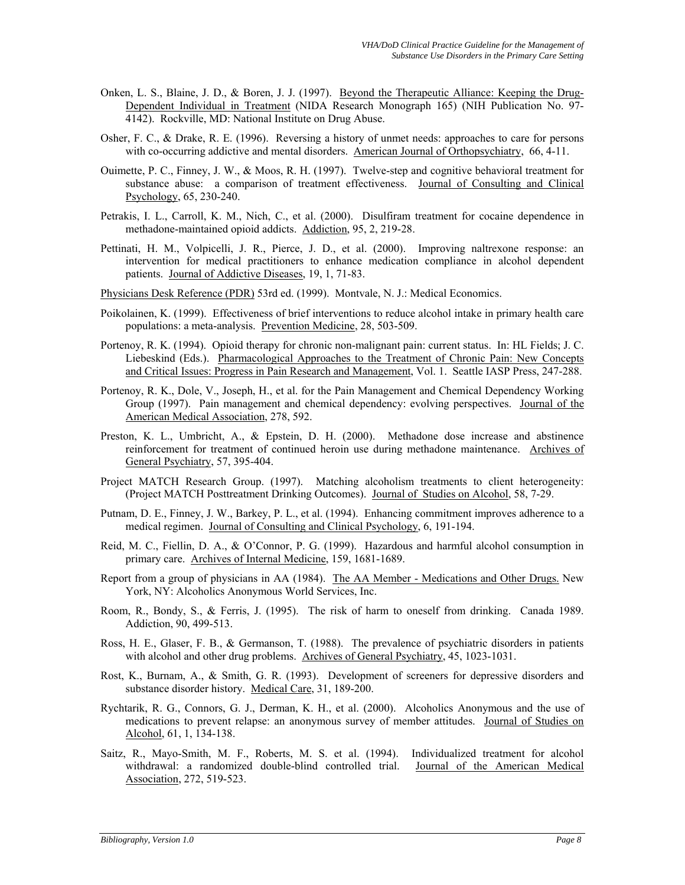- Onken, L. S., Blaine, J. D., & Boren, J. J. (1997). Beyond the Therapeutic Alliance: Keeping the Drug-Dependent Individual in Treatment (NIDA Research Monograph 165) (NIH Publication No. 97- 4142). Rockville, MD: National Institute on Drug Abuse.
- Osher, F. C., & Drake, R. E. (1996). Reversing a history of unmet needs: approaches to care for persons with co-occurring addictive and mental disorders. American Journal of Orthopsychiatry, 66, 4-11.
- Ouimette, P. C., Finney, J. W., & Moos, R. H. (1997). Twelve-step and cognitive behavioral treatment for substance abuse: a comparison of treatment effectiveness. Journal of Consulting and Clinical Psychology, 65, 230-240.
- Petrakis, I. L., Carroll, K. M., Nich, C., et al. (2000). Disulfiram treatment for cocaine dependence in methadone-maintained opioid addicts. Addiction, 95, 2, 219-28.
- Pettinati, H. M., Volpicelli, J. R., Pierce, J. D., et al. (2000). Improving naltrexone response: an intervention for medical practitioners to enhance medication compliance in alcohol dependent patients. Journal of Addictive Diseases, 19, 1, 71-83.
- Physicians Desk Reference (PDR) 53rd ed. (1999). Montvale, N. J.: Medical Economics.
- Poikolainen, K. (1999). Effectiveness of brief interventions to reduce alcohol intake in primary health care populations: a meta-analysis. Prevention Medicine, 28, 503-509.
- Portenoy, R. K. (1994). Opioid therapy for chronic non-malignant pain: current status. In: HL Fields; J. C. Liebeskind (Eds.). Pharmacological Approaches to the Treatment of Chronic Pain: New Concepts and Critical Issues: Progress in Pain Research and Management, Vol. 1. Seattle IASP Press, 247-288.
- Portenoy, R. K., Dole, V., Joseph, H., et al. for the Pain Management and Chemical Dependency Working Group (1997). Pain management and chemical dependency: evolving perspectives. Journal of the American Medical Association, 278, 592.
- Preston, K. L., Umbricht, A., & Epstein, D. H. (2000). Methadone dose increase and abstinence reinforcement for treatment of continued heroin use during methadone maintenance. Archives of General Psychiatry, 57, 395-404.
- Project MATCH Research Group. (1997). Matching alcoholism treatments to client heterogeneity: (Project MATCH Posttreatment Drinking Outcomes). Journal of Studies on Alcohol, 58, 7-29.
- Putnam, D. E., Finney, J. W., Barkey, P. L., et al. (1994). Enhancing commitment improves adherence to a medical regimen. Journal of Consulting and Clinical Psychology, 6, 191-194.
- Reid, M. C., Fiellin, D. A., & O'Connor, P. G. (1999). Hazardous and harmful alcohol consumption in primary care. Archives of Internal Medicine, 159, 1681-1689.
- Report from a group of physicians in AA (1984). The AA Member Medications and Other Drugs. New York, NY: Alcoholics Anonymous World Services, Inc.
- Room, R., Bondy, S., & Ferris, J. (1995). The risk of harm to oneself from drinking. Canada 1989. Addiction, 90, 499-513.
- Ross, H. E., Glaser, F. B., & Germanson, T. (1988). The prevalence of psychiatric disorders in patients with alcohol and other drug problems. Archives of General Psychiatry, 45, 1023-1031.
- Rost, K., Burnam, A., & Smith, G. R. (1993). Development of screeners for depressive disorders and substance disorder history. Medical Care, 31, 189-200.
- Rychtarik, R. G., Connors, G. J., Derman, K. H., et al. (2000). Alcoholics Anonymous and the use of medications to prevent relapse: an anonymous survey of member attitudes. Journal of Studies on Alcohol, 61, 1, 134-138.
- Saitz, R., Mayo-Smith, M. F., Roberts, M. S. et al. (1994). Individualized treatment for alcohol withdrawal: a randomized double-blind controlled trial. Journal of the American Medical Association, 272, 519-523.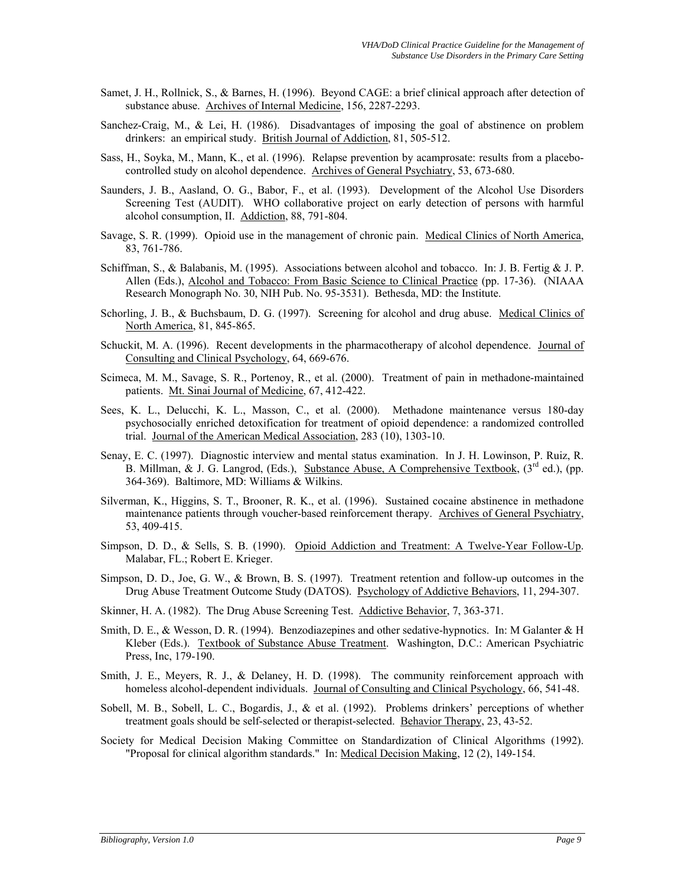- Samet, J. H., Rollnick, S., & Barnes, H. (1996). Beyond CAGE: a brief clinical approach after detection of substance abuse. Archives of Internal Medicine, 156, 2287-2293.
- Sanchez-Craig, M., & Lei, H. (1986). Disadvantages of imposing the goal of abstinence on problem drinkers: an empirical study. British Journal of Addiction, 81, 505-512.
- Sass, H., Soyka, M., Mann, K., et al. (1996). Relapse prevention by acamprosate: results from a placebocontrolled study on alcohol dependence. Archives of General Psychiatry, 53, 673-680.
- Saunders, J. B., Aasland, O. G., Babor, F., et al. (1993). Development of the Alcohol Use Disorders Screening Test (AUDIT). WHO collaborative project on early detection of persons with harmful alcohol consumption, II. Addiction, 88, 791-804.
- Savage, S. R. (1999). Opioid use in the management of chronic pain. Medical Clinics of North America, 83, 761-786.
- Schiffman, S., & Balabanis, M. (1995). Associations between alcohol and tobacco. In: J. B. Fertig & J. P. Allen (Eds.), Alcohol and Tobacco: From Basic Science to Clinical Practice (pp. 17-36). (NIAAA Research Monograph No. 30, NIH Pub. No. 95-3531). Bethesda, MD: the Institute.
- Schorling, J. B., & Buchsbaum, D. G. (1997). Screening for alcohol and drug abuse. Medical Clinics of North America, 81, 845-865.
- Schuckit, M. A. (1996). Recent developments in the pharmacotherapy of alcohol dependence. Journal of Consulting and Clinical Psychology, 64, 669-676.
- Scimeca, M. M., Savage, S. R., Portenoy, R., et al. (2000). Treatment of pain in methadone-maintained patients. Mt. Sinai Journal of Medicine, 67, 412-422.
- Sees, K. L., Delucchi, K. L., Masson, C., et al. (2000). Methadone maintenance versus 180-day psychosocially enriched detoxification for treatment of opioid dependence: a randomized controlled trial. Journal of the American Medical Association, 283 (10), 1303-10.
- Senay, E. C. (1997). Diagnostic interview and mental status examination. In J. H. Lowinson, P. Ruiz, R. B. Millman, & J. G. Langrod, (Eds.), Substance Abuse, A Comprehensive Textbook,  $(3<sup>rd</sup>$  ed.), (pp. 364-369). Baltimore, MD: Williams & Wilkins.
- Silverman, K., Higgins, S. T., Brooner, R. K., et al. (1996). Sustained cocaine abstinence in methadone maintenance patients through voucher-based reinforcement therapy. Archives of General Psychiatry, 53, 409-415.
- Simpson, D. D., & Sells, S. B. (1990). Opioid Addiction and Treatment: A Twelve-Year Follow-Up. Malabar, FL.; Robert E. Krieger.
- Simpson, D. D., Joe, G. W., & Brown, B. S. (1997). Treatment retention and follow-up outcomes in the Drug Abuse Treatment Outcome Study (DATOS). Psychology of Addictive Behaviors, 11, 294-307.
- Skinner, H. A. (1982). The Drug Abuse Screening Test. Addictive Behavior, 7, 363-371.
- Smith, D. E., & Wesson, D. R. (1994). Benzodiazepines and other sedative-hypnotics. In: M Galanter & H Kleber (Eds.). Textbook of Substance Abuse Treatment. Washington, D.C.: American Psychiatric Press, Inc, 179-190.
- Smith, J. E., Meyers, R. J., & Delaney, H. D. (1998). The community reinforcement approach with homeless alcohol-dependent individuals. Journal of Consulting and Clinical Psychology, 66, 541-48.
- Sobell, M. B., Sobell, L. C., Bogardis, J., & et al. (1992). Problems drinkers' perceptions of whether treatment goals should be self-selected or therapist-selected. Behavior Therapy, 23, 43-52.
- Society for Medical Decision Making Committee on Standardization of Clinical Algorithms (1992). "Proposal for clinical algorithm standards." In: Medical Decision Making, 12 (2), 149-154.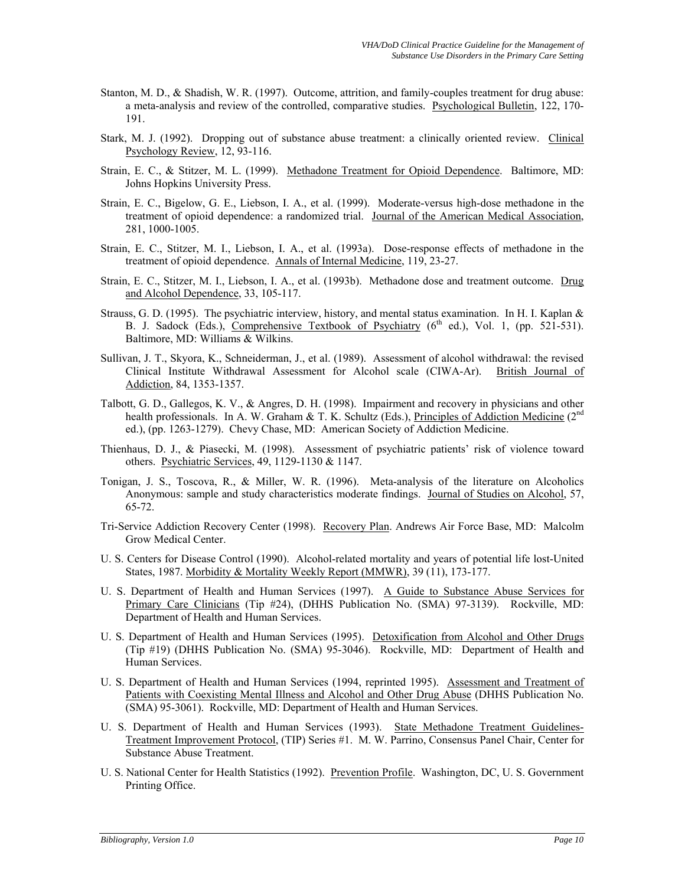- Stanton, M. D., & Shadish, W. R. (1997). Outcome, attrition, and family-couples treatment for drug abuse: a meta-analysis and review of the controlled, comparative studies. Psychological Bulletin, 122, 170- 191.
- Stark, M. J. (1992). Dropping out of substance abuse treatment: a clinically oriented review. Clinical Psychology Review, 12, 93-116.
- Strain, E. C., & Stitzer, M. L. (1999). Methadone Treatment for Opioid Dependence. Baltimore, MD: Johns Hopkins University Press.
- Strain, E. C., Bigelow, G. E., Liebson, I. A., et al. (1999). Moderate-versus high-dose methadone in the treatment of opioid dependence: a randomized trial. Journal of the American Medical Association, 281, 1000-1005.
- Strain, E. C., Stitzer, M. I., Liebson, I. A., et al. (1993a). Dose-response effects of methadone in the treatment of opioid dependence. Annals of Internal Medicine, 119, 23-27.
- Strain, E. C., Stitzer, M. I., Liebson, I. A., et al. (1993b). Methadone dose and treatment outcome. Drug and Alcohol Dependence, 33, 105-117.
- Strauss, G. D. (1995). The psychiatric interview, history, and mental status examination. In H. I. Kaplan & B. J. Sadock (Eds.), Comprehensive Textbook of Psychiatry  $(6^{th}$  ed.), Vol. 1, (pp. 521-531). Baltimore, MD: Williams & Wilkins.
- Sullivan, J. T., Skyora, K., Schneiderman, J., et al. (1989). Assessment of alcohol withdrawal: the revised Clinical Institute Withdrawal Assessment for Alcohol scale (CIWA-Ar). British Journal of Addiction, 84, 1353-1357.
- Talbott, G. D., Gallegos, K. V., & Angres, D. H. (1998). Impairment and recovery in physicians and other health professionals. In A. W. Graham & T. K. Schultz (Eds.), Principles of Addiction Medicine ( $2<sup>nd</sup>$ ed.), (pp. 1263-1279). Chevy Chase, MD: American Society of Addiction Medicine.
- Thienhaus, D. J., & Piasecki, M. (1998). Assessment of psychiatric patients' risk of violence toward others. Psychiatric Services, 49, 1129-1130 & 1147.
- Tonigan, J. S., Toscova, R., & Miller, W. R. (1996). Meta-analysis of the literature on Alcoholics Anonymous: sample and study characteristics moderate findings. Journal of Studies on Alcohol, 57, 65-72.
- Tri-Service Addiction Recovery Center (1998). Recovery Plan. Andrews Air Force Base, MD: Malcolm Grow Medical Center.
- U. S. Centers for Disease Control (1990). Alcohol-related mortality and years of potential life lost-United States, 1987. Morbidity & Mortality Weekly Report (MMWR), 39 (11), 173-177.
- U. S. Department of Health and Human Services (1997). A Guide to Substance Abuse Services for Primary Care Clinicians (Tip #24), (DHHS Publication No. (SMA) 97-3139). Rockville, MD: Department of Health and Human Services.
- U. S. Department of Health and Human Services (1995). Detoxification from Alcohol and Other Drugs (Tip #19) (DHHS Publication No. (SMA) 95-3046). Rockville, MD: Department of Health and Human Services.
- U. S. Department of Health and Human Services (1994, reprinted 1995). Assessment and Treatment of Patients with Coexisting Mental Illness and Alcohol and Other Drug Abuse (DHHS Publication No. (SMA) 95-3061). Rockville, MD: Department of Health and Human Services.
- U. S. Department of Health and Human Services (1993). State Methadone Treatment Guidelines-Treatment Improvement Protocol, (TIP) Series #1. M. W. Parrino, Consensus Panel Chair, Center for Substance Abuse Treatment.
- U. S. National Center for Health Statistics (1992). Prevention Profile. Washington, DC, U. S. Government Printing Office.